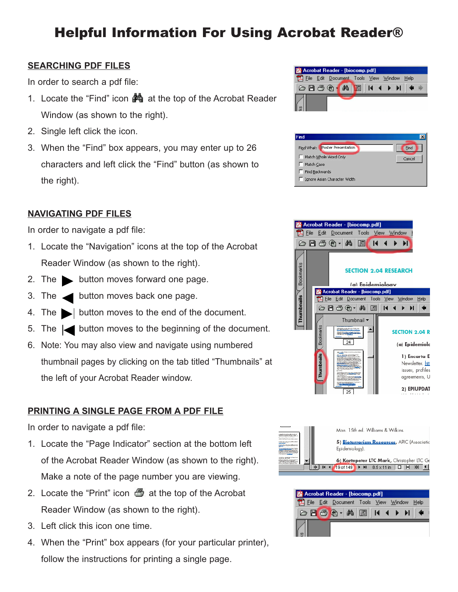# Helpful Information For Using Acrobat Reader®

### **SEARCHING PDF FILES**

In order to search a pdf file:

- 1. Locate the "Find" icon  $\frac{M_1}{M_2}$  at the top of the Acrobat Reader Window (as shown to the right).
- 2. Single left click the icon.
- 3. When the "Find" box appears, you may enter up to 26 characters and left click the "Find" button (as shown to the right).

### **NAVIGATING PDF FILES**

In order to navigate a pdf file:

- 1. Locate the "Navigation" icons at the top of the Acrobat Reader Window (as shown to the right).
- 2. The **button moves forward one page.**
- 3. The **button moves back one page.**
- 4. The  $\blacktriangleright$  button moves to the end of the document.
- 5. The  $\leq$  button moves to the beginning of the document.
- 6. Note: You may also view and navigate using numbered thumbnail pages by clicking on the tab titled "Thumbnails" at the left of your Acrobat Reader window.

### **PRINTING A SINGLE PAGE FROM A PDF FILE**

In order to navigate a pdf file:

- 1. Locate the "Page Indicator" section at the bottom left of the Acrobat Reader Window (as shown to the right). Make a note of the page number you are viewing.
- 2. Locate the "Print" icon  $\Box$  at the top of the Acrobat Reader Window (as shown to the right).
- 3. Left click this icon one time.
- 4. When the "Print" box appears (for your particular printer), follow the instructions for printing a single page.









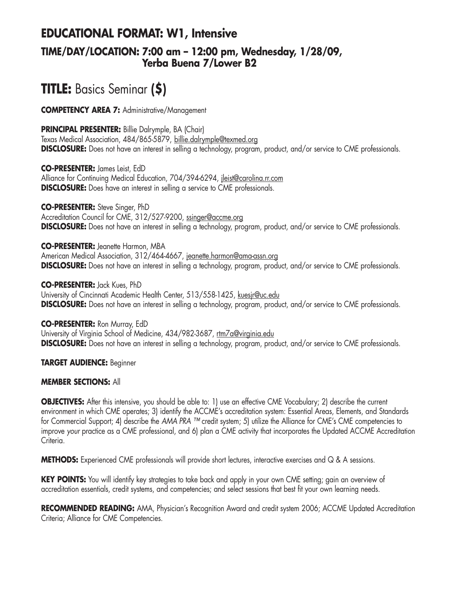# **EDUCATIONAL FORMAT: W1, Intensive**

### **TIME/DAY/LOCATION: 7:00 am – 12:00 pm, Wednesday, 1/28/09, Yerba Buena 7/Lower B2**

# **TITLE:** Basics Seminar **(\$)**

**COMPETENCY AREA 7:** Administrative/Management

**PRINCIPAL PRESENTER:** Billie Dalrymple, BA (Chair)

Texas Medical Association, 484/865-5879, billie.dalrymple@texmed.org **DISCLOSURE:** Does not have an interest in selling a technology, program, product, and/or service to CME professionals.

**CO-PRESENTER:** James Leist, EdD Alliance for Continuing Medical Education, 704/394-6294, jleist@carolina.rr.com **DISCLOSURE:** Does have an interest in selling a service to CME professionals.

**CO-PRESENTER:** Steve Singer, PhD Accreditation Council for CME, 312/527-9200, ssinger@accme.org **DISCLOSURE:** Does not have an interest in selling a technology, program, product, and/or service to CME professionals.

**CO-PRESENTER:** Jeanette Harmon, MBA American Medical Association, 312/464-4667, jeanette.harmon@ama-assn.org **DISCLOSURE:** Does not have an interest in selling a technology, program, product, and/or service to CME professionals.

**CO-PRESENTER:** Jack Kues, PhD University of Cincinnati Academic Health Center, 513/558-1425, kuesjr@uc.edu **DISCLOSURE:** Does not have an interest in selling a technology, program, product, and/or service to CME professionals.

**CO-PRESENTER:** Ron Murray, EdD University of Virginia School of Medicine, 434/982-3687, rtm7a@virginia.edu **DISCLOSURE:** Does not have an interest in selling a technology, program, product, and/or service to CME professionals.

**TARGET AUDIENCE:** Beginner

### **MEMBER SECTIONS:** All

**OBJECTIVES:** After this intensive, you should be able to: 1) use an effective CME Vocabulary; 2) describe the current environment in which CME operates; 3) identify the ACCME's accreditation system: Essential Areas, Elements, and Standards for Commercial Support; 4) describe the *AMA PRA ™* credit system; 5) utilize the Alliance for CME's CME competencies to improve *your* practice as a CME professional, and 6) plan a CME activity that incorporates the Updated ACCME Accreditation Criteria.

**METHODS:** Experienced CME professionals will provide short lectures, interactive exercises and Q & A sessions.

**KEY POINTS:** You will identify key strategies to take back and apply in your own CME setting; gain an overview of accreditation essentials, credit systems, and competencies; and select sessions that best fit your own learning needs.

**RECOMMENDED READING:** AMA, Physician's Recognition Award and credit system 2006; ACCME Updated Accreditation Criteria; Alliance for CME Competencies.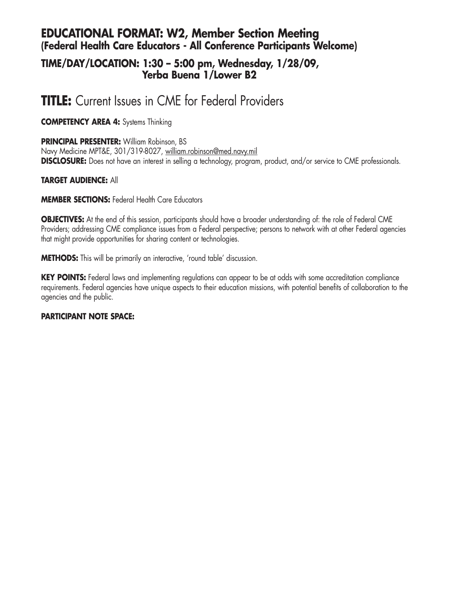## **EDUCATIONAL FORMAT: W2, Member Section Meeting (Federal Health Care Educators - All Conference Participants Welcome)**

### **TIME/DAY/LOCATION: 1:30 – 5:00 pm, Wednesday, 1/28/09, Yerba Buena 1/Lower B2**

# **TITLE:** Current Issues in CME for Federal Providers

**COMPETENCY AREA 4:** Systems Thinking

**PRINCIPAL PRESENTER:** William Robinson, BS Navy Medicine MPT&E, 301/319-8027, william.robinson@med.navy.mil **DISCLOSURE:** Does not have an interest in selling a technology, program, product, and/or service to CME professionals.

### **TARGET AUDIENCE:** All

**MEMBER SECTIONS:** Federal Health Care Educators

**OBJECTIVES:** At the end of this session, participants should have a broader understanding of: the role of Federal CME Providers; addressing CME compliance issues from a Federal perspective; persons to network with at other Federal agencies that might provide opportunities for sharing content or technologies.

**METHODS:** This will be primarily an interactive, 'round table' discussion.

**KEY POINTS:** Federal laws and implementing regulations can appear to be at odds with some accreditation compliance requirements. Federal agencies have unique aspects to their education missions, with potential benefits of collaboration to the agencies and the public.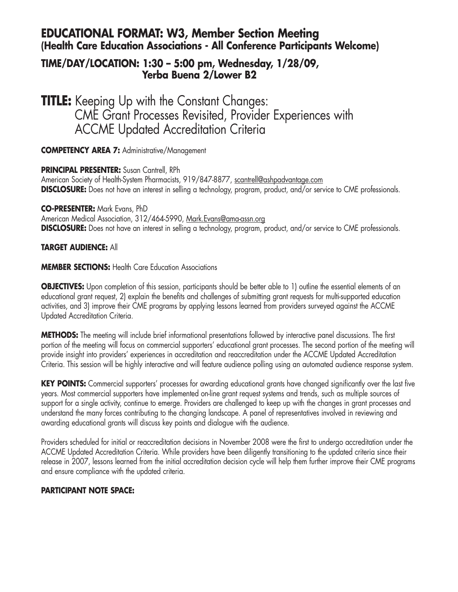## **EDUCATIONAL FORMAT: W3, Member Section Meeting (Health Care Education Associations - All Conference Participants Welcome)**

### **TIME/DAY/LOCATION: 1:30 – 5:00 pm, Wednesday, 1/28/09, Yerba Buena 2/Lower B2**

**TITLE:** Keeping Up with the Constant Changes: CME Grant Processes Revisited, Provider Experiences with ACCME Updated Accreditation Criteria

**COMPETENCY AREA 7:** Administrative/Management

**PRINCIPAL PRESENTER:** Susan Cantrell, RPh American Society of Health-System Pharmacists, 919/847-8877, scantrell@ashpadvantage.com **DISCLOSURE:** Does not have an interest in selling a technology, program, product, and/or service to CME professionals.

**CO-PRESENTER:** Mark Evans, PhD

American Medical Association, 312/464-5990, Mark.Evans@ama-assn.org **DISCLOSURE:** Does not have an interest in selling a technology, program, product, and/or service to CME professionals.

### **TARGET AUDIENCE:** All

**MEMBER SECTIONS: Health Care Education Associations** 

**OBJECTIVES:** Upon completion of this session, participants should be better able to 1) outline the essential elements of an educational grant request, 2) explain the benefits and challenges of submitting grant requests for multi-supported education activities, and 3) improve their CME programs by applying lessons learned from providers surveyed against the ACCME Updated Accreditation Criteria.

**METHODS:** The meeting will include brief informational presentations followed by interactive panel discussions. The first portion of the meeting will focus on commercial supporters' educational grant processes. The second portion of the meeting will provide insight into providers' experiences in accreditation and reaccreditation under the ACCME Updated Accreditation Criteria. This session will be highly interactive and will feature audience polling using an automated audience response system.

**KEY POINTS:** Commercial supporters' processes for awarding educational grants have changed significantly over the last five years. Most commercial supporters have implemented on-line grant request systems and trends, such as multiple sources of support for a single activity, continue to emerge. Providers are challenged to keep up with the changes in grant processes and understand the many forces contributing to the changing landscape. A panel of representatives involved in reviewing and awarding educational grants will discuss key points and dialogue with the audience.

Providers scheduled for initial or reaccreditation decisions in November 2008 were the first to undergo accreditation under the ACCME Updated Accreditation Criteria. While providers have been diligently transitioning to the updated criteria since their release in 2007, lessons learned from the initial accreditation decision cycle will help them further improve their CME programs and ensure compliance with the updated criteria.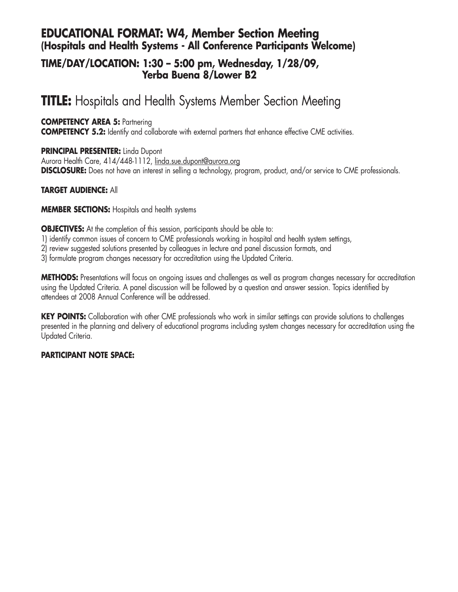## **EDUCATIONAL FORMAT: W4, Member Section Meeting (Hospitals and Health Systems - All Conference Participants Welcome)**

### **TIME/DAY/LOCATION: 1:30 – 5:00 pm, Wednesday, 1/28/09, Yerba Buena 8/Lower B2**

# **TITLE:** Hospitals and Health Systems Member Section Meeting

### **COMPETENCY AREA 5: Partnering**

**COMPETENCY 5.2:** Identify and collaborate with external partners that enhance effective CME activities.

### **PRINCIPAL PRESENTER:** Linda Dupont

Aurora Health Care, 414/448-1112, linda.sue.dupont@aurora.org **DISCLOSURE:** Does not have an interest in selling a technology, program, product, and/or service to CME professionals.

### **TARGET AUDIENCE:** All

### **MEMBER SECTIONS:** Hospitals and health systems

**OBJECTIVES:** At the completion of this session, participants should be able to:

- 1) identify common issues of concern to CME professionals working in hospital and health system settings,
- 2) review suggested solutions presented by colleagues in lecture and panel discussion formats, and
- 3) formulate program changes necessary for accreditation using the Updated Criteria.

**METHODS:** Presentations will focus on ongoing issues and challenges as well as program changes necessary for accreditation using the Updated Criteria. A panel discussion will be followed by a question and answer session. Topics identified by attendees at 2008 Annual Conference will be addressed.

**KEY POINTS:** Collaboration with other CME professionals who work in similar settings can provide solutions to challenges presented in the planning and delivery of educational programs including system changes necessary for accreditation using the Updated Criteria.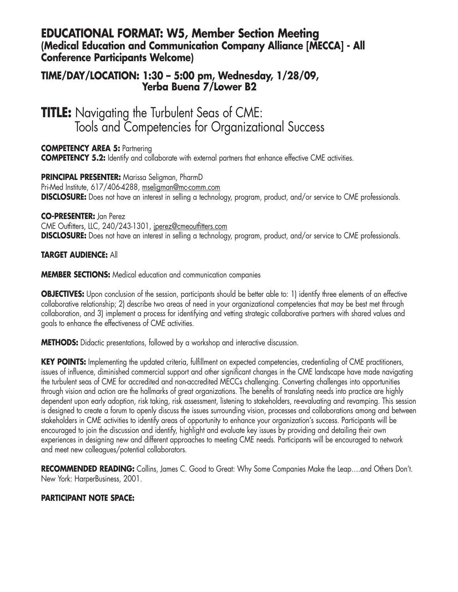### **EDUCATIONAL FORMAT: W5, Member Section Meeting (Medical Education and Communication Company Alliance [MECCA] - All Conference Participants Welcome)**

### **TIME/DAY/LOCATION: 1:30 – 5:00 pm, Wednesday, 1/28/09, Yerba Buena 7/Lower B2**

**TITLE:** Navigating the Turbulent Seas of CME: Tools and Competencies for Organizational Success

**COMPETENCY AREA 5: Partnering COMPETENCY 5.2:** Identify and collaborate with external partners that enhance effective CME activities.

**PRINCIPAL PRESENTER:** Marissa Seligman, PharmD Pri-Med Institute, 617/406-4288, mseligman@mc-comm.com **DISCLOSURE:** Does not have an interest in selling a technology, program, product, and/or service to CME professionals.

### **CO-PRESENTER:** Jan Perez

CME Outfitters, LLC, 240/243-1301, jperez@cmeoutfitters.com **DISCLOSURE:** Does not have an interest in selling a technology, program, product, and/or service to CME professionals.

**TARGET AUDIENCE:** All

**MEMBER SECTIONS:** Medical education and communication companies

**OBJECTIVES:** Upon conclusion of the session, participants should be better able to: 1) identify three elements of an effective collaborative relationship; 2) describe two areas of need in your organizational competencies that may be best met through collaboration, and 3) implement a process for identifying and vetting strategic collaborative partners with shared values and goals to enhance the effectiveness of CME activities.

**METHODS:** Didactic presentations, followed by a workshop and interactive discussion.

**KEY POINTS:** Implementing the updated criteria, fulfillment on expected competencies, credentialing of CME practitioners, issues of influence, diminished commercial support and other significant changes in the CME landscape have made navigating the turbulent seas of CME for accredited and non-accredited MECCs challenging. Converting challenges into opportunities through vision and action are the hallmarks of great organizations. The benefits of translating needs into practice are highly dependent upon early adoption, risk taking, risk assessment, listening to stakeholders, re-evaluating and revamping. This session is designed to create a forum to openly discuss the issues surrounding vision, processes and collaborations among and between stakeholders in CME activities to identify areas of opportunity to enhance your organization's success. Participants will be encouraged to join the discussion and identify, highlight and evaluate key issues by providing and detailing their own experiences in designing new and different approaches to meeting CME needs. Participants will be encouraged to network and meet new colleagues/potential collaborators.

**RECOMMENDED READING:** Collins, James C. Good to Great: Why Some Companies Make the Leap….and Others Don't. New York: HarperBusiness, 2001.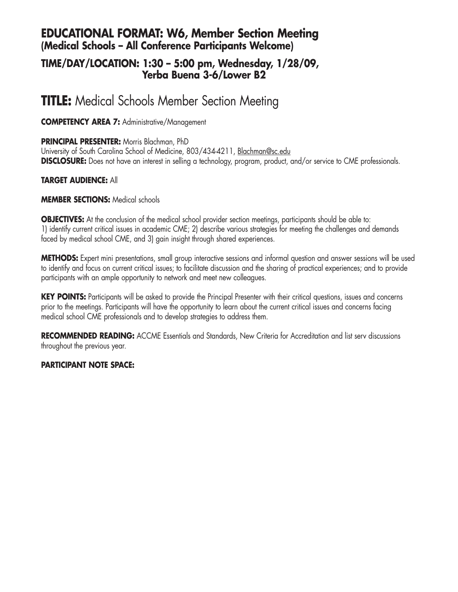## **EDUCATIONAL FORMAT: W6, Member Section Meeting (Medical Schools – All Conference Participants Welcome)**

### **TIME/DAY/LOCATION: 1:30 – 5:00 pm, Wednesday, 1/28/09, Yerba Buena 3-6/Lower B2**

# **TITLE:** Medical Schools Member Section Meeting

### **COMPETENCY AREA 7:** Administrative/Management

**PRINCIPAL PRESENTER:** Morris Blachman, PhD University of South Carolina School of Medicine, 803/434-4211, Blachman@sc.edu **DISCLOSURE:** Does not have an interest in selling a technology, program, product, and/or service to CME professionals.

### **TARGET AUDIENCE:** All

### **MEMBER SECTIONS:** Medical schools

**OBJECTIVES:** At the conclusion of the medical school provider section meetings, participants should be able to: 1) identify current critical issues in academic CME; 2) describe various strategies for meeting the challenges and demands faced by medical school CME, and 3) gain insight through shared experiences.

**METHODS:** Expert mini presentations, small group interactive sessions and informal question and answer sessions will be used to identify and focus on current critical issues; to facilitate discussion and the sharing of practical experiences; and to provide participants with an ample opportunity to network and meet new colleagues.

**KEY POINTS:** Participants will be asked to provide the Principal Presenter with their critical questions, issues and concerns prior to the meetings. Participants will have the opportunity to learn about the current critical issues and concerns facing medical school CME professionals and to develop strategies to address them.

**RECOMMENDED READING:** ACCME Essentials and Standards, New Criteria for Accreditation and list serv discussions throughout the previous year.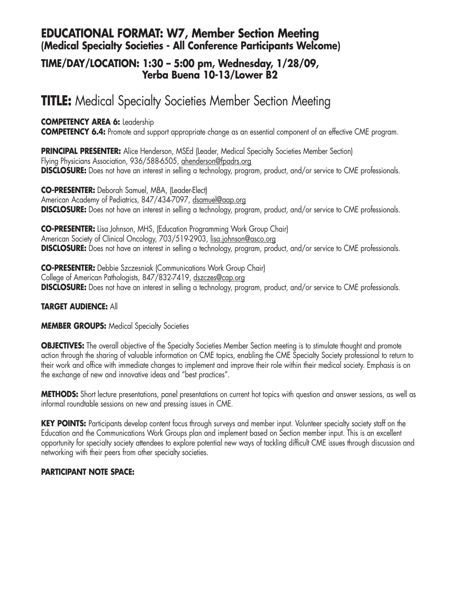## **EDUCATIONAL FORMAT: W7, Member Section Meeting (Medical Specialty Societies - All Conference Participants Welcome)**

### **TIME/DAY/LOCATION: 1:30 – 5:00 pm, Wednesday, 1/28/09, Yerba Buena 10-13/Lower B2**

# **TITLE:** Medical Specialty Societies Member Section Meeting

### **COMPETENCY AREA 6:** Leadership

**COMPETENCY 6.4:** Promote and support appropriate change as an essential component of an effective CME program.

**PRINCIPAL PRESENTER:** Alice Henderson, MSEd (Leader, Medical Specialty Societies Member Section) Flying Physicians Association, 936/588-6505, ahenderson@fpadrs.org **DISCLOSURE:** Does not have an interest in selling a technology, program, product, and/or service to CME professionals.

**CO-PRESENTER:** Deborah Samuel, MBA, (Leader-Elect) American Academy of Pediatrics, 847/434-7097, dsamuel@aap.org **DISCLOSURE:** Does not have an interest in selling a technology, program, product, and/or service to CME professionals.

**CO-PRESENTER:** Lisa Johnson, MHS, (Education Programming Work Group Chair) American Society of Clinical Oncology, 703/519-2903, lisa.johnson@asco.org **DISCLOSURE:** Does not have an interest in selling a technology, program, product, and/or service to CME professionals.

**CO-PRESENTER:** Debbie Szczesniak (Communications Work Group Chair) College of American Pathologists, 847/832-7419, dszczes@cap.org **DISCLOSURE:** Does not have an interest in selling a technology, program, product, and/or service to CME professionals.

### **TARGET AUDIENCE:** All

**MEMBER GROUPS:** Medical Specialty Societies

**OBJECTIVES:** The overall objective of the Specialty Societies Member Section meeting is to stimulate thought and promote action through the sharing of valuable information on CME topics, enabling the CME Specialty Society professional to return to their work and office with immediate changes to implement and improve their role within their medical society. Emphasis is on the exchange of new and innovative ideas and "best practices".

**METHODS:** Short lecture presentations, panel presentations on current hot topics with question and answer sessions, as well as informal roundtable sessions on new and pressing issues in CME.

KEY POINTS: Participants develop content focus through surveys and member input. Volunteer specialty society staff on the Education and the Communications Work Groups plan and implement based on Section member input. This is an excellent opportunity for specialty society attendees to explore potential new ways of tackling difficult CME issues through discussion and networking with their peers from other specialty societies.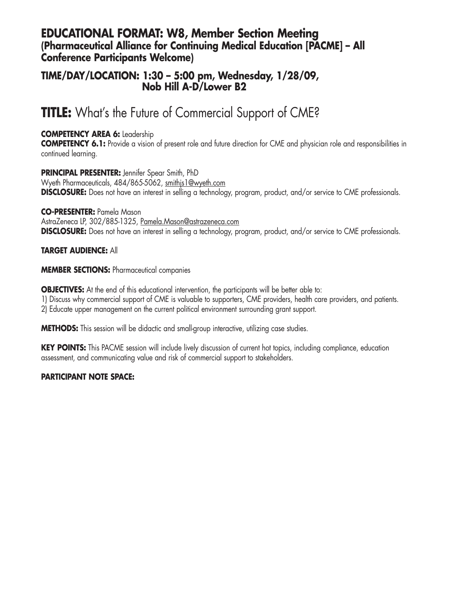### **EDUCATIONAL FORMAT: W8, Member Section Meeting (Pharmaceutical Alliance for Continuing Medical Education [PACME] – All Conference Participants Welcome)**

### **TIME/DAY/LOCATION: 1:30 – 5:00 pm, Wednesday, 1/28/09, Nob Hill A-D/Lower B2**

# **TITLE:** What's the Future of Commercial Support of CME?

### **COMPETENCY AREA 6:** Leadership

**COMPETENCY 6.1:** Provide a vision of present role and future direction for CME and physician role and responsibilities in continued learning.

**PRINCIPAL PRESENTER:** Jennifer Spear Smith, PhD Wyeth Pharmaceuticals, 484/865-5062, smithjs1@wyeth.com **DISCLOSURE:** Does not have an interest in selling a technology, program, product, and/or service to CME professionals.

**CO-PRESENTER:** Pamela Mason AstraZeneca LP, 302/885-1325, Pamela.Mason@astrazeneca.com **DISCLOSURE:** Does not have an interest in selling a technology, program, product, and/or service to CME professionals.

### **TARGET AUDIENCE:** All

### **MEMBER SECTIONS:** Pharmaceutical companies

**OBJECTIVES:** At the end of this educational intervention, the participants will be better able to:

1) Discuss why commercial support of CME is valuable to supporters, CME providers, health care providers, and patients.

2) Educate upper management on the current political environment surrounding grant support.

**METHODS:** This session will be didactic and small-group interactive, utilizing case studies.

**KEY POINTS:** This PACME session will include lively discussion of current hot topics, including compliance, education assessment, and communicating value and risk of commercial support to stakeholders.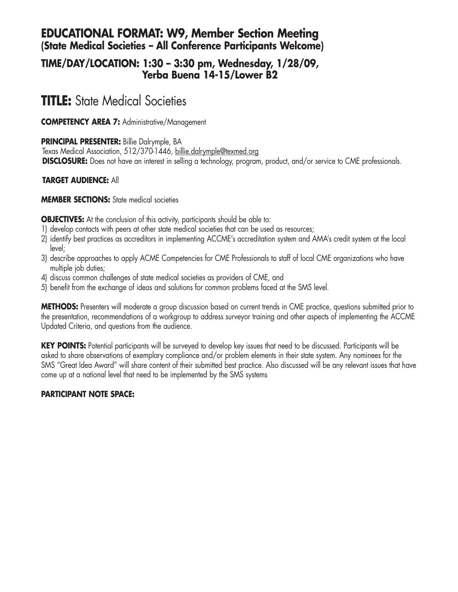## **EDUCATIONAL FORMAT: W9, Member Section Meeting (State Medical Societies – All Conference Participants Welcome)**

### **TIME/DAY/LOCATION: 1:30 – 3:30 pm, Wednesday, 1/28/09, Yerba Buena 14-15/Lower B2**

# **TITLE:** State Medical Societies

**COMPETENCY AREA 7:** Administrative/Management

**PRINCIPAL PRESENTER:** Billie Dalrymple, BA Texas Medical Association, 512/370-1446, billie.dalrymple@texmed.org **DISCLOSURE:** Does not have an interest in selling a technology, program, product, and/or service to CME professionals.

### **TARGET AUDIENCE:** All

### **MEMBER SECTIONS:** State medical societies

**OBJECTIVES:** At the conclusion of this activity, participants should be able to:

- 1) develop contacts with peers at other state medical societies that can be used as resources;
- 2) identify best practices as accreditors in implementing ACCME's accreditation system and AMA's credit system at the local level;
- 3) describe approaches to apply ACME Competencies for CME Professionals to staff of local CME organizations who have multiple job duties;
- 4) discuss common challenges of state medical societies as providers of CME, and
- 5) benefit from the exchange of ideas and solutions for common problems faced at the SMS level.

**METHODS:** Presenters will moderate a group discussion based on current trends in CME practice, questions submitted prior to the presentation, recommendations of a workgroup to address surveyor training and other aspects of implementing the ACCME Updated Criteria, and questions from the audience.

**KEY POINTS:** Potential participants will be surveyed to develop key issues that need to be discussed. Participants will be asked to share observations of exemplary compliance and/or problem elements in their state system. Any nominees for the SMS "Great Idea Award" will share content of their submitted best practice. Also discussed will be any relevant issues that have come up at a national level that need to be implemented by the SMS systems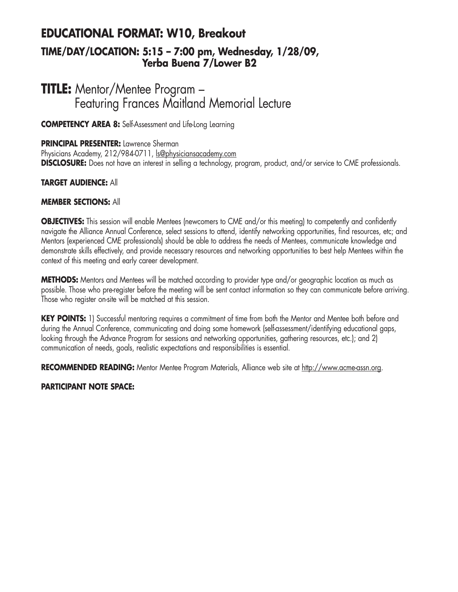## **EDUCATIONAL FORMAT: W10, Breakout TIME/DAY/LOCATION: 5:15 – 7:00 pm, Wednesday, 1/28/09, Yerba Buena 7/Lower B2**

# **TITLE:** Mentor/Mentee Program – Featuring Frances Maitland Memorial Lecture

**COMPETENCY AREA 8:** Self-Assessment and Life-Long Learning

### **PRINCIPAL PRESENTER:** Lawrence Sherman

Physicians Academy, 212/984-0711, ls@physiciansacademy.com **DISCLOSURE:** Does not have an interest in selling a technology, program, product, and/or service to CME professionals.

### **TARGET AUDIENCE:** All

### **MEMBER SECTIONS:** All

**OBJECTIVES:** This session will enable Mentees (newcomers to CME and/or this meeting) to competently and confidently navigate the Alliance Annual Conference, select sessions to attend, identify networking opportunities, find resources, etc; and Mentors (experienced CME professionals) should be able to address the needs of Mentees, communicate knowledge and demonstrate skills effectively, and provide necessary resources and networking opportunities to best help Mentees within the context of this meeting and early career development.

**METHODS:** Mentors and Mentees will be matched according to provider type and/or geographic location as much as possible. Those who pre-register before the meeting will be sent contact information so they can communicate before arriving. Those who register on-site will be matched at this session.

**KEY POINTS:** 1) Successful mentoring requires a commitment of time from both the Mentor and Mentee both before and during the Annual Conference, communicating and doing some homework (self-assessment/identifying educational gaps, looking through the Advance Program for sessions and networking opportunities, gathering resources, etc.); and 2) communication of needs, goals, realistic expectations and responsibilities is essential.

**RECOMMENDED READING:** Mentor Mentee Program Materials, Alliance web site at http://www.acme-assn.org.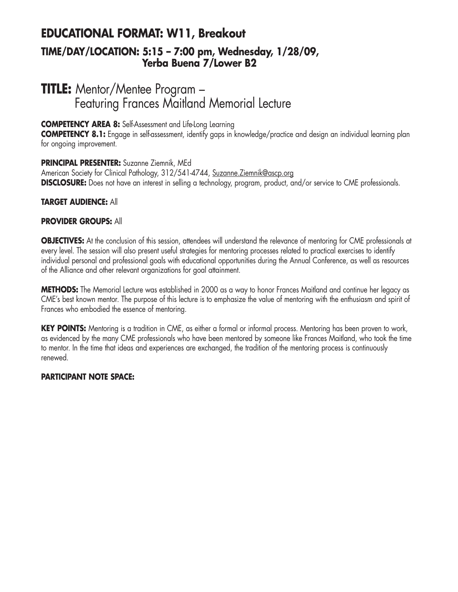## **EDUCATIONAL FORMAT: W11, Breakout TIME/DAY/LOCATION: 5:15 – 7:00 pm, Wednesday, 1/28/09, Yerba Buena 7/Lower B2**

# **TITLE:** Mentor/Mentee Program – Featuring Frances Maitland Memorial Lecture

### **COMPETENCY AREA 8:** Self-Assessment and Life-Long Learning

**COMPETENCY 8.1:** Engage in self-assessment, identify gaps in knowledge/practice and design an individual learning plan for ongoing improvement.

### **PRINCIPAL PRESENTER:** Suzanne Ziemnik, MEd

American Society for Clinical Pathology, 312/541-4744, Suzanne.Ziemnik@ascp.org **DISCLOSURE:** Does not have an interest in selling a technology, program, product, and/or service to CME professionals.

### **TARGET AUDIENCE:** All

### **PROVIDER GROUPS:** All

**OBJECTIVES:** At the conclusion of this session, attendees will understand the relevance of mentoring for CME professionals at every level. The session will also present useful strategies for mentoring processes related to practical exercises to identify individual personal and professional goals with educational opportunities during the Annual Conference, as well as resources of the Alliance and other relevant organizations for goal attainment.

**METHODS:** The Memorial Lecture was established in 2000 as a way to honor Frances Maitland and continue her legacy as CME's best known mentor. The purpose of this lecture is to emphasize the value of mentoring with the enthusiasm and spirit of Frances who embodied the essence of mentoring.

**KEY POINTS:** Mentoring is a tradition in CME, as either a formal or informal process. Mentoring has been proven to work, as evidenced by the many CME professionals who have been mentored by someone like Frances Maitland, who took the time to mentor. In the time that ideas and experiences are exchanged, the tradition of the mentoring process is continuously renewed.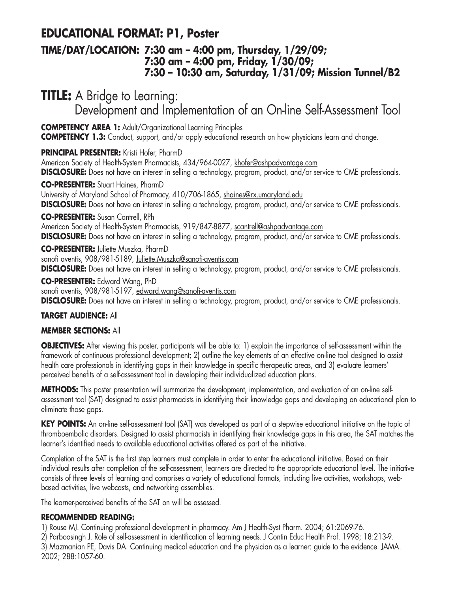# **EDUCATIONAL FORMAT: P1, Poster**

### **TIME/DAY/LOCATION: 7:30 am – 4:00 pm, Thursday, 1/29/09; 7:30 am – 4:00 pm, Friday, 1/30/09; 7:30 – 10:30 am, Saturday, 1/31/09; Mission Tunnel/B2**

**TITLE:** A Bridge to Learning:

Development and Implementation of an On-line Self-Assessment Tool

**COMPETENCY AREA 1:** Adult/Organizational Learning Principles

**COMPETENCY 1.3:** Conduct, support, and/or apply educational research on how physicians learn and change.

### **PRINCIPAL PRESENTER:** Kristi Hofer, PharmD

American Society of Health-System Pharmacists, 434/964-0027, khofer@ashpadvantage.com **DISCLOSURE:** Does not have an interest in selling a technology, program, product, and/or service to CME professionals.

**CO-PRESENTER:** Stuart Haines, PharmD University of Maryland School of Pharmacy, 410/706-1865, shaines@rx.umaryland.edu **DISCLOSURE:** Does not have an interest in selling a technology, program, product, and/or service to CME professionals.

**CO-PRESENTER:** Susan Cantrell, RPh

American Society of Health-System Pharmacists, 919/847-8877, scantrell@ashpadvantage.com **DISCLOSURE:** Does not have an interest in selling a technology, program, product, and/or service to CME professionals.

**CO-PRESENTER:** Juliette Muszka, PharmD sanofi aventis, 908/981-5189, Juliette.Muszka@sanofi-aventis.com **DISCLOSURE:** Does not have an interest in selling a technology, program, product, and/or service to CME professionals.

**CO-PRESENTER:** Edward Wang, PhD sanofi aventis, 908/981-5197, edward.wang@sanofi-aventis.com **DISCLOSURE:** Does not have an interest in selling a technology, program, product, and/or service to CME professionals.

### **TARGET AUDIENCE:** All

### **MEMBER SECTIONS:** All

**OBJECTIVES:** After viewing this poster, participants will be able to: 1) explain the importance of self-assessment within the framework of continuous professional development; 2) outline the key elements of an effective on-line tool designed to assist health care professionals in identifying gaps in their knowledge in specific therapeutic areas, and 3) evaluate learners' perceived benefits of a self-assessment tool in developing their individualized education plans.

**METHODS:** This poster presentation will summarize the development, implementation, and evaluation of an on-line selfassessment tool (SAT) designed to assist pharmacists in identifying their knowledge gaps and developing an educational plan to eliminate those gaps.

**KEY POINTS:** An on-line self-assessment tool (SAT) was developed as part of a stepwise educational initiative on the topic of thromboembolic disorders. Designed to assist pharmacists in identifying their knowledge gaps in this area, the SAT matches the learner's identified needs to available educational activities offered as part of the initiative.

Completion of the SAT is the first step learners must complete in order to enter the educational initiative. Based on their individual results after completion of the self-assessment, learners are directed to the appropriate educational level. The initiative consists of three levels of learning and comprises a variety of educational formats, including live activities, workshops, webbased activities, live webcasts, and networking assemblies.

The learner-perceived benefits of the SAT on will be assessed.

### **RECOMMENDED READING:**

1) Rouse MJ. Continuing professional development in pharmacy. Am J Health-Syst Pharm. 2004; 61:2069-76.

2) Parboosingh J. Role of self-assessment in identification of learning needs. J Contin Educ Health Prof. 1998; 18:213-9. 3) Mazmanian PE, Davis DA. Continuing medical education and the physician as a learner: guide to the evidence. JAMA. 2002; 288:1057-60.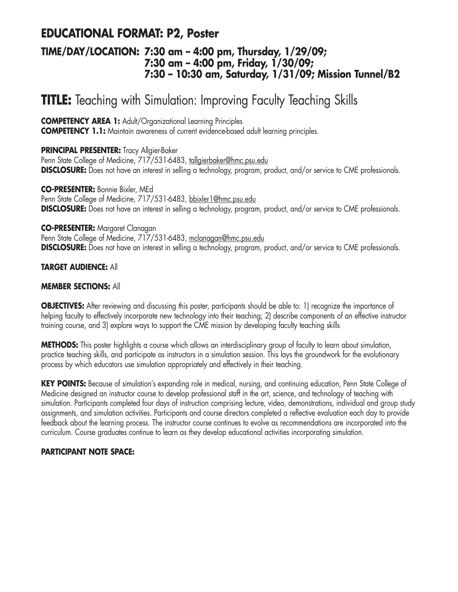# **EDUCATIONAL FORMAT: P2, Poster**

### **TIME/DAY/LOCATION: 7:30 am – 4:00 pm, Thursday, 1/29/09; 7:30 am – 4:00 pm, Friday, 1/30/09; 7:30 – 10:30 am, Saturday, 1/31/09; Mission Tunnel/B2**

# **TITLE:** Teaching with Simulation: Improving Faculty Teaching Skills

**COMPETENCY AREA 1:** Adult/Organizational Learning Principles **COMPETENCY 1.1:** Maintain awareness of current evidence-based adult learning principles.

**PRINCIPAL PRESENTER:** Tracy Allgier-Baker

Penn State College of Medicine, 717/531-6483, tallgierbaker@hmc.psu.edu **DISCLOSURE:** Does not have an interest in selling a technology, program, product, and/or service to CME professionals.

**CO-PRESENTER:** Bonnie Bixler, MEd Penn State College of Medicine, 717/531-6483, bbixler1@hmc.psu.edu **DISCLOSURE:** Does not have an interest in selling a technology, program, product, and/or service to CME professionals.

### **CO-PRESENTER:** Margaret Clanagan

Penn State College of Medicine, 717/531-6483, mclanagan@hmc.psu.edu **DISCLOSURE:** Does not have an interest in selling a technology, program, product, and/or service to CME professionals.

### **TARGET AUDIENCE:** All

### **MEMBER SECTIONS:** All

**OBJECTIVES:** After reviewing and discussing this poster, participants should be able to: 1) recognize the importance of helping faculty to effectively incorporate new technology into their teaching; 2) describe components of an effective instructor training course, and 3) explore ways to support the CME mission by developing faculty teaching skills

**METHODS:** This poster highlights a course which allows an interdisciplinary group of faculty to learn about simulation, practice teaching skills, and participate as instructors in a simulation session. This lays the groundwork for the evolutionary process by which educators use simulation appropriately and effectively in their teaching.

**KEY POINTS:** Because of simulation's expanding role in medical, nursing, and continuing education, Penn State College of Medicine designed an instructor course to develop professional staff in the art, science, and technology of teaching with simulation. Participants completed four days of instruction comprising lecture, video, demonstrations, individual and group study assignments, and simulation activities. Participants and course directors completed a reflective evaluation each day to provide feedback about the learning process. The instructor course continues to evolve as recommendations are incorporated into the curriculum. Course graduates continue to learn as they develop educational activities incorporating simulation.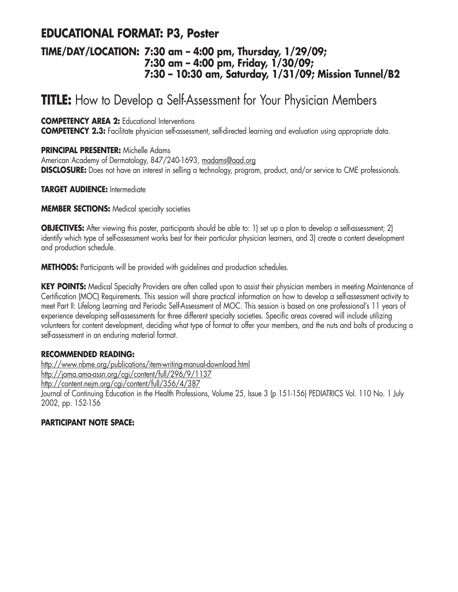# **EDUCATIONAL FORMAT: P3, Poster**

### **TIME/DAY/LOCATION: 7:30 am – 4:00 pm, Thursday, 1/29/09; 7:30 am – 4:00 pm, Friday, 1/30/09; 7:30 – 10:30 am, Saturday, 1/31/09; Mission Tunnel/B2**

# **TITLE:** How to Develop a Self-Assessment for Your Physician Members

**COMPETENCY AREA 2:** Educational Interventions

**COMPETENCY 2.3:** Facilitate physician self-assessment, self-directed learning and evaluation using appropriate data.

**PRINCIPAL PRESENTER:** Michelle Adams

American Academy of Dermatology, 847/240-1693, madams@aad.org **DISCLOSURE:** Does not have an interest in selling a technology, program, product, and/or service to CME professionals.

**TARGET AUDIENCE:** Intermediate

**MEMBER SECTIONS:** Medical specialty societies

**OBJECTIVES:** After viewing this poster, participants should be able to: 1) set up a plan to develop a self-assessment; 2) identify which type of self-assessment works best for their particular physician learners, and 3) create a content development and production schedule.

**METHODS:** Participants will be provided with guidelines and production schedules.

**KEY POINTS:** Medical Specialty Providers are often called upon to assist their physician members in meeting Maintenance of Certification (MOC) Requirements. This session will share practical information on how to develop a self-assessment activity to meet Part II: Lifelong Learning and Periodic Self-Assessment of MOC. This session is based on one professional's 11 years of experience developing self-assessments for three different specialty societies. Specific areas covered will include utilizing volunteers for content development, deciding what type of format to offer your members, and the nuts and bolts of producing a self-assessment in an enduring material format.

### **RECOMMENDED READING:**

http://www.nbme.org/publications/item-writing-manual-download.html http://jama.ama-assn.org/cgi/content/full/296/9/1137 http://content.nejm.org/cgi/content/full/356/4/387 Journal of Continuing Education in the Health Professions, Volume 25, Issue 3 (p 151-156) PEDIATRICS Vol. 110 No. 1 July 2002, pp. 152-156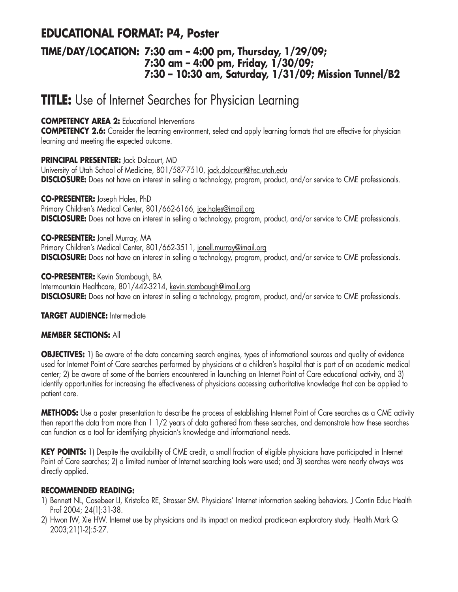## **EDUCATIONAL FORMAT: P4, Poster**

### **TIME/DAY/LOCATION: 7:30 am – 4:00 pm, Thursday, 1/29/09; 7:30 am – 4:00 pm, Friday, 1/30/09; 7:30 – 10:30 am, Saturday, 1/31/09; Mission Tunnel/B2**

# **TITLE:** Use of Internet Searches for Physician Learning

### **COMPETENCY AREA 2:** Educational Interventions

**COMPETENCY 2.6:** Consider the learning environment, select and apply learning formats that are effective for physician learning and meeting the expected outcome.

**PRINCIPAL PRESENTER:** Jack Dolcourt, MD University of Utah School of Medicine, 801/587-7510, jack.dolcourt@hsc.utah.edu **DISCLOSURE:** Does not have an interest in selling a technology, program, product, and/or service to CME professionals.

**CO-PRESENTER:** Joseph Hales, PhD Primary Children's Medical Center, 801/662-6166, joe.hales@imail.org **DISCLOSURE:** Does not have an interest in selling a technology, program, product, and/or service to CME professionals.

**CO-PRESENTER:** Jonell Murray, MA Primary Children's Medical Center, 801/662-3511, jonell.murray@imail.org **DISCLOSURE:** Does not have an interest in selling a technology, program, product, and/or service to CME professionals.

**CO-PRESENTER:** Kevin Stambaugh, BA Intermountain Healthcare, 801/442-3214, kevin.stambaugh@imail.org **DISCLOSURE:** Does not have an interest in selling a technology, program, product, and/or service to CME professionals.

### **TARGET AUDIENCE:** Intermediate

### **MEMBER SECTIONS:** All

**OBJECTIVES:** 1) Be aware of the data concerning search engines, types of informational sources and quality of evidence used for Internet Point of Care searches performed by physicians at a children's hospital that is part of an academic medical center; 2) be aware of some of the barriers encountered in launching an Internet Point of Care educational activity, and 3) identify opportunities for increasing the effectiveness of physicians accessing authoritative knowledge that can be applied to patient care.

**METHODS:** Use a poster presentation to describe the process of establishing Internet Point of Care searches as a CME activity then report the data from more than 1 1/2 years of data gathered from these searches, and demonstrate how these searches can function as a tool for identifying physician's knowledge and informational needs.

KEY POINTS: 1) Despite the availability of CME credit, a small fraction of eligible physicians have participated in Internet Point of Care searches; 2) a limited number of Internet searching tools were used; and 3) searches were nearly always was directly applied.

### **RECOMMENDED READING:**

- 1) Bennett NL, Casebeer LI, Kristofco RE, Strasser SM. Physicians' Internet information seeking behaviors. J Contin Educ Health Prof 2004; 24(1):31-38.
- 2) Hwon IW, Xie HW. Internet use by physicians and its impact on medical practice-an exploratory study. Health Mark Q 2003;21(1-2):5-27.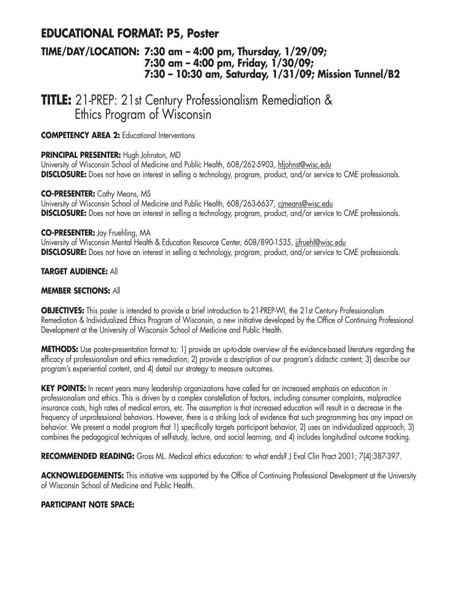## **EDUCATIONAL FORMAT: P5, Poster**

### **TIME/DAY/LOCATION: 7:30 am – 4:00 pm, Thursday, 1/29/09; 7:30 am – 4:00 pm, Friday, 1/30/09; 7:30 – 10:30 am, Saturday, 1/31/09; Mission Tunnel/B2**

**TITLE:** 21-PREP: 21st Century Professionalism Remediation & Ethics Program of Wisconsin

**COMPETENCY AREA 2:** Educational Interventions

### **PRINCIPAL PRESENTER:** Hugh Johnston, MD

University of Wisconsin School of Medicine and Public Health, 608/262-5903, hfjohnst@wisc.edu **DISCLOSURE:** Does not have an interest in selling a technology, program, product, and/or service to CME professionals.

### **CO-PRESENTER:** Cathy Means, MS

University of Wisconsin School of Medicine and Public Health, 608/263-6637, cimeans@wisc.edu **DISCLOSURE:** Does not have an interest in selling a technology, program, product, and/or service to CME professionals.

#### **CO-PRESENTER:** Jay Fruehling, MA

University of Wisconsin Mental Health & Education Resource Center, 608/890-1535, jjfruehl@wisc.edu **DISCLOSURE:** Does not have an interest in selling a technology, program, product, and/or service to CME professionals.

### **TARGET AUDIENCE:** All

#### **MEMBER SECTIONS:** All

**OBJECTIVES:** This poster is intended to provide a brief introduction to 21-PREP-WI, the 21st Century Professionalism Remediation & Individualized Ethics Program of Wisconsin, a new initiative developed by the Office of Continuing Professional Development at the University of Wisconsin School of Medicine and Public Health.

**METHODS:** Use poster-presentation format to: 1) provide an up-to-date overview of the evidence-based literature regarding the efficacy of professionalism and ethics remediation; 2) provide a description of our program's didactic content; 3) describe our program's experiential content, and 4) detail our strategy to measure outcomes.

**KEY POINTS:** In recent years many leadership organizations have called for an increased emphasis on education in professionalism and ethics. This is driven by a complex constellation of factors, including consumer complaints, malpractice insurance costs, high rates of medical errors, etc. The assumption is that increased education will result in a decrease in the frequency of unprofessional behaviors. However, there is a striking lack of evidence that such programming has any impact on behavior. We present a model program that 1) specifically targets participant behavior, 2) uses an individualized approach, 3) combines the pedagogical techniques of self-study, lecture, and social learning, and 4) includes longitudinal outcome tracking.

RECOMMENDED READING: Gross ML. Medical ethics education: to what ends? J Eval Clin Pract 2001; 7(4):387-397.

ACKNOWLEDGEMENTS: This initiative was supported by the Office of Continuing Professional Development at the University of Wisconsin School of Medicine and Public Health.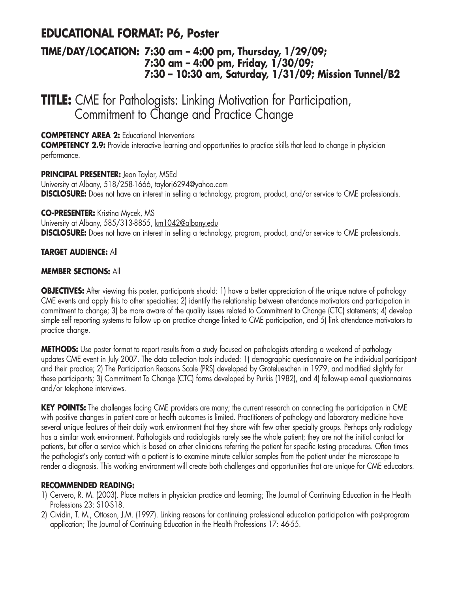## **EDUCATIONAL FORMAT: P6, Poster**

### **TIME/DAY/LOCATION: 7:30 am – 4:00 pm, Thursday, 1/29/09; 7:30 am – 4:00 pm, Friday, 1/30/09; 7:30 – 10:30 am, Saturday, 1/31/09; Mission Tunnel/B2**

**TITLE:** CME for Pathologists: Linking Motivation for Participation, Commitment to Change and Practice Change

**COMPETENCY AREA 2:** Educational Interventions

**COMPETENCY 2.9:** Provide interactive learning and opportunities to practice skills that lead to change in physician performance.

**PRINCIPAL PRESENTER:** Jean Taylor, MSEd University at Albany, 518/258-1666, taylorjó294@yahoo.com **DISCLOSURE:** Does not have an interest in selling a technology, program, product, and/or service to CME professionals.

**CO-PRESENTER:** Kristina Mycek, MS University at Albany, 585/313-8855, km1042@albany.edu **DISCLOSURE:** Does not have an interest in selling a technology, program, product, and/or service to CME professionals.

### **TARGET AUDIENCE:** All

### **MEMBER SECTIONS:** All

**OBJECTIVES:** After viewing this poster, participants should: 1) have a better appreciation of the unique nature of pathology CME events and apply this to other specialties; 2) identify the relationship between attendance motivators and participation in commitment to change; 3) be more aware of the quality issues related to Commitment to Change (CTC) statements; 4) develop simple self reporting systems to follow up on practice change linked to CME participation, and 5) link attendance motivators to practice change.

**METHODS:** Use poster format to report results from a study focused on pathologists attending a weekend of pathology updates CME event in July 2007. The data collection tools included: 1) demographic questionnaire on the individual participant and their practice; 2) The Participation Reasons Scale (PRS) developed by Grotelueschen in 1979, and modified slightly for these participants; 3) Commitment To Change (CTC) forms developed by Purkis (1982), and 4) follow-up e-mail questionnaires and/or telephone interviews.

**KEY POINTS:** The challenges facing CME providers are many; the current research on connecting the participation in CME with positive changes in patient care or health outcomes is limited. Practitioners of pathology and laboratory medicine have several unique features of their daily work environment that they share with few other specialty groups. Perhaps only radiology has a similar work environment. Pathologists and radiologists rarely see the whole patient; they are not the initial contact for patients, but offer a service which is based on other clinicians referring the patient for specific testing procedures. Often times the pathologist's only contact with a patient is to examine minute cellular samples from the patient under the microscope to render a diagnosis. This working environment will create both challenges and opportunities that are unique for CME educators.

### **RECOMMENDED READING:**

- 1) Cervero, R. M. (2003). Place matters in physician practice and learning; The Journal of Continuing Education in the Health Professions 23: S10-S18.
- 2) Cividin, T. M., Ottoson, J.M. (1997). Linking reasons for continuing professional education participation with post-program application; The Journal of Continuing Education in the Health Professions 17: 46-55.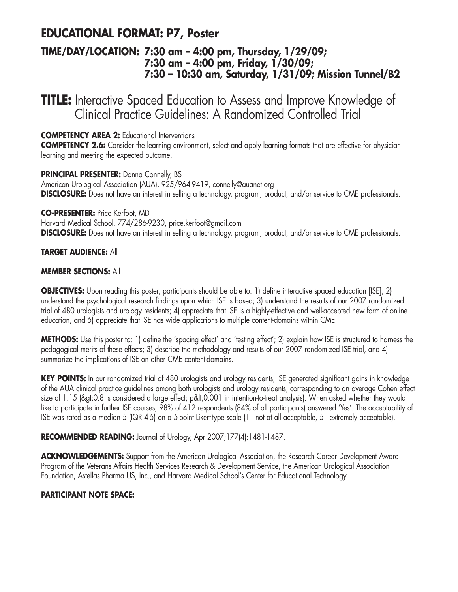# **EDUCATIONAL FORMAT: P7, Poster**

### **TIME/DAY/LOCATION: 7:30 am – 4:00 pm, Thursday, 1/29/09; 7:30 am – 4:00 pm, Friday, 1/30/09; 7:30 – 10:30 am, Saturday, 1/31/09; Mission Tunnel/B2**

**TITLE:** Interactive Spaced Education to Assess and Improve Knowledge of Clinical Practice Guidelines: A Randomized Controlled Trial

**COMPETENCY AREA 2:** Educational Interventions

**COMPETENCY 2.6:** Consider the learning environment, select and apply learning formats that are effective for physician learning and meeting the expected outcome.

**PRINCIPAL PRESENTER:** Donna Connelly, BS American Urological Association (AUA), 925/964-9419, connelly@auanet.org **DISCLOSURE:** Does not have an interest in selling a technology, program, product, and/or service to CME professionals.

**CO-PRESENTER:** Price Kerfoot, MD

Harvard Medical School, 774/286-9230, price.kerfoot@gmail.com **DISCLOSURE:** Does not have an interest in selling a technology, program, product, and/or service to CME professionals.

### **TARGET AUDIENCE:** All

### **MEMBER SECTIONS:** All

**OBJECTIVES:** Upon reading this poster, participants should be able to: 1) define interactive spaced education [ISE]; 2) understand the psychological research findings upon which ISE is based; 3) understand the results of our 2007 randomized trial of 480 urologists and urology residents; 4) appreciate that ISE is a highly-effective and well-accepted new form of online education, and 5) appreciate that ISE has wide applications to multiple content-domains within CME.

**METHODS:** Use this poster to: 1) define the 'spacing effect' and 'testing effect'; 2) explain how ISE is structured to harness the pedagogical merits of these effects; 3) describe the methodology and results of our 2007 randomized ISE trial, and 4) summarize the implications of ISE on other CME content-domains.

KEY POINTS: In our randomized trial of 480 urologists and urology residents, ISE generated significant gains in knowledge of the AUA clinical practice guidelines among both urologists and urology residents, corresponding to an average Cohen effect size of 1.15 (>0.8 is considered a large effect; p<0.001 in intention-to-treat analysis). When asked whether they would like to participate in further ISE courses, 98% of 412 respondents (84% of all participants) answered 'Yes'. The acceptability of ISE was rated as a median 5 (IQR 4-5) on a 5-point Likert-type scale (1 - not at all acceptable, 5 - extremely acceptable).

**RECOMMENDED READING:** Journal of Urology, Apr 2007;177(4):1481-1487.

ACKNOWLEDGEMENTS: Support from the American Urological Association, the Research Career Development Award Program of the Veterans Affairs Health Services Research & Development Service, the American Urological Association Foundation, Astellas Pharma US, Inc., and Harvard Medical School's Center for Educational Technology.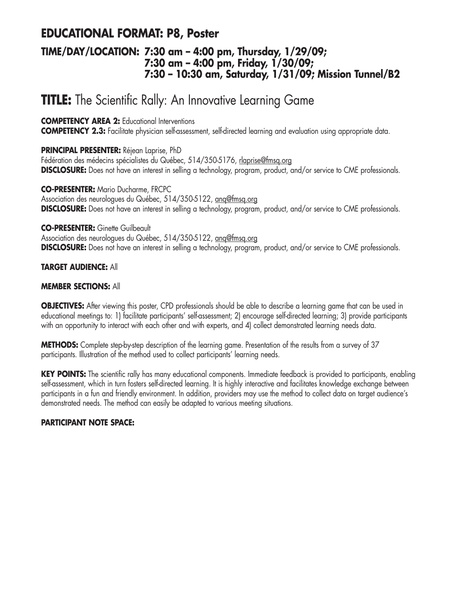## **EDUCATIONAL FORMAT: P8, Poster**

### **TIME/DAY/LOCATION: 7:30 am – 4:00 pm, Thursday, 1/29/09; 7:30 am – 4:00 pm, Friday, 1/30/09; 7:30 – 10:30 am, Saturday, 1/31/09; Mission Tunnel/B2**

# **TITLE:** The Scientific Rally: An Innovative Learning Game

### **COMPETENCY AREA 2:** Educational Interventions

**COMPETENCY 2.3:** Facilitate physician self-assessment, self-directed learning and evaluation using appropriate data.

### **PRINCIPAL PRESENTER:** Réjean Laprise, PhD

Fédération des médecins spécialistes du Québec, 514/350-5176, rlaprise@fmsq.org **DISCLOSURE:** Does not have an interest in selling a technology, program, product, and/or service to CME professionals.

**CO-PRESENTER:** Mario Ducharme, FRCPC Association des neurologues du Québec, 514/350-5122, anq@fmsq.org **DISCLOSURE:** Does not have an interest in selling a technology, program, product, and/or service to CME professionals.

### **CO-PRESENTER:** Ginette Guilbeault

Association des neurologues du Québec, 514/350-5122, anq@fmsq.org **DISCLOSURE:** Does not have an interest in selling a technology, program, product, and/or service to CME professionals.

### **TARGET AUDIENCE:** All

### **MEMBER SECTIONS:** All

**OBJECTIVES:** After viewing this poster, CPD professionals should be able to describe a learning game that can be used in educational meetings to: 1) facilitate participants' self-assessment; 2) encourage self-directed learning; 3) provide participants with an opportunity to interact with each other and with experts, and 4) collect demonstrated learning needs data.

**METHODS:** Complete step-by-step description of the learning game. Presentation of the results from a survey of 37 participants. Illustration of the method used to collect participants' learning needs.

**KEY POINTS:** The scientific rally has many educational components. Immediate feedback is provided to participants, enabling self-assessment, which in turn fosters self-directed learning. It is highly interactive and facilitates knowledge exchange between participants in a fun and friendly environment. In addition, providers may use the method to collect data on target audience's demonstrated needs. The method can easily be adapted to various meeting situations.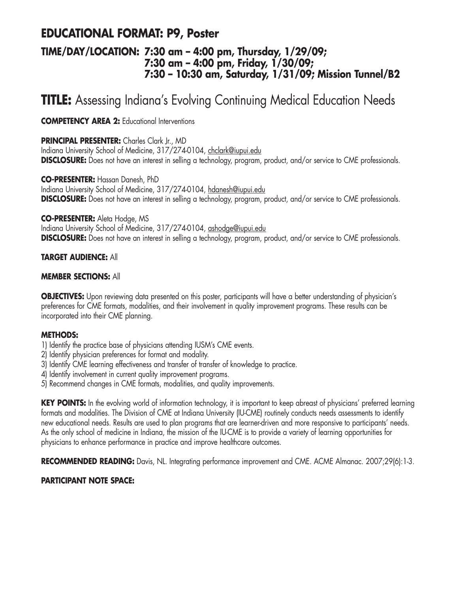# **EDUCATIONAL FORMAT: P9, Poster**

### **TIME/DAY/LOCATION: 7:30 am – 4:00 pm, Thursday, 1/29/09; 7:30 am – 4:00 pm, Friday, 1/30/09; 7:30 – 10:30 am, Saturday, 1/31/09; Mission Tunnel/B2**

# **TITLE:** Assessing Indiana's Evolving Continuing Medical Education Needs

**COMPETENCY AREA 2:** Educational Interventions

### **PRINCIPAL PRESENTER:** Charles Clark Jr., MD

Indiana University School of Medicine, 317/274-0104, chclark@iupui.edu **DISCLOSURE:** Does not have an interest in selling a technology, program, product, and/or service to CME professionals.

**CO-PRESENTER:** Hassan Danesh, PhD

Indiana University School of Medicine, 317/274-0104, hdanesh@iupui.edu **DISCLOSURE:** Does not have an interest in selling a technology, program, product, and/or service to CME professionals.

### **CO-PRESENTER:** Aleta Hodge, MS

Indiana University School of Medicine, 317/274-0104, ashodge@iupui.edu **DISCLOSURE:** Does not have an interest in selling a technology, program, product, and/or service to CME professionals.

### **TARGET AUDIENCE:** All

### **MEMBER SECTIONS:** All

**OBJECTIVES:** Upon reviewing data presented on this poster, participants will have a better understanding of physician's preferences for CME formats, modalities, and their involvement in quality improvement programs. These results can be incorporated into their CME planning.

### **METHODS:**

- 1) Identify the practice base of physicians attending IUSM's CME events.
- 2) Identify physician preferences for format and modality.
- 3) Identify CME learning effectiveness and transfer of transfer of knowledge to practice.
- 4) Identify involvement in current quality improvement programs.
- 5) Recommend changes in CME formats, modalities, and quality improvements.

**KEY POINTS:** In the evolving world of information technology, it is important to keep abreast of physicians' preferred learning formats and modalities. The Division of CME at Indiana University (IU-CME) routinely conducts needs assessments to identify new educational needs. Results are used to plan programs that are learner-driven and more responsive to participants' needs. As the only school of medicine in Indiana, the mission of the IU-CME is to provide a variety of learning opportunities for physicians to enhance performance in practice and improve healthcare outcomes.

**RECOMMENDED READING:** Davis, NL. Integrating performance improvement and CME. ACME Almanac. 2007;29(6):1-3.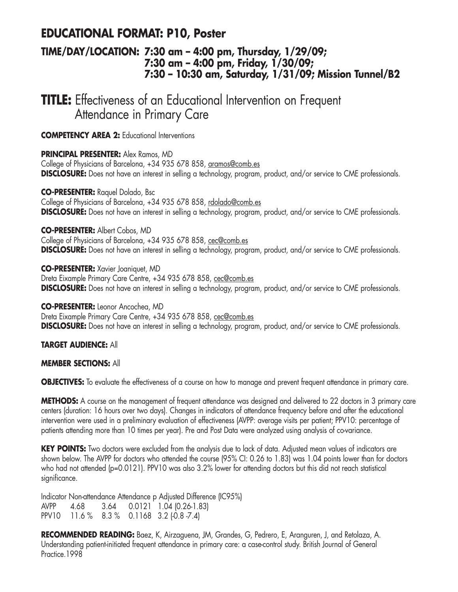## **EDUCATIONAL FORMAT: P10, Poster**

### **TIME/DAY/LOCATION: 7:30 am – 4:00 pm, Thursday, 1/29/09; 7:30 am – 4:00 pm, Friday, 1/30/09; 7:30 – 10:30 am, Saturday, 1/31/09; Mission Tunnel/B2**

**TITLE:** Effectiveness of an Educational Intervention on Frequent Attendance in Primary Care

**COMPETENCY AREA 2:** Educational Interventions

**PRINCIPAL PRESENTER:** Alex Ramos, MD

College of Physicians of Barcelona, +34 935 678 858, aramos@comb.es **DISCLOSURE:** Does not have an interest in selling a technology, program, product, and/or service to CME professionals.

**CO-PRESENTER:** Raquel Dolado, Bsc

College of Physicians of Barcelona, +34 935 678 858, rdolado@comb.es **DISCLOSURE:** Does not have an interest in selling a technology, program, product, and/or service to CME professionals.

#### **CO-PRESENTER:** Albert Cobos, MD

College of Physicians of Barcelona, +34 935 678 858, cec@comb.es **DISCLOSURE:** Does not have an interest in selling a technology, program, product, and/or service to CME professionals.

**CO-PRESENTER:** Xavier Joaniquet, MD Dreta Eixample Primary Care Centre, +34 935 678 858, cec@comb.es **DISCLOSURE:** Does not have an interest in selling a technology, program, product, and/or service to CME professionals.

**CO-PRESENTER:** Leonor Ancochea, MD Dreta Eixample Primary Care Centre, +34 935 678 858, cec@comb.es **DISCLOSURE:** Does not have an interest in selling a technology, program, product, and/or service to CME professionals.

**TARGET AUDIENCE:** All

### **MEMBER SECTIONS:** All

**OBJECTIVES:** To evaluate the effectiveness of a course on how to manage and prevent frequent attendance in primary care.

**METHODS:** A course on the management of frequent attendance was designed and delivered to 22 doctors in 3 primary care centers (duration: 16 hours over two days). Changes in indicators of attendance frequency before and after the educational intervention were used in a preliminary evaluation of effectiveness (AVPP: average visits per patient; PPV10: percentage of patients attending more than 10 times per year). Pre and Post Data were analyzed using analysis of co-variance.

**KEY POINTS:** Two doctors were excluded from the analysis due to lack of data. Adjusted mean values of indicators are shown below. The AVPP for doctors who attended the course (95% CI: 0.26 to 1.83) was 1.04 points lower than for doctors who had not attended (p=0.0121). PPV10 was also 3.2% lower for attending doctors but this did not reach statistical significance.

Indicator Non-attendance Attendance p Adjusted Difference (IC95%) AVPP 4.68 3.64 0.0121 1.04 (0.26-1.83) PPV10 11.6 % 8.3 % 0.1168 3.2 (0.8 -7.4)

**RECOMMENDED READING:** Baez, K, Airzaguena, JM, Grandes, G, Pedrero, E, Aranguren, J, and Retolaza, A. Understanding patient-initiated frequent attendance in primary care: a case-control study. British Journal of General Practice.1998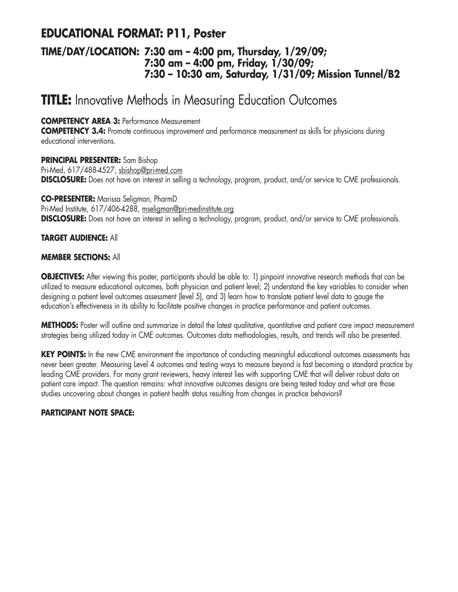# **EDUCATIONAL FORMAT: P11, Poster**

### **TIME/DAY/LOCATION: 7:30 am – 4:00 pm, Thursday, 1/29/09; 7:30 am – 4:00 pm, Friday, 1/30/09; 7:30 – 10:30 am, Saturday, 1/31/09; Mission Tunnel/B2**

# **TITLE:** Innovative Methods in Measuring Education Outcomes

**COMPETENCY AREA 3:** Performance Measurement

**COMPETENCY 3.4:** Promote continuous improvement and performance measurement as skills for physicians during educational interventions.

**PRINCIPAL PRESENTER:** Sam Bishop Pri-Med, 617/488-4527, sbishop@pri-med.com **DISCLOSURE:** Does not have an interest in selling a technology, program, product, and/or service to CME professionals.

**CO-PRESENTER:** Marissa Seligman, PharmD Pri-Med Institute, 617/406-4288, mseligman@pri-medinstitute.org **DISCLOSURE:** Does not have an interest in selling a technology, program, product, and/or service to CME professionals.

### **TARGET AUDIENCE:** All

### **MEMBER SECTIONS:** All

**OBJECTIVES:** After viewing this poster, participants should be able to: 1) pinpoint innovative research methods that can be utilized to measure educational outcomes, both physician and patient level; 2) understand the key variables to consider when designing a patient level outcomes assessment (level 5), and 3) learn how to translate patient level data to gauge the education's effectiveness in its ability to facilitate positive changes in practice performance and patient outcomes.

**METHODS:** Poster will outline and summarize in detail the latest qualitative, quantitative and patient care impact measurement strategies being utilized today in CME outcomes. Outcomes data methodologies, results, and trends will also be presented.

**KEY POINTS:** In the new CME environment the importance of conducting meaningful educational outcomes assessments has never been greater. Measuring Level 4 outcomes and testing ways to measure beyond is fast becoming a standard practice by leading CME providers. For many grant reviewers, heavy interest lies with supporting CME that will deliver robust data on patient care impact. The question remains: what innovative outcomes designs are being tested today and what are those studies uncovering about changes in patient health status resulting from changes in practice behaviors?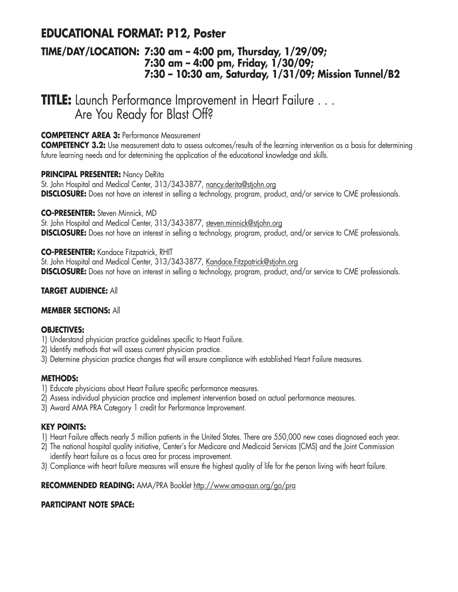# **EDUCATIONAL FORMAT: P12, Poster**

### **TIME/DAY/LOCATION: 7:30 am – 4:00 pm, Thursday, 1/29/09; 7:30 am – 4:00 pm, Friday, 1/30/09; 7:30 – 10:30 am, Saturday, 1/31/09; Mission Tunnel/B2**

**TITLE:** Launch Performance Improvement in Heart Failure . . . Are You Ready for Blast Off?

### **COMPETENCY AREA 3:** Performance Measurement

**COMPETENCY 3.2:** Use measurement data to assess outcomes/results of the learning intervention as a basis for determining future learning needs and for determining the application of the educational knowledge and skills.

### **PRINCIPAL PRESENTER:** Nancy DeRita

St. John Hospital and Medical Center, 313/343-3877, nancy.derita@stjohn.org **DISCLOSURE:** Does not have an interest in selling a technology, program, product, and/or service to CME professionals.

### **CO-PRESENTER:** Steven Minnick, MD

St. John Hospital and Medical Center, 313/343-3877, steven.minnick@stjohn.org **DISCLOSURE:** Does not have an interest in selling a technology, program, product, and/or service to CME professionals.

### **CO-PRESENTER:** Kandace Fitzpatrick, RHIT

St. John Hospital and Medical Center, 313/343-3877, Kandace.Fitzpatrick@stjohn.org **DISCLOSURE:** Does not have an interest in selling a technology, program, product, and/or service to CME professionals.

### **TARGET AUDIENCE:** All

### **MEMBER SECTIONS:** All

### **OBJECTIVES:**

- 1) Understand physician practice guidelines specific to Heart Failure.
- 2) Identify methods that will assess current physician practice.
- 3) Determine physician practice changes that will ensure compliance with established Heart Failure measures.

### **METHODS:**

- 1) Educate physicians about Heart Failure specific performance measures.
- 2) Assess individual physician practice and implement intervention based on actual performance measures.
- 3) Award AMA PRA Category 1 credit for Performance Improvement.

### **KEY POINTS:**

- 1) Heart Failure affects nearly 5 million patients in the United States. There are 550,000 new cases diagnosed each year.
- 2) The national hospital quality initiative, Center's for Medicare and Medicaid Services (CMS) and the Joint Commission identify heart failure as a focus area for process improvement.
- 3) Compliance with heart failure measures will ensure the highest quality of life for the person living with heart failure.

### **RECOMMENDED READING:** AMA/PRA Booklet http://www.ama-assn.org/go/pra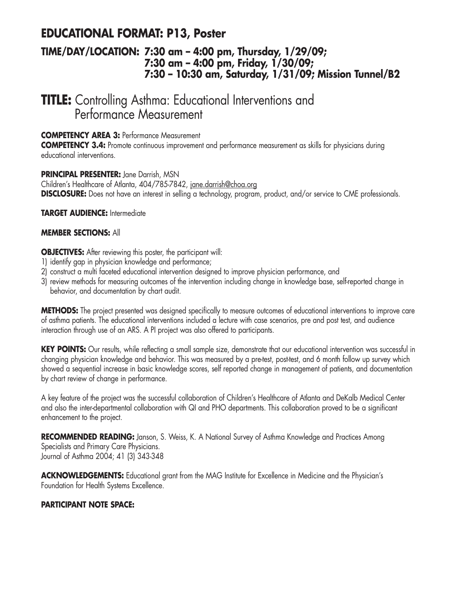## **EDUCATIONAL FORMAT: P13, Poster**

### **TIME/DAY/LOCATION: 7:30 am – 4:00 pm, Thursday, 1/29/09; 7:30 am – 4:00 pm, Friday, 1/30/09; 7:30 – 10:30 am, Saturday, 1/31/09; Mission Tunnel/B2**

# **TITLE:** Controlling Asthma: Educational Interventions and Performance Measurement

### **COMPETENCY AREA 3:** Performance Measurement

**COMPETENCY 3.4:** Promote continuous improvement and performance measurement as skills for physicians during educational interventions.

### **PRINCIPAL PRESENTER:** Jane Darrish, MSN

Children's Healthcare of Atlanta, 404/785-7842, jane.darrish@choa.org **DISCLOSURE:** Does not have an interest in selling a technology, program, product, and/or service to CME professionals.

### **TARGET AUDIENCE:** Intermediate

### **MEMBER SECTIONS:** All

**OBJECTIVES:** After reviewing this poster, the participant will:

- 1) identify gap in physician knowledge and performance;
- 2) construct a multi faceted educational intervention designed to improve physician performance, and
- 3) review methods for measuring outcomes of the intervention including change in knowledge base, self-reported change in behavior, and documentation by chart audit.

**METHODS:** The project presented was designed specifically to measure outcomes of educational interventions to improve care of asthma patients. The educational interventions included a lecture with case scenarios, pre and post test, and audience interaction through use of an ARS. A PI project was also offered to participants.

KEY POINTS: Our results, while reflecting a small sample size, demonstrate that our educational intervention was successful in changing physician knowledge and behavior. This was measured by a pre-test, post-test, and 6 month follow up survey which showed a sequential increase in basic knowledge scores, self reported change in management of patients, and documentation by chart review of change in performance.

A key feature of the project was the successful collaboration of Children's Healthcare of Atlanta and DeKalb Medical Center and also the inter-departmental collaboration with QI and PHO departments. This collaboration proved to be a significant enhancement to the project.

**RECOMMENDED READING:** Janson, S. Weiss, K. A National Survey of Asthma Knowledge and Practices Among Specialists and Primary Care Physicians. Journal of Asthma 2004; 41 (3) 343-348

**ACKNOWLEDGEMENTS:** Educational grant from the MAG Institute for Excellence in Medicine and the Physician's Foundation for Health Systems Excellence.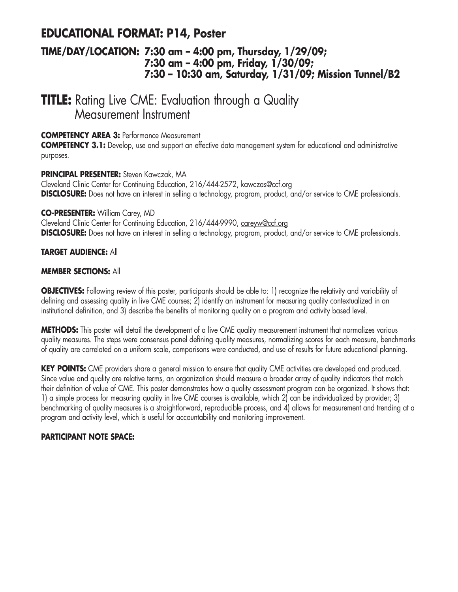## **EDUCATIONAL FORMAT: P14, Poster**

### **TIME/DAY/LOCATION: 7:30 am – 4:00 pm, Thursday, 1/29/09; 7:30 am – 4:00 pm, Friday, 1/30/09; 7:30 – 10:30 am, Saturday, 1/31/09; Mission Tunnel/B2**

# **TITLE:** Rating Live CME: Evaluation through a Quality Measurement Instrument

### **COMPETENCY AREA 3:** Performance Measurement

**COMPETENCY 3.1:** Develop, use and support an effective data management system for educational and administrative purposes.

### **PRINCIPAL PRESENTER:** Steven Kawczak, MA

Cleveland Clinic Center for Continuing Education, 216/444-2572, kawczas@ccf.org **DISCLOSURE:** Does not have an interest in selling a technology, program, product, and/or service to CME professionals.

### **CO-PRESENTER:** William Carey, MD

Cleveland Clinic Center for Continuing Education, 216/444-9990, careyw@ccf.org **DISCLOSURE:** Does not have an interest in selling a technology, program, product, and/or service to CME professionals.

### **TARGET AUDIENCE:** All

### **MEMBER SECTIONS:** All

**OBJECTIVES:** Following review of this poster, participants should be able to: 1) recognize the relativity and variability of defining and assessing quality in live CME courses; 2) identify an instrument for measuring quality contextualized in an institutional definition, and 3) describe the benefits of monitoring quality on a program and activity based level.

**METHODS:** This poster will detail the development of a live CME quality measurement instrument that normalizes various quality measures. The steps were consensus panel defining quality measures, normalizing scores for each measure, benchmarks of quality are correlated on a uniform scale, comparisons were conducted, and use of results for future educational planning.

**KEY POINTS:** CME providers share a general mission to ensure that quality CME activities are developed and produced. Since value and quality are relative terms, an organization should measure a broader array of quality indicators that match their definition of value of CME. This poster demonstrates how a quality assessment program can be organized. It shows that: 1) a simple process for measuring quality in live CME courses is available, which 2) can be individualized by provider; 3) benchmarking of quality measures is a straightforward, reproducible process, and 4) allows for measurement and trending at a program and activity level, which is useful for accountability and monitoring improvement.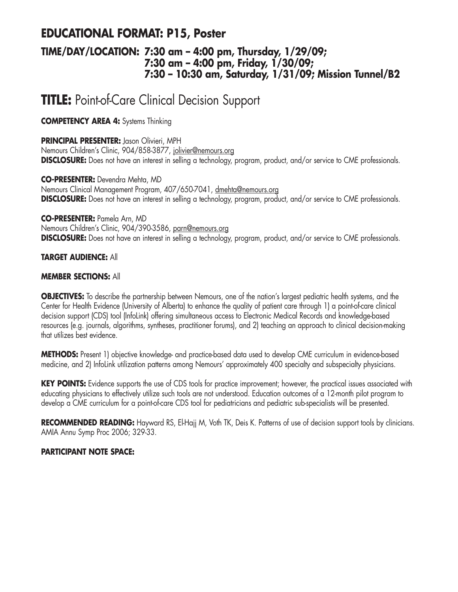## **EDUCATIONAL FORMAT: P15, Poster**

### **TIME/DAY/LOCATION: 7:30 am – 4:00 pm, Thursday, 1/29/09; 7:30 am – 4:00 pm, Friday, 1/30/09; 7:30 – 10:30 am, Saturday, 1/31/09; Mission Tunnel/B2**

# **TITLE:** Point-of-Care Clinical Decision Support

**COMPETENCY AREA 4:** Systems Thinking

### **PRINCIPAL PRESENTER:** Jason Olivieri, MPH

Nemours Children's Clinic, 904/858-3877, jolivier@nemours.org **DISCLOSURE:** Does not have an interest in selling a technology, program, product, and/or service to CME professionals.

### **CO-PRESENTER:** Devendra Mehta, MD

Nemours Clinical Management Program, 407/650-7041, dmehta@nemours.org **DISCLOSURE:** Does not have an interest in selling a technology, program, product, and/or service to CME professionals.

### **CO-PRESENTER:** Pamela Arn, MD

Nemours Children's Clinic, 904/390-3586, parn@nemours.org **DISCLOSURE:** Does not have an interest in selling a technology, program, product, and/or service to CME professionals.

### **TARGET AUDIENCE:** All

### **MEMBER SECTIONS:** All

**OBJECTIVES:** To describe the partnership between Nemours, one of the nation's largest pediatric health systems, and the Center for Health Evidence (University of Alberta) to enhance the quality of patient care through 1) a point-of-care clinical decision support (CDS) tool (InfoLink) offering simultaneous access to Electronic Medical Records and knowledge-based resources (e.g. journals, algorithms, syntheses, practitioner forums), and 2) teaching an approach to clinical decision-making that utilizes best evidence.

**METHODS:** Present 1) objective knowledge- and practice-based data used to develop CME curriculum in evidence-based medicine, and 2) InfoLink utilization patterns among Nemours' approximately 400 specialty and subspecialty physicians.

**KEY POINTS:** Evidence supports the use of CDS tools for practice improvement; however, the practical issues associated with educating physicians to effectively utilize such tools are not understood. Education outcomes of a 12-month pilot program to develop a CME curriculum for a point-of-care CDS tool for pediatricians and pediatric sub-specialists will be presented.

**RECOMMENDED READING:** Hayward RS, El-Hajj M, Voth TK, Deis K. Patterns of use of decision support tools by clinicians. AMIA Annu Symp Proc 2006; 329-33.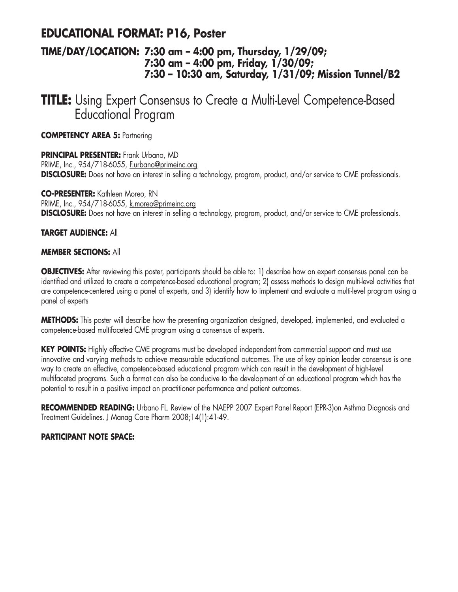## **EDUCATIONAL FORMAT: P16, Poster**

### **TIME/DAY/LOCATION: 7:30 am – 4:00 pm, Thursday, 1/29/09; 7:30 am – 4:00 pm, Friday, 1/30/09; 7:30 – 10:30 am, Saturday, 1/31/09; Mission Tunnel/B2**

**TITLE:** Using Expert Consensus to Create a Multi-Level Competence-Based Educational Program

**COMPETENCY AREA 5:** Partnering

**PRINCIPAL PRESENTER:** Frank Urbano, MD PRIME, Inc., 954/718-6055, F.urbano@primeinc.org **DISCLOSURE:** Does not have an interest in selling a technology, program, product, and/or service to CME professionals.

**CO-PRESENTER:** Kathleen Moreo, RN PRIME, Inc., 954/718-6055, k.moreo@primeinc.org **DISCLOSURE:** Does not have an interest in selling a technology, program, product, and/or service to CME professionals.

### **TARGET AUDIENCE:** All

### **MEMBER SECTIONS:** All

**OBJECTIVES:** After reviewing this poster, participants should be able to: 1) describe how an expert consensus panel can be identified and utilized to create a competence-based educational program; 2) assess methods to design multi-level activities that are competence-centered using a panel of experts, and 3) identify how to implement and evaluate a multi-level program using a panel of experts

**METHODS:** This poster will describe how the presenting organization designed, developed, implemented, and evaluated a competence-based multifaceted CME program using a consensus of experts.

**KEY POINTS:** Highly effective CME programs must be developed independent from commercial support and must use innovative and varying methods to achieve measurable educational outcomes. The use of key opinion leader consensus is one way to create an effective, competence-based educational program which can result in the development of high-level multifaceted programs. Such a format can also be conducive to the development of an educational program which has the potential to result in a positive impact on practitioner performance and patient outcomes.

**RECOMMENDED READING:** Urbano FL. Review of the NAEPP 2007 Expert Panel Report (EPR-3)on Asthma Diagnosis and Treatment Guidelines. J Manag Care Pharm 2008;14(1):41-49.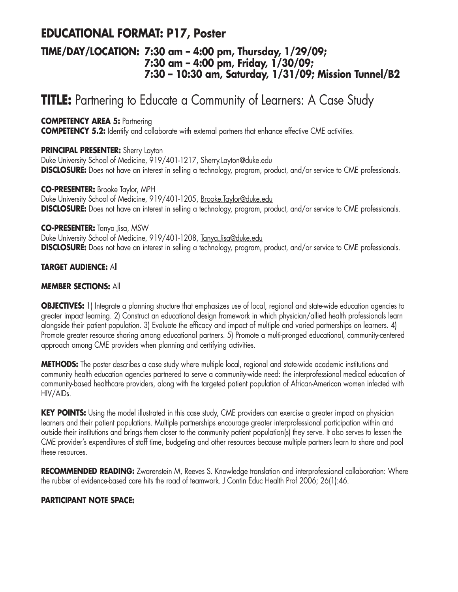# **EDUCATIONAL FORMAT: P17, Poster**

### **TIME/DAY/LOCATION: 7:30 am – 4:00 pm, Thursday, 1/29/09; 7:30 am – 4:00 pm, Friday, 1/30/09; 7:30 – 10:30 am, Saturday, 1/31/09; Mission Tunnel/B2**

# **TITLE:** Partnering to Educate a Community of Learners: A Case Study

**COMPETENCY AREA 5:** Partnering

**COMPETENCY 5.2:** Identify and collaborate with external partners that enhance effective CME activities.

**PRINCIPAL PRESENTER:** Sherry Layton

Duke University School of Medicine, 919/401-1217, Sherry.Layton@duke.edu **DISCLOSURE:** Does not have an interest in selling a technology, program, product, and/or service to CME professionals.

**CO-PRESENTER:** Brooke Taylor, MPH Duke University School of Medicine, 919/401-1205, Brooke.Taylor@duke.edu **DISCLOSURE:** Does not have an interest in selling a technology, program, product, and/or service to CME professionals.

### **CO-PRESENTER:** Tanya Jisa, MSW

Duke University School of Medicine, 919/401-1208, Tanya.Jisa@duke.edu **DISCLOSURE:** Does not have an interest in selling a technology, program, product, and/or service to CME professionals.

### **TARGET AUDIENCE:** All

### **MEMBER SECTIONS:** All

**OBJECTIVES:** 1) Integrate a planning structure that emphasizes use of local, regional and state-wide education agencies to greater impact learning. 2) Construct an educational design framework in which physician/allied health professionals learn alongside their patient population. 3) Evaluate the efficacy and impact of multiple and varied partnerships on learners. 4) Promote greater resource sharing among educational partners. 5) Promote a multi-pronged educational, community-centered approach among CME providers when planning and certifying activities.

**METHODS:** The poster describes a case study where multiple local, regional and state-wide academic institutions and community health education agencies partnered to serve a community-wide need: the interprofessional medical education of community-based healthcare providers, along with the targeted patient population of African-American women infected with HIV/AIDs.

**KEY POINTS:** Using the model illustrated in this case study, CME providers can exercise a greater impact on physician learners and their patient populations. Multiple partnerships encourage greater interprofessional participation within and outside their institutions and brings them closer to the community patient population(s) they serve. It also serves to lessen the CME provider's expenditures of staff time, budgeting and other resources because multiple partners learn to share and pool these resources.

**RECOMMENDED READING:** Zwarenstein M, Reeves S. Knowledge translation and interprofessional collaboration: Where the rubber of evidence-based care hits the road of teamwork. J Contin Educ Health Prof 2006; 26(1):46.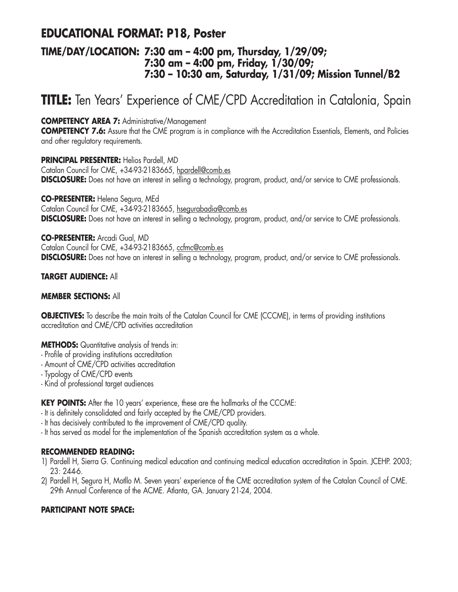# **EDUCATIONAL FORMAT: P18, Poster**

### **TIME/DAY/LOCATION: 7:30 am – 4:00 pm, Thursday, 1/29/09; 7:30 am – 4:00 pm, Friday, 1/30/09; 7:30 – 10:30 am, Saturday, 1/31/09; Mission Tunnel/B2**

# **TITLE:** Ten Years' Experience of CME/CPD Accreditation in Catalonia, Spain

**COMPETENCY AREA 7:** Administrative/Management

**COMPETENCY 7.6:** Assure that the CME program is in compliance with the Accreditation Essentials, Elements, and Policies and other regulatory requirements.

**PRINCIPAL PRESENTER:** Helios Pardell, MD Catalan Council for CME, +34-93-2183665, hpardell@comb.es **DISCLOSURE:** Does not have an interest in selling a technology, program, product, and/or service to CME professionals.

**CO-PRESENTER:** Helena Segura, MEd Catalan Council for CME, +34-93-2183665, hsegurabadia@comb.es **DISCLOSURE:** Does not have an interest in selling a technology, program, product, and/or service to CME professionals.

**CO-PRESENTER:** Arcadi Gual, MD Catalan Council for CME, +34-93-2183665, ccfmc@comb.es **DISCLOSURE:** Does not have an interest in selling a technology, program, product, and/or service to CME professionals.

### **TARGET AUDIENCE:** All

### **MEMBER SECTIONS:** All

**OBJECTIVES:** To describe the main traits of the Catalan Council for CME (CCCME), in terms of providing institutions accreditation and CME/CPD activities accreditation

### **METHODS:** Quantitative analysis of trends in:

- Profile of providing institutions accreditation
- Amount of CME/CPD activities accreditation
- Typology of CME/CPD events
- Kind of professional target audiences

**KEY POINTS:** After the 10 years' experience, these are the hallmarks of the CCCME:

- It is definitely consolidated and fairly accepted by the CME/CPD providers.
- It has decisively contributed to the improvement of CME/CPD quality.
- It has served as model for the implementation of the Spanish accreditation system as a whole.

### **RECOMMENDED READING:**

- 1) Pardell H, Sierra G. Continuing medical education and continuing medical education accreditation in Spain. JCEHP. 2003; 23: 244-6.
- 2) Pardell H, Segura H, Motllo M. Seven years' experience of the CME accreditation system of the Catalan Council of CME. 29th Annual Conference of the ACME. Atlanta, GA. January 21-24, 2004.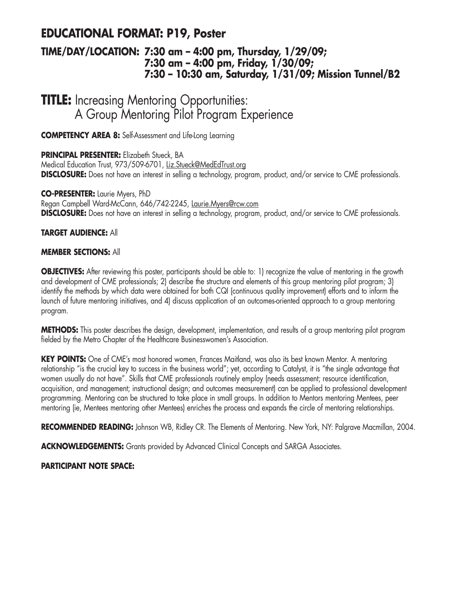# **EDUCATIONAL FORMAT: P19, Poster**

### **TIME/DAY/LOCATION: 7:30 am – 4:00 pm, Thursday, 1/29/09; 7:30 am – 4:00 pm, Friday, 1/30/09; 7:30 – 10:30 am, Saturday, 1/31/09; Mission Tunnel/B2**

# **TITLE:** Increasing Mentoring Opportunities: A Group Mentoring Pilot Program Experience

**COMPETENCY AREA 8:** Self-Assessment and Life-Long Learning

### **PRINCIPAL PRESENTER:** Elizabeth Stueck, BA

Medical Education Trust, 973/509-6701, Liz.Stueck@MedEdTrust.org **DISCLOSURE:** Does not have an interest in selling a technology, program, product, and/or service to CME professionals.

### **CO-PRESENTER:** Laurie Myers, PhD

Regan Campbell Ward-McCann, 646/742-2245, Laurie.Myers@rcw.com **DISCLOSURE:** Does not have an interest in selling a technology, program, product, and/or service to CME professionals.

### **TARGET AUDIENCE:** All

### **MEMBER SECTIONS:** All

**OBJECTIVES:** After reviewing this poster, participants should be able to: 1) recognize the value of mentoring in the growth and development of CME professionals; 2) describe the structure and elements of this group mentoring pilot program; 3) identify the methods by which data were obtained for both CQI (continuous quality improvement) efforts and to inform the launch of future mentoring initiatives, and 4) discuss application of an outcomes-oriented approach to a group mentoring program.

**METHODS:** This poster describes the design, development, implementation, and results of a group mentoring pilot program fielded by the Metro Chapter of the Healthcare Businesswomen's Association.

**KEY POINTS:** One of CME's most honored women, Frances Maitland, was also its best known Mentor. A mentoring relationship "is the crucial key to success in the business world"; yet, according to Catalyst, it is "the single advantage that women usually do not have". Skills that CME professionals routinely employ (needs assessment; resource identification, acquisition, and management; instructional design; and outcomes measurement) can be applied to professional development programming. Mentoring can be structured to take place in small groups. In addition to Mentors mentoring Mentees, peer mentoring (ie, Mentees mentoring other Mentees) enriches the process and expands the circle of mentoring relationships.

**RECOMMENDED READING:** Johnson WB, Ridley CR. The Elements of Mentoring. New York, NY: Palgrave Macmillan, 2004.

**ACKNOWLEDGEMENTS:** Grants provided by Advanced Clinical Concepts and SARGA Associates.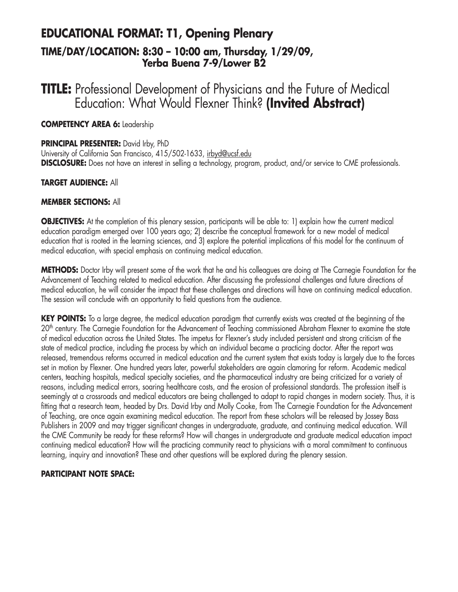# **EDUCATIONAL FORMAT: T1, Opening Plenary TIME/DAY/LOCATION: 8:30 – 10:00 am, Thursday, 1/29/09, Yerba Buena 7-9/Lower B2**

**TITLE:** Professional Development of Physicians and the Future of Medical Education: What Would Flexner Think? **(Invited Abstract)**

**COMPETENCY AREA 6:** Leadership

### **PRINCIPAL PRESENTER:** David Irby, PhD

University of California San Francisco, 415/502-1633, irbyd@ucsf.edu **DISCLOSURE:** Does not have an interest in selling a technology, program, product, and/or service to CME professionals.

### **TARGET AUDIENCE:** All

### **MEMBER SECTIONS:** All

**OBJECTIVES:** At the completion of this plenary session, participants will be able to: 1) explain how the current medical education paradigm emerged over 100 years ago; 2) describe the conceptual framework for a new model of medical education that is rooted in the learning sciences, and 3) explore the potential implications of this model for the continuum of medical education, with special emphasis on continuing medical education.

**METHODS:** Doctor Irby will present some of the work that he and his colleagues are doing at The Carnegie Foundation for the Advancement of Teaching related to medical education. After discussing the professional challenges and future directions of medical education, he will consider the impact that these challenges and directions will have on continuing medical education. The session will conclude with an opportunity to field questions from the audience.

**KEY POINTS:** To a large degree, the medical education paradigm that currently exists was created at the beginning of the 20<sup>th</sup> century. The Carnegie Foundation for the Advancement of Teaching commissioned Abraham Flexner to examine the state of medical education across the United States. The impetus for Flexner's study included persistent and strong criticism of the state of medical practice, including the process by which an individual became a practicing doctor. After the report was released, tremendous reforms occurred in medical education and the current system that exists today is largely due to the forces set in motion by Flexner. One hundred years later, powerful stakeholders are again clamoring for reform. Academic medical centers, teaching hospitals, medical specialty societies, and the pharmaceutical industry are being criticized for a variety of reasons, including medical errors, soaring healthcare costs, and the erosion of professional standards. The profession itself is seemingly at a crossroads and medical educators are being challenged to adapt to rapid changes in modern society. Thus, it is fitting that a research team, headed by Drs. David Irby and Molly Cooke, from The Carnegie Foundation for the Advancement of Teaching, are once again examining medical education. The report from these scholars will be released by Jossey Bass Publishers in 2009 and may trigger significant changes in undergraduate, graduate, and continuing medical education. Will the CME Community be ready for these reforms? How will changes in undergraduate and graduate medical education impact continuing medical education? How will the practicing community react to physicians with a moral commitment to continuous learning, inquiry and innovation? These and other questions will be explored during the plenary session.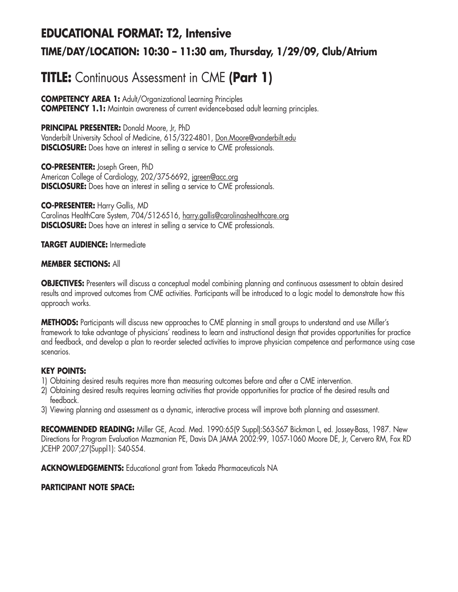# **EDUCATIONAL FORMAT: T2, Intensive TIME/DAY/LOCATION: 10:30 – 11:30 am, Thursday, 1/29/09, Club/Atrium**

# **TITLE:** Continuous Assessment in CME **(Part 1)**

**COMPETENCY AREA 1:** Adult/Organizational Learning Principles **COMPETENCY 1.1:** Maintain awareness of current evidence-based adult learning principles.

**PRINCIPAL PRESENTER:** Donald Moore, Jr, PhD

Vanderbilt University School of Medicine, 615/322-4801, Don.Moore@vanderbilt.edu **DISCLOSURE:** Does have an interest in selling a service to CME professionals.

**CO-PRESENTER:** Joseph Green, PhD American College of Cardiology, 202/375-6692, jgreen@acc.org **DISCLOSURE:** Does have an interest in selling a service to CME professionals.

**CO-PRESENTER:** Harry Gallis, MD Carolinas HealthCare System, 704/512-6516, harry.gallis@carolinashealthcare.org **DISCLOSURE:** Does have an interest in selling a service to CME professionals.

**TARGET AUDIENCE:** Intermediate

### **MEMBER SECTIONS:** All

**OBJECTIVES:** Presenters will discuss a conceptual model combining planning and continuous assessment to obtain desired results and improved outcomes from CME activities. Participants will be introduced to a logic model to demonstrate how this approach works.

**METHODS:** Participants will discuss new approaches to CME planning in small groups to understand and use Miller's framework to take advantage of physicians' readiness to learn and instructional design that provides opportunities for practice and feedback, and develop a plan to re-order selected activities to improve physician competence and performance using case scenarios.

### **KEY POINTS:**

- 1) Obtaining desired results requires more than measuring outcomes before and after a CME intervention.
- 2) Obtaining desired results requires learning activities that provide opportunities for practice of the desired results and feedback.
- 3) Viewing planning and assessment as a dynamic, interactive process will improve both planning and assessment.

**RECOMMENDED READING:** Miller GE, Acad. Med. 1990:65(9 Suppl):S63-S67 Bickman L, ed. Jossey-Bass, 1987. New Directions for Program Evaluation Mazmanian PE, Davis DA JAMA 2002:99, 1057-1060 Moore DE, Jr, Cervero RM, Fox RD JCEHP 2007;27(Suppl1): S40-S54.

**ACKNOWLEDGEMENTS:** Educational grant from Takeda Pharmaceuticals NA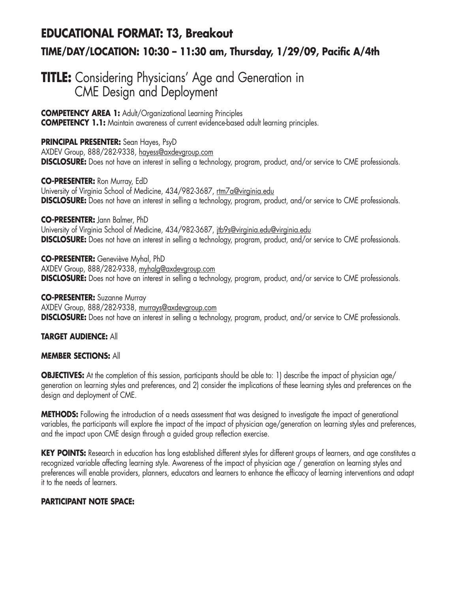# **EDUCATIONAL FORMAT: T3, Breakout TIME/DAY/LOCATION: 10:30 – 11:30 am, Thursday, 1/29/09, Pacific A/4th**

# **TITLE:** Considering Physicians' Age and Generation in CME Design and Deployment

**COMPETENCY AREA 1:** Adult/Organizational Learning Principles **COMPETENCY 1.1:** Maintain awareness of current evidence-based adult learning principles.

**PRINCIPAL PRESENTER:** Sean Hayes, PsyD AXDEV Group, 888/282-9338, hayess@axdevgroup.com **DISCLOSURE:** Does not have an interest in selling a technology, program, product, and/or service to CME professionals.

**CO-PRESENTER:** Ron Murray, EdD University of Virginia School of Medicine, 434/982-3687, rtm7a@virginia.edu **DISCLOSURE:** Does not have an interest in selling a technology, program, product, and/or service to CME professionals.

**CO-PRESENTER:** Jann Balmer, PhD University of Virginia School of Medicine, 434/982-3687, *itb9s@virginia.edu@virginia.edu* **DISCLOSURE:** Does not have an interest in selling a technology, program, product, and/or service to CME professionals.

**CO-PRESENTER:** Geneviève Myhal, PhD AXDEV Group, 888/282-9338, myhalg@axdevgroup.com **DISCLOSURE:** Does not have an interest in selling a technology, program, product, and/or service to CME professionals.

**CO-PRESENTER:** Suzanne Murray AXDEV Group, 888/282-9338, murrays@axdevgroup.com **DISCLOSURE:** Does not have an interest in selling a technology, program, product, and/or service to CME professionals.

### **TARGET AUDIENCE:** All

### **MEMBER SECTIONS:** All

**OBJECTIVES:** At the completion of this session, participants should be able to: 1) describe the impact of physician age/ generation on learning styles and preferences, and 2) consider the implications of these learning styles and preferences on the design and deployment of CME.

**METHODS:** Following the introduction of a needs assessment that was designed to investigate the impact of generational variables, the participants will explore the impact of the impact of physician age/generation on learning styles and preferences, and the impact upon CME design through a guided group reflection exercise.

**KEY POINTS:** Research in education has long established different styles for different groups of learners, and age constitutes a recognized variable affecting learning style. Awareness of the impact of physician age / generation on learning styles and preferences will enable providers, planners, educators and learners to enhance the efficacy of learning interventions and adapt it to the needs of learners.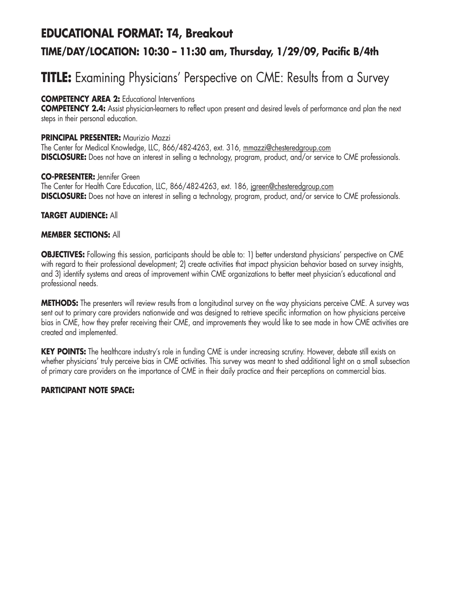# **EDUCATIONAL FORMAT: T4, Breakout TIME/DAY/LOCATION: 10:30 – 11:30 am, Thursday, 1/29/09, Pacific B/4th**

# **TITLE:** Examining Physicians' Perspective on CME: Results from a Survey

### **COMPETENCY AREA 2:** Educational Interventions

**COMPETENCY 2.4:** Assist physician-learners to reflect upon present and desired levels of performance and plan the next steps in their personal education.

### **PRINCIPAL PRESENTER:** Maurizio Mazzi

The Center for Medical Knowledge, LLC, 866/482-4263, ext. 316, mmazzi@chesteredgroup.com **DISCLOSURE:** Does not have an interest in selling a technology, program, product, and/or service to CME professionals.

### **CO-PRESENTER:** Jennifer Green

The Center for Health Care Education, LLC, 866/482-4263, ext. 186, jareen@chesteredgroup.com **DISCLOSURE:** Does not have an interest in selling a technology, program, product, and/or service to CME professionals.

### **TARGET AUDIENCE:** All

### **MEMBER SECTIONS:** All

**OBJECTIVES:** Following this session, participants should be able to: 1) better understand physicians' perspective on CME with regard to their professional development; 2) create activities that impact physician behavior based on survey insights, and 3) identify systems and areas of improvement within CME organizations to better meet physician's educational and professional needs.

**METHODS:** The presenters will review results from a longitudinal survey on the way physicians perceive CME. A survey was sent out to primary care providers nationwide and was designed to retrieve specific information on how physicians perceive bias in CME, how they prefer receiving their CME, and improvements they would like to see made in how CME activities are created and implemented.

**KEY POINTS:** The healthcare industry's role in funding CME is under increasing scrutiny. However, debate still exists on whether physicians' truly perceive bias in CME activities. This survey was meant to shed additional light on a small subsection of primary care providers on the importance of CME in their daily practice and their perceptions on commercial bias.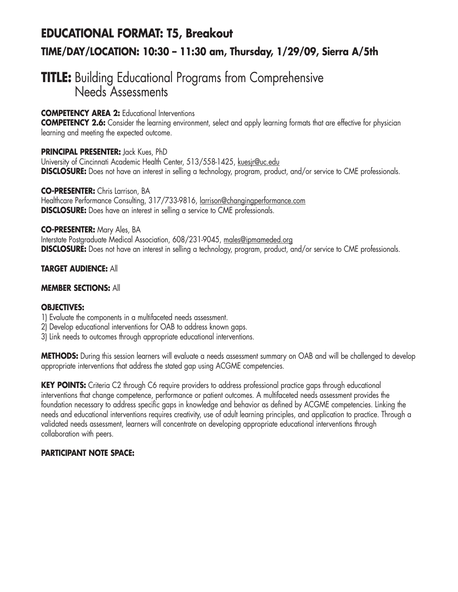# **EDUCATIONAL FORMAT: T5, Breakout TIME/DAY/LOCATION: 10:30 – 11:30 am, Thursday, 1/29/09, Sierra A/5th**

# **TITLE:** Building Educational Programs from Comprehensive Needs Assessments

### **COMPETENCY AREA 2:** Educational Interventions

**COMPETENCY 2.6:** Consider the learning environment, select and apply learning formats that are effective for physician learning and meeting the expected outcome.

### **PRINCIPAL PRESENTER:** Jack Kues, PhD

University of Cincinnati Academic Health Center, 513/558-1425, kuesjr@uc.edu **DISCLOSURE:** Does not have an interest in selling a technology, program, product, and/or service to CME professionals.

**CO-PRESENTER:** Chris Larrison, BA Healthcare Performance Consulting, 317/733-9816, larrison@changingperformance.com **DISCLOSURE:** Does have an interest in selling a service to CME professionals.

### **CO-PRESENTER:** Mary Ales, BA

Interstate Postgraduate Medical Association, 608/231-9045, males@ipmameded.org **DISCLOSURE:** Does not have an interest in selling a technology, program, product, and/or service to CME professionals.

### **TARGET AUDIENCE:** All

### **MEMBER SECTIONS:** All

### **OBJECTIVES:**

- 1) Evaluate the components in a multifaceted needs assessment.
- 2) Develop educational interventions for OAB to address known gaps.
- 3) Link needs to outcomes through appropriate educational interventions.

**METHODS:** During this session learners will evaluate a needs assessment summary on OAB and will be challenged to develop appropriate interventions that address the stated gap using ACGME competencies.

**KEY POINTS:** Criteria C2 through C6 require providers to address professional practice gaps through educational interventions that change competence, performance or patient outcomes. A multifaceted needs assessment provides the foundation necessary to address specific gaps in knowledge and behavior as defined by ACGME competencies. Linking the needs and educational interventions requires creativity, use of adult learning principles, and application to practice. Through a validated needs assessment, learners will concentrate on developing appropriate educational interventions through collaboration with peers.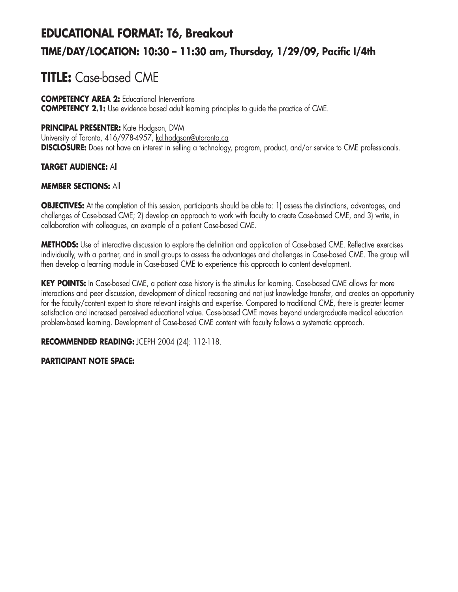# **EDUCATIONAL FORMAT: T6, Breakout TIME/DAY/LOCATION: 10:30 – 11:30 am, Thursday, 1/29/09, Pacific I/4th**

# **TITLE:** Case-based CME

#### **COMPETENCY AREA 2:** Educational Interventions **COMPETENCY 2.1:** Use evidence based adult learning principles to guide the practice of CME.

# **PRINCIPAL PRESENTER:** Kate Hodgson, DVM

University of Toronto, 416/978-4957, kd.hodgson@utoronto.ca **DISCLOSURE:** Does not have an interest in selling a technology, program, product, and/or service to CME professionals.

# **TARGET AUDIENCE:** All

## **MEMBER SECTIONS:** All

**OBJECTIVES:** At the completion of this session, participants should be able to: 1) assess the distinctions, advantages, and challenges of Case-based CME; 2) develop an approach to work with faculty to create Case-based CME, and 3) write, in collaboration with colleagues, an example of a patient Case-based CME.

**METHODS:** Use of interactive discussion to explore the definition and application of Case-based CME. Reflective exercises individually, with a partner, and in small groups to assess the advantages and challenges in Case-based CME. The group will then develop a learning module in Case-based CME to experience this approach to content development.

KEY POINTS: In Case-based CME, a patient case history is the stimulus for learning. Case-based CME allows for more interactions and peer discussion, development of clinical reasoning and not just knowledge transfer, and creates an opportunity for the faculty/content expert to share relevant insights and expertise. Compared to traditional CME, there is greater learner satisfaction and increased perceived educational value. Case-based CME moves beyond undergraduate medical education problem-based learning. Development of Case-based CME content with faculty follows a systematic approach.

**RECOMMENDED READING:** JCEPH 2004 (24): 112-118.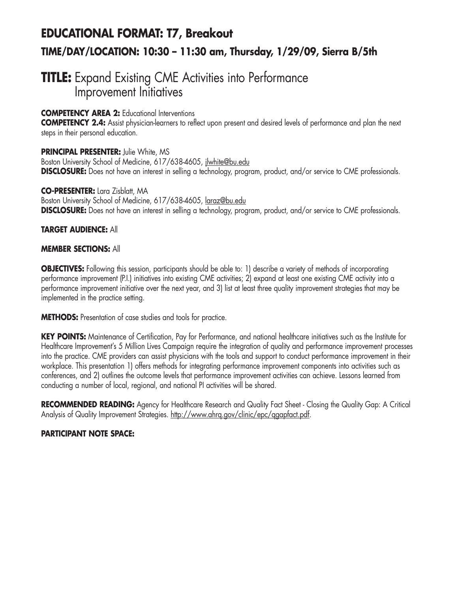# **EDUCATIONAL FORMAT: T7, Breakout TIME/DAY/LOCATION: 10:30 – 11:30 am, Thursday, 1/29/09, Sierra B/5th**

# **TITLE:** Expand Existing CME Activities into Performance Improvement Initiatives

## **COMPETENCY AREA 2:** Educational Interventions

**COMPETENCY 2.4:** Assist physician-learners to reflect upon present and desired levels of performance and plan the next steps in their personal education.

**PRINCIPAL PRESENTER:** Julie White, MS Boston University School of Medicine, 617/638-4605, jlwhite@bu.edu **DISCLOSURE:** Does not have an interest in selling a technology, program, product, and/or service to CME professionals.

#### **CO-PRESENTER:** Lara Zisblatt, MA

Boston University School of Medicine, 617/638-4605, laraz@bu.edu **DISCLOSURE:** Does not have an interest in selling a technology, program, product, and/or service to CME professionals.

#### **TARGET AUDIENCE:** All

#### **MEMBER SECTIONS:** All

**OBJECTIVES:** Following this session, participants should be able to: 1) describe a variety of methods of incorporating performance improvement (P.I.) initiatives into existing CME activities; 2) expand at least one existing CME activity into a performance improvement initiative over the next year, and 3) list at least three quality improvement strategies that may be implemented in the practice setting.

**METHODS:** Presentation of case studies and tools for practice.

**KEY POINTS:** Maintenance of Certification, Pay for Performance, and national healthcare initiatives such as the Institute for Healthcare Improvement's 5 Million Lives Campaign require the integration of quality and performance improvement processes into the practice. CME providers can assist physicians with the tools and support to conduct performance improvement in their workplace. This presentation 1) offers methods for integrating performance improvement components into activities such as conferences, and 2) outlines the outcome levels that performance improvement activities can achieve. Lessons learned from conducting a number of local, regional, and national PI activities will be shared.

**RECOMMENDED READING:** Agency for Healthcare Research and Quality Fact Sheet - Closing the Quality Gap: A Critical Analysis of Quality Improvement Strategies. http://www.ahrq.gov/clinic/epc/qgapfact.pdf.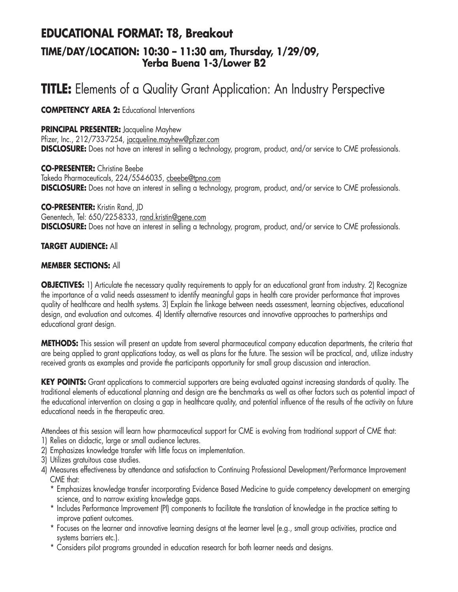# **EDUCATIONAL FORMAT: T8, Breakout TIME/DAY/LOCATION: 10:30 – 11:30 am, Thursday, 1/29/09, Yerba Buena 1-3/Lower B2**

# **TITLE:** Elements of a Quality Grant Application: An Industry Perspective

**COMPETENCY AREA 2:** Educational Interventions

#### **PRINCIPAL PRESENTER:** Jacqueline Mayhew

Pfizer, Inc., 212/733-7254, jacqueline.mayhew@pfizer.com **DISCLOSURE:** Does not have an interest in selling a technology, program, product, and/or service to CME professionals.

**CO-PRESENTER:** Christine Beebe Takeda Pharmaceuticals, 224/554-6035, cbeebe@tpna.com **DISCLOSURE:** Does not have an interest in selling a technology, program, product, and/or service to CME professionals.

**CO-PRESENTER:** Kristin Rand, JD Genentech, Tel: 650/225-8333, rand.kristin@gene.com **DISCLOSURE:** Does not have an interest in selling a technology, program, product, and/or service to CME professionals.

#### **TARGET AUDIENCE:** All

#### **MEMBER SECTIONS:** All

**OBJECTIVES:** 1) Articulate the necessary quality requirements to apply for an educational grant from industry. 2) Recognize the importance of a valid needs assessment to identify meaningful gaps in health care provider performance that improves quality of healthcare and health systems. 3) Explain the linkage between needs assessment, learning objectives, educational design, and evaluation and outcomes. 4) Identify alternative resources and innovative approaches to partnerships and educational grant design.

**METHODS:** This session will present an update from several pharmaceutical company education departments, the criteria that are being applied to grant applications today, as well as plans for the future. The session will be practical, and, utilize industry received grants as examples and provide the participants opportunity for small group discussion and interaction.

KEY POINTS: Grant applications to commercial supporters are being evaluated against increasing standards of quality. The traditional elements of educational planning and design are the benchmarks as well as other factors such as potential impact of the educational intervention on closing a gap in healthcare quality, and potential influence of the results of the activity on future educational needs in the therapeutic area.

Attendees at this session will learn how pharmaceutical support for CME is evolving from traditional support of CME that:

- 1) Relies on didactic, large or small audience lectures.
- 2) Emphasizes knowledge transfer with little focus on implementation.
- 3) Utilizes gratuitous case studies.
- 4) Measures effectiveness by attendance and satisfaction to Continuing Professional Development/Performance Improvement CME that:
	- \* Emphasizes knowledge transfer incorporating Evidence Based Medicine to guide competency development on emerging science, and to narrow existing knowledge gaps.
	- \* Includes Performance Improvement (PI) components to facilitate the translation of knowledge in the practice setting to improve patient outcomes.
	- \* Focuses on the learner and innovative learning designs at the learner level (e.g., small group activities, practice and systems barriers etc.).
	- \* Considers pilot programs grounded in education research for both learner needs and designs.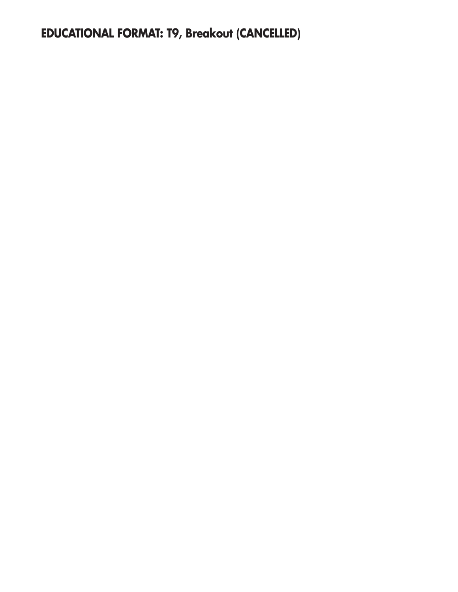**EDUCATIONAL FORMAT: T9, Breakout (CANCELLED)**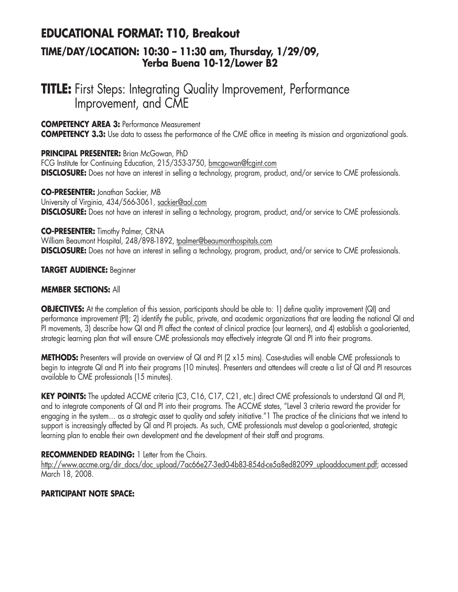# **EDUCATIONAL FORMAT: T10, Breakout TIME/DAY/LOCATION: 10:30 – 11:30 am, Thursday, 1/29/09,**

# **Yerba Buena 10-12/Lower B2**

# **TITLE:** First Steps: Integrating Quality Improvement, Performance Improvement, and CME

#### **COMPETENCY AREA 3:** Performance Measurement

**COMPETENCY 3.3:** Use data to assess the performance of the CME office in meeting its mission and organizational goals.

#### **PRINCIPAL PRESENTER:** Brian McGowan, PhD

FCG Institute for Continuing Education, 215/353-3750, bmcgowan@fcgint.com **DISCLOSURE:** Does not have an interest in selling a technology, program, product, and/or service to CME professionals.

#### **CO-PRESENTER:** Jonathan Sackier, MB

University of Virginia, 434/566-3061, sackier@aol.com **DISCLOSURE:** Does not have an interest in selling a technology, program, product, and/or service to CME professionals.

#### **CO-PRESENTER:** Timothy Palmer, CRNA

William Beaumont Hospital, 248/898-1892, tpalmer@beaumonthospitals.com **DISCLOSURE:** Does not have an interest in selling a technology, program, product, and/or service to CME professionals.

#### **TARGET AUDIENCE:** Beginner

## **MEMBER SECTIONS:** All

**OBJECTIVES:** At the completion of this session, participants should be able to: 1) define quality improvement (QI) and performance improvement (PI); 2) identify the public, private, and academic organizations that are leading the national QI and PI movements, 3) describe how QI and PI affect the context of clinical practice (our learners), and 4) establish a goal-oriented, strategic learning plan that will ensure CME professionals may effectively integrate QI and PI into their programs.

**METHODS:** Presenters will provide an overview of QI and PI (2 x15 mins). Case-studies will enable CME professionals to begin to integrate QI and PI into their programs (10 minutes). Presenters and attendees will create a list of QI and PI resources available to CME professionals (15 minutes).

**KEY POINTS:** The updated ACCME criteria (C3, C16, C17, C21, etc.) direct CME professionals to understand QI and PI, and to integrate components of QI and PI into their programs. The ACCME states, "Level 3 criteria reward the provider for engaging in the system… as a strategic asset to quality and safety initiative."1 The practice of the clinicians that we intend to support is increasingly affected by QI and PI projects. As such, CME professionals must develop a goal-oriented, strategic learning plan to enable their own development and the development of their staff and programs.

## **RECOMMENDED READING:** 1 Letter from the Chairs.

http://www.accme.org/dir\_docs/doc\_upload/7ac66e27-3ed0-4b83-854d-ce5a8ed82099\_uploaddocument.pdf; accessed March 18, 2008.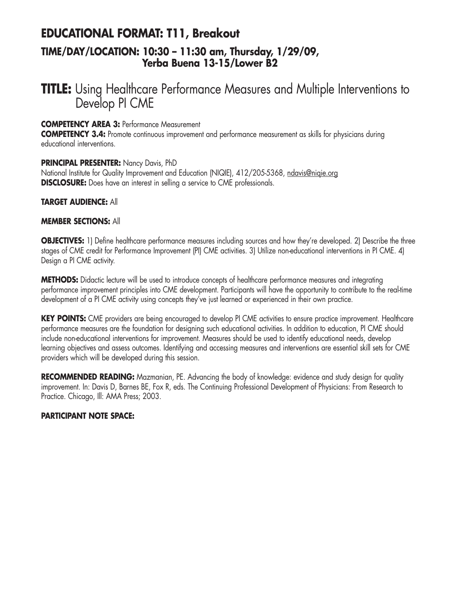# **EDUCATIONAL FORMAT: T11, Breakout TIME/DAY/LOCATION: 10:30 – 11:30 am, Thursday, 1/29/09, Yerba Buena 13-15/Lower B2**

# **TITLE:** Using Healthcare Performance Measures and Multiple Interventions to Develop PI CME

#### **COMPETENCY AREA 3:** Performance Measurement

**COMPETENCY 3.4:** Promote continuous improvement and performance measurement as skills for physicians during educational interventions.

#### **PRINCIPAL PRESENTER:** Nancy Davis, PhD

National Institute for Quality Improvement and Education (NIQIE), 412/205-5368, ndavis@niqie.org **DISCLOSURE:** Does have an interest in selling a service to CME professionals.

#### **TARGET AUDIENCE:** All

#### **MEMBER SECTIONS:** All

**OBJECTIVES:** 1) Define healthcare performance measures including sources and how they're developed. 2) Describe the three stages of CME credit for Performance Improvement (PI) CME activities. 3) Utilize non-educational interventions in PI CME. 4) Design a PI CME activity.

**METHODS:** Didactic lecture will be used to introduce concepts of healthcare performance measures and integrating performance improvement principles into CME development. Participants will have the opportunity to contribute to the real-time development of a PI CME activity using concepts they've just learned or experienced in their own practice.

**KEY POINTS:** CME providers are being encouraged to develop PI CME activities to ensure practice improvement. Healthcare performance measures are the foundation for designing such educational activities. In addition to education, PI CME should include non-educational interventions for improvement. Measures should be used to identify educational needs, develop learning objectives and assess outcomes. Identifying and accessing measures and interventions are essential skill sets for CME providers which will be developed during this session.

**RECOMMENDED READING:** Mazmanian, PE. Advancing the body of knowledge: evidence and study design for quality improvement. In: Davis D, Barnes BE, Fox R, eds. The Continuing Professional Development of Physicians: From Research to Practice. Chicago, Ill: AMA Press; 2003.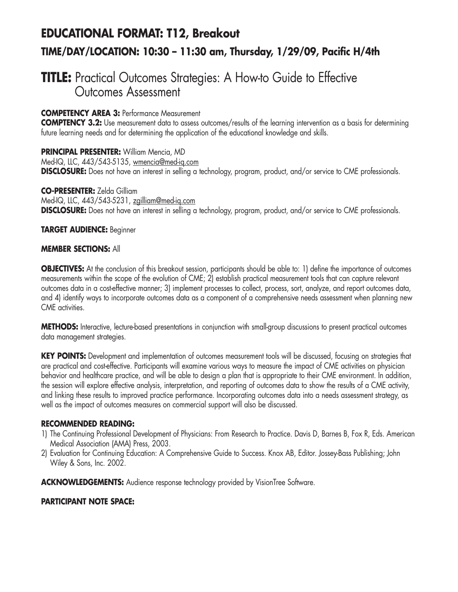# **EDUCATIONAL FORMAT: T12, Breakout TIME/DAY/LOCATION: 10:30 – 11:30 am, Thursday, 1/29/09, Pacific H/4th**

# **TITLE:** Practical Outcomes Strategies: A How-to Guide to Effective Outcomes Assessment

# **COMPETENCY AREA 3:** Performance Measurement

**COMPTENCY 3.2:** Use measurement data to assess outcomes/results of the learning intervention as a basis for determining future learning needs and for determining the application of the educational knowledge and skills.

**PRINCIPAL PRESENTER:** William Mencia, MD Med-IQ, LLC, 443/543-5135, wmencia@med-iq.com **DISCLOSURE:** Does not have an interest in selling a technology, program, product, and/or service to CME professionals.

**CO-PRESENTER:** Zelda Gilliam

Med-IQ, LLC, 443/543-5231, zgilliam@med-iq.com **DISCLOSURE:** Does not have an interest in selling a technology, program, product, and/or service to CME professionals.

#### **TARGET AUDIENCE:** Beginner

#### **MEMBER SECTIONS:** All

**OBJECTIVES:** At the conclusion of this breakout session, participants should be able to: 1) define the importance of outcomes measurements within the scope of the evolution of CME; 2) establish practical measurement tools that can capture relevant outcomes data in a cost-effective manner; 3) implement processes to collect, process, sort, analyze, and report outcomes data, and 4) identify ways to incorporate outcomes data as a component of a comprehensive needs assessment when planning new CME activities.

**METHODS:** Interactive, lecture-based presentations in conjunction with small-group discussions to present practical outcomes data management strategies.

**KEY POINTS:** Development and implementation of outcomes measurement tools will be discussed, focusing on strategies that are practical and cost-effective. Participants will examine various ways to measure the impact of CME activities on physician behavior and healthcare practice, and will be able to design a plan that is appropriate to their CME environment. In addition, the session will explore effective analysis, interpretation, and reporting of outcomes data to show the results of a CME activity, and linking these results to improved practice performance. Incorporating outcomes data into a needs assessment strategy, as well as the impact of outcomes measures on commercial support will also be discussed.

#### **RECOMMENDED READING:**

- 1) The Continuing Professional Development of Physicians: From Research to Practice. Davis D, Barnes B, Fox R, Eds. American Medical Association (AMA) Press, 2003.
- 2) Evaluation for Continuing Education: A Comprehensive Guide to Success. Knox AB, Editor. Jossey-Bass Publishing; John Wiley & Sons, Inc. 2002.

**ACKNOWLEDGEMENTS:** Audience response technology provided by VisionTree Software.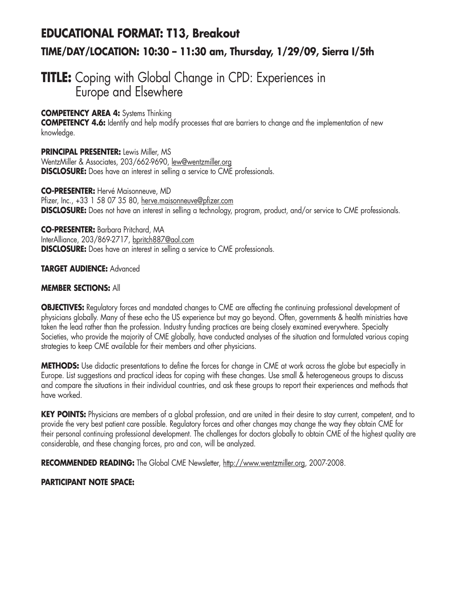# **EDUCATIONAL FORMAT: T13, Breakout TIME/DAY/LOCATION: 10:30 – 11:30 am, Thursday, 1/29/09, Sierra I/5th**

# **TITLE:** Coping with Global Change in CPD: Experiences in Europe and Elsewhere

# **COMPETENCY AREA 4:** Systems Thinking

**COMPETENCY 4.6:** Identify and help modify processes that are barriers to change and the implementation of new knowledge.

**PRINCIPAL PRESENTER:** Lewis Miller, MS WentzMiller & Associates, 203/662-9690, lew@wentzmiller.org **DISCLOSURE:** Does have an interest in selling a service to CME professionals.

**CO-PRESENTER:** Hervé Maisonneuve, MD Pfizer, Inc., +33 1 58 07 35 80, herve.maisonneuve@pfizer.com **DISCLOSURE:** Does not have an interest in selling a technology, program, product, and/or service to CME professionals.

**CO-PRESENTER:** Barbara Pritchard, MA InterAlliance, 203/869-2717, bpritch887@aol.com **DISCLOSURE:** Does have an interest in selling a service to CME professionals.

#### **TARGET AUDIENCE:** Advanced

#### **MEMBER SECTIONS:** All

**OBJECTIVES:** Regulatory forces and mandated changes to CME are affecting the continuing professional development of physicians globally. Many of these echo the US experience but may go beyond. Often, governments & health ministries have taken the lead rather than the profession. Industry funding practices are being closely examined everywhere. Specialty Societies, who provide the majority of CME globally, have conducted analyses of the situation and formulated various coping strategies to keep CME available for their members and other physicians.

**METHODS:** Use didactic presentations to define the forces for change in CME at work across the globe but especially in Europe. List suggestions and practical ideas for coping with these changes. Use small & heterogeneous groups to discuss and compare the situations in their individual countries, and ask these groups to report their experiences and methods that have worked.

**KEY POINTS:** Physicians are members of a global profession, and are united in their desire to stay current, competent, and to provide the very best patient care possible. Regulatory forces and other changes may change the way they obtain CME for their personal continuing professional development. The challenges for doctors globally to obtain CME of the highest quality are considerable, and these changing forces, pro and con, will be analyzed.

**RECOMMENDED READING:** The Global CME Newsletter, http://www.wentzmiller.org, 2007-2008.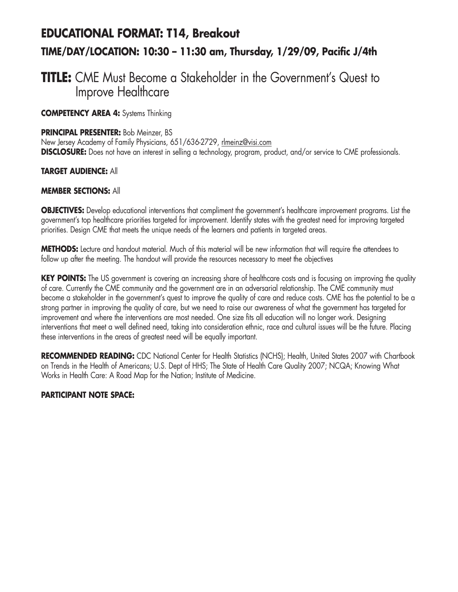# **EDUCATIONAL FORMAT: T14, Breakout TIME/DAY/LOCATION: 10:30 – 11:30 am, Thursday, 1/29/09, Pacific J/4th**

# **TITLE:** CME Must Become a Stakeholder in the Government's Quest to Improve Healthcare

**COMPETENCY AREA 4:** Systems Thinking

#### **PRINCIPAL PRESENTER:** Bob Meinzer, BS

New Jersey Academy of Family Physicians, 651/636-2729, rlmeinz@visi.com **DISCLOSURE:** Does not have an interest in selling a technology, program, product, and/or service to CME professionals.

#### **TARGET AUDIENCE:** All

#### **MEMBER SECTIONS:** All

**OBJECTIVES:** Develop educational interventions that compliment the government's healthcare improvement programs. List the government's top healthcare priorities targeted for improvement. Identify states with the greatest need for improving targeted priorities. Design CME that meets the unique needs of the learners and patients in targeted areas.

**METHODS:** Lecture and handout material. Much of this material will be new information that will require the attendees to follow up after the meeting. The handout will provide the resources necessary to meet the objectives

**KEY POINTS:** The US government is covering an increasing share of healthcare costs and is focusing on improving the quality of care. Currently the CME community and the government are in an adversarial relationship. The CME community must become a stakeholder in the government's quest to improve the quality of care and reduce costs. CME has the potential to be a strong partner in improving the quality of care, but we need to raise our awareness of what the government has targeted for improvement and where the interventions are most needed. One size fits all education will no longer work. Designing interventions that meet a well defined need, taking into consideration ethnic, race and cultural issues will be the future. Placing these interventions in the areas of greatest need will be equally important.

**RECOMMENDED READING:** CDC National Center for Health Statistics (NCHS); Health, United States 2007 with Chartbook on Trends in the Health of Americans; U.S. Dept of HHS; The State of Health Care Quality 2007; NCQA; Knowing What Works in Health Care: A Road Map for the Nation; Institute of Medicine.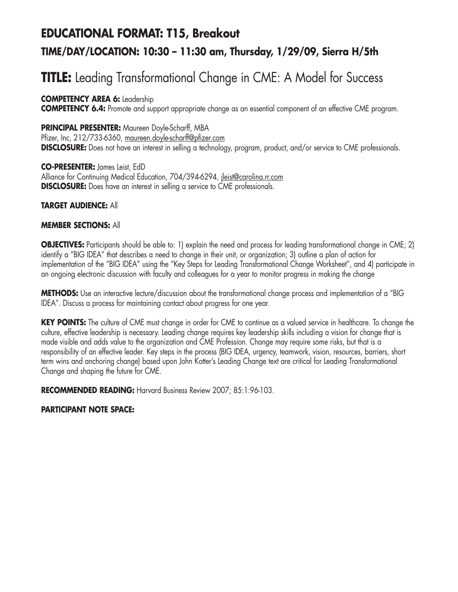# **EDUCATIONAL FORMAT: T15, Breakout TIME/DAY/LOCATION: 10:30 – 11:30 am, Thursday, 1/29/09, Sierra H/5th**

# **TITLE:** Leading Transformational Change in CME: A Model for Success

**COMPETENCY AREA 6:** Leadership **COMPETENCY 6.4:** Promote and support appropriate change as an essential component of an effective CME program.

# **PRINCIPAL PRESENTER:** Maureen Doyle-Scharff, MBA

Pfizer, Inc, 212/733-6360, maureen.doyle-scharff@pfizer.com **DISCLOSURE:** Does not have an interest in selling a technology, program, product, and/or service to CME professionals.

**CO-PRESENTER:** James Leist, EdD Alliance for Continuing Medical Education, 704/394-6294, ileist@carolina.rr.com **DISCLOSURE:** Does have an interest in selling a service to CME professionals.

**TARGET AUDIENCE:** All

## **MEMBER SECTIONS:** All

**OBJECTIVES:** Participants should be able to: 1) explain the need and process for leading transformational change in CME; 2) identify a "BIG IDEA" that describes a need to change in their unit, or organization; 3) outline a plan of action for implementation of the "BIG IDEA" using the "Key Steps for Leading Transformational Change Worksheet", and 4) participate in an ongoing electronic discussion with faculty and colleagues for a year to monitor progress in making the change

**METHODS:** Use an interactive lecture/discussion about the transformational change process and implementation of a "BIG IDEA". Discuss a process for maintaining contact about progress for one year.

**KEY POINTS:** The culture of CME must change in order for CME to continue as a valued service in healthcare. To change the culture, effective leadership is necessary. Leading change requires key leadership skills including a vision for change that is made visible and adds value to the organization and CME Profession. Change may require some risks, but that is a responsibility of an effective leader. Key steps in the process (BIG IDEA, urgency, teamwork, vision, resources, barriers, short term wins and anchoring change) based upon John Kotter's Leading Change text are critical for Leading Transformational Change and shaping the future for CME.

**RECOMMENDED READING:** Harvard Business Review 2007; 85:1:96-103.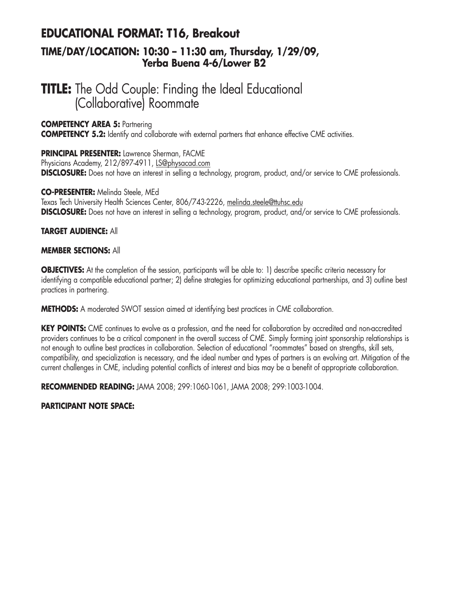# **EDUCATIONAL FORMAT: T16, Breakout**

# **TIME/DAY/LOCATION: 10:30 – 11:30 am, Thursday, 1/29/09, Yerba Buena 4-6/Lower B2**

# **TITLE:** The Odd Couple: Finding the Ideal Educational (Collaborative) Roommate

#### **COMPETENCY AREA 5:** Partnering

**COMPETENCY 5.2:** Identify and collaborate with external partners that enhance effective CME activities.

#### **PRINCIPAL PRESENTER:** Lawrence Sherman, FACME

Physicians Academy, 212/897-4911, LS@physacad.com **DISCLOSURE:** Does not have an interest in selling a technology, program, product, and/or service to CME professionals.

#### **CO-PRESENTER:** Melinda Steele, MEd

Texas Tech University Health Sciences Center, 806/743-2226, melinda.steele@ttuhsc.edu **DISCLOSURE:** Does not have an interest in selling a technology, program, product, and/or service to CME professionals.

## **TARGET AUDIENCE:** All

#### **MEMBER SECTIONS:** All

**OBJECTIVES:** At the completion of the session, participants will be able to: 1) describe specific criteria necessary for identifying a compatible educational partner; 2) define strategies for optimizing educational partnerships, and 3) outline best practices in partnering.

**METHODS:** A moderated SWOT session aimed at identifying best practices in CME collaboration.

**KEY POINTS:** CME continues to evolve as a profession, and the need for collaboration by accredited and non-accredited providers continues to be a critical component in the overall success of CME. Simply forming joint sponsorship relationships is not enough to outline best practices in collaboration. Selection of educational "roommates" based on strengths, skill sets, compatibility, and specialization is necessary, and the ideal number and types of partners is an evolving art. Mitigation of the current challenges in CME, including potential conflicts of interest and bias may be a benefit of appropriate collaboration.

**RECOMMENDED READING:** JAMA 2008; 299:1060-1061, JAMA 2008; 299:1003-1004.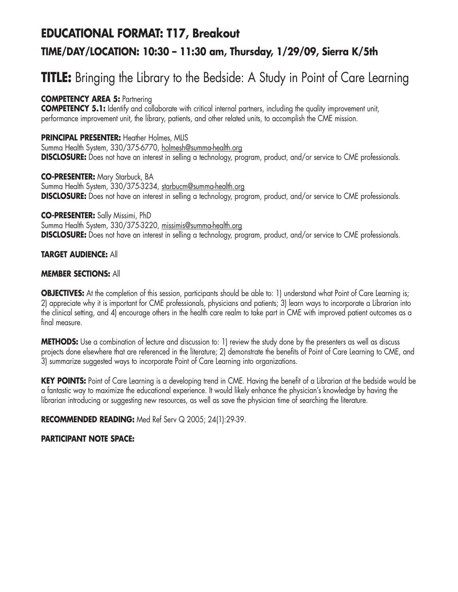# **EDUCATIONAL FORMAT: T17, Breakout TIME/DAY/LOCATION: 10:30 – 11:30 am, Thursday, 1/29/09, Sierra K/5th**

# **TITLE:** Bringing the Library to the Bedside: A Study in Point of Care Learning

# **COMPETENCY AREA 5:** Partnering

**COMPETENCY 5.1:** Identify and collaborate with critical internal partners, including the quality improvement unit, performance improvement unit, the library, patients, and other related units, to accomplish the CME mission.

**PRINCIPAL PRESENTER: Heather Holmes, MLIS** Summa Health System, 330/375-6770, holmesh@summa-health.org **DISCLOSURE:** Does not have an interest in selling a technology, program, product, and/or service to CME professionals.

**CO-PRESENTER:** Mary Starbuck, BA Summa Health System, 330/375-3234, starbucm@summa-health.org **DISCLOSURE:** Does not have an interest in selling a technology, program, product, and/or service to CME professionals.

#### **CO-PRESENTER:** Sally Missimi, PhD

Summa Health System, 330/375-3220, missimis@summa-health.org **DISCLOSURE:** Does not have an interest in selling a technology, program, product, and/or service to CME professionals.

## **TARGET AUDIENCE:** All

#### **MEMBER SECTIONS:** All

**OBJECTIVES:** At the completion of this session, participants should be able to: 1) understand what Point of Care Learning is; 2) appreciate why it is important for CME professionals, physicians and patients; 3) learn ways to incorporate a Librarian into the clinical setting, and 4) encourage others in the health care realm to take part in CME with improved patient outcomes as a final measure.

**METHODS:** Use a combination of lecture and discussion to: 1) review the study done by the presenters as well as discuss projects done elsewhere that are referenced in the literature; 2) demonstrate the benefits of Point of Care Learning to CME, and 3) summarize suggested ways to incorporate Point of Care Learning into organizations.

KEY POINTS: Point of Care Learning is a developing trend in CME. Having the benefit of a Librarian at the bedside would be a fantastic way to maximize the educational experience. It would likely enhance the physician's knowledge by having the librarian introducing or suggesting new resources, as well as save the physician time of searching the literature.

**RECOMMENDED READING:** Med Ref Serv Q 2005; 24(1):29-39.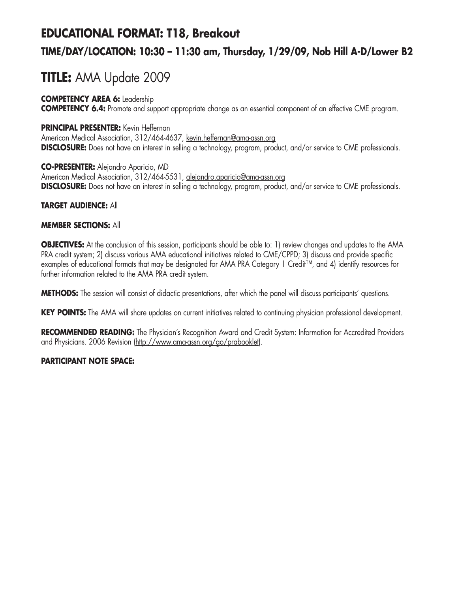# **EDUCATIONAL FORMAT: T18, Breakout**

# **TIME/DAY/LOCATION: 10:30 – 11:30 am, Thursday, 1/29/09, Nob Hill A-D/Lower B2**

# **TITLE:** AMA Update 2009

## **COMPETENCY AREA 6:** Leadership

**COMPETENCY 6.4:** Promote and support appropriate change as an essential component of an effective CME program.

## **PRINCIPAL PRESENTER:** Kevin Heffernan

American Medical Association, 312/464-4637, kevin.heffernan@ama-assn.org **DISCLOSURE:** Does not have an interest in selling a technology, program, product, and/or service to CME professionals.

#### **CO-PRESENTER:** Alejandro Aparicio, MD

American Medical Association, 312/464-5531, alejandro.aparicio@ama-assn.org **DISCLOSURE:** Does not have an interest in selling a technology, program, product, and/or service to CME professionals.

## **TARGET AUDIENCE:** All

## **MEMBER SECTIONS:** All

**OBJECTIVES:** At the conclusion of this session, participants should be able to: 1) review changes and updates to the AMA PRA credit system; 2) discuss various AMA educational initiatives related to CME/CPPD; 3) discuss and provide specific examples of educational formats that may be designated for AMA PRA Category 1 Credit™, and 4) identify resources for further information related to the AMA PRA credit system.

**METHODS:** The session will consist of didactic presentations, after which the panel will discuss participants' questions.

**KEY POINTS:** The AMA will share updates on current initiatives related to continuing physician professional development.

**RECOMMENDED READING:** The Physician's Recognition Award and Credit System: Information for Accredited Providers and Physicians. 2006 Revision (http://www.ama-assn.org/go/prabooklet).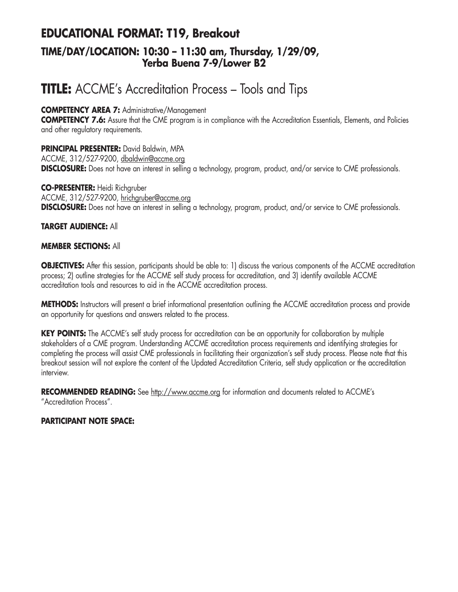# **EDUCATIONAL FORMAT: T19, Breakout TIME/DAY/LOCATION: 10:30 – 11:30 am, Thursday, 1/29/09, Yerba Buena 7-9/Lower B2**

# **TITLE:** ACCME's Accreditation Process – Tools and Tips

## **COMPETENCY AREA 7:** Administrative/Management

**COMPETENCY 7.6:** Assure that the CME program is in compliance with the Accreditation Essentials, Elements, and Policies and other regulatory requirements.

#### **PRINCIPAL PRESENTER:** David Baldwin, MPA

ACCME, 312/527-9200, dbaldwin@accme.org **DISCLOSURE:** Does not have an interest in selling a technology, program, product, and/or service to CME professionals.

**CO-PRESENTER:** Heidi Richgruber ACCME, 312/527-9200, hrichgruber@accme.org **DISCLOSURE:** Does not have an interest in selling a technology, program, product, and/or service to CME professionals.

#### **TARGET AUDIENCE:** All

#### **MEMBER SECTIONS:** All

**OBJECTIVES:** After this session, participants should be able to: 1) discuss the various components of the ACCME accreditation process; 2) outline strategies for the ACCME self study process for accreditation, and 3) identify available ACCME accreditation tools and resources to aid in the ACCME accreditation process.

**METHODS:** Instructors will present a brief informational presentation outlining the ACCME accreditation process and provide an opportunity for questions and answers related to the process.

**KEY POINTS:** The ACCME's self study process for accreditation can be an opportunity for collaboration by multiple stakeholders of a CME program. Understanding ACCME accreditation process requirements and identifying strategies for completing the process will assist CME professionals in facilitating their organization's self study process. Please note that this breakout session will not explore the content of the Updated Accreditation Criteria, self study application or the accreditation interview.

**RECOMMENDED READING:** See http://www.accme.org for information and documents related to ACCME's "Accreditation Process".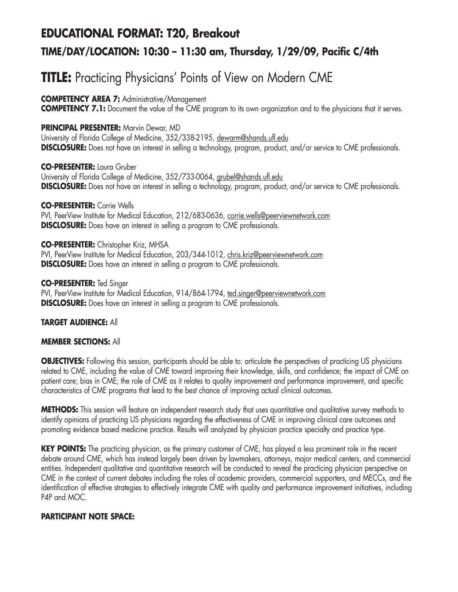# **EDUCATIONAL FORMAT: T20, Breakout TIME/DAY/LOCATION: 10:30 – 11:30 am, Thursday, 1/29/09, Pacific C/4th**

# **TITLE:** Practicing Physicians' Points of View on Modern CME

**COMPETENCY AREA 7:** Administrative/Management

**COMPETENCY 7.1:** Document the value of the CME program to its own organization and to the physicians that it serves.

#### **PRINCIPAL PRESENTER:** Marvin Dewar, MD

University of Florida College of Medicine, 352/338-2195, dewarm@shands.ufl.edu **DISCLOSURE:** Does not have an interest in selling a technology, program, product, and/or service to CME professionals.

**CO-PRESENTER:** Laura Gruber University of Florida College of Medicine, 352/733-0064, grubel@shands.ufl.edu

**DISCLOSURE:** Does not have an interest in selling a technology, program, product, and/or service to CME professionals.

**CO-PRESENTER:** Corrie Wells

PVI, PeerView Institute for Medical Education, 212/683-0636, corrie.wells@peerviewnetwork.com **DISCLOSURE:** Does have an interest in selling a program to CME professionals.

**CO-PRESENTER:** Christopher Kriz, MHSA PVI, PeerView Institute for Medical Education, 203/344-1012, chris.kriz@peerviewnetwork.com **DISCLOSURE:** Does have an interest in selling a program to CME professionals.

**CO-PRESENTER:** Ted Singer PVI, PeerView Institute for Medical Education, 914/864-1794, ted.singer@peerviewnetwork.com **DISCLOSURE:** Does have an interest in selling a program to CME professionals.

## **TARGET AUDIENCE:** All

## **MEMBER SECTIONS:** All

**OBJECTIVES:** Following this session, participants should be able to: articulate the perspectives of practicing US physicians related to CME, including the value of CME toward improving their knowledge, skills, and confidence; the impact of CME on patient care; bias in CME; the role of CME as it relates to quality improvement and performance improvement, and specific characteristics of CME programs that lead to the best chance of improving actual clinical outcomes.

**METHODS:** This session will feature an independent research study that uses quantitative and qualitative survey methods to identify opinions of practicing US physicians regarding the effectiveness of CME in improving clinical care outcomes and promoting evidence based medicine practice. Results will analyzed by physician practice specialty and practice type.

**KEY POINTS:** The practicing physician, as the primary customer of CME, has played a less prominent role in the recent debate around CME, which has instead largely been driven by lawmakers, attorneys, major medical centers, and commercial entities. Independent qualitative and quantitative research will be conducted to reveal the practicing physician perspective on CME in the context of current debates including the roles of academic providers, commercial supporters, and MECCs, and the identification of effective strategies to effectively integrate CME with quality and performance improvement initiatives, including P4P and MOC.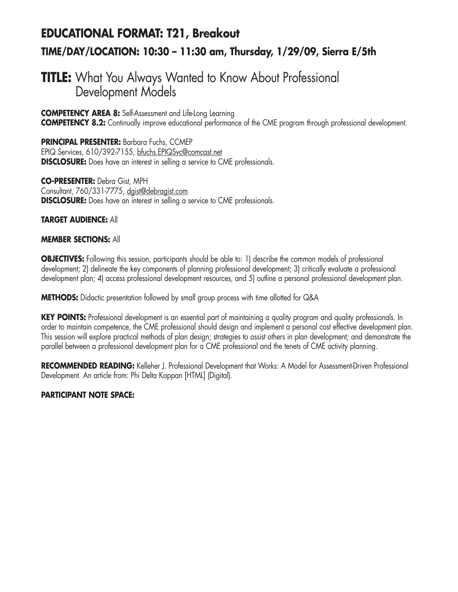# **EDUCATIONAL FORMAT: T21, Breakout TIME/DAY/LOCATION: 10:30 – 11:30 am, Thursday, 1/29/09, Sierra E/5th**

# **TITLE:** What You Always Wanted to Know About Professional Development Models

**COMPETENCY AREA 8:** Self-Assessment and Life-Long Learning **COMPETENCY 8.2:** Continually improve educational performance of the CME program through professional development.

**PRINCIPAL PRESENTER:** Barbara Fuchs, CCMEP EPIQ Services, 610/392-7155, bfuchs.EPIQSvc@comcast.net **DISCLOSURE:** Does have an interest in selling a service to CME professionals.

**CO-PRESENTER:** Debra Gist, MPH Consultant, 760/331-7775, dgist@debragist.com **DISCLOSURE:** Does have an interest in selling a service to CME professionals.

#### **TARGET AUDIENCE:** All

#### **MEMBER SECTIONS:** All

**OBJECTIVES:** Following this session, participants should be able to: 1) describe the common models of professional development; 2) delineate the key components of planning professional development; 3) critically evaluate a professional development plan; 4) access professional development resources, and 5) outline a personal professional development plan.

**METHODS:** Didactic presentation followed by small group process with time allotted for Q&A

**KEY POINTS:** Professional development is an essential part of maintaining a quality program and quality professionals. In order to maintain competence, the CME professional should design and implement a personal cost effective development plan. This session will explore practical methods of plan design; strategies to assist others in plan development; and demonstrate the parallel between a professional development plan for a CME professional and the tenets of CME activity planning.

**RECOMMENDED READING:** Kelleher J. Professional Development that Works: A Model for Assessment-Driven Professional Development. An article from: Phi Delta Kappan [HTML] (Digital).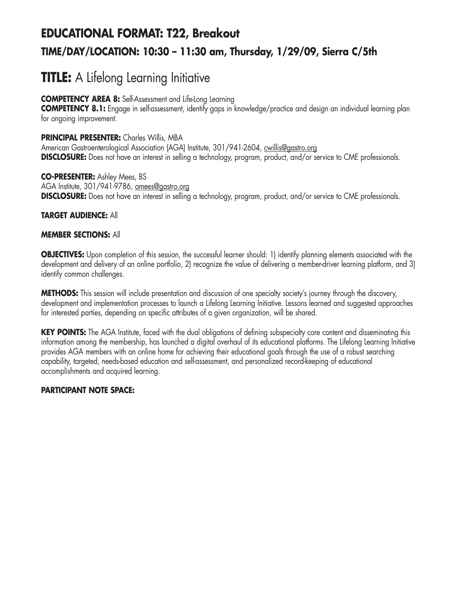# **EDUCATIONAL FORMAT: T22, Breakout TIME/DAY/LOCATION: 10:30 – 11:30 am, Thursday, 1/29/09, Sierra C/5th**

# **TITLE:** A Lifelong Learning Initiative

## **COMPETENCY AREA 8:** Self-Assessment and Life-Long Learning

**COMPETENCY 8.1:** Engage in self-assessment, identify gaps in knowledge/practice and design an individual learning plan for ongoing improvement.

## **PRINCIPAL PRESENTER:** Charles Willis, MBA

American Gastroenterological Association (AGA) Institute, 301/941-2604, cwillis@gastro.org **DISCLOSURE:** Does not have an interest in selling a technology, program, product, and/or service to CME professionals.

**CO-PRESENTER:** Ashley Mees, BS AGA Institute, 301/941-9786, amees@gastro.org **DISCLOSURE:** Does not have an interest in selling a technology, program, product, and/or service to CME professionals.

# **TARGET AUDIENCE:** All

## **MEMBER SECTIONS:** All

**OBJECTIVES:** Upon completion of this session, the successful learner should: 1) identify planning elements associated with the development and delivery of an online portfolio, 2) recognize the value of delivering a member-driver learning platform, and 3) identify common challenges.

**METHODS:** This session will include presentation and discussion of one specialty society's journey through the discovery, development and implementation processes to launch a Lifelong Learning Initiative. Lessons learned and suggested approaches for interested parties, depending on specific attributes of a given organization, will be shared.

**KEY POINTS:** The AGA Institute, faced with the dual obligations of defining subspecialty core content and disseminating this information among the membership, has launched a digital overhaul of its educational platforms. The Lifelong Learning Initiative provides AGA members with an online home for achieving their educational goals through the use of a robust searching capability, targeted, needs-based education and self-assessment, and personalized record-keeping of educational accomplishments and acquired learning.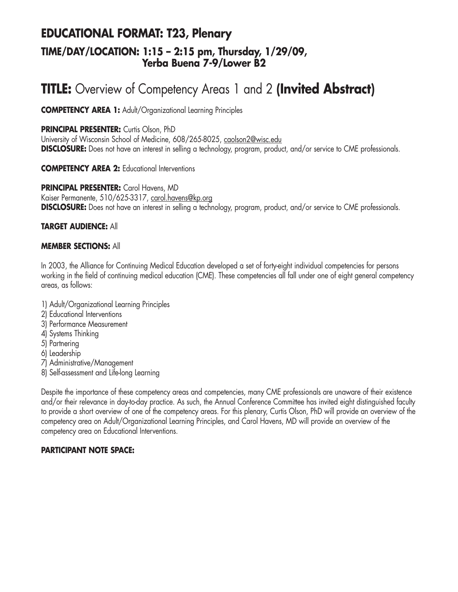# **EDUCATIONAL FORMAT: T23, Plenary TIME/DAY/LOCATION: 1:15 – 2:15 pm, Thursday, 1/29/09, Yerba Buena 7-9/Lower B2**

# **TITLE:** Overview of Competency Areas 1 and 2 **(Invited Abstract)**

**COMPETENCY AREA 1:** Adult/Organizational Learning Principles

#### **PRINCIPAL PRESENTER:** Curtis Olson, PhD

University of Wisconsin School of Medicine, 608/265-8025, caolson2@wisc.edu **DISCLOSURE:** Does not have an interest in selling a technology, program, product, and/or service to CME professionals.

#### **COMPETENCY AREA 2:** Educational Interventions

**PRINCIPAL PRESENTER:** Carol Havens, MD Kaiser Permanente, 510/625-3317, carol.havens@kp.org **DISCLOSURE:** Does not have an interest in selling a technology, program, product, and/or service to CME professionals.

#### **TARGET AUDIENCE:** All

#### **MEMBER SECTIONS:** All

In 2003, the Alliance for Continuing Medical Education developed a set of forty-eight individual competencies for persons working in the field of continuing medical education (CME). These competencies all fall under one of eight general competency areas, as follows:

- 1) Adult/Organizational Learning Principles
- 2) Educational Interventions
- 3) Performance Measurement
- 4) Systems Thinking
- 5) Partnering
- 6) Leadership
- 7) Administrative/Management
- 8) Self-assessment and Life-long Learning

Despite the importance of these competency areas and competencies, many CME professionals are unaware of their existence and/or their relevance in day-to-day practice. As such, the Annual Conference Committee has invited eight distinguished faculty to provide a short overview of one of the competency areas. For this plenary, Curtis Olson, PhD will provide an overview of the competency area on Adult/Organizational Learning Principles, and Carol Havens, MD will provide an overview of the competency area on Educational Interventions.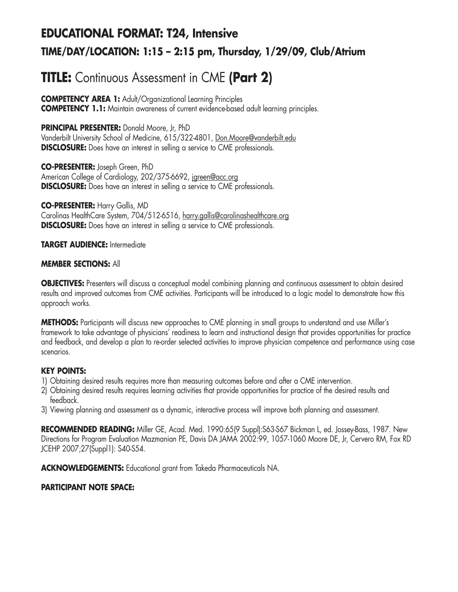# **EDUCATIONAL FORMAT: T24, Intensive TIME/DAY/LOCATION: 1:15 – 2:15 pm, Thursday, 1/29/09, Club/Atrium**

# **TITLE:** Continuous Assessment in CME **(Part 2)**

**COMPETENCY AREA 1:** Adult/Organizational Learning Principles **COMPETENCY 1.1:** Maintain awareness of current evidence-based adult learning principles.

**PRINCIPAL PRESENTER:** Donald Moore, Jr, PhD

Vanderbilt University School of Medicine, 615/322-4801, Don.Moore@vanderbilt.edu **DISCLOSURE:** Does have an interest in selling a service to CME professionals.

**CO-PRESENTER:** Joseph Green, PhD American College of Cardiology, 202/375-6692, jgreen@acc.org **DISCLOSURE:** Does have an interest in selling a service to CME professionals.

**CO-PRESENTER:** Harry Gallis, MD Carolinas HealthCare System, 704/512-6516, harry.gallis@carolinashealthcare.org **DISCLOSURE:** Does have an interest in selling a service to CME professionals.

**TARGET AUDIENCE:** Intermediate

## **MEMBER SECTIONS:** All

**OBJECTIVES:** Presenters will discuss a conceptual model combining planning and continuous assessment to obtain desired results and improved outcomes from CME activities. Participants will be introduced to a logic model to demonstrate how this approach works.

**METHODS:** Participants will discuss new approaches to CME planning in small groups to understand and use Miller's framework to take advantage of physicians' readiness to learn and instructional design that provides opportunities for practice and feedback, and develop a plan to re-order selected activities to improve physician competence and performance using case scenarios.

## **KEY POINTS:**

- 1) Obtaining desired results requires more than measuring outcomes before and after a CME intervention.
- 2) Obtaining desired results requires learning activities that provide opportunities for practice of the desired results and feedback.
- 3) Viewing planning and assessment as a dynamic, interactive process will improve both planning and assessment.

**RECOMMENDED READING:** Miller GE, Acad. Med. 1990:65(9 Suppl):S63-S67 Bickman L, ed. Jossey-Bass, 1987. New Directions for Program Evaluation Mazmanian PE, Davis DA JAMA 2002:99, 1057-1060 Moore DE, Jr, Cervero RM, Fox RD JCEHP 2007;27(Suppl1): S40-S54.

**ACKNOWLEDGEMENTS:** Educational grant from Takeda Pharmaceuticals NA.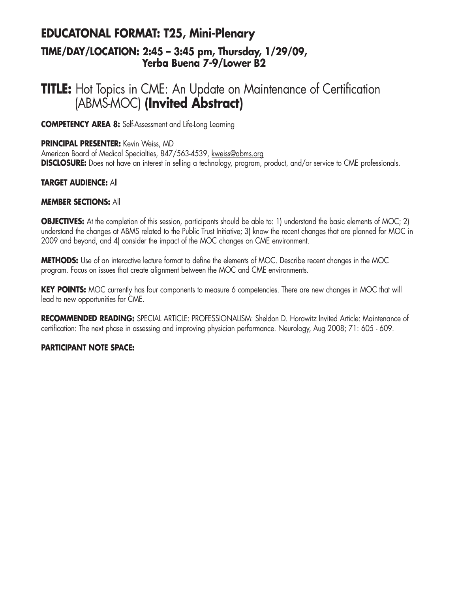# **EDUCATONAL FORMAT: T25, Mini-Plenary TIME/DAY/LOCATION: 2:45 – 3:45 pm, Thursday, 1/29/09, Yerba Buena 7-9/Lower B2**

# **TITLE:** Hot Topics in CME: An Update on Maintenance of Certification (ABMS-MOC) **(Invited Abstract)**

**COMPETENCY AREA 8:** Self-Assessment and Life-Long Learning

#### **PRINCIPAL PRESENTER:** Kevin Weiss, MD

American Board of Medical Specialties, 847/563-4539, kweiss@abms.org **DISCLOSURE:** Does not have an interest in selling a technology, program, product, and/or service to CME professionals.

#### **TARGET AUDIENCE:** All

#### **MEMBER SECTIONS:** All

**OBJECTIVES:** At the completion of this session, participants should be able to: 1) understand the basic elements of MOC; 2) understand the changes at ABMS related to the Public Trust Initiative; 3) know the recent changes that are planned for MOC in 2009 and beyond, and 4) consider the impact of the MOC changes on CME environment.

**METHODS:** Use of an interactive lecture format to define the elements of MOC. Describe recent changes in the MOC program. Focus on issues that create alignment between the MOC and CME environments.

**KEY POINTS:** MOC currently has four components to measure 6 competencies. There are new changes in MOC that will lead to new opportunities for CME.

**RECOMMENDED READING:** SPECIAL ARTICLE: PROFESSIONALISM: Sheldon D. Horowitz Invited Article: Maintenance of certification: The next phase in assessing and improving physician performance. Neurology, Aug 2008; 71: 605 - 609.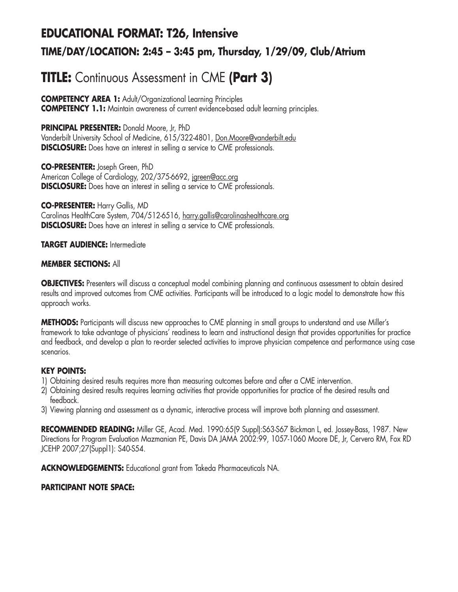# **EDUCATIONAL FORMAT: T26, Intensive TIME/DAY/LOCATION: 2:45 – 3:45 pm, Thursday, 1/29/09, Club/Atrium**

# **TITLE:** Continuous Assessment in CME **(Part 3)**

**COMPETENCY AREA 1:** Adult/Organizational Learning Principles **COMPETENCY 1.1:** Maintain awareness of current evidence-based adult learning principles.

**PRINCIPAL PRESENTER:** Donald Moore, Jr, PhD

Vanderbilt University School of Medicine, 615/322-4801, Don.Moore@vanderbilt.edu **DISCLOSURE:** Does have an interest in selling a service to CME professionals.

**CO-PRESENTER:** Joseph Green, PhD American College of Cardiology, 202/375-6692, jgreen@acc.org **DISCLOSURE:** Does have an interest in selling a service to CME professionals.

**CO-PRESENTER:** Harry Gallis, MD Carolinas HealthCare System, 704/512-6516, harry.gallis@carolinashealthcare.org **DISCLOSURE:** Does have an interest in selling a service to CME professionals.

**TARGET AUDIENCE:** Intermediate

#### **MEMBER SECTIONS:** All

**OBJECTIVES:** Presenters will discuss a conceptual model combining planning and continuous assessment to obtain desired results and improved outcomes from CME activities. Participants will be introduced to a logic model to demonstrate how this approach works.

**METHODS:** Participants will discuss new approaches to CME planning in small groups to understand and use Miller's framework to take advantage of physicians' readiness to learn and instructional design that provides opportunities for practice and feedback, and develop a plan to re-order selected activities to improve physician competence and performance using case scenarios.

## **KEY POINTS:**

- 1) Obtaining desired results requires more than measuring outcomes before and after a CME intervention.
- 2) Obtaining desired results requires learning activities that provide opportunities for practice of the desired results and feedback.
- 3) Viewing planning and assessment as a dynamic, interactive process will improve both planning and assessment.

**RECOMMENDED READING:** Miller GE, Acad. Med. 1990:65(9 Suppl):S63-S67 Bickman L, ed. Jossey-Bass, 1987. New Directions for Program Evaluation Mazmanian PE, Davis DA JAMA 2002:99, 1057-1060 Moore DE, Jr, Cervero RM, Fox RD JCEHP 2007;27(Suppl1): S40-S54.

**ACKNOWLEDGEMENTS:** Educational grant from Takeda Pharmaceuticals NA.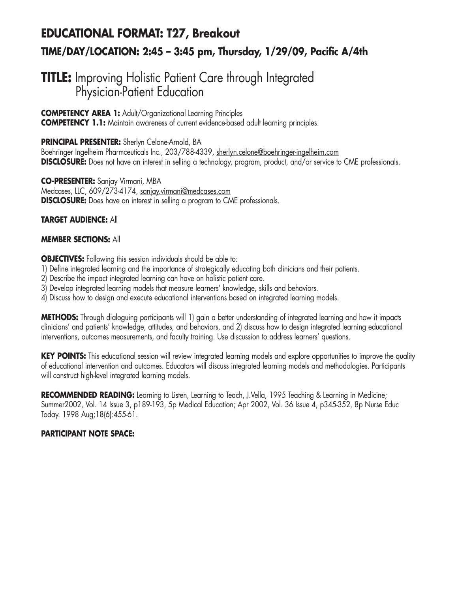# **EDUCATIONAL FORMAT: T27, Breakout TIME/DAY/LOCATION: 2:45 – 3:45 pm, Thursday, 1/29/09, Pacific A/4th**

# **TITLE:** Improving Holistic Patient Care through Integrated Physician-Patient Education

**COMPETENCY AREA 1:** Adult/Organizational Learning Principles **COMPETENCY 1.1:** Maintain awareness of current evidence-based adult learning principles.

**PRINCIPAL PRESENTER:** Sherlyn Celone-Arnold, BA

Boehringer Ingelheim Pharmceuticals Inc., 203/788-4339, sherlyn.celone@boehringer-ingelheim.com **DISCLOSURE:** Does not have an interest in selling a technology, program, product, and/or service to CME professionals.

**CO-PRESENTER:** Sanjay Virmani, MBA Medcases, LLC, 609/273-4174, sanjay.virmani@medcases.com **DISCLOSURE:** Does have an interest in selling a program to CME professionals.

## **TARGET AUDIENCE:** All

## **MEMBER SECTIONS:** All

**OBJECTIVES:** Following this session individuals should be able to:

- 1) Define integrated learning and the importance of strategically educating both clinicians and their patients.
- 2) Describe the impact integrated learning can have on holistic patient care.
- 3) Develop integrated learning models that measure learners' knowledge, skills and behaviors.
- 4) Discuss how to design and execute educational interventions based on integrated learning models.

**METHODS:** Through dialoguing participants will 1) gain a better understanding of integrated learning and how it impacts clinicians' and patients' knowledge, attitudes, and behaviors, and 2) discuss how to design integrated learning educational interventions, outcomes measurements, and faculty training. Use discussion to address learners' questions.

**KEY POINTS:** This educational session will review integrated learning models and explore opportunities to improve the quality of educational intervention and outcomes. Educators will discuss integrated learning models and methodologies. Participants will construct high-level integrated learning models.

**RECOMMENDED READING:** Learning to Listen, Learning to Teach, J.Vella, 1995 Teaching & Learning in Medicine; Summer2002, Vol. 14 Issue 3, p189-193, 5p Medical Education; Apr 2002, Vol. 36 Issue 4, p345-352, 8p Nurse Educ Today. 1998 Aug;18(6):455-61.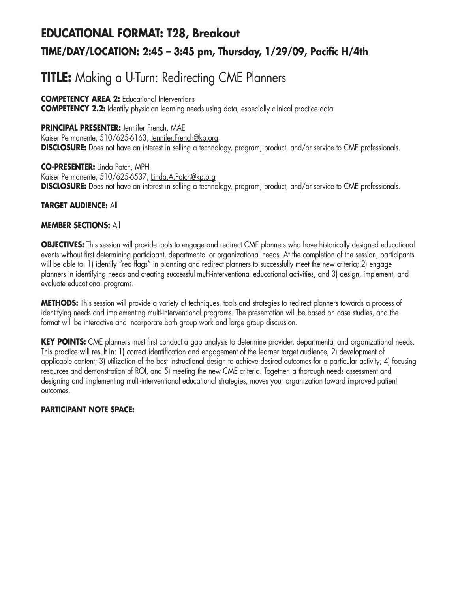# **EDUCATIONAL FORMAT: T28, Breakout TIME/DAY/LOCATION: 2:45 – 3:45 pm, Thursday, 1/29/09, Pacific H/4th**

# **TITLE:** Making a U-Turn: Redirecting CME Planners

## **COMPETENCY AREA 2:** Educational Interventions

**COMPETENCY 2.2:** Identify physician learning needs using data, especially clinical practice data.

# **PRINCIPAL PRESENTER:** Jennifer French, MAE

Kaiser Permanente, 510/625-6163, Jennifer.French@kp.org **DISCLOSURE:** Does not have an interest in selling a technology, program, product, and/or service to CME professionals.

**CO-PRESENTER:** Linda Patch, MPH Kaiser Permanente, 510/625-6537, Linda.A.Patch@kp.org **DISCLOSURE:** Does not have an interest in selling a technology, program, product, and/or service to CME professionals.

## **TARGET AUDIENCE:** All

## **MEMBER SECTIONS:** All

**OBJECTIVES:** This session will provide tools to engage and redirect CME planners who have historically designed educational events without first determining participant, departmental or organizational needs. At the completion of the session, participants will be able to: 1) identify "red flags" in planning and redirect planners to successfully meet the new criteria; 2) engage planners in identifying needs and creating successful multi-interventional educational activities, and 3) design, implement, and evaluate educational programs.

**METHODS:** This session will provide a variety of techniques, tools and strategies to redirect planners towards a process of identifying needs and implementing multi-interventional programs. The presentation will be based on case studies, and the format will be interactive and incorporate both group work and large group discussion.

**KEY POINTS:** CME planners must first conduct a gap analysis to determine provider, departmental and organizational needs. This practice will result in: 1) correct identification and engagement of the learner target audience; 2) development of applicable content; 3) utilization of the best instructional design to achieve desired outcomes for a particular activity; 4) focusing resources and demonstration of ROI, and 5) meeting the new CME criteria. Together, a thorough needs assessment and designing and implementing multi-interventional educational strategies, moves your organization toward improved patient outcomes.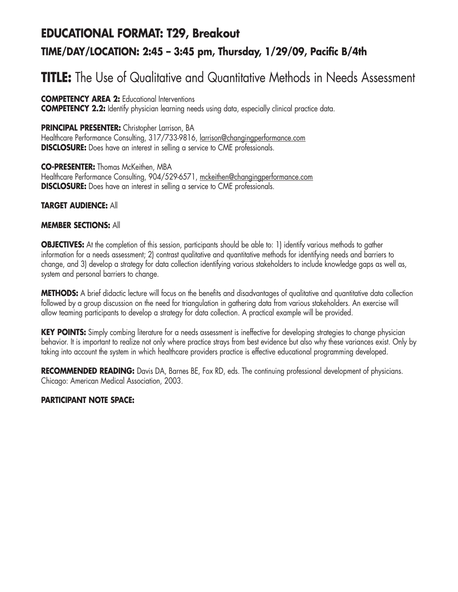# **EDUCATIONAL FORMAT: T29, Breakout TIME/DAY/LOCATION: 2:45 – 3:45 pm, Thursday, 1/29/09, Pacific B/4th**

# **TITLE:** The Use of Qualitative and Quantitative Methods in Needs Assessment

**COMPETENCY AREA 2:** Educational Interventions **COMPETENCY 2.2:** Identify physician learning needs using data, especially clinical practice data.

## **PRINCIPAL PRESENTER:** Christopher Larrison, BA

Healthcare Performance Consulting, 317/733-9816, larrison@changingperformance.com **DISCLOSURE:** Does have an interest in selling a service to CME professionals.

#### **CO-PRESENTER:** Thomas McKeithen, MBA Healthcare Performance Consulting, 904/529-6571, mckeithen@changingperformance.com **DISCLOSURE:** Does have an interest in selling a service to CME professionals.

## **TARGET AUDIENCE:** All

# **MEMBER SECTIONS:** All

**OBJECTIVES:** At the completion of this session, participants should be able to: 1) identify various methods to gather information for a needs assessment; 2) contrast qualitative and quantitative methods for identifying needs and barriers to change, and 3) develop a strategy for data collection identifying various stakeholders to include knowledge gaps as well as, system and personal barriers to change.

**METHODS:** A brief didactic lecture will focus on the benefits and disadvantages of qualitative and quantitative data collection followed by a group discussion on the need for triangulation in gathering data from various stakeholders. An exercise will allow teaming participants to develop a strategy for data collection. A practical example will be provided.

**KEY POINTS:** Simply combing literature for a needs assessment is ineffective for developing strategies to change physician behavior. It is important to realize not only where practice strays from best evidence but also why these variances exist. Only by taking into account the system in which healthcare providers practice is effective educational programming developed.

**RECOMMENDED READING:** Davis DA, Barnes BE, Fox RD, eds. The continuing professional development of physicians. Chicago: American Medical Association, 2003.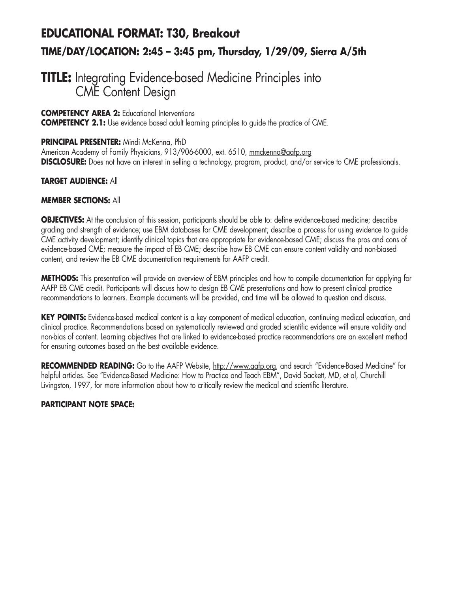# **EDUCATIONAL FORMAT: T30, Breakout TIME/DAY/LOCATION: 2:45 – 3:45 pm, Thursday, 1/29/09, Sierra A/5th**

# **TITLE:** Integrating Evidence-based Medicine Principles into CME Content Design

## **COMPETENCY AREA 2:** Educational Interventions

**COMPETENCY 2.1:** Use evidence based adult learning principles to guide the practice of CME.

#### **PRINCIPAL PRESENTER:** Mindi McKenna, PhD

American Academy of Family Physicians, 913/906-6000, ext. 6510, mmckenna@aafp.org **DISCLOSURE:** Does not have an interest in selling a technology, program, product, and/or service to CME professionals.

## **TARGET AUDIENCE:** All

## **MEMBER SECTIONS:** All

**OBJECTIVES:** At the conclusion of this session, participants should be able to: define evidence-based medicine; describe grading and strength of evidence; use EBM databases for CME development; describe a process for using evidence to guide CME activity development; identify clinical topics that are appropriate for evidence-based CME; discuss the pros and cons of evidence-based CME; measure the impact of EB CME; describe how EB CME can ensure content validity and non-biased content, and review the EB CME documentation requirements for AAFP credit.

**METHODS:** This presentation will provide an overview of EBM principles and how to compile documentation for applying for AAFP EB CME credit. Participants will discuss how to design EB CME presentations and how to present clinical practice recommendations to learners. Example documents will be provided, and time will be allowed to question and discuss.

**KEY POINTS:** Evidence-based medical content is a key component of medical education, continuing medical education, and clinical practice. Recommendations based on systematically reviewed and graded scientific evidence will ensure validity and non-bias of content. Learning objectives that are linked to evidence-based practice recommendations are an excellent method for ensuring outcomes based on the best available evidence.

RECOMMENDED READING: Go to the AAFP Website, http://www.aafp.org, and search "Evidence-Based Medicine" for helpful articles. See "Evidence-Based Medicine: How to Practice and Teach EBM", David Sackett, MD, et al, Churchill Livingston, 1997, for more information about how to critically review the medical and scientific literature.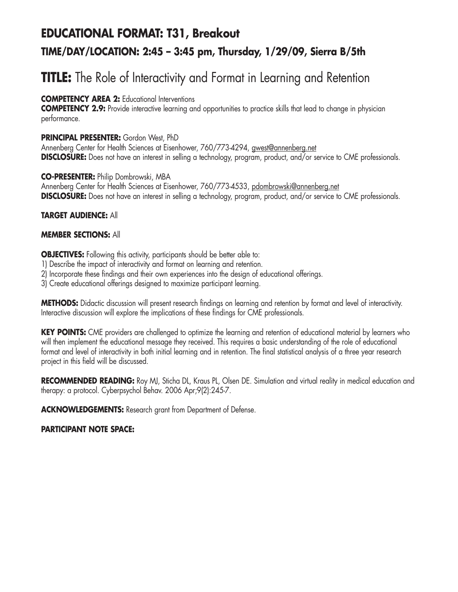# **EDUCATIONAL FORMAT: T31, Breakout TIME/DAY/LOCATION: 2:45 – 3:45 pm, Thursday, 1/29/09, Sierra B/5th**

# **TITLE:** The Role of Interactivity and Format in Learning and Retention

# **COMPETENCY AREA 2:** Educational Interventions

**COMPETENCY 2.9:** Provide interactive learning and opportunities to practice skills that lead to change in physician performance.

#### **PRINCIPAL PRESENTER:** Gordon West, PhD

Annenberg Center for Health Sciences at Eisenhower, 760/773-4294, gwest@annenberg.net **DISCLOSURE:** Does not have an interest in selling a technology, program, product, and/or service to CME professionals.

#### **CO-PRESENTER:** Philip Dombrowski, MBA

Annenberg Center for Health Sciences at Eisenhower, 760/773-4533, pdombrowski@annenberg.net **DISCLOSURE:** Does not have an interest in selling a technology, program, product, and/or service to CME professionals.

## **TARGET AUDIENCE:** All

## **MEMBER SECTIONS:** All

**OBJECTIVES:** Following this activity, participants should be better able to:

- 1) Describe the impact of interactivity and format on learning and retention.
- 2) Incorporate these findings and their own experiences into the design of educational offerings.
- 3) Create educational offerings designed to maximize participant learning.

**METHODS:** Didactic discussion will present research findings on learning and retention by format and level of interactivity. Interactive discussion will explore the implications of these findings for CME professionals.

**KEY POINTS:** CME providers are challenged to optimize the learning and retention of educational material by learners who will then implement the educational message they received. This requires a basic understanding of the role of educational format and level of interactivity in both initial learning and in retention. The final statistical analysis of a three year research project in this field will be discussed.

**RECOMMENDED READING:** Roy MJ, Sticha DL, Kraus PL, Olsen DE. Simulation and virtual reality in medical education and therapy: a protocol. Cyberpsychol Behav. 2006 Apr;9(2):245-7.

**ACKNOWLEDGEMENTS:** Research grant from Department of Defense.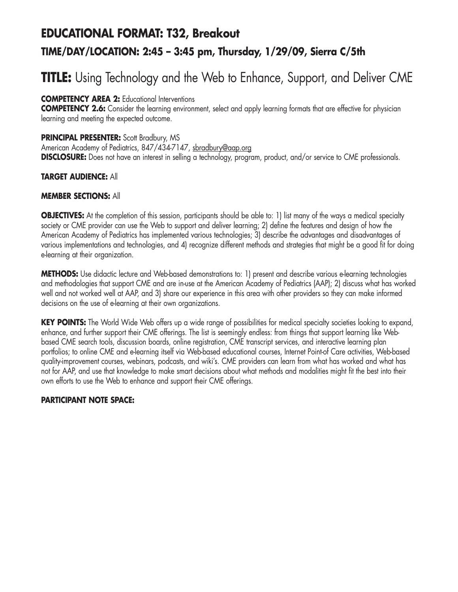# **EDUCATIONAL FORMAT: T32, Breakout TIME/DAY/LOCATION: 2:45 – 3:45 pm, Thursday, 1/29/09, Sierra C/5th**

# **TITLE:** Using Technology and the Web to Enhance, Support, and Deliver CME

**COMPETENCY AREA 2:** Educational Interventions

**COMPETENCY 2.6:** Consider the learning environment, select and apply learning formats that are effective for physician learning and meeting the expected outcome.

**PRINCIPAL PRESENTER:** Scott Bradbury, MS

American Academy of Pediatrics, 847/434-7147, sbradbury@aap.org **DISCLOSURE:** Does not have an interest in selling a technology, program, product, and/or service to CME professionals.

## **TARGET AUDIENCE:** All

#### **MEMBER SECTIONS:** All

**OBJECTIVES:** At the completion of this session, participants should be able to: 1) list many of the ways a medical specialty society or CME provider can use the Web to support and deliver learning; 2) define the features and design of how the American Academy of Pediatrics has implemented various technologies; 3) describe the advantages and disadvantages of various implementations and technologies, and 4) recognize different methods and strategies that might be a good fit for doing e-learning at their organization.

**METHODS:** Use didactic lecture and Web-based demonstrations to: 1) present and describe various e-learning technologies and methodologies that support CME and are in-use at the American Academy of Pediatrics (AAP); 2) discuss what has worked well and not worked well at AAP, and 3) share our experience in this area with other providers so they can make informed decisions on the use of e-learning at their own organizations.

**KEY POINTS:** The World Wide Web offers up a wide range of possibilities for medical specialty societies looking to expand, enhance, and further support their CME offerings. The list is seemingly endless: from things that support learning like Webbased CME search tools, discussion boards, online registration, CME transcript services, and interactive learning plan portfolios; to online CME and e-learning itself via Web-based educational courses, Internet Point-of Care activities, Web-based quality-improvement courses, webinars, podcasts, and wiki's. CME providers can learn from what has worked and what has not for AAP, and use that knowledge to make smart decisions about what methods and modalities might fit the best into their own efforts to use the Web to enhance and support their CME offerings.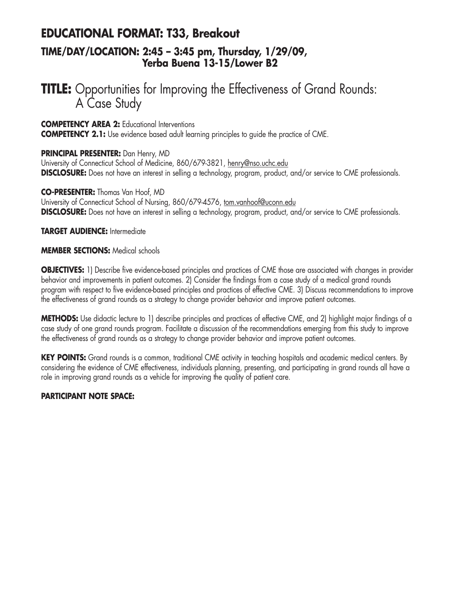# **EDUCATIONAL FORMAT: T33, Breakout TIME/DAY/LOCATION: 2:45 – 3:45 pm, Thursday, 1/29/09,**

# **Yerba Buena 13-15/Lower B2**

# **TITLE:** Opportunities for Improving the Effectiveness of Grand Rounds: A Case Study

**COMPETENCY AREA 2:** Educational Interventions

**COMPETENCY 2.1:** Use evidence based adult learning principles to quide the practice of CME.

#### **PRINCIPAL PRESENTER:** Dan Henry, MD

University of Connecticut School of Medicine, 860/679-3821, henry@nso.uchc.edu **DISCLOSURE:** Does not have an interest in selling a technology, program, product, and/or service to CME professionals.

#### **CO-PRESENTER:** Thomas Van Hoof, MD

University of Connecticut School of Nursing, 860/679-4576, tom.vanhoof@uconn.edu **DISCLOSURE:** Does not have an interest in selling a technology, program, product, and/or service to CME professionals.

#### **TARGET AUDIENCE:** Intermediate

#### **MEMBER SECTIONS:** Medical schools

**OBJECTIVES:** 1) Describe five evidence-based principles and practices of CME those are associated with changes in provider behavior and improvements in patient outcomes. 2) Consider the findings from a case study of a medical grand rounds program with respect to five evidence-based principles and practices of effective CME. 3) Discuss recommendations to improve the effectiveness of grand rounds as a strategy to change provider behavior and improve patient outcomes.

**METHODS:** Use didactic lecture to 1) describe principles and practices of effective CME, and 2) highlight major findings of a case study of one grand rounds program. Facilitate a discussion of the recommendations emerging from this study to improve the effectiveness of grand rounds as a strategy to change provider behavior and improve patient outcomes.

**KEY POINTS:** Grand rounds is a common, traditional CME activity in teaching hospitals and academic medical centers. By considering the evidence of CME effectiveness, individuals planning, presenting, and participating in grand rounds all have a role in improving grand rounds as a vehicle for improving the quality of patient care.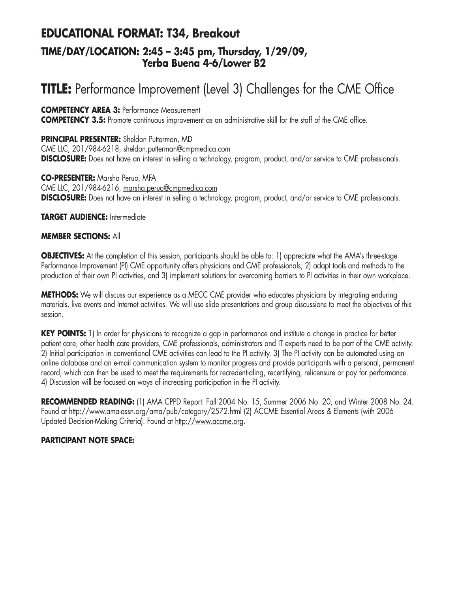# **EDUCATIONAL FORMAT: T34, Breakout TIME/DAY/LOCATION: 2:45 – 3:45 pm, Thursday, 1/29/09, Yerba Buena 4-6/Lower B2**

# **TITLE:** Performance Improvement (Level 3) Challenges for the CME Office

#### **COMPETENCY AREA 3:** Performance Measurement

**COMPETENCY 3.5:** Promote continuous improvement as an administrative skill for the staff of the CME office.

**PRINCIPAL PRESENTER:** Sheldon Putterman, MD CME LLC, 201/984-6218, sheldon.putterman@cmpmedica.com **DISCLOSURE:** Does not have an interest in selling a technology, program, product, and/or service to CME professionals.

**CO-PRESENTER:** Marsha Peruo, MFA CME LLC, 201/984-6216, marsha.peruo@cmpmedica.com **DISCLOSURE:** Does not have an interest in selling a technology, program, product, and/or service to CME professionals.

#### **TARGET AUDIENCE:** Intermediate

#### **MEMBER SECTIONS:** All

**OBJECTIVES:** At the completion of this session, participants should be able to: 1) appreciate what the AMA's three-stage Performance Improvement (PI) CME opportunity offers physicians and CME professionals; 2) adapt tools and methods to the production of their own PI activities, and 3) implement solutions for overcoming barriers to PI activities in their own workplace.

**METHODS:** We will discuss our experience as a MECC CME provider who educates physicians by integrating enduring materials, live events and Internet activities. We will use slide presentations and group discussions to meet the objectives of this session.

**KEY POINTS:** 1) In order for physicians to recognize a gap in performance and institute a change in practice for better patient care, other health care providers, CME professionals, administrators and IT experts need to be part of the CME activity. 2) Initial participation in conventional CME activities can lead to the PI activity. 3) The PI activity can be automated using an online database and an e-mail communication system to monitor progress and provide participants with a personal, permanent record, which can then be used to meet the requirements for recredentialing, recertifying, relicensure or pay for performance. 4) Discussion will be focused on ways of increasing participation in the PI activity.

**RECOMMENDED READING:** (1) AMA CPPD Report: Fall 2004 No. 15, Summer 2006 No. 20, and Winter 2008 No. 24. Found at http://www.ama-assn.org/ama/pub/category/2572.html (2) ACCME Essential Areas & Elements (with 2006 Updated Decision-Making Criteria). Found at http://www.accme.org.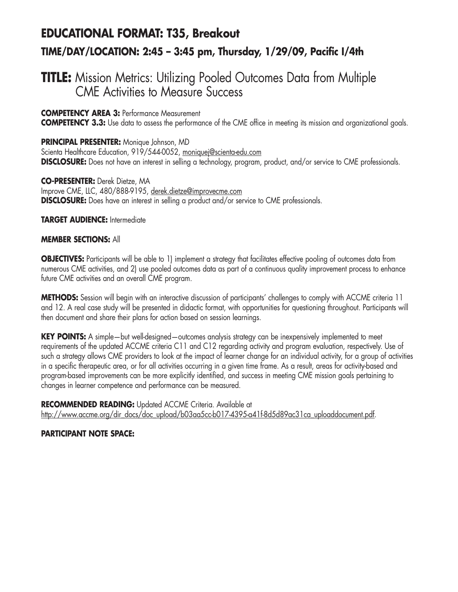# **EDUCATIONAL FORMAT: T35, Breakout TIME/DAY/LOCATION: 2:45 – 3:45 pm, Thursday, 1/29/09, Pacific I/4th**

# **TITLE:** Mission Metrics: Utilizing Pooled Outcomes Data from Multiple CME Activities to Measure Success

**COMPETENCY AREA 3:** Performance Measurement

**COMPETENCY 3.3:** Use data to assess the performance of the CME office in meeting its mission and organizational goals.

**PRINCIPAL PRESENTER:** Monique Johnson, MD Scienta Healthcare Education, 919/544-0052, moniquej@scienta-edu.com **DISCLOSURE:** Does not have an interest in selling a technology, program, product, and/or service to CME professionals.

**CO-PRESENTER:** Derek Dietze, MA Improve CME, LLC, 480/888-9195, derek.dietze@improvecme.com **DISCLOSURE:** Does have an interest in selling a product and/or service to CME professionals.

**TARGET AUDIENCE:** Intermediate

#### **MEMBER SECTIONS:** All

**OBJECTIVES:** Participants will be able to 1) implement a strategy that facilitates effective pooling of outcomes data from numerous CME activities, and 2) use pooled outcomes data as part of a continuous quality improvement process to enhance future CME activities and an overall CME program.

**METHODS:** Session will begin with an interactive discussion of participants' challenges to comply with ACCME criteria 11 and 12. A real case study will be presented in didactic format, with opportunities for questioning throughout. Participants will then document and share their plans for action based on session learnings.

**KEY POINTS:** A simple—but well-designed—outcomes analysis strategy can be inexpensively implemented to meet requirements of the updated ACCME criteria C11 and C12 regarding activity and program evaluation, respectively. Use of such a strategy allows CME providers to look at the impact of learner change for an individual activity, for a group of activities in a specific therapeutic area, or for all activities occurring in a given time frame. As a result, areas for activity-based and program-based improvements can be more explicitly identified, and success in meeting CME mission goals pertaining to changes in learner competence and performance can be measured.

**RECOMMENDED READING:** Updated ACCME Criteria. Available at http://www.accme.org/dir\_docs/doc\_upload/b03aa5cc-b017-4395-a41f-8d5d89ac31ca\_uploaddocument.pdf.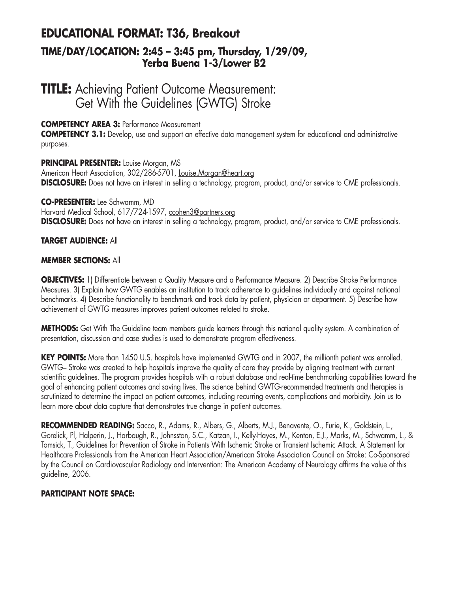# **EDUCATIONAL FORMAT: T36, Breakout TIME/DAY/LOCATION: 2:45 – 3:45 pm, Thursday, 1/29/09, Yerba Buena 1-3/Lower B2**

# **TITLE:** Achieving Patient Outcome Measurement: Get With the Guidelines (GWTG) Stroke

## **COMPETENCY AREA 3:** Performance Measurement

**COMPETENCY 3.1:** Develop, use and support an effective data management system for educational and administrative purposes.

#### **PRINCIPAL PRESENTER:** Louise Morgan, MS

American Heart Association, 302/286-5701, Louise.Morgan@heart.org **DISCLOSURE:** Does not have an interest in selling a technology, program, product, and/or service to CME professionals.

#### **CO-PRESENTER:** Lee Schwamm, MD

Harvard Medical School, 617/724-1597, ccohen3@partners.org **DISCLOSURE:** Does not have an interest in selling a technology, program, product, and/or service to CME professionals.

## **TARGET AUDIENCE:** All

#### **MEMBER SECTIONS:** All

**OBJECTIVES:** 1) Differentiate between a Quality Measure and a Performance Measure. 2) Describe Stroke Performance Measures. 3) Explain how GWTG enables an institution to track adherence to guidelines individually and against national benchmarks. 4) Describe functionality to benchmark and track data by patient, physician or department. 5) Describe how achievement of GWTG measures improves patient outcomes related to stroke.

**METHODS:** Get With The Guideline team members guide learners through this national quality system. A combination of presentation, discussion and case studies is used to demonstrate program effectiveness.

**KEY POINTS:** More than 1450 U.S. hospitals have implemented GWTG and in 2007, the millionth patient was enrolled. GWTG– Stroke was created to help hospitals improve the quality of care they provide by aligning treatment with current scientific guidelines. The program provides hospitals with a robust database and real-time benchmarking capabilities toward the goal of enhancing patient outcomes and saving lives. The science behind GWTG-recommended treatments and therapies is scrutinized to determine the impact on patient outcomes, including recurring events, complications and morbidity. Join us to learn more about data capture that demonstrates true change in patient outcomes.

**RECOMMENDED READING:** Sacco, R., Adams, R., Albers, G., Alberts, M.J., Benavente, O., Furie, K., Goldstein, L., Gorelick, Pl, Halperin, J., Harbaugh, R., Johnsston, S.C., Katzan, I., Kelly-Hayes, M., Kenton, E.J., Marks, M., Schwamm, L., & Tomsick, T., Guidelines for Prevention of Stroke in Patients With Ischemic Stroke or Transient Ischemic Attack. A Statement for Healthcare Professionals from the American Heart Association/American Stroke Association Council on Stroke: Co-Sponsored by the Council on Cardiovascular Radiology and Intervention: The American Academy of Neurology affirms the value of this guideline, 2006.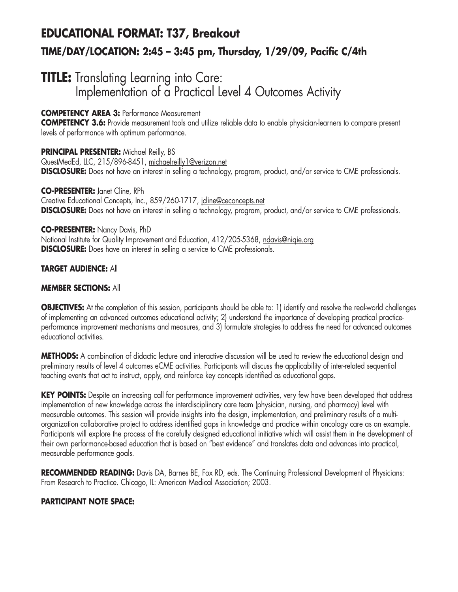# **EDUCATIONAL FORMAT: T37, Breakout TIME/DAY/LOCATION: 2:45 – 3:45 pm, Thursday, 1/29/09, Pacific C/4th**

# **TITLE:** Translating Learning into Care: Implementation of a Practical Level 4 Outcomes Activity

# **COMPETENCY AREA 3:** Performance Measurement

**COMPETENCY 3.6:** Provide measurement tools and utilize reliable data to enable physician-learners to compare present levels of performance with optimum performance.

**PRINCIPAL PRESENTER: Michael Reilly, BS** QuestMedEd, LLC, 215/896-8451, michaelreilly1@verizon.net **DISCLOSURE:** Does not have an interest in selling a technology, program, product, and/or service to CME professionals.

**CO-PRESENTER:** Janet Cline, RPh Creative Educational Concepts, Inc., 859/260-1717, jcline@ceconcepts.net **DISCLOSURE:** Does not have an interest in selling a technology, program, product, and/or service to CME professionals.

#### **CO-PRESENTER:** Nancy Davis, PhD

National Institute for Quality Improvement and Education, 412/205-5368, ndavis@niqie.org **DISCLOSURE:** Does have an interest in selling a service to CME professionals.

# **TARGET AUDIENCE:** All

## **MEMBER SECTIONS:** All

**OBJECTIVES:** At the completion of this session, participants should be able to: 1) identify and resolve the real-world challenges of implementing an advanced outcomes educational activity; 2) understand the importance of developing practical practiceperformance improvement mechanisms and measures, and 3) formulate strategies to address the need for advanced outcomes educational activities.

**METHODS:** A combination of didactic lecture and interactive discussion will be used to review the educational design and preliminary results of level 4 outcomes eCME activities. Participants will discuss the applicability of inter-related sequential teaching events that act to instruct, apply, and reinforce key concepts identified as educational gaps.

KEY POINTS: Despite an increasing call for performance improvement activities, very few have been developed that address implementation of new knowledge across the interdisciplinary care team (physician, nursing, and pharmacy) level with measurable outcomes. This session will provide insights into the design, implementation, and preliminary results of a multiorganization collaborative project to address identified gaps in knowledge and practice within oncology care as an example. Participants will explore the process of the carefully designed educational initiative which will assist them in the development of their own performance-based education that is based on "best evidence" and translates data and advances into practical, measurable performance goals.

**RECOMMENDED READING:** Davis DA, Barnes BE, Fox RD, eds. The Continuing Professional Development of Physicians: From Research to Practice. Chicago, IL: American Medical Association; 2003.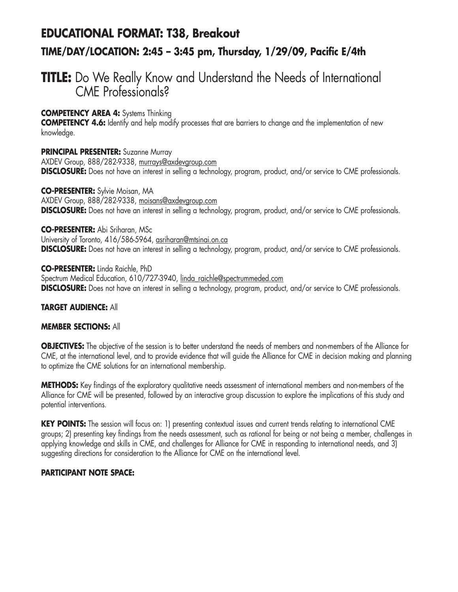# **EDUCATIONAL FORMAT: T38, Breakout TIME/DAY/LOCATION: 2:45 – 3:45 pm, Thursday, 1/29/09, Pacific E/4th**

# **TITLE:** Do We Really Know and Understand the Needs of International CME Professionals?

## **COMPETENCY AREA 4:** Systems Thinking

**COMPETENCY 4.6:** Identify and help modify processes that are barriers to change and the implementation of new knowledge.

**PRINCIPAL PRESENTER:** Suzanne Murray AXDEV Group, 888/282-9338, murrays@axdevgroup.com **DISCLOSURE:** Does not have an interest in selling a technology, program, product, and/or service to CME professionals.

**CO-PRESENTER:** Sylvie Moisan, MA AXDEV Group, 888/282-9338, moisans@axdevgroup.com **DISCLOSURE:** Does not have an interest in selling a technology, program, product, and/or service to CME professionals.

#### **CO-PRESENTER:** Abi Sriharan, MSc

University of Toronto, 416/586-5964, asriharan@mtsinai.on.ca **DISCLOSURE:** Does not have an interest in selling a technology, program, product, and/or service to CME professionals.

**CO-PRESENTER:** Linda Raichle, PhD Spectrum Medical Education, 610/727-3940, linda\_raichle@spectrummeded.com **DISCLOSURE:** Does not have an interest in selling a technology, program, product, and/or service to CME professionals.

## **TARGET AUDIENCE:** All

## **MEMBER SECTIONS:** All

**OBJECTIVES:** The objective of the session is to better understand the needs of members and non-members of the Alliance for CME, at the international level, and to provide evidence that will guide the Alliance for CME in decision making and planning to optimize the CME solutions for an international membership.

**METHODS:** Key findings of the exploratory qualitative needs assessment of international members and non-members of the Alliance for CME will be presented, followed by an interactive group discussion to explore the implications of this study and potential interventions.

KEY POINTS: The session will focus on: 1) presenting contextual issues and current trends relating to international CME groups; 2) presenting key findings from the needs assessment, such as rational for being or not being a member, challenges in applying knowledge and skills in CME, and challenges for Alliance for CME in responding to international needs, and 3) suggesting directions for consideration to the Alliance for CME on the international level.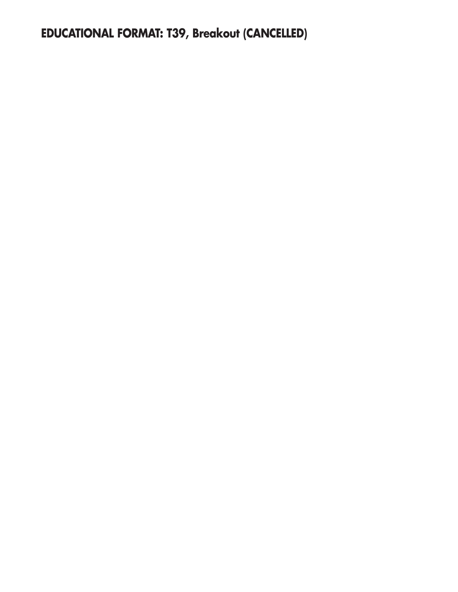**EDUCATIONAL FORMAT: T39, Breakout (CANCELLED)**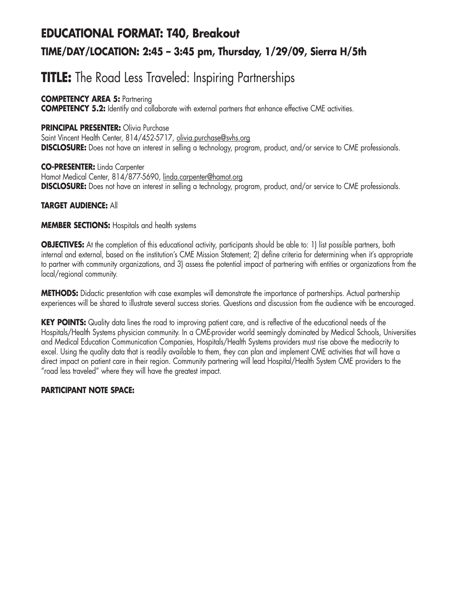# **EDUCATIONAL FORMAT: T40, Breakout TIME/DAY/LOCATION: 2:45 – 3:45 pm, Thursday, 1/29/09, Sierra H/5th**

# **TITLE:** The Road Less Traveled: Inspiring Partnerships

# **COMPETENCY AREA 5: Partnering**

**COMPETENCY 5.2:** Identify and collaborate with external partners that enhance effective CME activities.

# **PRINCIPAL PRESENTER:** Olivia Purchase

Saint Vincent Health Center, 814/452-5717, olivia.purchase@svhs.org **DISCLOSURE:** Does not have an interest in selling a technology, program, product, and/or service to CME professionals.

**CO-PRESENTER:** Linda Carpenter Hamot Medical Center, 814/877-5690, linda.carpenter@hamot.org **DISCLOSURE:** Does not have an interest in selling a technology, program, product, and/or service to CME professionals.

# **TARGET AUDIENCE:** All

## **MEMBER SECTIONS:** Hospitals and health systems

**OBJECTIVES:** At the completion of this educational activity, participants should be able to: 1) list possible partners, both internal and external, based on the institution's CME Mission Statement; 2) define criteria for determining when it's appropriate to partner with community organizations, and 3) assess the potential impact of partnering with entities or organizations from the local/regional community.

**METHODS:** Didactic presentation with case examples will demonstrate the importance of partnerships. Actual partnership experiences will be shared to illustrate several success stories. Questions and discussion from the audience with be encouraged.

**KEY POINTS:** Quality data lines the road to improving patient care, and is reflective of the educational needs of the Hospitals/Health Systems physician community. In a CME-provider world seemingly dominated by Medical Schools, Universities and Medical Education Communication Companies, Hospitals/Health Systems providers must rise above the mediocrity to excel. Using the quality data that is readily available to them, they can plan and implement CME activities that will have a direct impact on patient care in their region. Community partnering will lead Hospital/Health System CME providers to the "road less traveled" where they will have the greatest impact.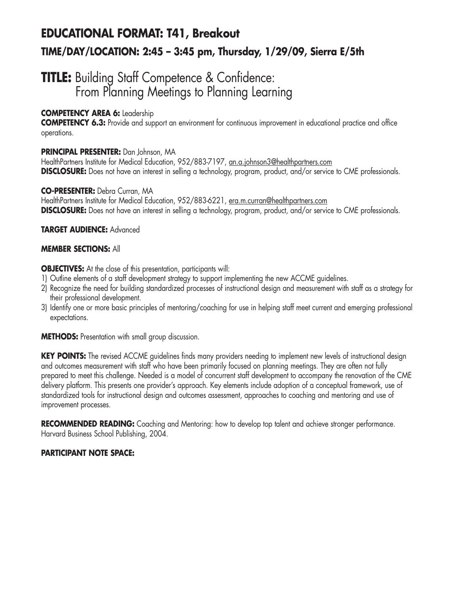# **EDUCATIONAL FORMAT: T41, Breakout TIME/DAY/LOCATION: 2:45 – 3:45 pm, Thursday, 1/29/09, Sierra E/5th**

# **TITLE:** Building Staff Competence & Confidence: From Planning Meetings to Planning Learning

# **COMPETENCY AREA 6:** Leadership

**COMPETENCY 6.3:** Provide and support an environment for continuous improvement in educational practice and office operations.

## **PRINCIPAL PRESENTER:** Dan Johnson, MA

HealthPartners Institute for Medical Education, 952/883-7197, an.a.johnson3@healthpartners.com **DISCLOSURE:** Does not have an interest in selling a technology, program, product, and/or service to CME professionals.

## **CO-PRESENTER:** Debra Curran, MA

HealthPartners Institute for Medical Education, 952/883-6221, era.m.curran@healthpartners.com **DISCLOSURE:** Does not have an interest in selling a technology, program, product, and/or service to CME professionals.

# **TARGET AUDIENCE:** Advanced

## **MEMBER SECTIONS:** All

**OBJECTIVES:** At the close of this presentation, participants will:

- 1) Outline elements of a staff development strategy to support implementing the new ACCME guidelines.
- 2) Recognize the need for building standardized processes of instructional design and measurement with staff as a strategy for their professional development.
- 3) Identify one or more basic principles of mentoring/coaching for use in helping staff meet current and emerging professional expectations.

**METHODS:** Presentation with small group discussion.

**KEY POINTS:** The revised ACCME guidelines finds many providers needing to implement new levels of instructional design and outcomes measurement with staff who have been primarily focused on planning meetings. They are often not fully prepared to meet this challenge. Needed is a model of concurrent staff development to accompany the renovation of the CME delivery platform. This presents one provider's approach. Key elements include adoption of a conceptual framework, use of standardized tools for instructional design and outcomes assessment, approaches to coaching and mentoring and use of improvement processes.

**RECOMMENDED READING:** Coaching and Mentoring: how to develop top talent and achieve stronger performance. Harvard Business School Publishing, 2004.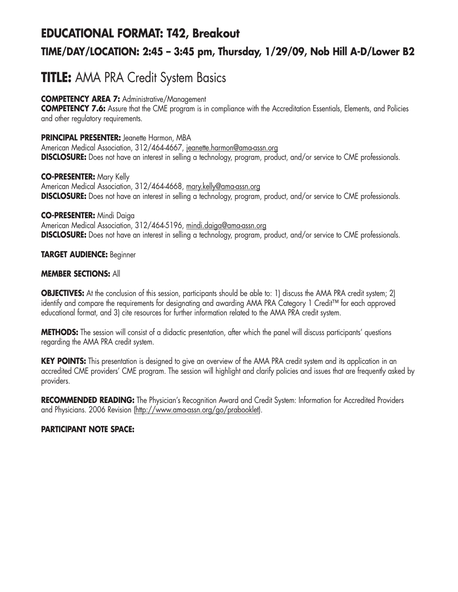## **EDUCATIONAL FORMAT: T42, Breakout**

## **TIME/DAY/LOCATION: 2:45 – 3:45 pm, Thursday, 1/29/09, Nob Hill A-D/Lower B2**

## **TITLE:** AMA PRA Credit System Basics

### **COMPETENCY AREA 7:** Administrative/Management

**COMPETENCY 7.6:** Assure that the CME program is in compliance with the Accreditation Essentials, Elements, and Policies and other regulatory requirements.

### **PRINCIPAL PRESENTER:** Jeanette Harmon, MBA

American Medical Association, 312/464-4667, jeanette.harmon@ama-assn.org **DISCLOSURE:** Does not have an interest in selling a technology, program, product, and/or service to CME professionals.

### **CO-PRESENTER:** Mary Kelly American Medical Association, 312/464-4668, mary.kelly@ama-assn.org **DISCLOSURE:** Does not have an interest in selling a technology, program, product, and/or service to CME professionals.

### **CO-PRESENTER:** Mindi Daiga

American Medical Association, 312/464-5196, mindi.daiga@ama-assn.org **DISCLOSURE:** Does not have an interest in selling a technology, program, product, and/or service to CME professionals.

### **TARGET AUDIENCE:** Beginner

### **MEMBER SECTIONS:** All

**OBJECTIVES:** At the conclusion of this session, participants should be able to: 1) discuss the AMA PRA credit system; 2) identify and compare the requirements for designating and awarding AMA PRA Category 1 Credit™ for each approved educational format, and 3) cite resources for further information related to the AMA PRA credit system.

**METHODS:** The session will consist of a didactic presentation, after which the panel will discuss participants' questions regarding the AMA PRA credit system.

**KEY POINTS:** This presentation is designed to give an overview of the AMA PRA credit system and its application in an accredited CME providers' CME program. The session will highlight and clarify policies and issues that are frequently asked by providers.

**RECOMMENDED READING:** The Physician's Recognition Award and Credit System: Information for Accredited Providers and Physicians. 2006 Revision (http://www.ama-assn.org/go/prabooklet).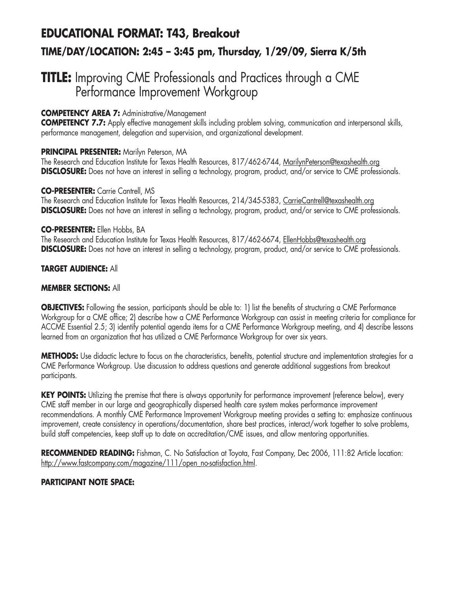# **EDUCATIONAL FORMAT: T43, Breakout TIME/DAY/LOCATION: 2:45 – 3:45 pm, Thursday, 1/29/09, Sierra K/5th**

## **TITLE:** Improving CME Professionals and Practices through a CME Performance Improvement Workgroup

### **COMPETENCY AREA 7:** Administrative/Management

**COMPETENCY 7.7:** Apply effective management skills including problem solving, communication and interpersonal skills, performance management, delegation and supervision, and organizational development.

### **PRINCIPAL PRESENTER:** Marilyn Peterson, MA

The Research and Education Institute for Texas Health Resources, 817/462-6744, MarilynPeterson@texashealth.org **DISCLOSURE:** Does not have an interest in selling a technology, program, product, and/or service to CME professionals.

### **CO-PRESENTER:** Carrie Cantrell, MS

The Research and Education Institute for Texas Health Resources, 214/345-5383, CarrieCantrell@texashealth.org **DISCLOSURE:** Does not have an interest in selling a technology, program, product, and/or service to CME professionals.

### **CO-PRESENTER:** Ellen Hobbs, BA

The Research and Education Institute for Texas Health Resources, 817/462-6674, EllenHobbs@texashealth.org **DISCLOSURE:** Does not have an interest in selling a technology, program, product, and/or service to CME professionals.

### **TARGET AUDIENCE:** All

### **MEMBER SECTIONS:** All

**OBJECTIVES:** Following the session, participants should be able to: 1) list the benefits of structuring a CME Performance Workgroup for a CME office; 2) describe how a CME Performance Workgroup can assist in meeting criteria for compliance for ACCME Essential 2.5; 3) identify potential agenda items for a CME Performance Workgroup meeting, and 4) describe lessons learned from an organization that has utilized a CME Performance Workgroup for over six years.

**METHODS:** Use didactic lecture to focus on the characteristics, benefits, potential structure and implementation strategies for a CME Performance Workgroup. Use discussion to address questions and generate additional suggestions from breakout participants.

**KEY POINTS:** Utilizing the premise that there is always opportunity for performance improvement (reference below), every CME staff member in our large and geographically dispersed health care system makes performance improvement recommendations. A monthly CME Performance Improvement Workgroup meeting provides a setting to: emphasize continuous improvement, create consistency in operations/documentation, share best practices, interact/work together to solve problems, build staff competencies, keep staff up to date on accreditation/CME issues, and allow mentoring opportunities.

**RECOMMENDED READING:** Fishman, C. No Satisfaction at Toyota, Fast Company, Dec 2006, 111:82 Article location: http://www.fastcompany.com/magazine/111/open\_no-satisfaction.html.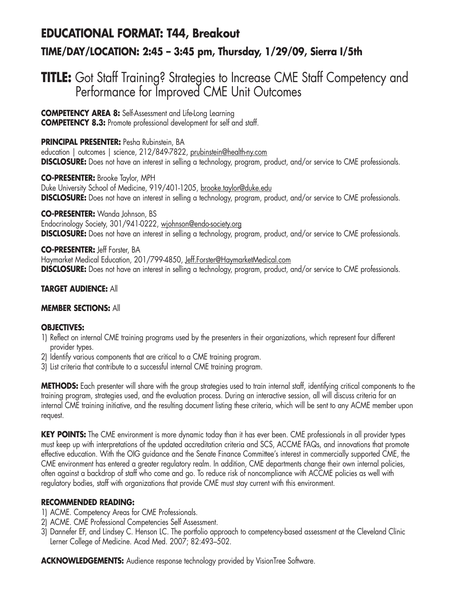## **EDUCATIONAL FORMAT: T44, Breakout**

### **TIME/DAY/LOCATION: 2:45 – 3:45 pm, Thursday, 1/29/09, Sierra I/5th**

## **TITLE:** Got Staff Training? Strategies to Increase CME Staff Competency and Performance for Improved CME Unit Outcomes

**COMPETENCY AREA 8:** Self-Assessment and Life-Long Learning **COMPETENCY 8.3:** Promote professional development for self and staff.

**PRINCIPAL PRESENTER:** Pesha Rubinstein, BA education | outcomes | science, 212/849-7822, prubinstein@health-ny.com **DISCLOSURE:** Does not have an interest in selling a technology, program, product, and/or service to CME professionals.

**CO-PRESENTER:** Brooke Taylor, MPH Duke University School of Medicine, 919/401-1205, brooke.taylor@duke.edu **DISCLOSURE:** Does not have an interest in selling a technology, program, product, and/or service to CME professionals.

**CO-PRESENTER:** Wanda Johnson, BS Endocrinology Society, 301/941-0222, wjohnson@endo-society.org **DISCLOSURE:** Does not have an interest in selling a technology, program, product, and/or service to CME professionals.

**CO-PRESENTER:** Jeff Forster, BA Haymarket Medical Education, 201/799-4850, Jeff.Forster@HaymarketMedical.com **DISCLOSURE:** Does not have an interest in selling a technology, program, product, and/or service to CME professionals.

### **TARGET AUDIENCE:** All

### **MEMBER SECTIONS:** All

### **OBJECTIVES:**

- 1) Reflect on internal CME training programs used by the presenters in their organizations, which represent four different provider types.
- 2) Identify various components that are critical to a CME training program.
- 3) List criteria that contribute to a successful internal CME training program.

**METHODS:** Each presenter will share with the group strategies used to train internal staff, identifying critical components to the training program, strategies used, and the evaluation process. During an interactive session, all will discuss criteria for an internal CME training initiative, and the resulting document listing these criteria, which will be sent to any ACME member upon request.

**KEY POINTS:** The CME environment is more dynamic today than it has ever been. CME professionals in all provider types must keep up with interpretations of the updated accreditation criteria and SCS, ACCME FAQs, and innovations that promote effective education. With the OIG guidance and the Senate Finance Committee's interest in commercially supported CME, the CME environment has entered a greater regulatory realm. In addition, CME departments change their own internal policies, often against a backdrop of staff who come and go. To reduce risk of noncompliance with ACCME policies as well with regulatory bodies, staff with organizations that provide CME must stay current with this environment.

### **RECOMMENDED READING:**

- 1) ACME. Competency Areas for CME Professionals.
- 2) ACME. CME Professional Competencies Self Assessment.
- 3) Dannefer EF, and Lindsey C. Henson LC. The portfolio approach to competency-based assessment at the Cleveland Clinic Lerner College of Medicine. Acad Med. 2007; 82:493–502.

**ACKNOWLEDGEMENTS:** Audience response technology provided by VisionTree Software.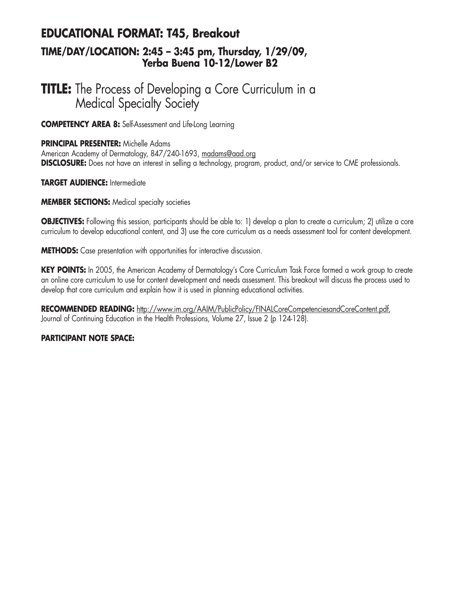### **EDUCATIONAL FORMAT: T45, Breakout TIME/DAY/LOCATION: 2:45 – 3:45 pm, Thursday, 1/29/09, Yerba Buena 10-12/Lower B2**

## **TITLE:** The Process of Developing a Core Curriculum in a Medical Specialty Society

**COMPETENCY AREA 8:** Self-Assessment and Life-Long Learning

### **PRINCIPAL PRESENTER:** Michelle Adams

American Academy of Dermatology, 847/240-1693, madams@aad.org **DISCLOSURE:** Does not have an interest in selling a technology, program, product, and/or service to CME professionals.

### **TARGET AUDIENCE:** Intermediate

**MEMBER SECTIONS:** Medical specialty societies

**OBJECTIVES:** Following this session, participants should be able to: 1) develop a plan to create a curriculum; 2) utilize a core curriculum to develop educational content, and 3) use the core curriculum as a needs assessment tool for content development.

**METHODS:** Case presentation with opportunities for interactive discussion.

**KEY POINTS:** In 2005, the American Academy of Dermatology's Core Curriculum Task Force formed a work group to create an online core curriculum to use for content development and needs assessment. This breakout will discuss the process used to develop that core curriculum and explain how it is used in planning educational activities.

**RECOMMENDED READING:** http://www.im.org/AAIM/PublicPolicy/FINALCoreCompetenciesandCoreContent.pdf, Journal of Continuing Education in the Health Professions, Volume 27, Issue 2 (p 124-128).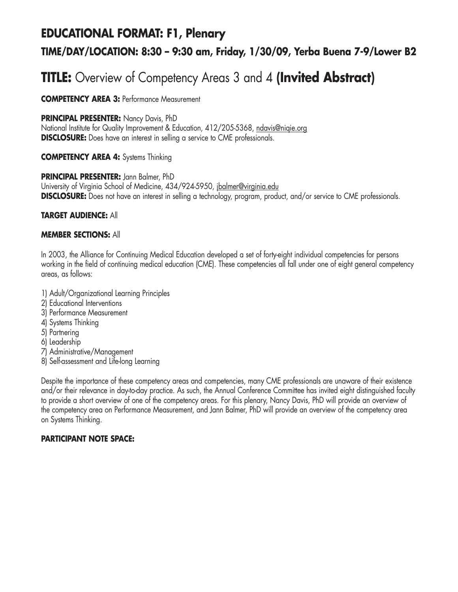# **EDUCATIONAL FORMAT: F1, Plenary TIME/DAY/LOCATION: 8:30 – 9:30 am, Friday, 1/30/09, Yerba Buena 7-9/Lower B2**

# **TITLE:** Overview of Competency Areas 3 and 4 **(Invited Abstract)**

**COMPETENCY AREA 3:** Performance Measurement

### **PRINCIPAL PRESENTER:** Nancy Davis, PhD

National Institute for Quality Improvement & Education, 412/205-5368, ndavis@niqie.org **DISCLOSURE:** Does have an interest in selling a service to CME professionals.

### **COMPETENCY AREA 4:** Systems Thinking

### **PRINCIPAL PRESENTER:** Jann Balmer, PhD

University of Virginia School of Medicine, 434/924-5950, jbalmer@virginia.edu **DISCLOSURE:** Does not have an interest in selling a technology, program, product, and/or service to CME professionals.

### **TARGET AUDIENCE:** All

### **MEMBER SECTIONS:** All

In 2003, the Alliance for Continuing Medical Education developed a set of forty-eight individual competencies for persons working in the field of continuing medical education (CME). These competencies all fall under one of eight general competency areas, as follows:

- 1) Adult/Organizational Learning Principles
- 2) Educational Interventions
- 3) Performance Measurement
- 4) Systems Thinking
- 5) Partnering
- 6) Leadership
- 7) Administrative/Management
- 8) Self-assessment and Life-long Learning

Despite the importance of these competency areas and competencies, many CME professionals are unaware of their existence and/or their relevance in day-to-day practice. As such, the Annual Conference Committee has invited eight distinguished faculty to provide a short overview of one of the competency areas. For this plenary, Nancy Davis, PhD will provide an overview of the competency area on Performance Measurement, and Jann Balmer, PhD will provide an overview of the competency area on Systems Thinking.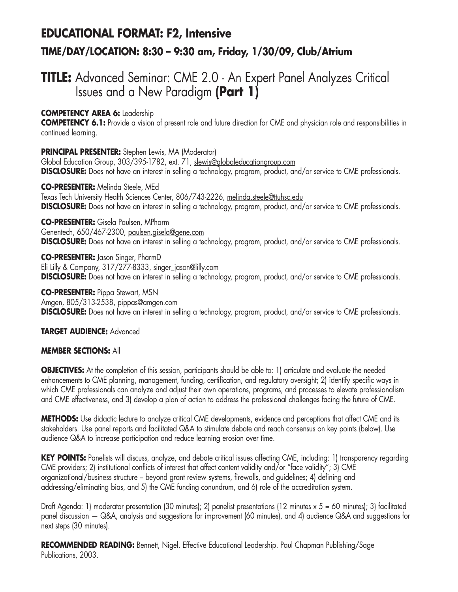## **EDUCATIONAL FORMAT: F2, Intensive TIME/DAY/LOCATION: 8:30 – 9:30 am, Friday, 1/30/09, Club/Atrium**

## **TITLE:** Advanced Seminar: CME 2.0 - An Expert Panel Analyzes Critical Issues and a New Paradigm **(Part 1)**

### **COMPETENCY AREA 6:** Leadership

**COMPETENCY 6.1:** Provide a vision of present role and future direction for CME and physician role and responsibilities in continued learning.

### **PRINCIPAL PRESENTER:** Stephen Lewis, MA (Moderator)

Global Education Group, 303/395-1782, ext. 71, slewis@globaleducationgroup.com **DISCLOSURE:** Does not have an interest in selling a technology, program, product, and/or service to CME professionals.

**CO-PRESENTER:** Melinda Steele, MEd Texas Tech University Health Sciences Center, 806/743-2226, melinda.steele@ttuhsc.edu **DISCLOSURE:** Does not have an interest in selling a technology, program, product, and/or service to CME professionals.

**CO-PRESENTER:** Gisela Paulsen, MPharm Genentech, 650/467-2300, paulsen.gisela@gene.com **DISCLOSURE:** Does not have an interest in selling a technology, program, product, and/or service to CME professionals.

**CO-PRESENTER:** Jason Singer, PharmD Eli Lilly & Company, 317/277-8333, singer\_jason@lilly.com **DISCLOSURE:** Does not have an interest in selling a technology, program, product, and/or service to CME professionals.

**CO-PRESENTER:** Pippa Stewart, MSN Amgen, 805/313-2538, pippas@amgen.com **DISCLOSURE:** Does not have an interest in selling a technology, program, product, and/or service to CME professionals.

### **TARGET AUDIENCE:** Advanced

### **MEMBER SECTIONS:** All

**OBJECTIVES:** At the completion of this session, participants should be able to: 1) articulate and evaluate the needed enhancements to CME planning, management, funding, certification, and regulatory oversight; 2) identify specific ways in which CME professionals can analyze and adjust their own operations, programs, and processes to elevate professionalism and CME effectiveness, and 3) develop a plan of action to address the professional challenges facing the future of CME.

**METHODS:** Use didactic lecture to analyze critical CME developments, evidence and perceptions that affect CME and its stakeholders. Use panel reports and facilitated Q&A to stimulate debate and reach consensus on key points (below). Use audience Q&A to increase participation and reduce learning erosion over time.

KEY POINTS: Panelists will discuss, analyze, and debate critical issues affecting CME, including: 1) transparency regarding CME providers; 2) institutional conflicts of interest that affect content validity and/or "face validity"; 3) CME organizational/business structure – beyond grant review systems, firewalls, and guidelines; 4) defining and addressing/eliminating bias, and 5) the CME funding conundrum, and 6) role of the accreditation system.

Draft Agenda: 1) moderator presentation (30 minutes); 2) panelist presentations (12 minutes  $x 5 = 60$  minutes); 3) facilitated panel discussion — Q&A, analysis and suggestions for improvement (60 minutes), and 4) audience Q&A and suggestions for next steps (30 minutes).

**RECOMMENDED READING:** Bennett, Nigel. Effective Educational Leadership. Paul Chapman Publishing/Sage Publications, 2003.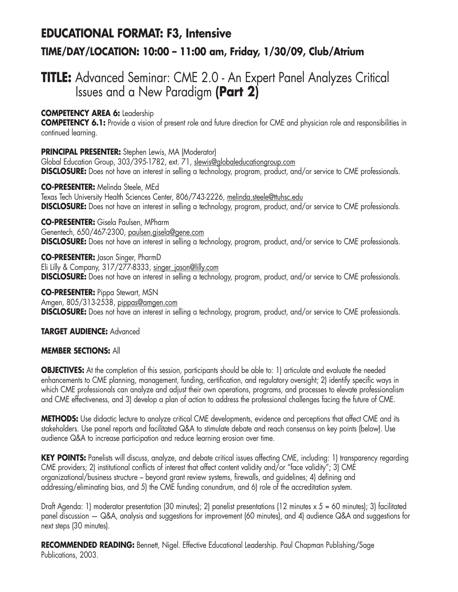## **EDUCATIONAL FORMAT: F3, Intensive TIME/DAY/LOCATION: 10:00 – 11:00 am, Friday, 1/30/09, Club/Atrium**

## **TITLE:** Advanced Seminar: CME 2.0 - An Expert Panel Analyzes Critical Issues and a New Paradigm **(Part 2)**

### **COMPETENCY AREA 6:** Leadership

**COMPETENCY 6.1:** Provide a vision of present role and future direction for CME and physician role and responsibilities in continued learning.

### **PRINCIPAL PRESENTER:** Stephen Lewis, MA (Moderator)

Global Education Group, 303/395-1782, ext. 71, slewis@globaleducationgroup.com **DISCLOSURE:** Does not have an interest in selling a technology, program, product, and/or service to CME professionals.

**CO-PRESENTER:** Melinda Steele, MEd Texas Tech University Health Sciences Center, 806/743-2226, melinda.steele@ttuhsc.edu **DISCLOSURE:** Does not have an interest in selling a technology, program, product, and/or service to CME professionals.

**CO-PRESENTER:** Gisela Paulsen, MPharm Genentech, 650/467-2300, paulsen.gisela@gene.com **DISCLOSURE:** Does not have an interest in selling a technology, program, product, and/or service to CME professionals.

**CO-PRESENTER:** Jason Singer, PharmD Eli Lilly & Company, 317/277-8333, singer\_jason@lilly.com **DISCLOSURE:** Does not have an interest in selling a technology, program, product, and/or service to CME professionals.

**CO-PRESENTER:** Pippa Stewart, MSN Amgen, 805/313-2538, pippas@amgen.com **DISCLOSURE:** Does not have an interest in selling a technology, program, product, and/or service to CME professionals.

### **TARGET AUDIENCE:** Advanced

### **MEMBER SECTIONS:** All

**OBJECTIVES:** At the completion of this session, participants should be able to: 1) articulate and evaluate the needed enhancements to CME planning, management, funding, certification, and regulatory oversight; 2) identify specific ways in which CME professionals can analyze and adjust their own operations, programs, and processes to elevate professionalism and CME effectiveness, and 3) develop a plan of action to address the professional challenges facing the future of CME.

**METHODS:** Use didactic lecture to analyze critical CME developments, evidence and perceptions that affect CME and its stakeholders. Use panel reports and facilitated Q&A to stimulate debate and reach consensus on key points (below). Use audience Q&A to increase participation and reduce learning erosion over time.

KEY POINTS: Panelists will discuss, analyze, and debate critical issues affecting CME, including: 1) transparency regarding CME providers; 2) institutional conflicts of interest that affect content validity and/or "face validity"; 3) CME organizational/business structure – beyond grant review systems, firewalls, and guidelines; 4) defining and addressing/eliminating bias, and 5) the CME funding conundrum, and 6) role of the accreditation system.

Draft Agenda: 1) moderator presentation (30 minutes); 2) panelist presentations (12 minutes  $x 5 = 60$  minutes); 3) facilitated panel discussion — Q&A, analysis and suggestions for improvement (60 minutes), and 4) audience Q&A and suggestions for next steps (30 minutes).

**RECOMMENDED READING:** Bennett, Nigel. Effective Educational Leadership. Paul Chapman Publishing/Sage Publications, 2003.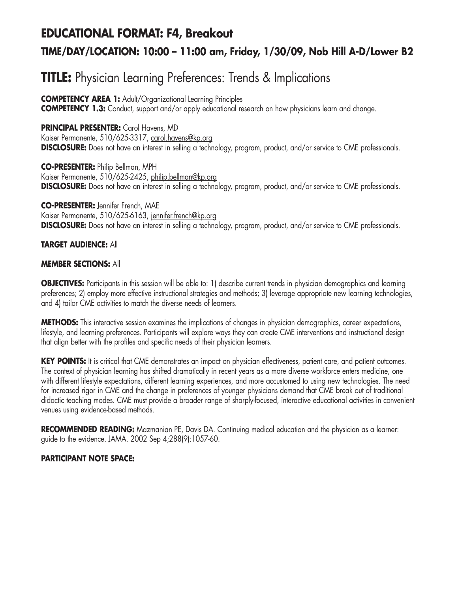## **EDUCATIONAL FORMAT: F4, Breakout**

## **TIME/DAY/LOCATION: 10:00 – 11:00 am, Friday, 1/30/09, Nob Hill A-D/Lower B2**

# **TITLE:** Physician Learning Preferences: Trends & Implications

**COMPETENCY AREA 1:** Adult/Organizational Learning Principles

**COMPETENCY 1.3:** Conduct, support and/or apply educational research on how physicians learn and change.

### **PRINCIPAL PRESENTER:** Carol Havens, MD

Kaiser Permanente, 510/625-3317, carol.havens@kp.org **DISCLOSURE:** Does not have an interest in selling a technology, program, product, and/or service to CME professionals.

**CO-PRESENTER:** Philip Bellman, MPH Kaiser Permanente, 510/625-2425, philip.bellman@kp.org **DISCLOSURE:** Does not have an interest in selling a technology, program, product, and/or service to CME professionals.

**CO-PRESENTER:** Jennifer French, MAE Kaiser Permanente, 510/625-6163, jennifer.french@kp.org **DISCLOSURE:** Does not have an interest in selling a technology, program, product, and/or service to CME professionals.

### **TARGET AUDIENCE:** All

### **MEMBER SECTIONS:** All

**OBJECTIVES:** Participants in this session will be able to: 1) describe current trends in physician demographics and learning preferences; 2) employ more effective instructional strategies and methods; 3) leverage appropriate new learning technologies, and 4) tailor CME activities to match the diverse needs of learners.

**METHODS:** This interactive session examines the implications of changes in physician demographics, career expectations, lifestyle, and learning preferences. Participants will explore ways they can create CME interventions and instructional design that align better with the profiles and specific needs of their physician learners.

KEY POINTS: It is critical that CME demonstrates an impact on physician effectiveness, patient care, and patient outcomes. The context of physician learning has shifted dramatically in recent years as a more diverse workforce enters medicine, one with different lifestyle expectations, different learning experiences, and more accustomed to using new technologies. The need for increased rigor in CME and the change in preferences of younger physicians demand that CME break out of traditional didactic teaching modes. CME must provide a broader range of sharply-focused, interactive educational activities in convenient venues using evidence-based methods.

**RECOMMENDED READING:** Mazmanian PE, Davis DA. Continuing medical education and the physician as a learner: guide to the evidence. JAMA. 2002 Sep 4;288(9):1057-60.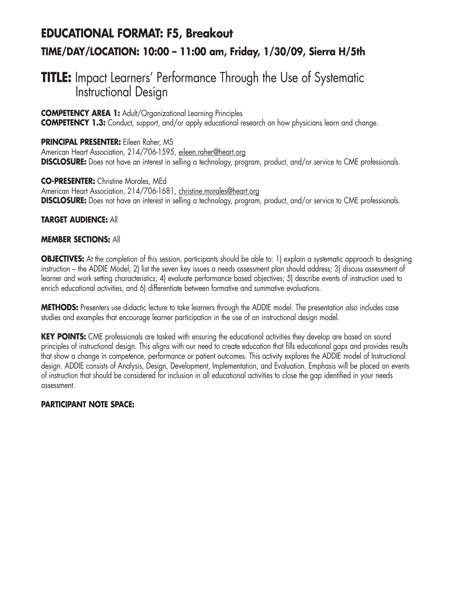## **EDUCATIONAL FORMAT: F5, Breakout TIME/DAY/LOCATION: 10:00 – 11:00 am, Friday, 1/30/09, Sierra H/5th**

## **TITLE:** Impact Learners' Performance Through the Use of Systematic Instructional Design

### **COMPETENCY AREA 1:** Adult/Organizational Learning Principles

**COMPETENCY 1.3:** Conduct, support, and/or apply educational research on how physicians learn and change.

**PRINCIPAL PRESENTER:** Eileen Raher, MS American Heart Association, 214/706-1595, eileen.raher@heart.org **DISCLOSURE:** Does not have an interest in selling a technology, program, product, and/or service to CME professionals.

### **CO-PRESENTER:** Christine Morales, MEd

American Heart Association, 214/706-1681, christine.morales@heart.org **DISCLOSURE:** Does not have an interest in selling a technology, program, product, and/or service to CME professionals.

### **TARGET AUDIENCE:** All

### **MEMBER SECTIONS:** All

**OBJECTIVES:** At the completion of this session, participants should be able to: 1) explain a systematic approach to designing instruction – the ADDIE Model; 2) list the seven key issues a needs assessment plan should address; 3) discuss assessment of learner and work setting characteristics; 4) evaluate performance based objectives; 5) describe events of instruction used to enrich educational activities, and 6) differentiate between formative and summative evaluations.

**METHODS:** Presenters use didactic lecture to take learners through the ADDIE model. The presentation also includes case studies and examples that encourage learner participation in the use of an instructional design model.

**KEY POINTS:** CME professionals are tasked with ensuring the educational activities they develop are based on sound principles of instructional design. This aligns with our need to create education that fills educational gaps and provides results that show a change in competence, performance or patient outcomes. This activity explores the ADDIE model of Instructional design. ADDIE consists of Analysis, Design, Development, Implementation, and Evaluation. Emphasis will be placed on events of instruction that should be considered for inclusion in all educational activities to close the gap identified in your needs assessment.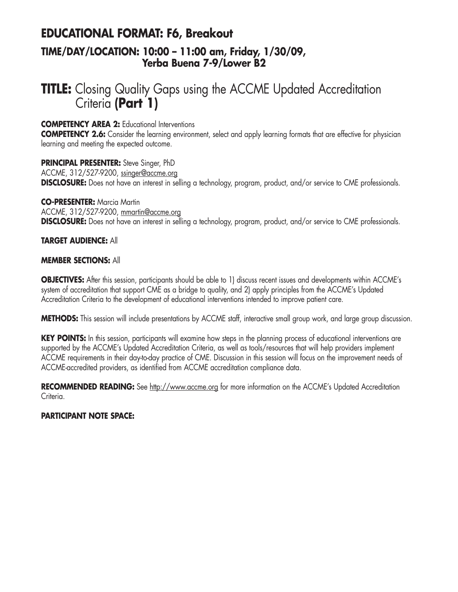## **EDUCATIONAL FORMAT: F6, Breakout TIME/DAY/LOCATION: 10:00 – 11:00 am, Friday, 1/30/09,**

### **Yerba Buena 7-9/Lower B2**

## **TITLE:** Closing Quality Gaps using the ACCME Updated Accreditation Criteria **(Part 1)**

**COMPETENCY AREA 2:** Educational Interventions

**COMPETENCY 2.6:** Consider the learning environment, select and apply learning formats that are effective for physician learning and meeting the expected outcome.

**PRINCIPAL PRESENTER:** Steve Singer, PhD ACCME, 312/527-9200, ssinger@accme.org **DISCLOSURE:** Does not have an interest in selling a technology, program, product, and/or service to CME professionals.

**CO-PRESENTER:** Marcia Martin ACCME, 312/527-9200, mmartin@accme.org **DISCLOSURE:** Does not have an interest in selling a technology, program, product, and/or service to CME professionals.

### **TARGET AUDIENCE:** All

### **MEMBER SECTIONS:** All

**OBJECTIVES:** After this session, participants should be able to 1) discuss recent issues and developments within ACCME's system of accreditation that support CME as a bridge to quality, and 2) apply principles from the ACCME's Updated Accreditation Criteria to the development of educational interventions intended to improve patient care.

**METHODS:** This session will include presentations by ACCME staff, interactive small group work, and large group discussion.

**KEY POINTS:** In this session, participants will examine how steps in the planning process of educational interventions are supported by the ACCME's Updated Accreditation Criteria, as well as tools/resources that will help providers implement ACCME requirements in their day-to-day practice of CME. Discussion in this session will focus on the improvement needs of ACCME-accredited providers, as identified from ACCME accreditation compliance data.

**RECOMMENDED READING:** See http://www.accme.org for more information on the ACCME's Updated Accreditation Criteria.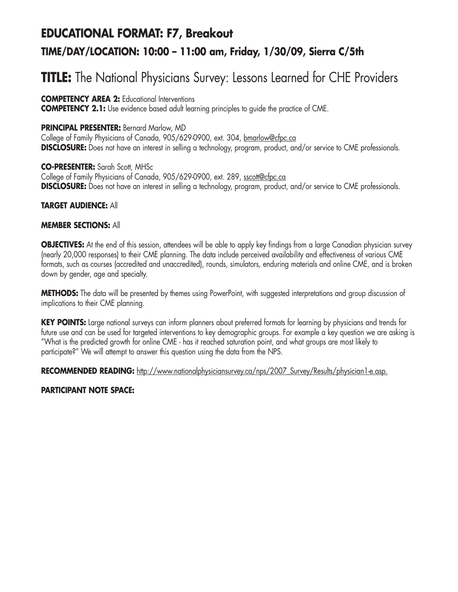# **EDUCATIONAL FORMAT: F7, Breakout TIME/DAY/LOCATION: 10:00 – 11:00 am, Friday, 1/30/09, Sierra C/5th**

# **TITLE:** The National Physicians Survey: Lessons Learned for CHE Providers

### **COMPETENCY AREA 2:** Educational Interventions

**COMPETENCY 2.1:** Use evidence based adult learning principles to guide the practice of CME.

### **PRINCIPAL PRESENTER:** Bernard Marlow, MD

College of Family Physicians of Canada, 905/629-0900, ext. 304, bmarlow@cfpc.ca **DISCLOSURE:** Does not have an interest in selling a technology, program, product, and/or service to CME professionals.

### **CO-PRESENTER:** Sarah Scott, MHSc

College of Family Physicians of Canada, 905/629-0900, ext. 289, sscott@cfpc.ca **DISCLOSURE:** Does not have an interest in selling a technology, program, product, and/or service to CME professionals.

### **TARGET AUDIENCE:** All

### **MEMBER SECTIONS:** All

**OBJECTIVES:** At the end of this session, attendees will be able to apply key findings from a large Canadian physician survey (nearly 20,000 responses) to their CME planning. The data include perceived availability and effectiveness of various CME formats, such as courses (accredited and unaccredited), rounds, simulators, enduring materials and online CME, and is broken down by gender, age and specialty.

**METHODS:** The data will be presented by themes using PowerPoint, with suggested interpretations and group discussion of implications to their CME planning.

**KEY POINTS:** Large national surveys can inform planners about preferred formats for learning by physicians and trends for future use and can be used for targeted interventions to key demographic groups. For example a key question we are asking is "What is the predicted growth for online CME - has it reached saturation point, and what groups are most likely to participate?" We will attempt to answer this question using the data from the NPS.

RECOMMENDED READING: http://www.nationalphysiciansurvey.ca/nps/2007 Survey/Results/physician1-e.asp.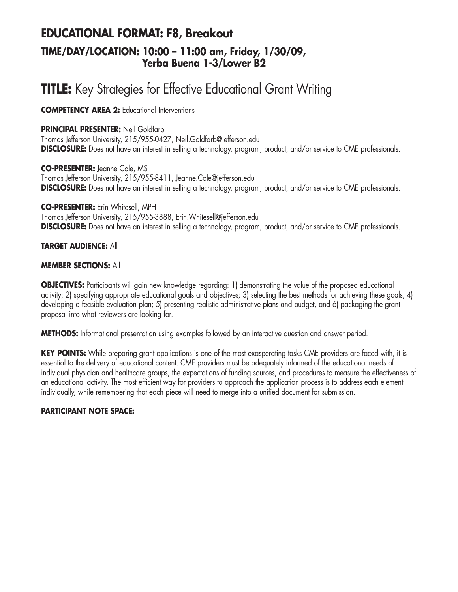### **EDUCATIONAL FORMAT: F8, Breakout TIME/DAY/LOCATION: 10:00 – 11:00 am, Friday, 1/30/09, Yerba Buena 1-3/Lower B2**

# **TITLE:** Key Strategies for Effective Educational Grant Writing

**COMPETENCY AREA 2:** Educational Interventions

### **PRINCIPAL PRESENTER:** Neil Goldfarb

Thomas Jefferson University, 215/955-0427, Neil.Goldfarb@jefferson.edu **DISCLOSURE:** Does not have an interest in selling a technology, program, product, and/or service to CME professionals.

**CO-PRESENTER:** Jeanne Cole, MS Thomas Jefferson University, 215/955-8411, Jeanne.Cole@jefferson.edu **DISCLOSURE:** Does not have an interest in selling a technology, program, product, and/or service to CME professionals.

**CO-PRESENTER:** Erin Whitesell, MPH Thomas Jefferson University, 215/955-3888, Erin. Whitesell@jefferson.edu **DISCLOSURE:** Does not have an interest in selling a technology, program, product, and/or service to CME professionals.

### **TARGET AUDIENCE:** All

### **MEMBER SECTIONS:** All

**OBJECTIVES:** Participants will gain new knowledge regarding: 1) demonstrating the value of the proposed educational activity; 2) specifying appropriate educational goals and objectives; 3) selecting the best methods for achieving these goals; 4) developing a feasible evaluation plan; 5) presenting realistic administrative plans and budget, and 6) packaging the grant proposal into what reviewers are looking for.

**METHODS:** Informational presentation using examples followed by an interactive question and answer period.

**KEY POINTS:** While preparing grant applications is one of the most exasperating tasks CME providers are faced with, it is essential to the delivery of educational content. CME providers must be adequately informed of the educational needs of individual physician and healthcare groups, the expectations of funding sources, and procedures to measure the effectiveness of an educational activity. The most efficient way for providers to approach the application process is to address each element individually, while remembering that each piece will need to merge into a unified document for submission.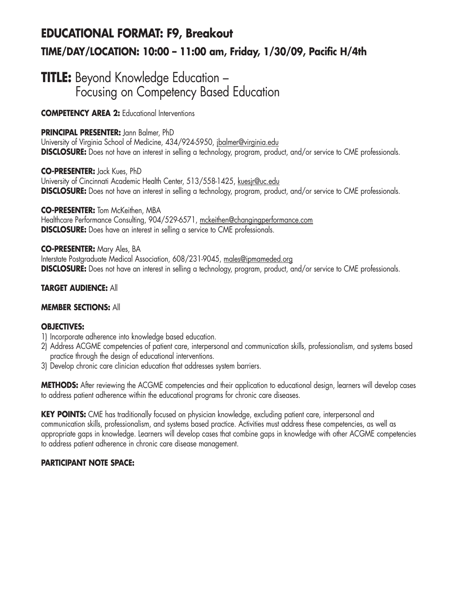# **EDUCATIONAL FORMAT: F9, Breakout TIME/DAY/LOCATION: 10:00 – 11:00 am, Friday, 1/30/09, Pacific H/4th**

## **TITLE:** Beyond Knowledge Education -Focusing on Competency Based Education

**COMPETENCY AREA 2:** Educational Interventions

### **PRINCIPAL PRESENTER:** Jann Balmer, PhD

University of Virginia School of Medicine, 434/924-5950, jbalmer@virginia.edu **DISCLOSURE:** Does not have an interest in selling a technology, program, product, and/or service to CME professionals.

**CO-PRESENTER:** Jack Kues, PhD University of Cincinnati Academic Health Center, 513/558-1425, kuesjr@uc.edu **DISCLOSURE:** Does not have an interest in selling a technology, program, product, and/or service to CME professionals.

**CO-PRESENTER:** Tom McKeithen, MBA Healthcare Performance Consulting, 904/529-6571, mckeithen@changingperformance.com **DISCLOSURE:** Does have an interest in selling a service to CME professionals.

### **CO-PRESENTER:** Mary Ales, BA

Interstate Postgraduate Medical Association, 608/231-9045, males@ipmameded.org **DISCLOSURE:** Does not have an interest in selling a technology, program, product, and/or service to CME professionals.

### **TARGET AUDIENCE:** All

### **MEMBER SECTIONS:** All

### **OBJECTIVES:**

- 1) Incorporate adherence into knowledge based education.
- 2) Address ACGME competencies of patient care, interpersonal and communication skills, professionalism, and systems based practice through the design of educational interventions.
- 3) Develop chronic care clinician education that addresses system barriers.

**METHODS:** After reviewing the ACGME competencies and their application to educational design, learners will develop cases to address patient adherence within the educational programs for chronic care diseases.

**KEY POINTS:** CME has traditionally focused on physician knowledge, excluding patient care, interpersonal and communication skills, professionalism, and systems based practice. Activities must address these competencies, as well as appropriate gaps in knowledge. Learners will develop cases that combine gaps in knowledge with other ACGME competencies to address patient adherence in chronic care disease management.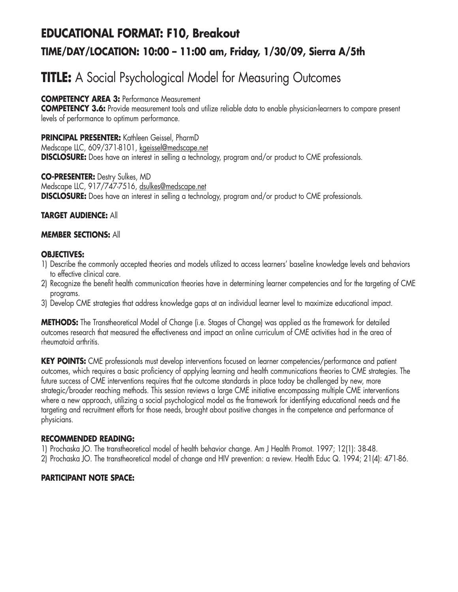# **EDUCATIONAL FORMAT: F10, Breakout TIME/DAY/LOCATION: 10:00 – 11:00 am, Friday, 1/30/09, Sierra A/5th**

# **TITLE:** A Social Psychological Model for Measuring Outcomes

**COMPETENCY AREA 3:** Performance Measurement

**COMPETENCY 3.6:** Provide measurement tools and utilize reliable data to enable physician-learners to compare present levels of performance to optimum performance.

**PRINCIPAL PRESENTER:** Kathleen Geissel, PharmD Medscape LLC, 609/371-8101, kgeissel@medscape.net **DISCLOSURE:** Does have an interest in selling a technology, program and/or product to CME professionals.

**CO-PRESENTER:** Destry Sulkes, MD Medscape LLC, 917/747-7516, dsulkes@medscape.net **DISCLOSURE:** Does have an interest in selling a technology, program and/or product to CME professionals.

**TARGET AUDIENCE:** All

### **MEMBER SECTIONS:** All

### **OBJECTIVES:**

- 1) Describe the commonly accepted theories and models utilized to access learners' baseline knowledge levels and behaviors to effective clinical care.
- 2) Recognize the benefit health communication theories have in determining learner competencies and for the targeting of CME programs.
- 3) Develop CME strategies that address knowledge gaps at an individual learner level to maximize educational impact.

**METHODS:** The Transtheoretical Model of Change (i.e. Stages of Change) was applied as the framework for detailed outcomes research that measured the effectiveness and impact an online curriculum of CME activities had in the area of rheumatoid arthritis.

**KEY POINTS:** CME professionals must develop interventions focused on learner competencies/performance and patient outcomes, which requires a basic proficiency of applying learning and health communications theories to CME strategies. The future success of CME interventions requires that the outcome standards in place today be challenged by new, more strategic/broader reaching methods. This session reviews a large CME initiative encompassing multiple CME interventions where a new approach, utilizing a social psychological model as the framework for identifying educational needs and the targeting and recruitment efforts for those needs, brought about positive changes in the competence and performance of physicians.

### **RECOMMENDED READING:**

1) Prochaska JO. The transtheoretical model of health behavior change. Am J Health Promot. 1997; 12(1): 38-48.

2) Prochaska JO. The transtheoretical model of change and HIV prevention: a review. Health Educ Q. 1994; 21(4): 471-86.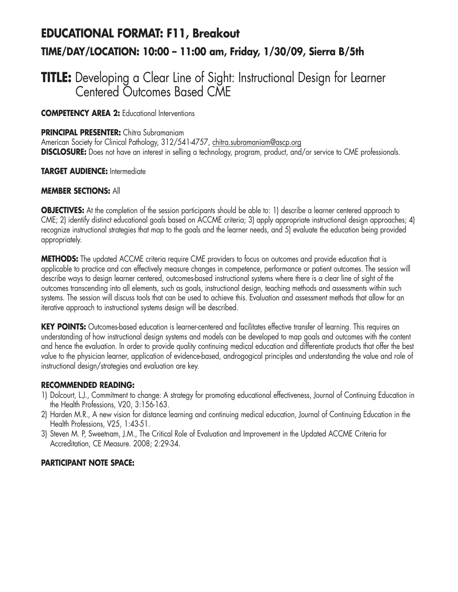# **EDUCATIONAL FORMAT: F11, Breakout TIME/DAY/LOCATION: 10:00 – 11:00 am, Friday, 1/30/09, Sierra B/5th**

## **TITLE:** Developing a Clear Line of Sight: Instructional Design for Learner Centered Outcomes Based CME

**COMPETENCY AREA 2:** Educational Interventions

### **PRINCIPAL PRESENTER:** Chitra Subramaniam

American Society for Clinical Pathology, 312/541-4757, chitra.subramaniam@ascp.org **DISCLOSURE:** Does not have an interest in selling a technology, program, product, and/or service to CME professionals.

### **TARGET AUDIENCE:** Intermediate

### **MEMBER SECTIONS:** All

**OBJECTIVES:** At the completion of the session participants should be able to: 1) describe a learner centered approach to CME; 2) identify distinct educational goals based on ACCME criteria; 3) apply appropriate instructional design approaches; 4) recognize instructional strategies that map to the goals and the learner needs, and 5) evaluate the education being provided appropriately.

**METHODS:** The updated ACCME criteria require CME providers to focus on outcomes and provide education that is applicable to practice and can effectively measure changes in competence, performance or patient outcomes. The session will describe ways to design learner centered, outcomes-based instructional systems where there is a clear line of sight of the outcomes transcending into all elements, such as goals, instructional design, teaching methods and assessments within such systems. The session will discuss tools that can be used to achieve this. Evaluation and assessment methods that allow for an iterative approach to instructional systems design will be described.

**KEY POINTS:** Outcomes-based education is learner-centered and facilitates effective transfer of learning. This requires an understanding of how instructional design systems and models can be developed to map goals and outcomes with the content and hence the evaluation. In order to provide quality continuing medical education and differentiate products that offer the best value to the physician learner, application of evidence-based, androgogical principles and understanding the value and role of instructional design/strategies and evaluation are key.

### **RECOMMENDED READING:**

- 1) Dolcourt, L.J., Commitment to change: A strategy for promoting educational effectiveness, Journal of Continuing Education in the Health Professions, V20, 3:156-163.
- 2) Harden M.R., A new vision for distance learning and continuing medical education, Journal of Continuing Education in the Health Professions, V25, 1:43-51.
- 3) Steven M. P, Sweetnam, J.M., The Critical Role of Evaluation and Improvement in the Updated ACCME Criteria for Accreditation, CE Measure. 2008; 2:29-34.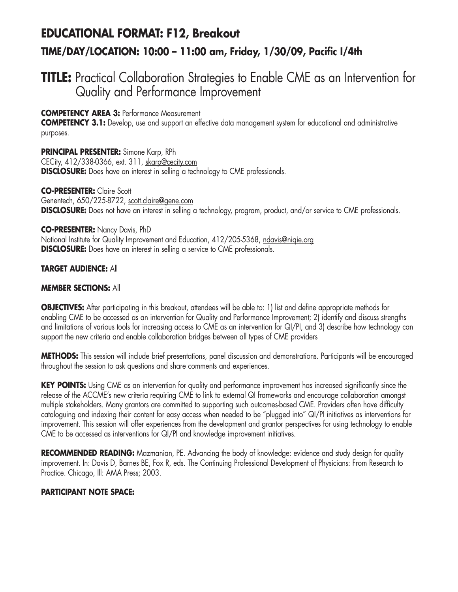# **EDUCATIONAL FORMAT: F12, Breakout TIME/DAY/LOCATION: 10:00 – 11:00 am, Friday, 1/30/09, Pacific I/4th**

## **TITLE:** Practical Collaboration Strategies to Enable CME as an Intervention for Quality and Performance Improvement

### **COMPETENCY AREA 3:** Performance Measurement

**COMPETENCY 3.1:** Develop, use and support an effective data management system for educational and administrative purposes.

**PRINCIPAL PRESENTER:** Simone Karp, RPh CECity, 412/338-0366, ext. 311, skarp@cecity.com **DISCLOSURE:** Does have an interest in selling a technology to CME professionals.

#### **CO-PRESENTER:** Claire Scott

Genentech, 650/225-8722, scott.claire@gene.com **DISCLOSURE:** Does not have an interest in selling a technology, program, product, and/or service to CME professionals.

#### **CO-PRESENTER:** Nancy Davis, PhD

National Institute for Quality Improvement and Education, 412/205-5368, ndavis@niqie.org **DISCLOSURE:** Does have an interest in selling a service to CME professionals.

### **TARGET AUDIENCE:** All

### **MEMBER SECTIONS:** All

**OBJECTIVES:** After participating in this breakout, attendees will be able to: 1) list and define appropriate methods for enabling CME to be accessed as an intervention for Quality and Performance Improvement; 2) identify and discuss strengths and limitations of various tools for increasing access to CME as an intervention for QI/PI, and 3) describe how technology can support the new criteria and enable collaboration bridges between all types of CME providers

**METHODS:** This session will include brief presentations, panel discussion and demonstrations. Participants will be encouraged throughout the session to ask questions and share comments and experiences.

**KEY POINTS:** Using CME as an intervention for quality and performance improvement has increased significantly since the release of the ACCME's new criteria requiring CME to link to external QI frameworks and encourage collaboration amongst multiple stakeholders. Many grantors are committed to supporting such outcomes-based CME. Providers often have difficulty cataloguing and indexing their content for easy access when needed to be "plugged into" QI/PI initiatives as interventions for improvement. This session will offer experiences from the development and grantor perspectives for using technology to enable CME to be accessed as interventions for QI/PI and knowledge improvement initiatives.

**RECOMMENDED READING:** Mazmanian, PE. Advancing the body of knowledge: evidence and study design for quality improvement. In: Davis D, Barnes BE, Fox R, eds. The Continuing Professional Development of Physicians: From Research to Practice. Chicago, Ill: AMA Press; 2003.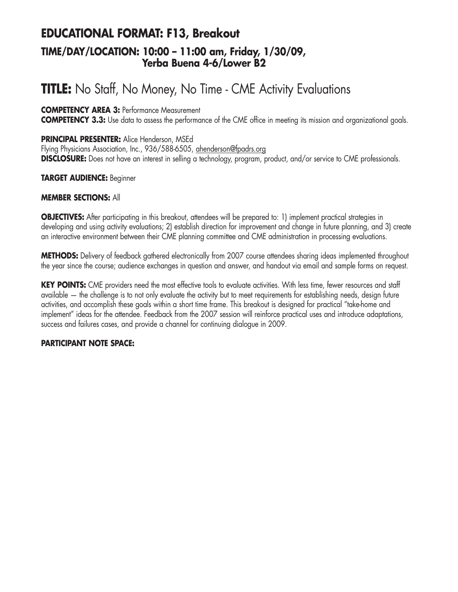## **EDUCATIONAL FORMAT: F13, Breakout TIME/DAY/LOCATION: 10:00 – 11:00 am, Friday, 1/30/09, Yerba Buena 4-6/Lower B2**

# **TITLE:** No Staff, No Money, No Time - CME Activity Evaluations

### **COMPETENCY AREA 3:** Performance Measurement

**COMPETENCY 3.3:** Use data to assess the performance of the CME office in meeting its mission and organizational goals.

### **PRINCIPAL PRESENTER:** Alice Henderson, MSEd

Flying Physicians Association, Inc., 936/588-6505, ahenderson@fpadrs.org **DISCLOSURE:** Does not have an interest in selling a technology, program, product, and/or service to CME professionals.

### **TARGET AUDIENCE:** Beginner

### **MEMBER SECTIONS:** All

**OBJECTIVES:** After participating in this breakout, attendees will be prepared to: 1) implement practical strategies in developing and using activity evaluations; 2) establish direction for improvement and change in future planning, and 3) create an interactive environment between their CME planning committee and CME administration in processing evaluations.

**METHODS:** Delivery of feedback gathered electronically from 2007 course attendees sharing ideas implemented throughout the year since the course; audience exchanges in question and answer, and handout via email and sample forms on request.

**KEY POINTS:** CME providers need the most effective tools to evaluate activities. With less time, fewer resources and staff available — the challenge is to not only evaluate the activity but to meet requirements for establishing needs, design future activities, and accomplish these goals within a short time frame. This breakout is designed for practical "take-home and implement" ideas for the attendee. Feedback from the 2007 session will reinforce practical uses and introduce adaptations, success and failures cases, and provide a channel for continuing dialogue in 2009.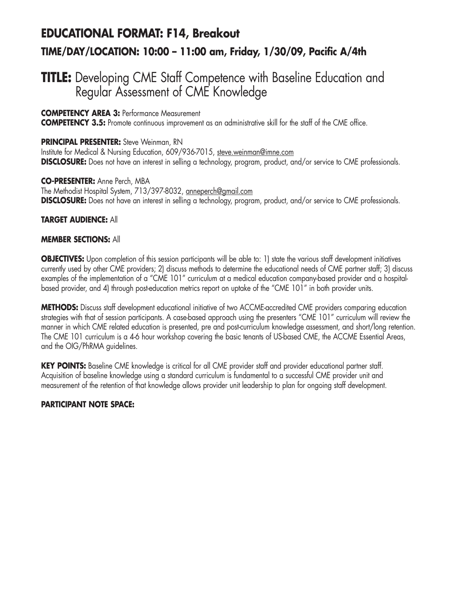## **EDUCATIONAL FORMAT: F14, Breakout TIME/DAY/LOCATION: 10:00 – 11:00 am, Friday, 1/30/09, Pacific A/4th**

## **TITLE:** Developing CME Staff Competence with Baseline Education and Regular Assessment of CME Knowledge

### **COMPETENCY AREA 3:** Performance Measurement

**COMPETENCY 3.5:** Promote continuous improvement as an administrative skill for the staff of the CME office.

### **PRINCIPAL PRESENTER:** Steve Weinman, RN

Institute for Medical & Nursing Education, 609/936-7015, steve.weinman@imne.com **DISCLOSURE:** Does not have an interest in selling a technology, program, product, and/or service to CME professionals.

### **CO-PRESENTER:** Anne Perch, MBA

The Methodist Hospital System, 713/397-8032, anneperch@gmail.com **DISCLOSURE:** Does not have an interest in selling a technology, program, product, and/or service to CME professionals.

### **TARGET AUDIENCE:** All

### **MEMBER SECTIONS:** All

**OBJECTIVES:** Upon completion of this session participants will be able to: 1) state the various staff development initiatives currently used by other CME providers; 2) discuss methods to determine the educational needs of CME partner staff; 3) discuss examples of the implementation of a "CME 101" curriculum at a medical education company-based provider and a hospitalbased provider, and 4) through post-education metrics report on uptake of the "CME 101" in both provider units.

**METHODS:** Discuss staff development educational initiative of two ACCME-accredited CME providers comparing education strategies with that of session participants. A case-based approach using the presenters "CME 101" curriculum will review the manner in which CME related education is presented, pre and post-curriculum knowledge assessment, and short/long retention. The CME 101 curriculum is a 4-6 hour workshop covering the basic tenants of US-based CME, the ACCME Essential Areas, and the OIG/PhRMA guidelines.

**KEY POINTS:** Baseline CME knowledge is critical for all CME provider staff and provider educational partner staff. Acquisition of baseline knowledge using a standard curriculum is fundamental to a successful CME provider unit and measurement of the retention of that knowledge allows provider unit leadership to plan for ongoing staff development.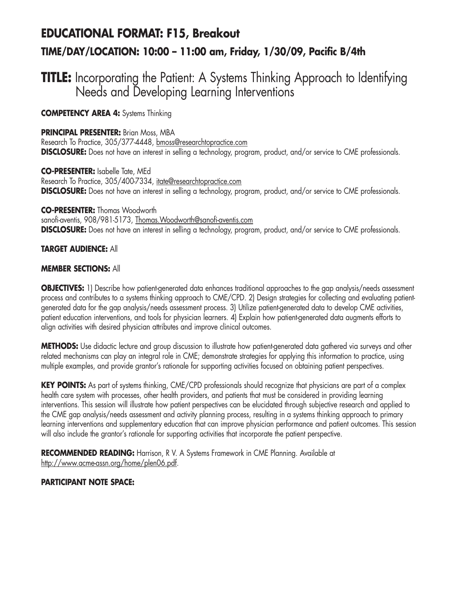# **EDUCATIONAL FORMAT: F15, Breakout TIME/DAY/LOCATION: 10:00 – 11:00 am, Friday, 1/30/09, Pacific B/4th**

## **TITLE:** Incorporating the Patient: A Systems Thinking Approach to Identifying Needs and Developing Learning Interventions

**COMPETENCY AREA 4:** Systems Thinking

### **PRINCIPAL PRESENTER: Brian Moss, MBA**

Research To Practice, 305/377-4448, bmoss@researchtopractice.com **DISCLOSURE:** Does not have an interest in selling a technology, program, product, and/or service to CME professionals.

**CO-PRESENTER:** Isabelle Tate, MEd Research To Practice, 305/400-7334, itate@researchtopractice.com **DISCLOSURE:** Does not have an interest in selling a technology, program, product, and/or service to CME professionals.

**CO-PRESENTER:** Thomas Woodworth sanofi-aventis, 908/981-5173, Thomas.Woodworth@sanofi-aventis.com **DISCLOSURE:** Does not have an interest in selling a technology, program, product, and/or service to CME professionals.

### **TARGET AUDIENCE:** All

### **MEMBER SECTIONS:** All

**OBJECTIVES:** 1) Describe how patient-generated data enhances traditional approaches to the gap analysis/needs assessment process and contributes to a systems thinking approach to CME/CPD. 2) Design strategies for collecting and evaluating patientgenerated data for the gap analysis/needs assessment process. 3) Utilize patient-generated data to develop CME activities, patient education interventions, and tools for physician learners. 4) Explain how patient-generated data augments efforts to align activities with desired physician attributes and improve clinical outcomes.

**METHODS:** Use didactic lecture and group discussion to illustrate how patient-generated data gathered via surveys and other related mechanisms can play an integral role in CME; demonstrate strategies for applying this information to practice, using multiple examples, and provide grantor's rationale for supporting activities focused on obtaining patient perspectives.

**KEY POINTS:** As part of systems thinking, CME/CPD professionals should recognize that physicians are part of a complex health care system with processes, other health providers, and patients that must be considered in providing learning interventions. This session will illustrate how patient perspectives can be elucidated through subjective research and applied to the CME gap analysis/needs assessment and activity planning process, resulting in a systems thinking approach to primary learning interventions and supplementary education that can improve physician performance and patient outcomes. This session will also include the grantor's rationale for supporting activities that incorporate the patient perspective.

**RECOMMENDED READING:** Harrison, R V. A Systems Framework in CME Planning. Available at http://www.acme-assn.org/home/plen06.pdf.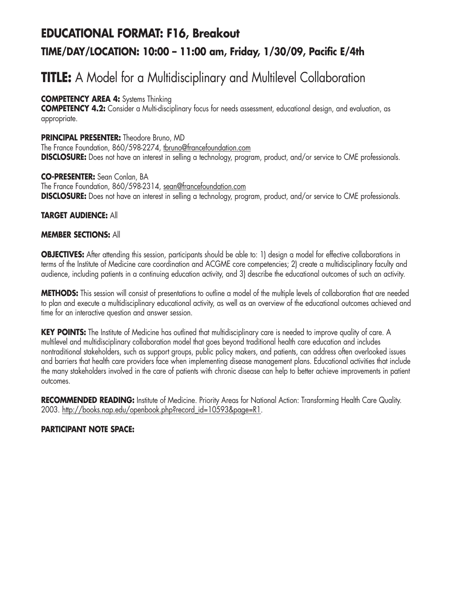# **EDUCATIONAL FORMAT: F16, Breakout TIME/DAY/LOCATION: 10:00 – 11:00 am, Friday, 1/30/09, Pacific E/4th**

# **TITLE:** A Model for a Multidisciplinary and Multilevel Collaboration

### **COMPETENCY AREA 4:** Systems Thinking

**COMPETENCY 4.2:** Consider a Multi-disciplinary focus for needs assessment, educational design, and evaluation, as appropriate.

### **PRINCIPAL PRESENTER:** Theodore Bruno, MD

The France Foundation, 860/598-2274, tbruno@francefoundation.com **DISCLOSURE:** Does not have an interest in selling a technology, program, product, and/or service to CME professionals.

### **CO-PRESENTER:** Sean Conlan, BA

The France Foundation, 860/598-2314, sean@francefoundation.com **DISCLOSURE:** Does not have an interest in selling a technology, program, product, and/or service to CME professionals.

### **TARGET AUDIENCE:** All

### **MEMBER SECTIONS:** All

**OBJECTIVES:** After attending this session, participants should be able to: 1) design a model for effective collaborations in terms of the Institute of Medicine care coordination and ACGME core competencies; 2) create a multidisciplinary faculty and audience, including patients in a continuing education activity, and 3) describe the educational outcomes of such an activity.

**METHODS:** This session will consist of presentations to outline a model of the multiple levels of collaboration that are needed to plan and execute a multidisciplinary educational activity, as well as an overview of the educational outcomes achieved and time for an interactive question and answer session.

**KEY POINTS:** The Institute of Medicine has outlined that multidisciplinary care is needed to improve quality of care. A multilevel and multidisciplinary collaboration model that goes beyond traditional health care education and includes nontraditional stakeholders, such as support groups, public policy makers, and patients, can address often overlooked issues and barriers that health care providers face when implementing disease management plans. Educational activities that include the many stakeholders involved in the care of patients with chronic disease can help to better achieve improvements in patient outcomes.

**RECOMMENDED READING:** Institute of Medicine. Priority Areas for National Action: Transforming Health Care Quality. 2003. http://books.nap.edu/openbook.php?record\_id=10593&page=R1.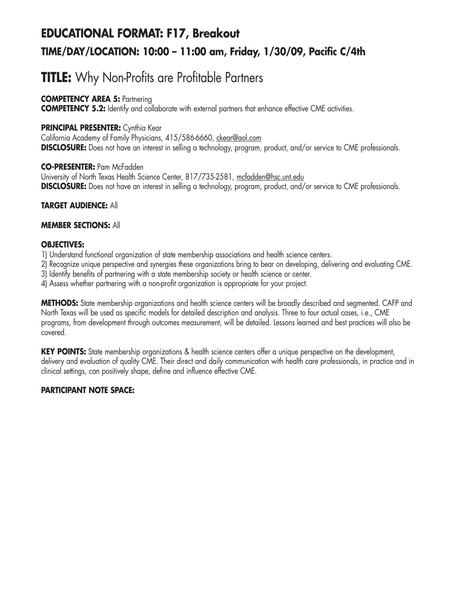# **EDUCATIONAL FORMAT: F17, Breakout TIME/DAY/LOCATION: 10:00 – 11:00 am, Friday, 1/30/09, Pacific C/4th**

# **TITLE:** Why Non-Profits are Profitable Partners

### **COMPETENCY AREA 5: Partnering**

**COMPETENCY 5.2:** Identify and collaborate with external partners that enhance effective CME activities.

### **PRINCIPAL PRESENTER:** Cynthia Kear

California Academy of Family Physicians, 415/586-6660, ckear@aol.com **DISCLOSURE:** Does not have an interest in selling a technology, program, product, and/or service to CME professionals.

### **CO-PRESENTER:** Pam McFadden

University of North Texas Health Science Center, 817/735-2581, mcfadden@hsc.unt.edu **DISCLOSURE:** Does not have an interest in selling a technology, program, product, and/or service to CME professionals.

### **TARGET AUDIENCE:** All

### **MEMBER SECTIONS:** All

### **OBJECTIVES:**

- 1) Understand functional organization of state membership associations and health science centers.
- 2) Recognize unique perspective and synergies these organizations bring to bear on developing, delivering and evaluating CME.
- 3) Identify benefits of partnering with a state membership society or health science or center.
- 4) Assess whether partnering with a non-profit organization is appropriate for your project.

**METHODS:** State membership organizations and health science centers will be broadly described and segmented. CAFP and North Texas will be used as specific models for detailed description and analysis. Three to four actual cases, i.e., CME programs, from development through outcomes measurement, will be detailed. Lessons learned and best practices will also be covered.

**KEY POINTS:** State membership organizations & health science centers offer a unique perspective on the development, delivery and evaluation of quality CME. Their direct and daily communication with health care professionals, in practice and in clinical settings, can positively shape, define and influence effective CME.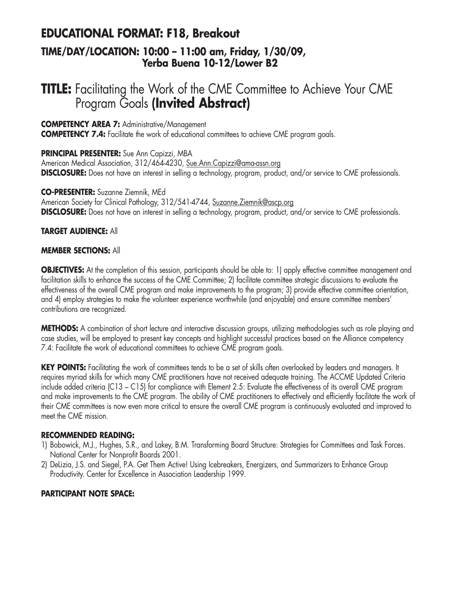## **EDUCATIONAL FORMAT: F18, Breakout**

### **TIME/DAY/LOCATION: 10:00 – 11:00 am, Friday, 1/30/09, Yerba Buena 10-12/Lower B2**

## **TITLE:** Facilitating the Work of the CME Committee to Achieve Your CME Program Goals **(Invited Abstract)**

### **COMPETENCY AREA 7:** Administrative/Management

**COMPETENCY 7.4:** Facilitate the work of educational committees to achieve CME program goals.

### **PRINCIPAL PRESENTER:** Sue Ann Capizzi, MBA

American Medical Association, 312/464-4230, Sue.Ann.Capizzi@ama-assn.org **DISCLOSURE:** Does not have an interest in selling a technology, program, product, and/or service to CME professionals.

### **CO-PRESENTER:** Suzanne Ziemnik, MEd

American Society for Clinical Pathology, 312/541-4744, Suzanne.Ziemnik@ascp.org **DISCLOSURE:** Does not have an interest in selling a technology, program, product, and/or service to CME professionals.

### **TARGET AUDIENCE:** All

### **MEMBER SECTIONS:** All

**OBJECTIVES:** At the completion of this session, participants should be able to: 1) apply effective committee management and facilitation skills to enhance the success of the CME Committee; 2) facilitate committee strategic discussions to evaluate the effectiveness of the overall CME program and make improvements to the program; 3) provide effective committee orientation, and 4) employ strategies to make the volunteer experience worthwhile (and enjoyable) and ensure committee members' contributions are recognized.

**METHODS:** A combination of short lecture and interactive discussion groups, utilizing methodologies such as role playing and case studies, will be employed to present key concepts and highlight successful practices based on the Alliance competency 7.4: Facilitate the work of educational committees to achieve CME program goals.

**KEY POINTS:** Facilitating the work of committees tends to be a set of skills often overlooked by leaders and managers. It requires myriad skills for which many CME practitioners have not received adequate training. The ACCME Updated Criteria include added criteria (C13 – C15) for compliance with Element 2.5: Evaluate the effectiveness of its overall CME program and make improvements to the CME program. The ability of CME practitioners to effectively and efficiently facilitate the work of their CME committees is now even more critical to ensure the overall CME program is continuously evaluated and improved to meet the CME mission.

### **RECOMMENDED READING:**

- 1) Bobowick, M.J., Hughes, S.R., and Lakey, B.M. Transforming Board Structure: Strategies for Committees and Task Forces. National Center for Nonprofit Boards 2001.
- 2) DeLizia, J.S. and Siegel, P.A. Get Them Active! Using Icebreakers, Energizers, and Summarizers to Enhance Group Productivity. Center for Excellence in Association Leadership 1999.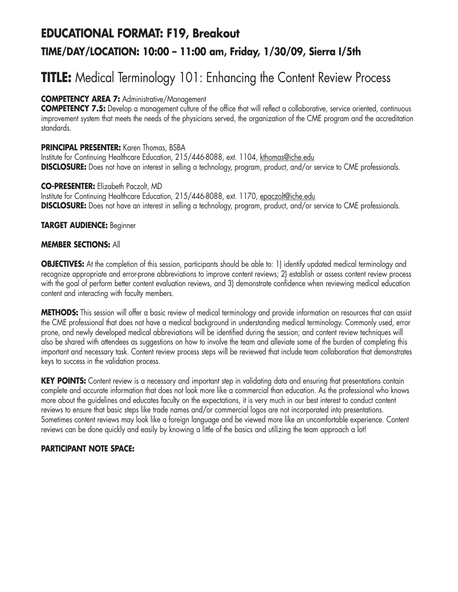# **EDUCATIONAL FORMAT: F19, Breakout TIME/DAY/LOCATION: 10:00 – 11:00 am, Friday, 1/30/09, Sierra I/5th**

# **TITLE:** Medical Terminology 101: Enhancing the Content Review Process

### **COMPETENCY AREA 7:** Administrative/Management

**COMPETENCY 7.5:** Develop a management culture of the office that will reflect a collaborative, service oriented, continuous improvement system that meets the needs of the physicians served, the organization of the CME program and the accreditation standards.

### **PRINCIPAL PRESENTER:** Karen Thomas, BSBA

Institute for Continuing Healthcare Education, 215/446-8088, ext. 1104, kthomas@iche.edu **DISCLOSURE:** Does not have an interest in selling a technology, program, product, and/or service to CME professionals.

### **CO-PRESENTER:** Elizabeth Paczolt, MD

Institute for Continuing Healthcare Education, 215/446-8088, ext. 1170, epaczolt@iche.edu **DISCLOSURE:** Does not have an interest in selling a technology, program, product, and/or service to CME professionals.

### **TARGET AUDIENCE:** Beginner

### **MEMBER SECTIONS:** All

**OBJECTIVES:** At the completion of this session, participants should be able to: 1) identify updated medical terminology and recognize appropriate and error-prone abbreviations to improve content reviews; 2) establish or assess content review process with the goal of perform better content evaluation reviews, and 3) demonstrate confidence when reviewing medical education content and interacting with faculty members.

**METHODS:** This session will offer a basic review of medical terminology and provide information on resources that can assist the CME professional that does not have a medical background in understanding medical terminology. Commonly used, error prone, and newly developed medical abbreviations will be identified during the session; and content review techniques will also be shared with attendees as suggestions on how to involve the team and alleviate some of the burden of completing this important and necessary task. Content review process steps will be reviewed that include team collaboration that demonstrates keys to success in the validation process.

**KEY POINTS:** Content review is a necessary and important step in validating data and ensuring that presentations contain complete and accurate information that does not look more like a commercial than education. As the professional who knows more about the guidelines and educates faculty on the expectations, it is very much in our best interest to conduct content reviews to ensure that basic steps like trade names and/or commercial logos are not incorporated into presentations. Sometimes content reviews may look like a foreign language and be viewed more like an uncomfortable experience. Content reviews can be done quickly and easily by knowing a little of the basics and utilizing the team approach a lot!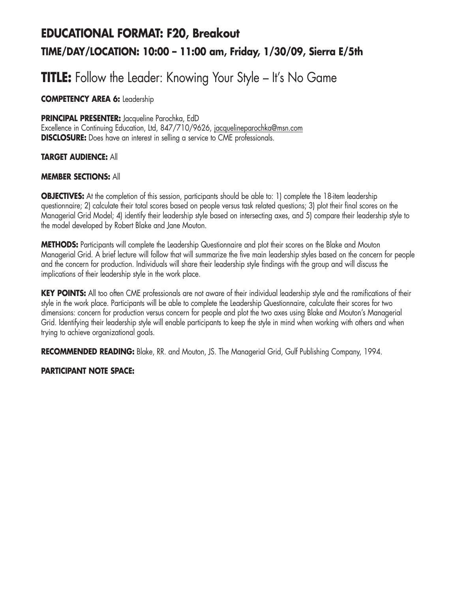# **EDUCATIONAL FORMAT: F20, Breakout TIME/DAY/LOCATION: 10:00 – 11:00 am, Friday, 1/30/09, Sierra E/5th**

## **TITLE:** Follow the Leader: Knowing Your Style – It's No Game

**COMPETENCY AREA 6:** Leadership

### **PRINCIPAL PRESENTER:** Jacqueline Parochka, EdD

Excellence in Continuing Education, Ltd, 847/710/9626, jacquelineparochka@msn.com **DISCLOSURE:** Does have an interest in selling a service to CME professionals.

### **TARGET AUDIENCE:** All

### **MEMBER SECTIONS:** All

**OBJECTIVES:** At the completion of this session, participants should be able to: 1) complete the 18-item leadership questionnaire; 2) calculate their total scores based on people versus task related questions; 3) plot their final scores on the Managerial Grid Model; 4) identify their leadership style based on intersecting axes, and 5) compare their leadership style to the model developed by Robert Blake and Jane Mouton.

**METHODS:** Participants will complete the Leadership Questionnaire and plot their scores on the Blake and Mouton Managerial Grid. A brief lecture will follow that will summarize the five main leadership styles based on the concern for people and the concern for production. Individuals will share their leadership style findings with the group and will discuss the implications of their leadership style in the work place.

**KEY POINTS:** All too often CME professionals are not aware of their individual leadership style and the ramifications of their style in the work place. Participants will be able to complete the Leadership Questionnaire, calculate their scores for two dimensions: concern for production versus concern for people and plot the two axes using Blake and Mouton's Managerial Grid. Identifying their leadership style will enable participants to keep the style in mind when working with others and when trying to achieve organizational goals.

**RECOMMENDED READING:** Blake, RR. and Mouton, JS. The Managerial Grid, Gulf Publishing Company, 1994.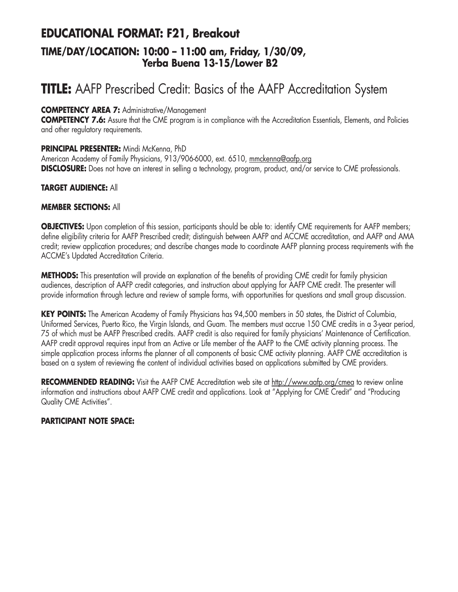### **EDUCATIONAL FORMAT: F21, Breakout TIME/DAY/LOCATION: 10:00 – 11:00 am, Friday, 1/30/09, Yerba Buena 13-15/Lower B2**

# **TITLE:** AAFP Prescribed Credit: Basics of the AAFP Accreditation System

### **COMPETENCY AREA 7:** Administrative/Management

**COMPETENCY 7.6:** Assure that the CME program is in compliance with the Accreditation Essentials, Elements, and Policies and other regulatory requirements.

### **PRINCIPAL PRESENTER:** Mindi McKenna, PhD

American Academy of Family Physicians, 913/906-6000, ext. 6510, mmckenna@aafp.org **DISCLOSURE:** Does not have an interest in selling a technology, program, product, and/or service to CME professionals.

### **TARGET AUDIENCE:** All

### **MEMBER SECTIONS:** All

**OBJECTIVES:** Upon completion of this session, participants should be able to: identify CME requirements for AAFP members; define eligibility criteria for AAFP Prescribed credit; distinguish between AAFP and ACCME accreditation, and AAFP and AMA credit; review application procedures; and describe changes made to coordinate AAFP planning process requirements with the ACCME's Updated Accreditation Criteria.

**METHODS:** This presentation will provide an explanation of the benefits of providing CME credit for family physician audiences, description of AAFP credit categories, and instruction about applying for AAFP CME credit. The presenter will provide information through lecture and review of sample forms, with opportunities for questions and small group discussion.

**KEY POINTS:** The American Academy of Family Physicians has 94,500 members in 50 states, the District of Columbia, Uniformed Services, Puerto Rico, the Virgin Islands, and Guam. The members must accrue 150 CME credits in a 3-year period, 75 of which must be AAFP Prescribed credits. AAFP credit is also required for family physicians' Maintenance of Certification. AAFP credit approval requires input from an Active or Life member of the AAFP to the CME activity planning process. The simple application process informs the planner of all components of basic CME activity planning. AAFP CME accreditation is based on a system of reviewing the content of individual activities based on applications submitted by CME providers.

RECOMMENDED READING: Visit the AAFP CME Accreditation web site at http://www.aafp.org/cmea to review online information and instructions about AAFP CME credit and applications. Look at "Applying for CME Credit" and "Producing Quality CME Activities".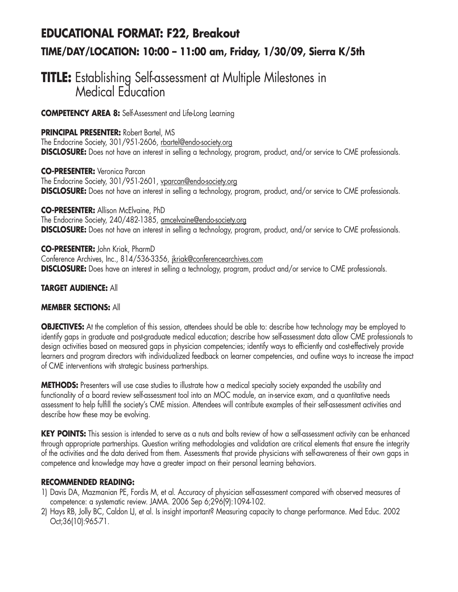# **EDUCATIONAL FORMAT: F22, Breakout TIME/DAY/LOCATION: 10:00 – 11:00 am, Friday, 1/30/09, Sierra K/5th**

## **TITLE:** Establishing Self-assessment at Multiple Milestones in Medical Education

**COMPETENCY AREA 8:** Self-Assessment and Life-Long Learning

### **PRINCIPAL PRESENTER:** Robert Bartel, MS

The Endocrine Society, 301/951-2606, rbartel@endo-society.org **DISCLOSURE:** Does not have an interest in selling a technology, program, product, and/or service to CME professionals.

**CO-PRESENTER:** Veronica Parcan The Endocrine Society, 301/951-2601, vparcan@endo-society.org **DISCLOSURE:** Does not have an interest in selling a technology, program, product, and/or service to CME professionals.

**CO-PRESENTER:** Allison McElvaine, PhD The Endocrine Society, 240/482-1385, amcelvaine@endo-society.org **DISCLOSURE:** Does not have an interest in selling a technology, program, product, and/or service to CME professionals.

**CO-PRESENTER:** John Kriak, PharmD Conference Archives, Inc., 814/536-3356, *jkriak@conferencearchives.com* **DISCLOSURE:** Does have an interest in selling a technology, program, product and/or service to CME professionals.

### **TARGET AUDIENCE:** All

### **MEMBER SECTIONS:** All

**OBJECTIVES:** At the completion of this session, attendees should be able to: describe how technology may be employed to identify gaps in graduate and post-graduate medical education; describe how self-assessment data allow CME professionals to design activities based on measured gaps in physician competencies; identify ways to efficiently and cost-effectively provide learners and program directors with individualized feedback on learner competencies, and outline ways to increase the impact of CME interventions with strategic business partnerships.

**METHODS:** Presenters will use case studies to illustrate how a medical specialty society expanded the usability and functionality of a board review self-assessment tool into an MOC module, an in-service exam, and a quantitative needs assessment to help fulfill the society's CME mission. Attendees will contribute examples of their self-assessment activities and describe how these may be evolving.

**KEY POINTS:** This session is intended to serve as a nuts and bolts review of how a self-assessment activity can be enhanced through appropriate partnerships. Question writing methodologies and validation are critical elements that ensure the integrity of the activities and the data derived from them. Assessments that provide physicians with self-awareness of their own gaps in competence and knowledge may have a greater impact on their personal learning behaviors.

### **RECOMMENDED READING:**

- 1) Davis DA, Mazmanian PE, Fordis M, et al. Accuracy of physician self-assessment compared with observed measures of competence: a systematic review. JAMA. 2006 Sep 6;296(9):1094-102.
- 2) Hays RB, Jolly BC, Caldon LJ, et al. Is insight important? Measuring capacity to change performance. Med Educ. 2002 Oct;36(10):965-71.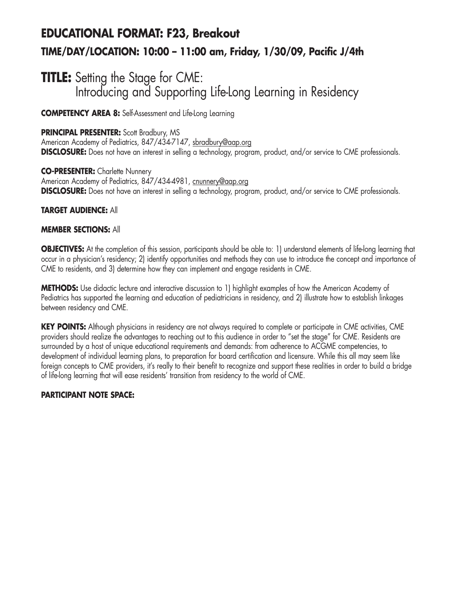# **EDUCATIONAL FORMAT: F23, Breakout TIME/DAY/LOCATION: 10:00 – 11:00 am, Friday, 1/30/09, Pacific J/4th**

## **TITLE:** Setting the Stage for CME: Introducing and Supporting Life-Long Learning in Residency

**COMPETENCY AREA 8:** Self-Assessment and Life-Long Learning

### **PRINCIPAL PRESENTER:** Scott Bradbury, MS

American Academy of Pediatrics, 847/434-7147, sbradbury@aap.org **DISCLOSURE:** Does not have an interest in selling a technology, program, product, and/or service to CME professionals.

**CO-PRESENTER:** Charlette Nunnery American Academy of Pediatrics, 847/434-4981, cnunnery@aap.org **DISCLOSURE:** Does not have an interest in selling a technology, program, product, and/or service to CME professionals.

### **TARGET AUDIENCE:** All

### **MEMBER SECTIONS:** All

**OBJECTIVES:** At the completion of this session, participants should be able to: 1) understand elements of life-long learning that occur in a physician's residency; 2) identify opportunities and methods they can use to introduce the concept and importance of CME to residents, and 3) determine how they can implement and engage residents in CME.

**METHODS:** Use didactic lecture and interactive discussion to 1) highlight examples of how the American Academy of Pediatrics has supported the learning and education of pediatricians in residency, and 2) illustrate how to establish linkages between residency and CME.

**KEY POINTS:** Although physicians in residency are not always required to complete or participate in CME activities, CME providers should realize the advantages to reaching out to this audience in order to "set the stage" for CME. Residents are surrounded by a host of unique educational requirements and demands: from adherence to ACGME competencies, to development of individual learning plans, to preparation for board certification and licensure. While this all may seem like foreign concepts to CME providers, it's really to their benefit to recognize and support these realities in order to build a bridge of life-long learning that will ease residents' transition from residency to the world of CME.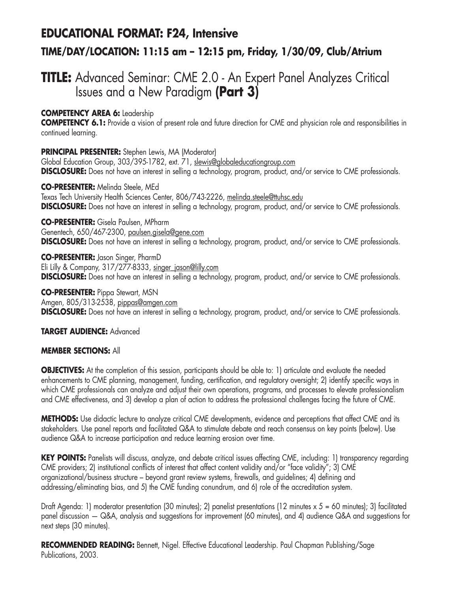## **EDUCATIONAL FORMAT: F24, Intensive**

### **TIME/DAY/LOCATION: 11:15 am – 12:15 pm, Friday, 1/30/09, Club/Atrium**

## **TITLE:** Advanced Seminar: CME 2.0 - An Expert Panel Analyzes Critical Issues and a New Paradigm **(Part 3)**

### **COMPETENCY AREA 6:** Leadership

**COMPETENCY 6.1:** Provide a vision of present role and future direction for CME and physician role and responsibilities in continued learning.

### **PRINCIPAL PRESENTER:** Stephen Lewis, MA (Moderator)

Global Education Group, 303/395-1782, ext. 71, slewis@globaleducationgroup.com **DISCLOSURE:** Does not have an interest in selling a technology, program, product, and/or service to CME professionals.

**CO-PRESENTER:** Melinda Steele, MEd Texas Tech University Health Sciences Center, 806/743-2226, melinda.steele@ttuhsc.edu **DISCLOSURE:** Does not have an interest in selling a technology, program, product, and/or service to CME professionals.

**CO-PRESENTER:** Gisela Paulsen, MPharm Genentech, 650/467-2300, paulsen.gisela@gene.com **DISCLOSURE:** Does not have an interest in selling a technology, program, product, and/or service to CME professionals.

**CO-PRESENTER:** Jason Singer, PharmD Eli Lilly & Company, 317/277-8333, singer\_jason@lilly.com **DISCLOSURE:** Does not have an interest in selling a technology, program, product, and/or service to CME professionals.

**CO-PRESENTER:** Pippa Stewart, MSN Amgen, 805/313-2538, pippas@amgen.com **DISCLOSURE:** Does not have an interest in selling a technology, program, product, and/or service to CME professionals.

### **TARGET AUDIENCE:** Advanced

### **MEMBER SECTIONS:** All

**OBJECTIVES:** At the completion of this session, participants should be able to: 1) articulate and evaluate the needed enhancements to CME planning, management, funding, certification, and regulatory oversight; 2) identify specific ways in which CME professionals can analyze and adjust their own operations, programs, and processes to elevate professionalism and CME effectiveness, and 3) develop a plan of action to address the professional challenges facing the future of CME.

**METHODS:** Use didactic lecture to analyze critical CME developments, evidence and perceptions that affect CME and its stakeholders. Use panel reports and facilitated Q&A to stimulate debate and reach consensus on key points (below). Use audience Q&A to increase participation and reduce learning erosion over time.

KEY POINTS: Panelists will discuss, analyze, and debate critical issues affecting CME, including: 1) transparency regarding CME providers; 2) institutional conflicts of interest that affect content validity and/or "face validity"; 3) CME organizational/business structure – beyond grant review systems, firewalls, and guidelines; 4) defining and addressing/eliminating bias, and 5) the CME funding conundrum, and 6) role of the accreditation system.

Draft Agenda: 1) moderator presentation (30 minutes); 2) panelist presentations (12 minutes  $x 5 = 60$  minutes); 3) facilitated panel discussion — Q&A, analysis and suggestions for improvement (60 minutes), and 4) audience Q&A and suggestions for next steps (30 minutes).

**RECOMMENDED READING:** Bennett, Nigel. Effective Educational Leadership. Paul Chapman Publishing/Sage Publications, 2003.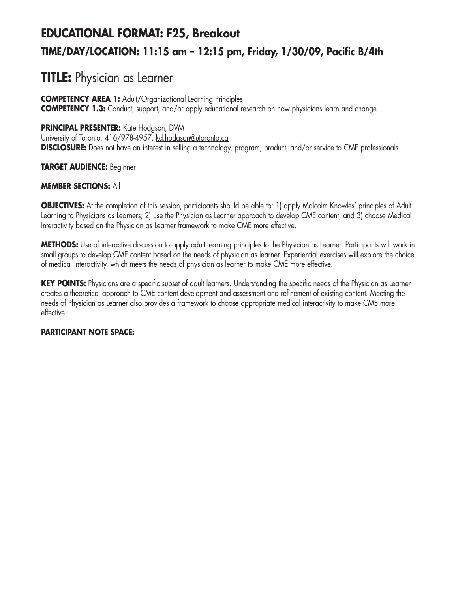# **EDUCATIONAL FORMAT: F25, Breakout TIME/DAY/LOCATION: 11:15 am – 12:15 pm, Friday, 1/30/09, Pacific B/4th**

## **TITLE:** Physician as Learner

**COMPETENCY AREA 1:** Adult/Organizational Learning Principles **COMPETENCY 1.3:** Conduct, support, and/or apply educational research on how physicians learn and change.

### **PRINCIPAL PRESENTER:** Kate Hodgson, DVM

University of Toronto, 416/978-4957, kd.hodgson@utoronto.ca **DISCLOSURE:** Does not have an interest in selling a technology, program, product, and/or service to CME professionals.

### **TARGET AUDIENCE:** Beginner

### **MEMBER SECTIONS:** All

**OBJECTIVES:** At the completion of this session, participants should be able to: 1) apply Malcolm Knowles' principles of Adult Learning to Physicians as Learners; 2) use the Physician as Learner approach to develop CME content, and 3) choose Medical Interactivity based on the Physician as Learner framework to make CME more effective.

**METHODS:** Use of interactive discussion to apply adult learning principles to the Physician as Learner. Participants will work in small groups to develop CME content based on the needs of physician as learner. Experiential exercises will explore the choice of medical interactivity, which meets the needs of physician as learner to make CME more effective.

KEY POINTS: Physicians are a specific subset of adult learners. Understanding the specific needs of the Physician as Learner creates a theoretical approach to CME content development and assessment and refinement of existing content. Meeting the needs of Physician as Learner also provides a framework to choose appropriate medical interactivity to make CME more effective.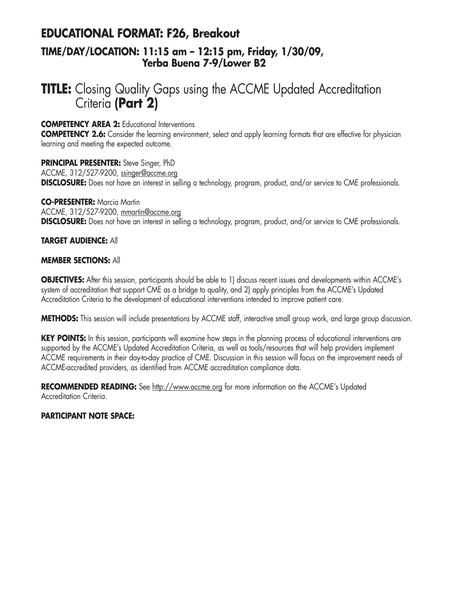### **EDUCATIONAL FORMAT: F26, Breakout TIME/DAY/LOCATION: 11:15 am – 12:15 pm, Friday, 1/30/09, Yerba Buena 7-9/Lower B2**

## **TITLE:** Closing Quality Gaps using the ACCME Updated Accreditation Criteria **(Part 2)**

**COMPETENCY AREA 2:** Educational Interventions

**COMPETENCY 2.6:** Consider the learning environment, select and apply learning formats that are effective for physician learning and meeting the expected outcome.

**PRINCIPAL PRESENTER:** Steve Singer, PhD ACCME, 312/527-9200, ssinger@accme.org **DISCLOSURE:** Does not have an interest in selling a technology, program, product, and/or service to CME professionals.

**CO-PRESENTER:** Marcia Martin ACCME, 312/527-9200, mmartin@accme.org **DISCLOSURE:** Does not have an interest in selling a technology, program, product, and/or service to CME professionals.

### **TARGET AUDIENCE:** All

### **MEMBER SECTIONS:** All

**OBJECTIVES:** After this session, participants should be able to 1) discuss recent issues and developments within ACCME's system of accreditation that support CME as a bridge to quality, and 2) apply principles from the ACCME's Updated Accreditation Criteria to the development of educational interventions intended to improve patient care.

**METHODS:** This session will include presentations by ACCME staff, interactive small group work, and large group discussion.

**KEY POINTS:** In this session, participants will examine how steps in the planning process of educational interventions are supported by the ACCME's Updated Accreditation Criteria, as well as tools/resources that will help providers implement ACCME requirements in their day-to-day practice of CME. Discussion in this session will focus on the improvement needs of ACCME-accredited providers, as identified from ACCME accreditation compliance data.

**RECOMMENDED READING:** See http://www.accme.org for more information on the ACCME's Updated Accreditation Criteria.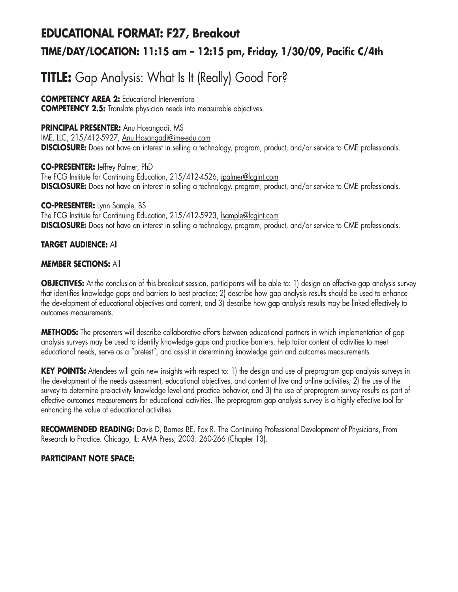# **EDUCATIONAL FORMAT: F27, Breakout TIME/DAY/LOCATION: 11:15 am – 12:15 pm, Friday, 1/30/09, Pacific C/4th**

# **TITLE:** Gap Analysis: What Is It (Really) Good For?

**COMPETENCY AREA 2:** Educational Interventions **COMPETENCY 2.5:** Translate physician needs into measurable objectives.

**PRINCIPAL PRESENTER:** Anu Hosangadi, MS

IME, LLC, 215/412-5927, Anu.Hosangadi@ime-edu.com **DISCLOSURE:** Does not have an interest in selling a technology, program, product, and/or service to CME professionals.

**CO-PRESENTER:** Jeffrey Palmer, PhD The FCG Institute for Continuing Education, 215/412-4526, jpalmer@fcgint.com **DISCLOSURE:** Does not have an interest in selling a technology, program, product, and/or service to CME professionals.

**CO-PRESENTER:** Lynn Sample, BS The FCG Institute for Continuing Education, 215/412-5923, Isample@fcgint.com **DISCLOSURE:** Does not have an interest in selling a technology, program, product, and/or service to CME professionals.

### **TARGET AUDIENCE:** All

### **MEMBER SECTIONS:** All

**OBJECTIVES:** At the conclusion of this breakout session, participants will be able to: 1) design an effective gap analysis survey that identifies knowledge gaps and barriers to best practice; 2) describe how gap analysis results should be used to enhance the development of educational objectives and content, and 3) describe how gap analysis results may be linked effectively to outcomes measurements.

**METHODS:** The presenters will describe collaborative efforts between educational partners in which implementation of gap analysis surveys may be used to identify knowledge gaps and practice barriers, help tailor content of activities to meet educational needs, serve as a "pretest", and assist in determining knowledge gain and outcomes measurements.

**KEY POINTS:** Attendees will gain new insights with respect to: 1) the design and use of preprogram gap analysis surveys in the development of the needs assessment, educational objectives, and content of live and online activities; 2) the use of the survey to determine pre-activity knowledge level and practice behavior, and 3) the use of preprogram survey results as part of effective outcomes measurements for educational activities. The preprogram gap analysis survey is a highly effective tool for enhancing the value of educational activities.

**RECOMMENDED READING:** Davis D, Barnes BE, Fox R. The Continuing Professional Development of Physicians, From Research to Practice. Chicago, IL: AMA Press; 2003: 260-266 (Chapter 13).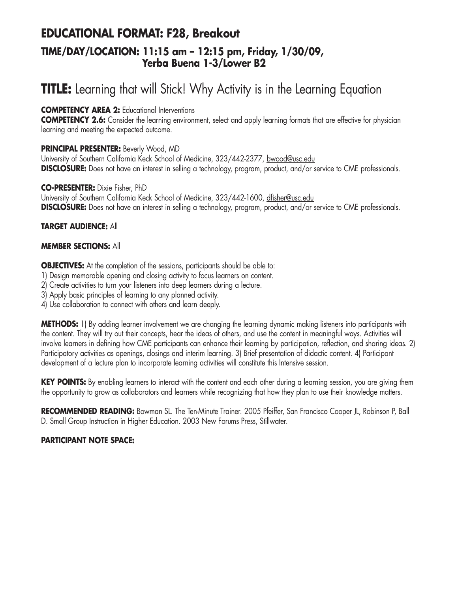## **EDUCATIONAL FORMAT: F28, Breakout TIME/DAY/LOCATION: 11:15 am – 12:15 pm, Friday, 1/30/09, Yerba Buena 1-3/Lower B2**

# **TITLE:** Learning that will Stick! Why Activity is in the Learning Equation

### **COMPETENCY AREA 2:** Educational Interventions

**COMPETENCY 2.6:** Consider the learning environment, select and apply learning formats that are effective for physician learning and meeting the expected outcome.

### **PRINCIPAL PRESENTER:** Beverly Wood, MD

University of Southern California Keck School of Medicine, 323/442-2377, bwood@usc.edu **DISCLOSURE:** Does not have an interest in selling a technology, program, product, and/or service to CME professionals.

### **CO-PRESENTER:** Dixie Fisher, PhD

University of Southern California Keck School of Medicine, 323/442-1600, dfisher@usc.edu **DISCLOSURE:** Does not have an interest in selling a technology, program, product, and/or service to CME professionals.

### **TARGET AUDIENCE:** All

### **MEMBER SECTIONS:** All

**OBJECTIVES:** At the completion of the sessions, participants should be able to:

- 1) Design memorable opening and closing activity to focus learners on content.
- 2) Create activities to turn your listeners into deep learners during a lecture.
- 3) Apply basic principles of learning to any planned activity.
- 4) Use collaboration to connect with others and learn deeply.

**METHODS:** 1) By adding learner involvement we are changing the learning dynamic making listeners into participants with the content. They will try out their concepts, hear the ideas of others, and use the content in meaningful ways. Activities will involve learners in defining how CME participants can enhance their learning by participation, reflection, and sharing ideas. 2) Participatory activities as openings, closings and interim learning. 3) Brief presentation of didactic content. 4) Participant development of a lecture plan to incorporate learning activities will constitute this Intensive session.

KEY POINTS: By enabling learners to interact with the content and each other during a learning session, you are giving them the opportunity to grow as collaborators and learners while recognizing that how they plan to use their knowledge matters.

**RECOMMENDED READING:** Bowman SL. The Ten-Minute Trainer. 2005 Pfeiffer, San Francisco Cooper JL, Robinson P, Ball D. Small Group Instruction in Higher Education. 2003 New Forums Press, Stillwater.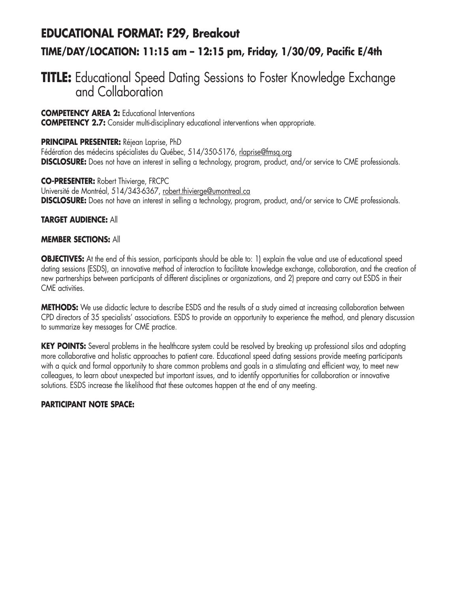## **EDUCATIONAL FORMAT: F29, Breakout**

### **TIME/DAY/LOCATION: 11:15 am – 12:15 pm, Friday, 1/30/09, Pacific E/4th**

## **TITLE:** Educational Speed Dating Sessions to Foster Knowledge Exchange and Collaboration

**COMPETENCY AREA 2:** Educational Interventions

**COMPETENCY 2.7:** Consider multi-disciplinary educational interventions when appropriate.

### **PRINCIPAL PRESENTER:** Réjean Laprise, PhD

Fédération des médecins spécialistes du Québec, 514/350-5176, rlaprise@fmsq.org **DISCLOSURE:** Does not have an interest in selling a technology, program, product, and/or service to CME professionals.

**CO-PRESENTER:** Robert Thivierge, FRCPC Université de Montréal, 514/343-6367, robert.thivierge@umontreal.ca **DISCLOSURE:** Does not have an interest in selling a technology, program, product, and/or service to CME professionals.

### **TARGET AUDIENCE:** All

### **MEMBER SECTIONS:** All

**OBJECTIVES:** At the end of this session, participants should be able to: 1) explain the value and use of educational speed dating sessions (ESDS), an innovative method of interaction to facilitate knowledge exchange, collaboration, and the creation of new partnerships between participants of different disciplines or organizations, and 2) prepare and carry out ESDS in their CME activities.

**METHODS:** We use didactic lecture to describe ESDS and the results of a study aimed at increasing collaboration between CPD directors of 35 specialists' associations. ESDS to provide an opportunity to experience the method, and plenary discussion to summarize key messages for CME practice.

**KEY POINTS:** Several problems in the healthcare system could be resolved by breaking up professional silos and adopting more collaborative and holistic approaches to patient care. Educational speed dating sessions provide meeting participants with a quick and formal opportunity to share common problems and goals in a stimulating and efficient way, to meet new colleagues, to learn about unexpected but important issues, and to identify opportunities for collaboration or innovative solutions. ESDS increase the likelihood that these outcomes happen at the end of any meeting.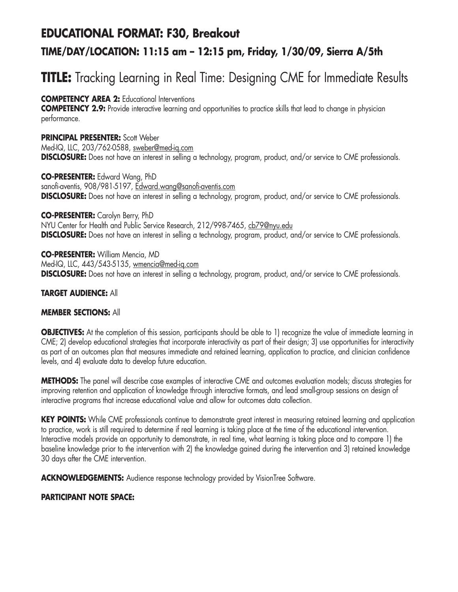# **EDUCATIONAL FORMAT: F30, Breakout TIME/DAY/LOCATION: 11:15 am – 12:15 pm, Friday, 1/30/09, Sierra A/5th**

# **TITLE:** Tracking Learning in Real Time: Designing CME for Immediate Results

### **COMPETENCY AREA 2:** Educational Interventions

**COMPETENCY 2.9:** Provide interactive learning and opportunities to practice skills that lead to change in physician performance.

**PRINCIPAL PRESENTER:** Scott Weber Med-IQ, LLC, 203/762-0588, sweber@med-iq.com **DISCLOSURE:** Does not have an interest in selling a technology, program, product, and/or service to CME professionals.

**CO-PRESENTER:** Edward Wang, PhD sanofi-aventis, 908/981-5197, Edward.wang@sanofi-aventis.com **DISCLOSURE:** Does not have an interest in selling a technology, program, product, and/or service to CME professionals.

### **CO-PRESENTER:** Carolyn Berry, PhD

NYU Center for Health and Public Service Research, 212/998-7465, cb79@nyu.edu **DISCLOSURE:** Does not have an interest in selling a technology, program, product, and/or service to CME professionals.

**CO-PRESENTER:** William Mencia, MD Med-IQ, LLC, 443/543-5135, wmencia@med-iq.com **DISCLOSURE:** Does not have an interest in selling a technology, program, product, and/or service to CME professionals.

### **TARGET AUDIENCE:** All

### **MEMBER SECTIONS:** All

**OBJECTIVES:** At the completion of this session, participants should be able to 1) recognize the value of immediate learning in CME; 2) develop educational strategies that incorporate interactivity as part of their design; 3) use opportunities for interactivity as part of an outcomes plan that measures immediate and retained learning, application to practice, and clinician confidence levels, and 4) evaluate data to develop future education.

**METHODS:** The panel will describe case examples of interactive CME and outcomes evaluation models; discuss strategies for improving retention and application of knowledge through interactive formats, and lead small-group sessions on design of interactive programs that increase educational value and allow for outcomes data collection.

**KEY POINTS:** While CME professionals continue to demonstrate great interest in measuring retained learning and application to practice, work is still required to determine if real learning is taking place at the time of the educational intervention. Interactive models provide an opportunity to demonstrate, in real time, what learning is taking place and to compare 1) the baseline knowledge prior to the intervention with 2) the knowledge gained during the intervention and 3) retained knowledge 30 days after the CME intervention.

**ACKNOWLEDGEMENTS:** Audience response technology provided by VisionTree Software.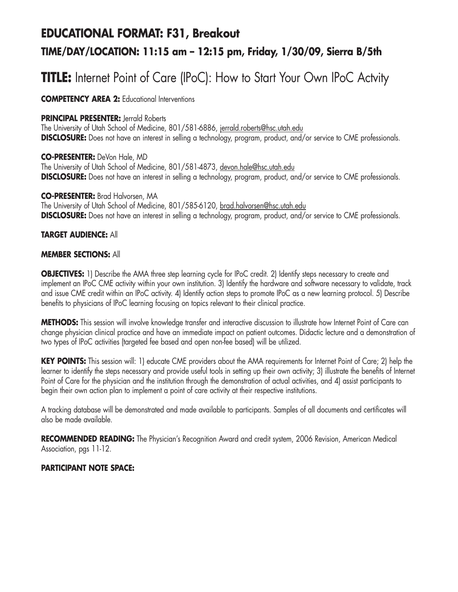## **EDUCATIONAL FORMAT: F31, Breakout**

### **TIME/DAY/LOCATION: 11:15 am – 12:15 pm, Friday, 1/30/09, Sierra B/5th**

# **TITLE:** Internet Point of Care (IPoC): How to Start Your Own IPoC Actvity

**COMPETENCY AREA 2:** Educational Interventions

### **PRINCIPAL PRESENTER:** lerrald Roberts

The University of Utah School of Medicine, 801/581-6886, jerrald.roberts@hsc.utah.edu **DISCLOSURE:** Does not have an interest in selling a technology, program, product, and/or service to CME professionals.

### **CO-PRESENTER:** DeVon Hale, MD

The University of Utah School of Medicine, 801/581-4873, devon.hale@hsc.utah.edu **DISCLOSURE:** Does not have an interest in selling a technology, program, product, and/or service to CME professionals.

### **CO-PRESENTER:** Brad Halvorsen, MA

The University of Utah School of Medicine, 801/585-6120, brad.halvorsen@hsc.utah.edu **DISCLOSURE:** Does not have an interest in selling a technology, program, product, and/or service to CME professionals.

### **TARGET AUDIENCE:** All

### **MEMBER SECTIONS:** All

**OBJECTIVES:** 1) Describe the AMA three step learning cycle for IPoC credit. 2) Identify steps necessary to create and implement an IPoC CME activity within your own institution. 3) Identify the hardware and software necessary to validate, track and issue CME credit within an IPoC activity. 4) Identify action steps to promote IPoC as a new learning protocol. 5) Describe benefits to physicians of IPoC learning focusing on topics relevant to their clinical practice.

**METHODS:** This session will involve knowledge transfer and interactive discussion to illustrate how Internet Point of Care can change physician clinical practice and have an immediate impact on patient outcomes. Didactic lecture and a demonstration of two types of IPoC activities (targeted fee based and open non-fee based) will be utilized.

**KEY POINTS:** This session will: 1) educate CME providers about the AMA requirements for Internet Point of Care; 2) help the learner to identify the steps necessary and provide useful tools in setting up their own activity; 3) illustrate the benefits of Internet Point of Care for the physician and the institution through the demonstration of actual activities, and 4) assist participants to begin their own action plan to implement a point of care activity at their respective institutions.

A tracking database will be demonstrated and made available to participants. Samples of all documents and certificates will also be made available.

**RECOMMENDED READING:** The Physician's Recognition Award and credit system, 2006 Revision, American Medical Association, pgs 11-12.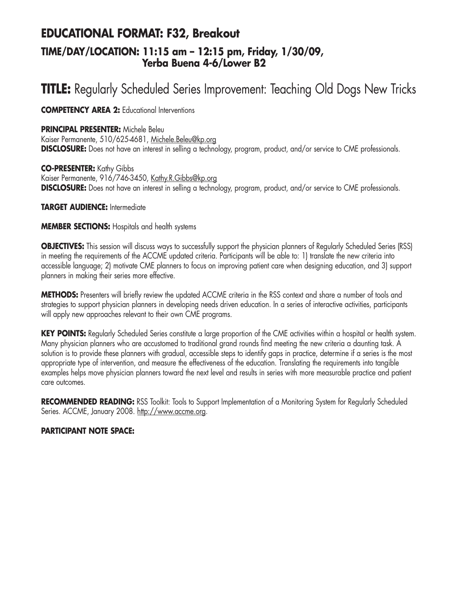## **EDUCATIONAL FORMAT: F32, Breakout TIME/DAY/LOCATION: 11:15 am – 12:15 pm, Friday, 1/30/09, Yerba Buena 4-6/Lower B2**

# **TITLE:** Regularly Scheduled Series Improvement: Teaching Old Dogs New Tricks

**COMPETENCY AREA 2:** Educational Interventions

### **PRINCIPAL PRESENTER:** Michele Beleu

Kaiser Permanente, 510/625-4681, Michele.Beleu@kp.org **DISCLOSURE:** Does not have an interest in selling a technology, program, product, and/or service to CME professionals.

**CO-PRESENTER:** Kathy Gibbs Kaiser Permanente, 916/746-3450, Kathy.R.Gibbs@kp.org **DISCLOSURE:** Does not have an interest in selling a technology, program, product, and/or service to CME professionals.

**TARGET AUDIENCE:** Intermediate

#### **MEMBER SECTIONS:** Hospitals and health systems

**OBJECTIVES:** This session will discuss ways to successfully support the physician planners of Regularly Scheduled Series (RSS) in meeting the requirements of the ACCME updated criteria. Participants will be able to: 1) translate the new criteria into accessible language; 2) motivate CME planners to focus on improving patient care when designing education, and 3) support planners in making their series more effective.

**METHODS:** Presenters will briefly review the updated ACCME criteria in the RSS context and share a number of tools and strategies to support physician planners in developing needs driven education. In a series of interactive activities, participants will apply new approaches relevant to their own CME programs.

**KEY POINTS:** Regularly Scheduled Series constitute a large proportion of the CME activities within a hospital or health system. Many physician planners who are accustomed to traditional grand rounds find meeting the new criteria a daunting task. A solution is to provide these planners with gradual, accessible steps to identify gaps in practice, determine if a series is the most appropriate type of intervention, and measure the effectiveness of the education. Translating the requirements into tangible examples helps move physician planners toward the next level and results in series with more measurable practice and patient care outcomes.

**RECOMMENDED READING:** RSS Toolkit: Tools to Support Implementation of a Monitoring System for Regularly Scheduled Series. ACCME, January 2008. http://www.accme.org.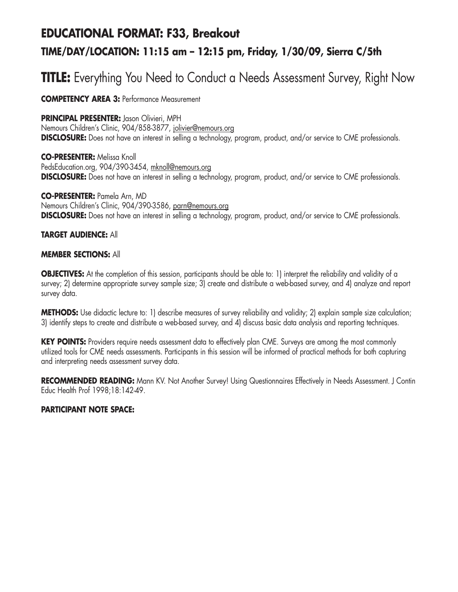## **EDUCATIONAL FORMAT: F33, Breakout TIME/DAY/LOCATION: 11:15 am – 12:15 pm, Friday, 1/30/09, Sierra C/5th**

# **TITLE:** Everything You Need to Conduct a Needs Assessment Survey, Right Now

**COMPETENCY AREA 3:** Performance Measurement

#### **PRINCIPAL PRESENTER:** Jason Olivieri, MPH

Nemours Children's Clinic, 904/858-3877, jolivier@nemours.org **DISCLOSURE:** Does not have an interest in selling a technology, program, product, and/or service to CME professionals.

**CO-PRESENTER:** Melissa Knoll PedsEducation.org, 904/390-3454, mknoll@nemours.org **DISCLOSURE:** Does not have an interest in selling a technology, program, product, and/or service to CME professionals.

**CO-PRESENTER:** Pamela Arn, MD Nemours Children's Clinic, 904/390-3586, parn@nemours.org **DISCLOSURE:** Does not have an interest in selling a technology, program, product, and/or service to CME professionals.

#### **TARGET AUDIENCE:** All

#### **MEMBER SECTIONS:** All

**OBJECTIVES:** At the completion of this session, participants should be able to: 1) interpret the reliability and validity of a survey; 2) determine appropriate survey sample size; 3) create and distribute a web-based survey, and 4) analyze and report survey data.

**METHODS:** Use didactic lecture to: 1) describe measures of survey reliability and validity; 2) explain sample size calculation; 3) identify steps to create and distribute a web-based survey, and 4) discuss basic data analysis and reporting techniques.

**KEY POINTS:** Providers require needs assessment data to effectively plan CME. Surveys are among the most commonly utilized tools for CME needs assessments. Participants in this session will be informed of practical methods for both capturing and interpreting needs assessment survey data.

**RECOMMENDED READING:** Mann KV. Not Another Survey! Using Questionnaires Effectively in Needs Assessment. J Contin Educ Health Prof 1998;18:142-49.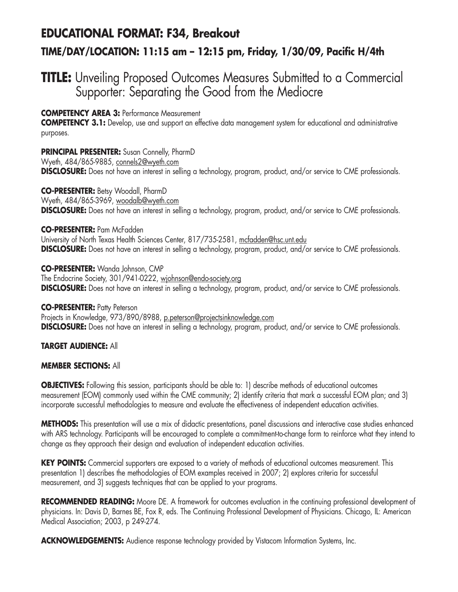# **EDUCATIONAL FORMAT: F34, Breakout**

### **TIME/DAY/LOCATION: 11:15 am – 12:15 pm, Friday, 1/30/09, Pacific H/4th**

### **TITLE:** Unveiling Proposed Outcomes Measures Submitted to a Commercial Supporter: Separating the Good from the Mediocre

#### **COMPETENCY AREA 3:** Performance Measurement

**COMPETENCY 3.1:** Develop, use and support an effective data management system for educational and administrative purposes.

#### **PRINCIPAL PRESENTER:** Susan Connelly, PharmD

Wyeth, 484/865-9885, connels2@wyeth.com **DISCLOSURE:** Does not have an interest in selling a technology, program, product, and/or service to CME professionals.

#### **CO-PRESENTER:** Betsy Woodall, PharmD

Wyeth, 484/865-3969, woodalb@wyeth.com

**DISCLOSURE:** Does not have an interest in selling a technology, program, product, and/or service to CME professionals.

#### **CO-PRESENTER:** Pam McFadden

University of North Texas Health Sciences Center, 817/735-2581, mcfadden@hsc.unt.edu **DISCLOSURE:** Does not have an interest in selling a technology, program, product, and/or service to CME professionals.

**CO-PRESENTER:** Wanda Johnson, CMP The Endocrine Society, 301/941-0222, wjohnson@endo-society.org **DISCLOSURE:** Does not have an interest in selling a technology, program, product, and/or service to CME professionals.

**CO-PRESENTER: Patty Peterson** Projects in Knowledge, 973/890/8988, p.peterson@projectsinknowledge.com **DISCLOSURE:** Does not have an interest in selling a technology, program, product, and/or service to CME professionals.

#### **TARGET AUDIENCE:** All

#### **MEMBER SECTIONS:** All

**OBJECTIVES:** Following this session, participants should be able to: 1) describe methods of educational outcomes measurement (EOM) commonly used within the CME community; 2) identify criteria that mark a successful EOM plan; and 3) incorporate successful methodologies to measure and evaluate the effectiveness of independent education activities.

**METHODS:** This presentation will use a mix of didactic presentations, panel discussions and interactive case studies enhanced with ARS technology. Participants will be encouraged to complete a commitment-to-change form to reinforce what they intend to change as they approach their design and evaluation of independent education activities.

**KEY POINTS:** Commercial supporters are exposed to a variety of methods of educational outcomes measurement. This presentation 1) describes the methodologies of EOM examples received in 2007; 2) explores criteria for successful measurement, and 3) suggests techniques that can be applied to your programs.

**RECOMMENDED READING:** Moore DE. A framework for outcomes evaluation in the continuing professional development of physicians. In: Davis D, Barnes BE, Fox R, eds. The Continuing Professional Development of Physicians. Chicago, IL: American Medical Association; 2003, p 249-274.

**ACKNOWLEDGEMENTS:** Audience response technology provided by Vistacom Information Systems, Inc.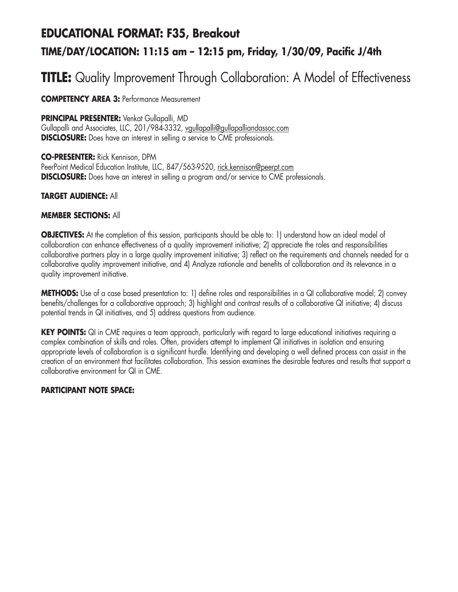# **EDUCATIONAL FORMAT: F35, Breakout TIME/DAY/LOCATION: 11:15 am – 12:15 pm, Friday, 1/30/09, Pacific J/4th**

# **TITLE:** Quality Improvement Through Collaboration: A Model of Effectiveness

**COMPETENCY AREA 3:** Performance Measurement

**PRINCIPAL PRESENTER:** Venkat Gullapalli, MD

Gullapalli and Associates, LLC, 201/984-3332, vgullapalli@gullapalliandassoc.com **DISCLOSURE:** Does have an interest in selling a service to CME professionals.

**CO-PRESENTER:** Rick Kennison, DPM PeerPoint Medical Education Institute, LLC, 847/563-9520, rick.kennison@peerpt.com **DISCLOSURE:** Does have an interest in selling a program and/or service to CME professionals.

**TARGET AUDIENCE:** All

#### **MEMBER SECTIONS:** All

**OBJECTIVES:** At the completion of this session, participants should be able to: 1) understand how an ideal model of collaboration can enhance effectiveness of a quality improvement initiative; 2) appreciate the roles and responsibilities collaborative partners play in a large quality improvement initiative; 3) reflect on the requirements and channels needed for a collaborative quality improvement initiative, and 4) Analyze rationale and benefits of collaboration and its relevance in a quality improvement initiative.

**METHODS:** Use of a case based presentation to: 1) define roles and responsibilities in a QI collaborative model; 2) convey benefits/challenges for a collaborative approach; 3) highlight and contrast results of a collaborative QI initiative; 4) discuss potential trends in QI initiatives, and 5) address questions from audience.

**KEY POINTS:** QI in CME requires a team approach, particularly with regard to large educational initiatives requiring a complex combination of skills and roles. Often, providers attempt to implement QI initiatives in isolation and ensuring appropriate levels of collaboration is a significant hurdle. Identifying and developing a well defined process can assist in the creation of an environment that facilitates collaboration. This session examines the desirable features and results that support a collaborative environment for QI in CME.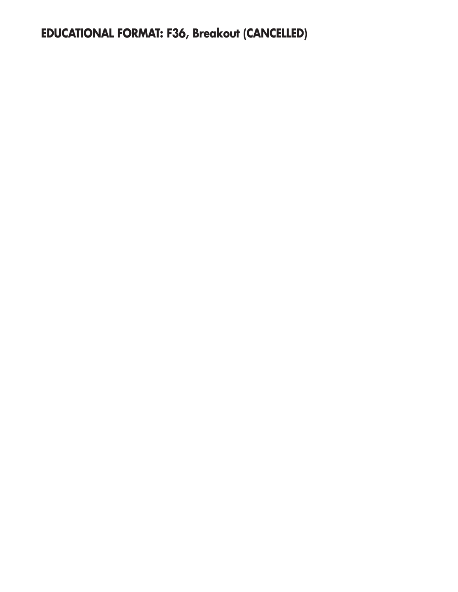**EDUCATIONAL FORMAT: F36, Breakout (CANCELLED)**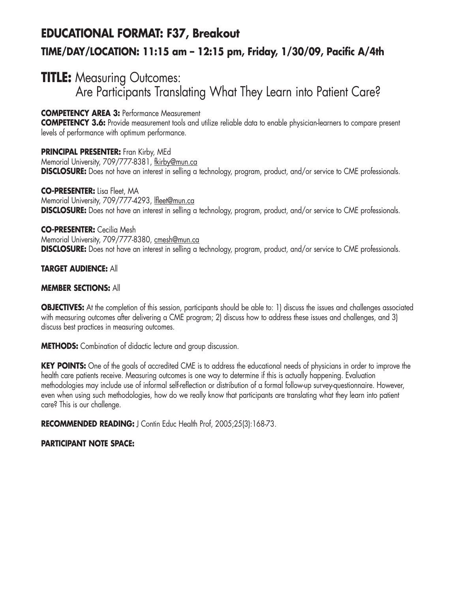# **EDUCATIONAL FORMAT: F37, Breakout TIME/DAY/LOCATION: 11:15 am – 12:15 pm, Friday, 1/30/09, Pacific A/4th**

## **TITLE:** Measuring Outcomes: Are Participants Translating What They Learn into Patient Care?

**COMPETENCY AREA 3:** Performance Measurement

**COMPETENCY 3.6:** Provide measurement tools and utilize reliable data to enable physician-learners to compare present levels of performance with optimum performance.

**PRINCIPAL PRESENTER:** Fran Kirby, MEd Memorial University, 709/777-8381, fkirby@mun.ca **DISCLOSURE:** Does not have an interest in selling a technology, program, product, and/or service to CME professionals.

**CO-PRESENTER:** Lisa Fleet, MA Memorial University, 709/777-4293, lfleet@mun.ca **DISCLOSURE:** Does not have an interest in selling a technology, program, product, and/or service to CME professionals.

#### **CO-PRESENTER:** Cecilia Mesh

Memorial University, 709/777-8380, cmesh@mun.ca **DISCLOSURE:** Does not have an interest in selling a technology, program, product, and/or service to CME professionals.

#### **TARGET AUDIENCE:** All

#### **MEMBER SECTIONS:** All

**OBJECTIVES:** At the completion of this session, participants should be able to: 1) discuss the issues and challenges associated with measuring outcomes after delivering a CME program; 2) discuss how to address these issues and challenges, and 3) discuss best practices in measuring outcomes.

**METHODS:** Combination of didactic lecture and group discussion.

**KEY POINTS:** One of the goals of accredited CME is to address the educational needs of physicians in order to improve the health care patients receive. Measuring outcomes is one way to determine if this is actually happening. Evaluation methodologies may include use of informal self-reflection or distribution of a formal follow-up survey-questionnaire. However, even when using such methodologies, how do we really know that participants are translating what they learn into patient care? This is our challenge.

RECOMMENDED READING: J Contin Educ Health Prof, 2005;25(3):168-73.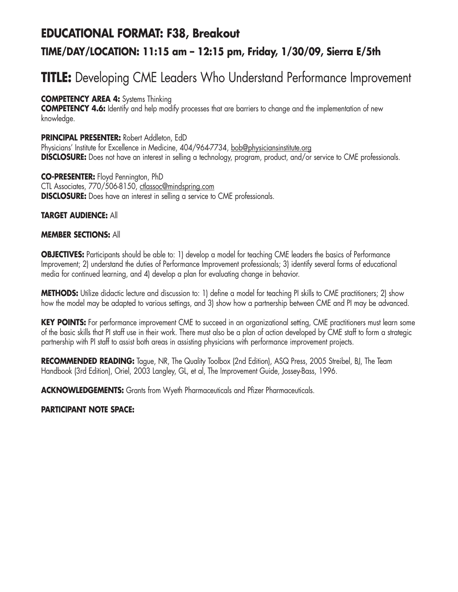## **EDUCATIONAL FORMAT: F38, Breakout TIME/DAY/LOCATION: 11:15 am – 12:15 pm, Friday, 1/30/09, Sierra E/5th**

# **TITLE:** Developing CME Leaders Who Understand Performance Improvement

#### **COMPETENCY AREA 4:** Systems Thinking

**COMPETENCY 4.6:** Identify and help modify processes that are barriers to change and the implementation of new knowledge.

#### **PRINCIPAL PRESENTER:** Robert Addleton, EdD

Physicians' Institute for Excellence in Medicine, 404/964-7734, bob@physiciansinstitute.org **DISCLOSURE:** Does not have an interest in selling a technology, program, product, and/or service to CME professionals.

**CO-PRESENTER:** Floyd Pennington, PhD CTL Associates, 770/506-8150, ctlassoc@mindspring.com **DISCLOSURE:** Does have an interest in selling a service to CME professionals.

#### **TARGET AUDIENCE:** All

#### **MEMBER SECTIONS:** All

**OBJECTIVES:** Participants should be able to: 1) develop a model for teaching CME leaders the basics of Performance Improvement; 2) understand the duties of Performance Improvement professionals; 3) identify several forms of educational media for continued learning, and 4) develop a plan for evaluating change in behavior.

**METHODS:** Utilize didactic lecture and discussion to: 1) define a model for teaching PI skills to CME practitioners; 2) show how the model may be adapted to various settings, and 3) show how a partnership between CME and PI may be advanced.

**KEY POINTS:** For performance improvement CME to succeed in an organizational setting, CME practitioners must learn some of the basic skills that PI staff use in their work. There must also be a plan of action developed by CME staff to form a strategic partnership with PI staff to assist both areas in assisting physicians with performance improvement projects.

**RECOMMENDED READING:** Tague, NR, The Quality Toolbox (2nd Edition), ASQ Press, 2005 Streibel, BJ, The Team Handbook (3rd Edition), Oriel, 2003 Langley, GL, et al, The Improvement Guide, Jossey-Bass, 1996.

**ACKNOWLEDGEMENTS:** Grants from Wyeth Pharmaceuticals and Pfizer Pharmaceuticals.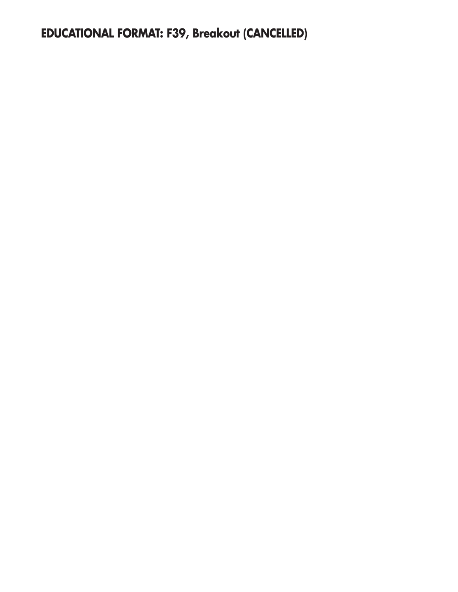**EDUCATIONAL FORMAT: F39, Breakout (CANCELLED)**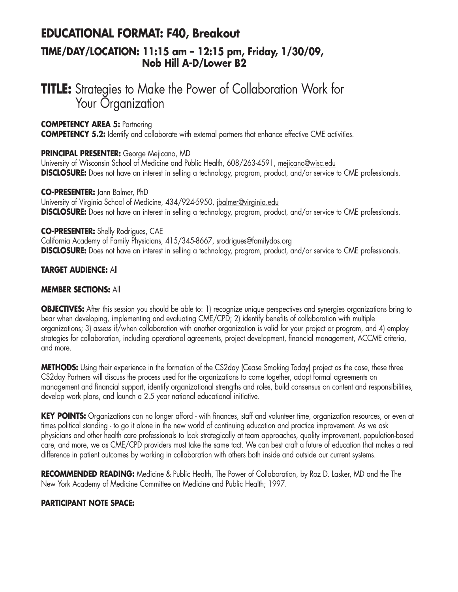### **EDUCATIONAL FORMAT: F40, Breakout**

### **TIME/DAY/LOCATION: 11:15 am – 12:15 pm, Friday, 1/30/09, Nob Hill A-D/Lower B2**

## **TITLE:** Strategies to Make the Power of Collaboration Work for Your *Organization*

#### **COMPETENCY AREA 5:** Partnering

**COMPETENCY 5.2:** Identify and collaborate with external partners that enhance effective CME activities.

#### **PRINCIPAL PRESENTER:** George Mejicano, MD

University of Wisconsin School of Medicine and Public Health, 608/263-4591, mejicano@wisc.edu **DISCLOSURE:** Does not have an interest in selling a technology, program, product, and/or service to CME professionals.

#### **CO-PRESENTER:** Jann Balmer, PhD

University of Virginia School of Medicine, 434/924-5950, jbalmer@virginia.edu **DISCLOSURE:** Does not have an interest in selling a technology, program, product, and/or service to CME professionals.

#### **CO-PRESENTER:** Shelly Rodrigues, CAE

California Academy of Family Physicians, 415/345-8667, srodrigues@familydos.org **DISCLOSURE:** Does not have an interest in selling a technology, program, product, and/or service to CME professionals.

#### **TARGET AUDIENCE:** All

#### **MEMBER SECTIONS:** All

**OBJECTIVES:** After this session you should be able to: 1) recognize unique perspectives and synergies organizations bring to bear when developing, implementing and evaluating CME/CPD; 2) identify benefits of collaboration with multiple organizations; 3) assess if/when collaboration with another organization is valid for your project or program, and 4) employ strategies for collaboration, including operational agreements, project development, financial management, ACCME criteria, and more.

**METHODS:** Using their experience in the formation of the CS2day (Cease Smoking Today) project as the case, these three CS2day Partners will discuss the process used for the organizations to come together, adopt formal agreements on management and financial support, identify organizational strengths and roles, build consensus on content and responsibilities, develop work plans, and launch a 2.5 year national educational initiative.

**KEY POINTS:** Organizations can no longer afford - with finances, staff and volunteer time, organization resources, or even at times political standing - to go it alone in the new world of continuing education and practice improvement. As we ask physicians and other health care professionals to look strategically at team approaches, quality improvement, population-based care, and more, we as CME/CPD providers must take the same tact. We can best craft a future of education that makes a real difference in patient outcomes by working in collaboration with others both inside and outside our current systems.

**RECOMMENDED READING:** Medicine & Public Health, The Power of Collaboration, by Roz D. Lasker, MD and the The New York Academy of Medicine Committee on Medicine and Public Health; 1997.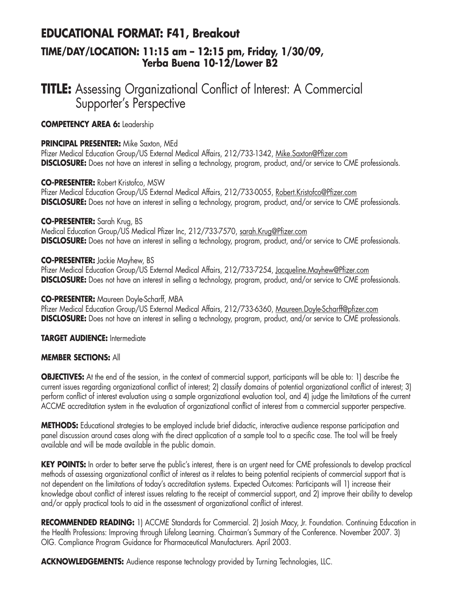### **EDUCATIONAL FORMAT: F41, Breakout TIME/DAY/LOCATION: 11:15 am – 12:15 pm, Friday, 1/30/09, Yerba Buena 10-12/Lower B2**

## **TITLE:** Assessing Organizational Conflict of Interest: A Commercial Supporter's Perspective

#### **COMPETENCY AREA 6:** Leadership

#### **PRINCIPAL PRESENTER:** Mike Saxton, MEd

Pfizer Medical Education Group/US External Medical Affairs, 212/733-1342, Mike.Saxton@Pfizer.com **DISCLOSURE:** Does not have an interest in selling a technology, program, product, and/or service to CME professionals.

#### **CO-PRESENTER:** Robert Kristofco, MSW

Pfizer Medical Education Group/US External Medical Affairs, 212/733-0055, Robert.Kristofco@Pfizer.com **DISCLOSURE:** Does not have an interest in selling a technology, program, product, and/or service to CME professionals.

#### **CO-PRESENTER:** Sarah Krug, BS

Medical Education Group/US Medical Pfizer Inc, 212/733-7570, sarah.Krug@Pfizer.com **DISCLOSURE:** Does not have an interest in selling a technology, program, product, and/or service to CME professionals.

#### **CO-PRESENTER:** Jackie Mayhew, BS

Pfizer Medical Education Group/US External Medical Affairs, 212/733-7254, Jacqueline.Mayhew@Pfizer.com **DISCLOSURE:** Does not have an interest in selling a technology, program, product, and/or service to CME professionals.

#### **CO-PRESENTER:** Maureen Doyle-Scharff, MBA

Pfizer Medical Education Group/US External Medical Affairs, 212/733-6360, Maureen.Doyle-Scharff@pfizer.com **DISCLOSURE:** Does not have an interest in selling a technology, program, product, and/or service to CME professionals.

**TARGET AUDIENCE:** Intermediate

#### **MEMBER SECTIONS:** All

**OBJECTIVES:** At the end of the session, in the context of commercial support, participants will be able to: 1) describe the current issues regarding organizational conflict of interest; 2) classify domains of potential organizational conflict of interest; 3) perform conflict of interest evaluation using a sample organizational evaluation tool, and 4) judge the limitations of the current ACCME accreditation system in the evaluation of organizational conflict of interest from a commercial supporter perspective.

**METHODS:** Educational strategies to be employed include brief didactic, interactive audience response participation and panel discussion around cases along with the direct application of a sample tool to a specific case. The tool will be freely available and will be made available in the public domain.

**KEY POINTS:** In order to better serve the public's interest, there is an urgent need for CME professionals to develop practical methods of assessing organizational conflict of interest as it relates to being potential recipients of commercial support that is not dependent on the limitations of today's accreditation systems. Expected Outcomes: Participants will 1) increase their knowledge about conflict of interest issues relating to the receipt of commercial support, and 2) improve their ability to develop and/or apply practical tools to aid in the assessment of organizational conflict of interest.

**RECOMMENDED READING:** 1) ACCME Standards for Commercial. 2) Josiah Macy, Jr. Foundation. Continuing Education in the Health Professions: Improving through Lifelong Learning. Chairman's Summary of the Conference. November 2007. 3) OIG. Compliance Program Guidance for Pharmaceutical Manufacturers. April 2003.

**ACKNOWLEDGEMENTS:** Audience response technology provided by Turning Technologies, LLC.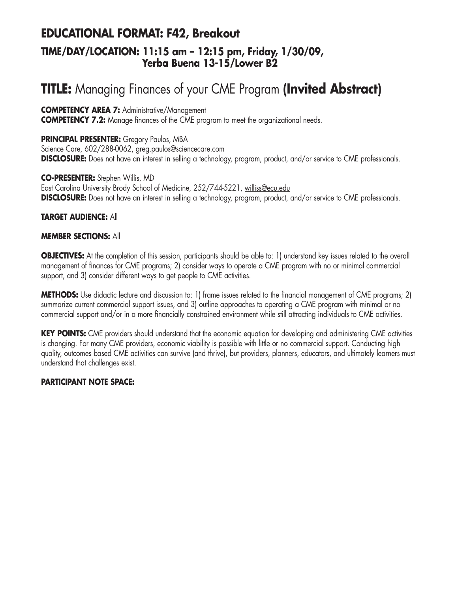### **EDUCATIONAL FORMAT: F42, Breakout TIME/DAY/LOCATION: 11:15 am – 12:15 pm, Friday, 1/30/09, Yerba Buena 13-15/Lower B2**

# **TITLE:** Managing Finances of your CME Program **(Invited Abstract)**

**COMPETENCY AREA 7:** Administrative/Management

**COMPETENCY 7.2:** Manage finances of the CME program to meet the organizational needs.

**PRINCIPAL PRESENTER:** Gregory Paulos, MBA Science Care, 602/288-0062, greg.paulos@sciencecare.com **DISCLOSURE:** Does not have an interest in selling a technology, program, product, and/or service to CME professionals.

**CO-PRESENTER:** Stephen Willis, MD East Carolina University Brody School of Medicine, 252/744-5221, williss@ecu.edu **DISCLOSURE:** Does not have an interest in selling a technology, program, product, and/or service to CME professionals.

#### **TARGET AUDIENCE:** All

#### **MEMBER SECTIONS:** All

**OBJECTIVES:** At the completion of this session, participants should be able to: 1) understand key issues related to the overall management of finances for CME programs; 2) consider ways to operate a CME program with no or minimal commercial support, and 3) consider different ways to get people to CME activities.

**METHODS:** Use didactic lecture and discussion to: 1) frame issues related to the financial management of CME programs; 2) summarize current commercial support issues, and 3) outline approaches to operating a CME program with minimal or no commercial support and/or in a more financially constrained environment while still attracting individuals to CME activities.

**KEY POINTS:** CME providers should understand that the economic equation for developing and administering CME activities is changing. For many CME providers, economic viability is possible with little or no commercial support. Conducting high quality, outcomes based CME activities can survive (and thrive), but providers, planners, educators, and ultimately learners must understand that challenges exist.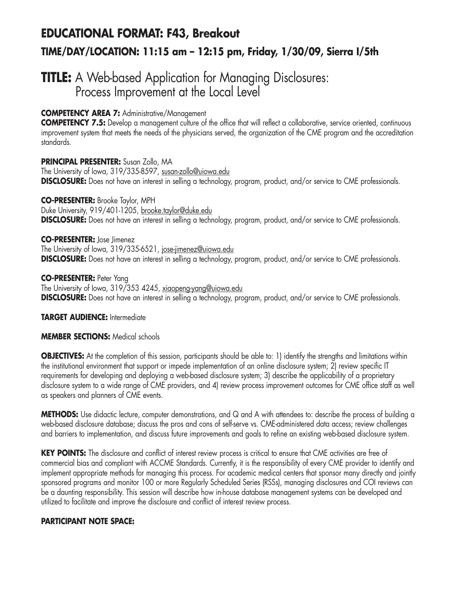# **EDUCATIONAL FORMAT: F43, Breakout TIME/DAY/LOCATION: 11:15 am – 12:15 pm, Friday, 1/30/09, Sierra I/5th**

## **TITLE:** A Web-based Application for Managing Disclosures: Process Improvement at the Local Level

#### **COMPETENCY AREA 7:** Administrative/Management

**COMPETENCY 7.5:** Develop a management culture of the office that will reflect a collaborative, service oriented, continuous improvement system that meets the needs of the physicians served, the organization of the CME program and the accreditation standards.

#### **PRINCIPAL PRESENTER:** Susan Zollo, MA The University of Iowa, 319/335-8597, susan-zollo@uiowa.edu **DISCLOSURE:** Does not have an interest in selling a technology, program, product, and/or service to CME professionals.

**CO-PRESENTER:** Brooke Taylor, MPH Duke University, 919/401-1205, brooke.taylor@duke.edu **DISCLOSURE:** Does not have an interest in selling a technology, program, product, and/or service to CME professionals.

#### **CO-PRESENTER:** Jose Jimenez The University of Iowa, 319/335-6521, jose-jimenez@uiowa.edu **DISCLOSURE:** Does not have an interest in selling a technology, program, product, and/or service to CME professionals.

#### **CO-PRESENTER:** Peter Yang

The University of Iowa, 319/353 4245, xiaopeng-yang@uiowa.edu **DISCLOSURE:** Does not have an interest in selling a technology, program, product, and/or service to CME professionals.

#### **TARGET AUDIENCE:** Intermediate

#### **MEMBER SECTIONS:** Medical schools

**OBJECTIVES:** At the completion of this session, participants should be able to: 1) identify the strengths and limitations within the institutional environment that support or impede implementation of an online disclosure system; 2) review specific IT requirements for developing and deploying a web-based disclosure system; 3) describe the applicability of a proprietary disclosure system to a wide range of CME providers, and 4) review process improvement outcomes for CME office staff as well as speakers and planners of CME events.

**METHODS:** Use didactic lecture, computer demonstrations, and Q and A with attendees to: describe the process of building a web-based disclosure database; discuss the pros and cons of self-serve vs. CME-administered data access; review challenges and barriers to implementation, and discuss future improvements and goals to refine an existing web-based disclosure system.

**KEY POINTS:** The disclosure and conflict of interest review process is critical to ensure that CME activities are free of commercial bias and compliant with ACCME Standards. Currently, it is the responsibility of every CME provider to identify and implement appropriate methods for managing this process. For academic medical centers that sponsor many directly and jointly sponsored programs and monitor 100 or more Regularly Scheduled Series (RSSs), managing disclosures and COI reviews can be a daunting responsibility. This session will describe how in-house database management systems can be developed and utilized to facilitate and improve the disclosure and conflict of interest review process.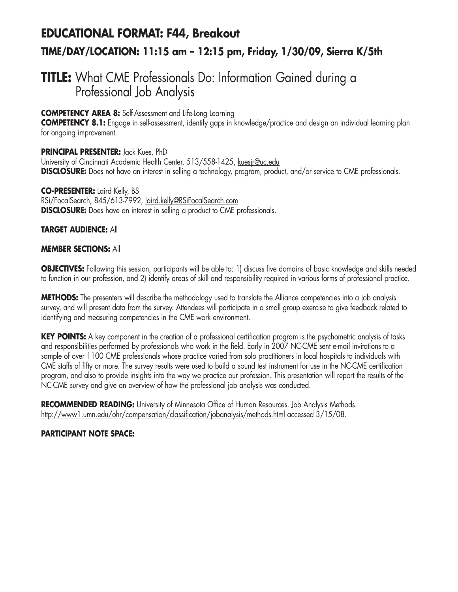# **EDUCATIONAL FORMAT: F44, Breakout TIME/DAY/LOCATION: 11:15 am – 12:15 pm, Friday, 1/30/09, Sierra K/5th**

## **TITLE:** What CME Professionals Do: Information Gained during a Professional Job Analysis

#### **COMPETENCY AREA 8:** Self-Assessment and Life-Long Learning

**COMPETENCY 8.1:** Engage in self-assessment, identify gaps in knowledge/practice and design an individual learning plan for ongoing improvement.

#### **PRINCIPAL PRESENTER:** Jack Kues, PhD

University of Cincinnati Academic Health Center, 513/558-1425, kuesjr@uc.edu **DISCLOSURE:** Does not have an interest in selling a technology, program, product, and/or service to CME professionals.

**CO-PRESENTER:** Laird Kelly, BS RSi/FocalSearch, 845/613-7992, laird.kelly@RSiFocalSearch.com **DISCLOSURE:** Does have an interest in selling a product to CME professionals.

#### **TARGET AUDIENCE:** All

#### **MEMBER SECTIONS:** All

**OBJECTIVES:** Following this session, participants will be able to: 1) discuss five domains of basic knowledge and skills needed to function in our profession, and 2) identify areas of skill and responsibility required in various forms of professional practice.

**METHODS:** The presenters will describe the methodology used to translate the Alliance competencies into a job analysis survey, and will present data from the survey. Attendees will participate in a small group exercise to give feedback related to identifying and measuring competencies in the CME work environment.

**KEY POINTS:** A key component in the creation of a professional certification program is the psychometric analysis of tasks and responsibilities performed by professionals who work in the field. Early in 2007 NC-CME sent e-mail invitations to a sample of over 1100 CME professionals whose practice varied from solo practitioners in local hospitals to individuals with CME staffs of fifty or more. The survey results were used to build a sound test instrument for use in the NC-CME certification program, and also to provide insights into the way we practice our profession. This presentation will report the results of the NC-CME survey and give an overview of how the professional job analysis was conducted.

**RECOMMENDED READING:** University of Minnesota Office of Human Resources. Job Analysis Methods. http://www1.umn.edu/ohr/compensation/classification/jobanalysis/methods.html accessed 3/15/08.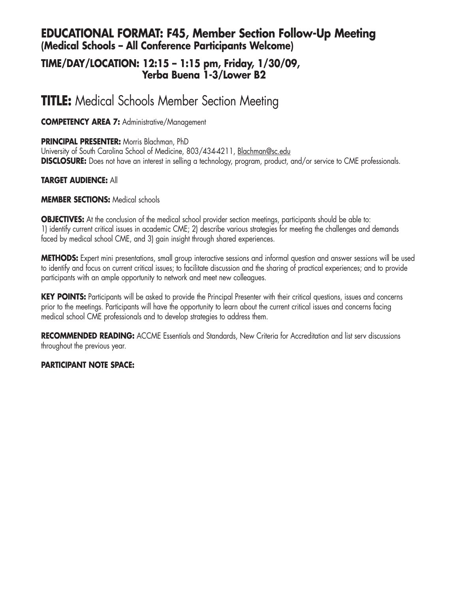### **EDUCATIONAL FORMAT: F45, Member Section Follow-Up Meeting (Medical Schools – All Conference Participants Welcome)**

### **TIME/DAY/LOCATION: 12:15 – 1:15 pm, Friday, 1/30/09, Yerba Buena 1-3/Lower B2**

## **TITLE:** Medical Schools Member Section Meeting

#### **COMPETENCY AREA 7:** Administrative/Management

**PRINCIPAL PRESENTER:** Morris Blachman, PhD

University of South Carolina School of Medicine, 803/434-4211, Blachman@sc.edu **DISCLOSURE:** Does not have an interest in selling a technology, program, product, and/or service to CME professionals.

#### **TARGET AUDIENCE:** All

#### **MEMBER SECTIONS:** Medical schools

**OBJECTIVES:** At the conclusion of the medical school provider section meetings, participants should be able to: 1) identify current critical issues in academic CME; 2) describe various strategies for meeting the challenges and demands faced by medical school CME, and 3) gain insight through shared experiences.

**METHODS:** Expert mini presentations, small group interactive sessions and informal question and answer sessions will be used to identify and focus on current critical issues; to facilitate discussion and the sharing of practical experiences; and to provide participants with an ample opportunity to network and meet new colleagues.

**KEY POINTS:** Participants will be asked to provide the Principal Presenter with their critical questions, issues and concerns prior to the meetings. Participants will have the opportunity to learn about the current critical issues and concerns facing medical school CME professionals and to develop strategies to address them.

**RECOMMENDED READING:** ACCME Essentials and Standards, New Criteria for Accreditation and list serv discussions throughout the previous year.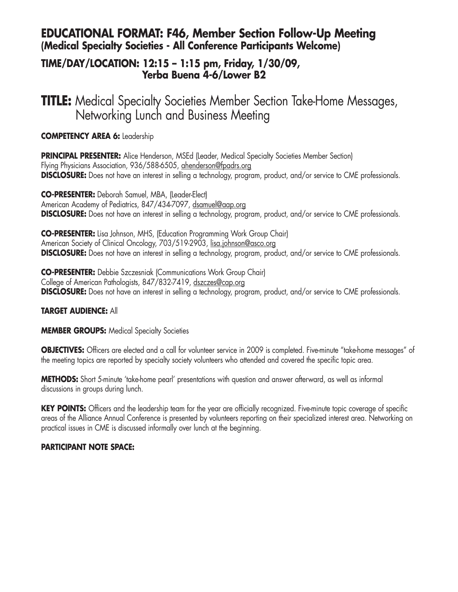### **EDUCATIONAL FORMAT: F46, Member Section Follow-Up Meeting (Medical Specialty Societies - All Conference Participants Welcome)**

### **TIME/DAY/LOCATION: 12:15 – 1:15 pm, Friday, 1/30/09, Yerba Buena 4-6/Lower B2**

**TITLE:** Medical Specialty Societies Member Section Take-Home Messages, Networking Lunch and Business Meeting

#### **COMPETENCY AREA 6:** Leadership

**PRINCIPAL PRESENTER:** Alice Henderson, MSEd (Leader, Medical Specialty Societies Member Section) Flying Physicians Association, 936/588-6505, ahenderson@fpadrs.org **DISCLOSURE:** Does not have an interest in selling a technology, program, product, and/or service to CME professionals.

**CO-PRESENTER:** Deborah Samuel, MBA, (Leader-Elect) American Academy of Pediatrics, 847/434-7097, dsamuel@aap.org **DISCLOSURE:** Does not have an interest in selling a technology, program, product, and/or service to CME professionals.

**CO-PRESENTER:** Lisa Johnson, MHS, (Education Programming Work Group Chair) American Society of Clinical Oncology, 703/519-2903, lisa.johnson@asco.org **DISCLOSURE:** Does not have an interest in selling a technology, program, product, and/or service to CME professionals.

**CO-PRESENTER:** Debbie Szczesniak (Communications Work Group Chair) College of American Pathologists, 847/832-7419, dszczes@cap.org **DISCLOSURE:** Does not have an interest in selling a technology, program, product, and/or service to CME professionals.

#### **TARGET AUDIENCE:** All

#### **MEMBER GROUPS:** Medical Specialty Societies

**OBJECTIVES:** Officers are elected and a call for volunteer service in 2009 is completed. Five-minute "take-home messages" of the meeting topics are reported by specialty society volunteers who attended and covered the specific topic area.

**METHODS:** Short 5-minute 'take-home pearl' presentations with question and answer afterward, as well as informal discussions in groups during lunch.

KEY POINTS: Officers and the leadership team for the year are officially recognized. Five-minute topic coverage of specific areas of the Alliance Annual Conference is presented by volunteers reporting on their specialized interest area. Networking on practical issues in CME is discussed informally over lunch at the beginning.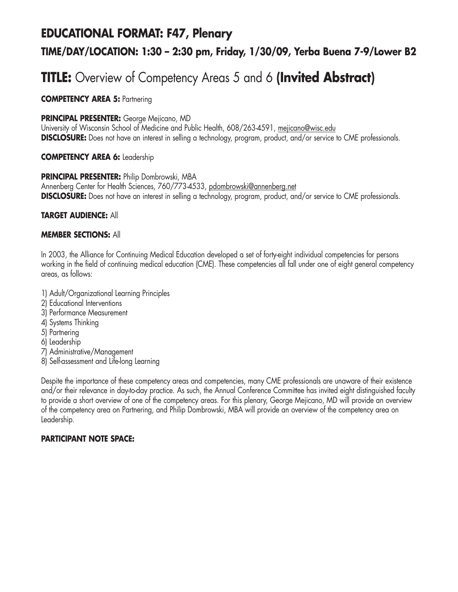### **EDUCATIONAL FORMAT: F47, Plenary**

### **TIME/DAY/LOCATION: 1:30 – 2:30 pm, Friday, 1/30/09, Yerba Buena 7-9/Lower B2**

## **TITLE:** Overview of Competency Areas 5 and 6 **(Invited Abstract)**

**COMPETENCY AREA 5:** Partnering

#### **PRINCIPAL PRESENTER:** George Mejicano, MD

University of Wisconsin School of Medicine and Public Health, 608/263-4591, mejicano@wisc.edu **DISCLOSURE:** Does not have an interest in selling a technology, program, product, and/or service to CME professionals.

#### **COMPETENCY AREA 6:** Leadership

#### **PRINCIPAL PRESENTER:** Philip Dombrowski, MBA

Annenberg Center for Health Sciences, 760/773-4533, pdombrowski@annenberg.net **DISCLOSURE:** Does not have an interest in selling a technology, program, product, and/or service to CME professionals.

#### **TARGET AUDIENCE:** All

#### **MEMBER SECTIONS:** All

In 2003, the Alliance for Continuing Medical Education developed a set of forty-eight individual competencies for persons working in the field of continuing medical education (CME). These competencies all fall under one of eight general competency areas, as follows:

- 1) Adult/Organizational Learning Principles
- 2) Educational Interventions
- 3) Performance Measurement
- 4) Systems Thinking
- 5) Partnering
- 6) Leadership
- 7) Administrative/Management
- 8) Self-assessment and Life-long Learning

Despite the importance of these competency areas and competencies, many CME professionals are unaware of their existence and/or their relevance in day-to-day practice. As such, the Annual Conference Committee has invited eight distinguished faculty to provide a short overview of one of the competency areas. For this plenary, George Mejicano, MD will provide an overview of the competency area on Partnering, and Philip Dombrowski, MBA will provide an overview of the competency area on Leadership.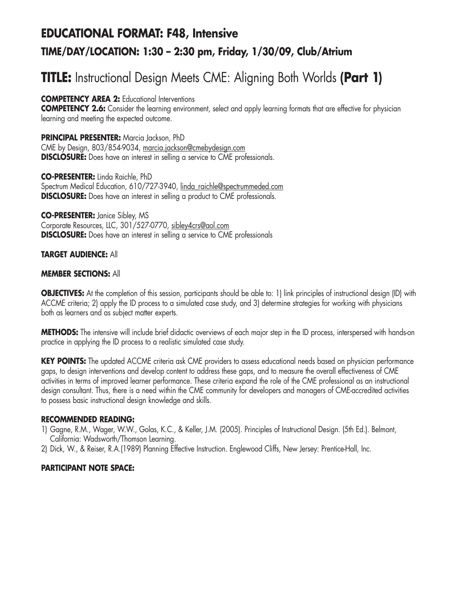## **EDUCATIONAL FORMAT: F48, Intensive TIME/DAY/LOCATION: 1:30 – 2:30 pm, Friday, 1/30/09, Club/Atrium**

# **TITLE:** Instructional Design Meets CME: Aligning Both Worlds **(Part 1)**

**COMPETENCY AREA 2:** Educational Interventions

**COMPETENCY 2.6:** Consider the learning environment, select and apply learning formats that are effective for physician learning and meeting the expected outcome.

**PRINCIPAL PRESENTER:** Marcia Jackson, PhD CME by Design, 803/854-9034, marcia.jackson@cmebydesign.com **DISCLOSURE:** Does have an interest in selling a service to CME professionals.

**CO-PRESENTER:** Linda Raichle, PhD Spectrum Medical Education, 610/727-3940, linda\_raichle@spectrummeded.com **DISCLOSURE:** Does have an interest in selling a product to CME professionals.

**CO-PRESENTER:** Janice Sibley, MS Corporate Resources, LLC, 301/527-0770, sibley4crs@aol.com **DISCLOSURE:** Does have an interest in selling a service to CME professionals

#### **TARGET AUDIENCE:** All

#### **MEMBER SECTIONS:** All

**OBJECTIVES:** At the completion of this session, participants should be able to: 1) link principles of instructional design (ID) with ACCME criteria; 2) apply the ID process to a simulated case study, and 3) determine strategies for working with physicians both as learners and as subject matter experts.

**METHODS:** The intensive will include brief didactic overviews of each major step in the ID process, interspersed with hands-on practice in applying the ID process to a realistic simulated case study.

**KEY POINTS:** The updated ACCME criteria ask CME providers to assess educational needs based on physician performance gaps, to design interventions and develop content to address these gaps, and to measure the overall effectiveness of CME activities in terms of improved learner performance. These criteria expand the role of the CME professional as an instructional design consultant. Thus, there is a need within the CME community for developers and managers of CME-accredited activities to possess basic instructional design knowledge and skills.

#### **RECOMMENDED READING:**

- 1) Gagne, R.M., Wager, W.W., Golas, K.C., & Keller, J.M. (2005). Principles of Instructional Design. (5th Ed.). Belmont, California: Wadsworth/Thomson Learning.
- 2) Dick, W., & Reiser, R.A.(1989) Planning Effective Instruction. Englewood Cliffs, New Jersey: Prentice-Hall, Inc.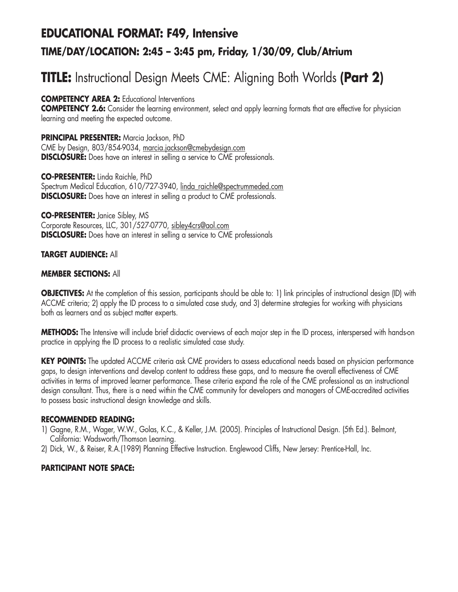## **EDUCATIONAL FORMAT: F49, Intensive TIME/DAY/LOCATION: 2:45 – 3:45 pm, Friday, 1/30/09, Club/Atrium**

# **TITLE:** Instructional Design Meets CME: Aligning Both Worlds **(Part 2)**

**COMPETENCY AREA 2:** Educational Interventions

**COMPETENCY 2.6:** Consider the learning environment, select and apply learning formats that are effective for physician learning and meeting the expected outcome.

**PRINCIPAL PRESENTER:** Marcia Jackson, PhD CME by Design, 803/854-9034, marcia.jackson@cmebydesign.com **DISCLOSURE:** Does have an interest in selling a service to CME professionals.

**CO-PRESENTER:** Linda Raichle, PhD Spectrum Medical Education, 610/727-3940, linda\_raichle@spectrummeded.com **DISCLOSURE:** Does have an interest in selling a product to CME professionals.

**CO-PRESENTER:** Janice Sibley, MS Corporate Resources, LLC, 301/527-0770, sibley4crs@aol.com **DISCLOSURE:** Does have an interest in selling a service to CME professionals

#### **TARGET AUDIENCE:** All

#### **MEMBER SECTIONS:** All

**OBJECTIVES:** At the completion of this session, participants should be able to: 1) link principles of instructional design (ID) with ACCME criteria; 2) apply the ID process to a simulated case study, and 3) determine strategies for working with physicians both as learners and as subject matter experts.

**METHODS:** The Intensive will include brief didactic overviews of each major step in the ID process, interspersed with hands-on practice in applying the ID process to a realistic simulated case study.

**KEY POINTS:** The updated ACCME criteria ask CME providers to assess educational needs based on physician performance gaps, to design interventions and develop content to address these gaps, and to measure the overall effectiveness of CME activities in terms of improved learner performance. These criteria expand the role of the CME professional as an instructional design consultant. Thus, there is a need within the CME community for developers and managers of CME-accredited activities to possess basic instructional design knowledge and skills.

#### **RECOMMENDED READING:**

- 1) Gagne, R.M., Wager, W.W., Golas, K.C., & Keller, J.M. (2005). Principles of Instructional Design. (5th Ed.). Belmont, California: Wadsworth/Thomson Learning.
- 2) Dick, W., & Reiser, R.A.(1989) Planning Effective Instruction. Englewood Cliffs, New Jersey: Prentice-Hall, Inc.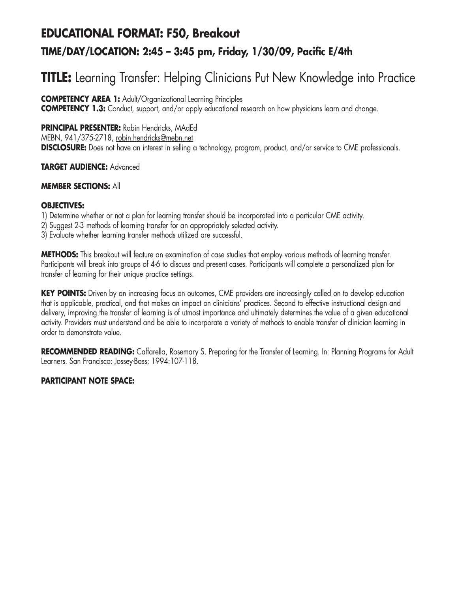## **EDUCATIONAL FORMAT: F50, Breakout TIME/DAY/LOCATION: 2:45 – 3:45 pm, Friday, 1/30/09, Pacific E/4th**

# **TITLE:** Learning Transfer: Helping Clinicians Put New Knowledge into Practice

**COMPETENCY AREA 1:** Adult/Organizational Learning Principles

**COMPETENCY 1.3:** Conduct, support, and/or apply educational research on how physicians learn and change.

**PRINCIPAL PRESENTER:** Robin Hendricks, MAdEd

MEBN, 941/375-2718, robin.hendricks@mebn.net

**DISCLOSURE:** Does not have an interest in selling a technology, program, product, and/or service to CME professionals.

#### **TARGET AUDIENCE:** Advanced

#### **MEMBER SECTIONS:** All

#### **OBJECTIVES:**

- 1) Determine whether or not a plan for learning transfer should be incorporated into a particular CME activity.
- 2) Suggest 2-3 methods of learning transfer for an appropriately selected activity.
- 3) Evaluate whether learning transfer methods utilized are successful.

**METHODS:** This breakout will feature an examination of case studies that employ various methods of learning transfer. Participants will break into groups of 4-6 to discuss and present cases. Participants will complete a personalized plan for transfer of learning for their unique practice settings.

**KEY POINTS:** Driven by an increasing focus on outcomes, CME providers are increasingly called on to develop education that is applicable, practical, and that makes an impact on clinicians' practices. Second to effective instructional design and delivery, improving the transfer of learning is of utmost importance and ultimately determines the value of a given educational activity. Providers must understand and be able to incorporate a variety of methods to enable transfer of clinician learning in order to demonstrate value.

**RECOMMENDED READING:** Caffarella, Rosemary S. Preparing for the Transfer of Learning. In: Planning Programs for Adult Learners. San Francisco: Jossey-Bass; 1994:107-118.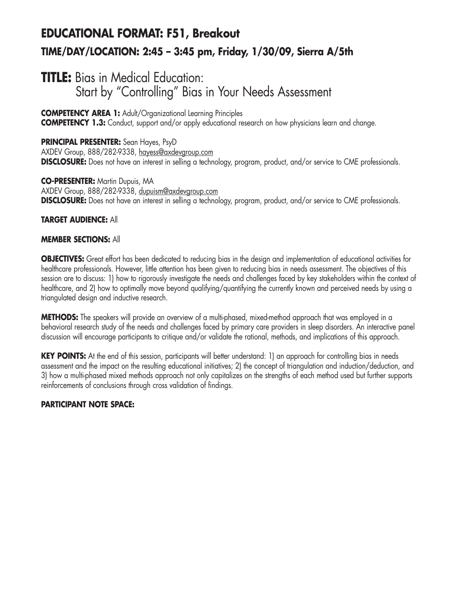## **EDUCATIONAL FORMAT: F51, Breakout TIME/DAY/LOCATION: 2:45 – 3:45 pm, Friday, 1/30/09, Sierra A/5th**

## **TITLE:** Bias in Medical Education: Start by "Controlling" Bias in Your Needs Assessment

#### **COMPETENCY AREA 1:** Adult/Organizational Learning Principles

**COMPETENCY 1.3:** Conduct, support and/or apply educational research on how physicians learn and change.

**PRINCIPAL PRESENTER:** Sean Hayes, PsyD AXDEV Group, 888/282-9338, hayess@axdevgroup.com **DISCLOSURE:** Does not have an interest in selling a technology, program, product, and/or service to CME professionals.

**CO-PRESENTER:** Martin Dupuis, MA AXDEV Group, 888/282-9338, dupuism@axdevgroup.com **DISCLOSURE:** Does not have an interest in selling a technology, program, product, and/or service to CME professionals.

#### **TARGET AUDIENCE:** All

#### **MEMBER SECTIONS:** All

**OBJECTIVES:** Great effort has been dedicated to reducing bias in the design and implementation of educational activities for healthcare professionals. However, little attention has been given to reducing bias in needs assessment. The objectives of this session are to discuss: 1) how to rigorously investigate the needs and challenges faced by key stakeholders within the context of healthcare, and 2) how to optimally move beyond qualifying/quantifying the currently known and perceived needs by using a triangulated design and inductive research.

**METHODS:** The speakers will provide an overview of a multi-phased, mixed-method approach that was employed in a behavioral research study of the needs and challenges faced by primary care providers in sleep disorders. An interactive panel discussion will encourage participants to critique and/or validate the rational, methods, and implications of this approach.

**KEY POINTS:** At the end of this session, participants will better understand: 1) an approach for controlling bias in needs assessment and the impact on the resulting educational initiatives; 2) the concept of triangulation and induction/deduction, and 3) how a multi-phased mixed methods approach not only capitalizes on the strengths of each method used but further supports reinforcements of conclusions through cross validation of findings.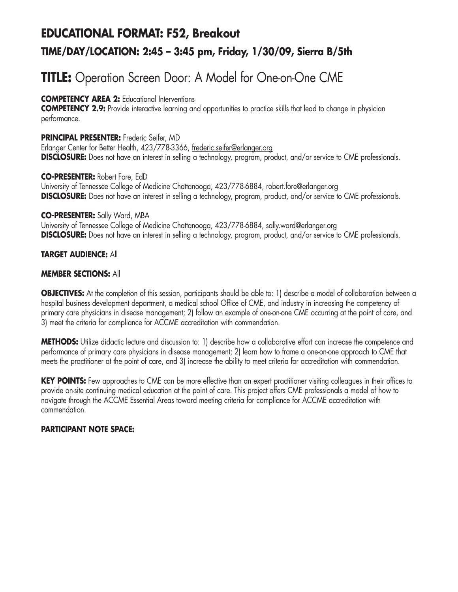## **EDUCATIONAL FORMAT: F52, Breakout TIME/DAY/LOCATION: 2:45 – 3:45 pm, Friday, 1/30/09, Sierra B/5th**

# **TITLE:** Operation Screen Door: A Model for One-on-One CME

#### **COMPETENCY AREA 2:** Educational Interventions

**COMPETENCY 2.9:** Provide interactive learning and opportunities to practice skills that lead to change in physician performance.

#### **PRINCIPAL PRESENTER:** Frederic Seifer, MD

Erlanger Center for Better Health, 423/778-3366, frederic.seifer@erlanger.org **DISCLOSURE:** Does not have an interest in selling a technology, program, product, and/or service to CME professionals.

#### **CO-PRESENTER:** Robert Fore, EdD

University of Tennessee College of Medicine Chattanooga, 423/778-6884, robert.fore@erlanger.org **DISCLOSURE:** Does not have an interest in selling a technology, program, product, and/or service to CME professionals.

#### **CO-PRESENTER:** Sally Ward, MBA

University of Tennessee College of Medicine Chattanooga, 423/778-6884, sally.ward@erlanger.org **DISCLOSURE:** Does not have an interest in selling a technology, program, product, and/or service to CME professionals.

#### **TARGET AUDIENCE:** All

#### **MEMBER SECTIONS:** All

**OBJECTIVES:** At the completion of this session, participants should be able to: 1) describe a model of collaboration between a hospital business development department, a medical school Office of CME, and industry in increasing the competency of primary care physicians in disease management; 2) follow an example of one-on-one CME occurring at the point of care, and 3) meet the criteria for compliance for ACCME accreditation with commendation.

**METHODS:** Utilize didactic lecture and discussion to: 1) describe how a collaborative effort can increase the competence and performance of primary care physicians in disease management; 2) learn how to frame a one-on-one approach to CME that meets the practitioner at the point of care, and 3) increase the ability to meet criteria for accreditation with commendation.

KEY POINTS: Few approaches to CME can be more effective than an expert practitioner visiting colleagues in their offices to provide on-site continuing medical education at the point of care. This project offers CME professionals a model of how to navigate through the ACCME Essential Areas toward meeting criteria for compliance for ACCME accreditation with commendation.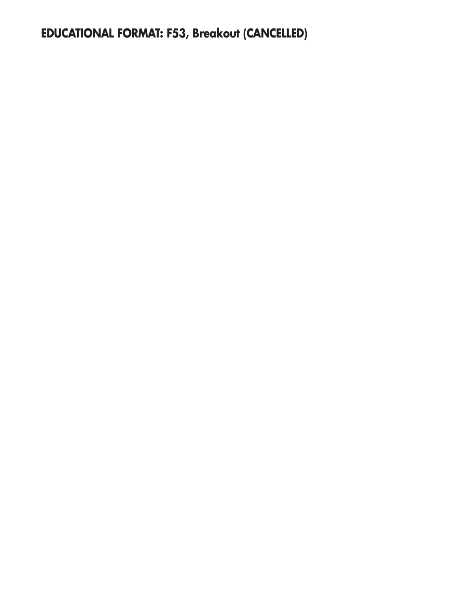**EDUCATIONAL FORMAT: F53, Breakout (CANCELLED)**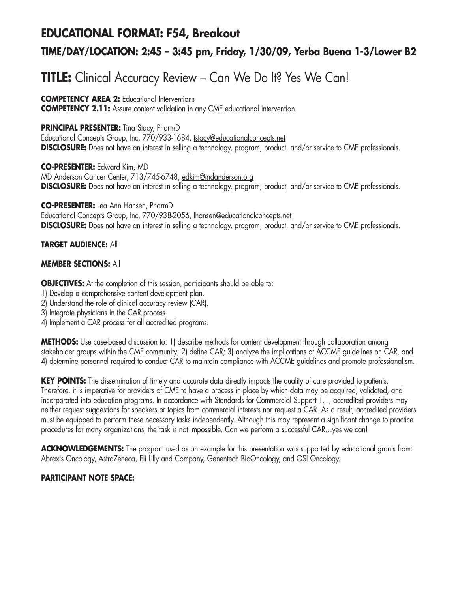### **EDUCATIONAL FORMAT: F54, Breakout**

### **TIME/DAY/LOCATION: 2:45 – 3:45 pm, Friday, 1/30/09, Yerba Buena 1-3/Lower B2**

## **TITLE:** Clinical Accuracy Review – Can We Do It? Yes We Can!

**COMPETENCY AREA 2:** Educational Interventions **COMPETENCY 2.11:** Assure content validation in any CME educational intervention.

#### **PRINCIPAL PRESENTER:** Tina Stacy, PharmD

Educational Concepts Group, Inc, 770/933-1684, tstacy@educationalconcepts.net **DISCLOSURE:** Does not have an interest in selling a technology, program, product, and/or service to CME professionals.

**CO-PRESENTER:** Edward Kim, MD MD Anderson Cancer Center, 713/745-6748, edkim@mdanderson.org **DISCLOSURE:** Does not have an interest in selling a technology, program, product, and/or service to CME professionals.

**CO-PRESENTER:** Lea Ann Hansen, PharmD Educational Concepts Group, Inc, 770/938-2056, lhansen@educationalconcepts.net **DISCLOSURE:** Does not have an interest in selling a technology, program, product, and/or service to CME professionals.

#### **TARGET AUDIENCE:** All

#### **MEMBER SECTIONS:** All

**OBJECTIVES:** At the completion of this session, participants should be able to:

- 1) Develop a comprehensive content development plan.
- 2) Understand the role of clinical accuracy review (CAR).
- 3) Integrate physicians in the CAR process.
- 4) Implement a CAR process for all accredited programs.

**METHODS:** Use case-based discussion to: 1) describe methods for content development through collaboration among stakeholder groups within the CME community; 2) define CAR; 3) analyze the implications of ACCME guidelines on CAR, and 4) determine personnel required to conduct CAR to maintain compliance with ACCME guidelines and promote professionalism.

**KEY POINTS:** The dissemination of timely and accurate data directly impacts the quality of care provided to patients. Therefore, it is imperative for providers of CME to have a process in place by which data may be acquired, validated, and incorporated into education programs. In accordance with Standards for Commercial Support 1.1, accredited providers may neither request suggestions for speakers or topics from commercial interests nor request a CAR. As a result, accredited providers must be equipped to perform these necessary tasks independently. Although this may represent a significant change to practice procedures for many organizations, the task is not impossible. Can we perform a successful CAR…yes we can!

**ACKNOWLEDGEMENTS:** The program used as an example for this presentation was supported by educational grants from: Abraxis Oncology, AstraZeneca, Eli Lilly and Company, Genentech BioOncology, and OSI Oncology.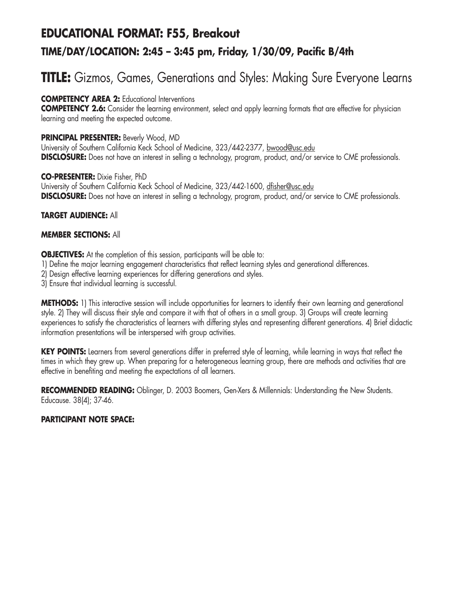## **EDUCATIONAL FORMAT: F55, Breakout TIME/DAY/LOCATION: 2:45 – 3:45 pm, Friday, 1/30/09, Pacific B/4th**

## **TITLE:** Gizmos, Games, Generations and Styles: Making Sure Everyone Learns

#### **COMPETENCY AREA 2:** Educational Interventions

**COMPETENCY 2.6:** Consider the learning environment, select and apply learning formats that are effective for physician learning and meeting the expected outcome.

#### **PRINCIPAL PRESENTER:** Beverly Wood, MD

University of Southern California Keck School of Medicine, 323/442-2377, bwood@usc.edu **DISCLOSURE:** Does not have an interest in selling a technology, program, product, and/or service to CME professionals.

#### **CO-PRESENTER:** Dixie Fisher, PhD University of Southern California Keck School of Medicine, 323/442-1600, dfisher@usc.edu **DISCLOSURE:** Does not have an interest in selling a technology, program, product, and/or service to CME professionals.

#### **TARGET AUDIENCE:** All

#### **MEMBER SECTIONS:** All

**OBJECTIVES:** At the completion of this session, participants will be able to:

- 1) Define the major learning engagement characteristics that reflect learning styles and generational differences.
- 2) Design effective learning experiences for differing generations and styles.
- 3) Ensure that individual learning is successful.

**METHODS:** 1) This interactive session will include opportunities for learners to identify their own learning and generational style. 2) They will discuss their style and compare it with that of others in a small group. 3) Groups will create learning experiences to satisfy the characteristics of learners with differing styles and representing different generations. 4) Brief didactic information presentations will be interspersed with group activities.

KEY POINTS: Learners from several generations differ in preferred style of learning, while learning in ways that reflect the times in which they grew up. When preparing for a heterogeneous learning group, there are methods and activities that are effective in benefiting and meeting the expectations of all learners.

RECOMMENDED READING: Oblinger, D. 2003 Boomers, Gen-Xers & Millennials: Understanding the New Students. Educause. 38(4); 37-46.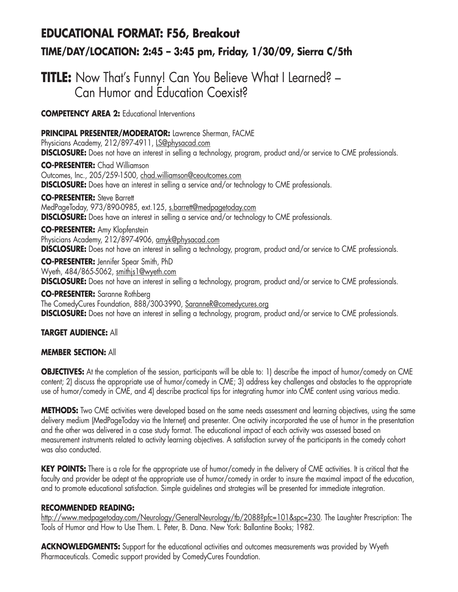## **EDUCATIONAL FORMAT: F56, Breakout TIME/DAY/LOCATION: 2:45 – 3:45 pm, Friday, 1/30/09, Sierra C/5th**

## **TITLE:** Now That's Funny! Can You Believe What I Learned? – Can Humor and Education Coexist?

**COMPETENCY AREA 2:** Educational Interventions

**PRINCIPAL PRESENTER/MODERATOR:** Lawrence Sherman, FACME Physicians Academy, 212/897-4911, LS@physacad.com **DISCLOSURE:** Does not have an interest in selling a technology, program, product and/or service to CME professionals. **CO-PRESENTER:** Chad Williamson Outcomes, Inc., 205/259-1500, chad.williamson@ceoutcomes.com **DISCLOSURE:** Does have an interest in selling a service and/or technology to CME professionals. **CO-PRESENTER:** Steve Barrett MedPageToday, 973/890-0985, ext.125, s.barrett@medpagetoday.com **DISCLOSURE:** Does have an interest in selling a service and/or technology to CME professionals. **CO-PRESENTER:** Amy Klopfenstein

Physicians Academy, 212/897-4906, amyk@physacad.com **DISCLOSURE:** Does not have an interest in selling a technology, program, product and/or service to CME professionals.

**CO-PRESENTER:** Jennifer Spear Smith, PhD Wyeth, 484/865-5062, smithjs1@wyeth.com

**DISCLOSURE:** Does not have an interest in selling a technology, program, product and/or service to CME professionals.

**CO-PRESENTER:** Saranne Rothberg The ComedyCures Foundation, 888/300-3990, SaranneR@comedycures.org **DISCLOSURE:** Does not have an interest in selling a technology, program, product and/or service to CME professionals.

#### **TARGET AUDIENCE:** All

#### **MEMBER SECTION:** All

**OBJECTIVES:** At the completion of the session, participants will be able to: 1) describe the impact of humor/comedy on CME content; 2) discuss the appropriate use of humor/comedy in CME; 3) address key challenges and obstacles to the appropriate use of humor/comedy in CME, and 4) describe practical tips for integrating humor into CME content using various media.

**METHODS:** Two CME activities were developed based on the same needs assessment and learning objectives, using the same delivery medium (MedPageToday via the Internet) and presenter. One activity incorporated the use of humor in the presentation and the other was delivered in a case study format. The educational impact of each activity was assessed based on measurement instruments related to activity learning objectives. A satisfaction survey of the participants in the comedy cohort was also conducted.

**KEY POINTS:** There is a role for the appropriate use of humor/comedy in the delivery of CME activities. It is critical that the faculty and provider be adept at the appropriate use of humor/comedy in order to insure the maximal impact of the education, and to promote educational satisfaction. Simple guidelines and strategies will be presented for immediate integration.

#### **RECOMMENDED READING:**

http://www.medpagetoday.com/Neurology/GeneralNeurology/tb/2088?pfc=101&spc=230. The Laughter Prescription: The Tools of Humor and How to Use Them*.* L. Peter, B. Dana. New York: Ballantine Books; 1982.

ACKNOWLEDGMENTS: Support for the educational activities and outcomes measurements was provided by Wyeth Pharmaceuticals. Comedic support provided by ComedyCures Foundation.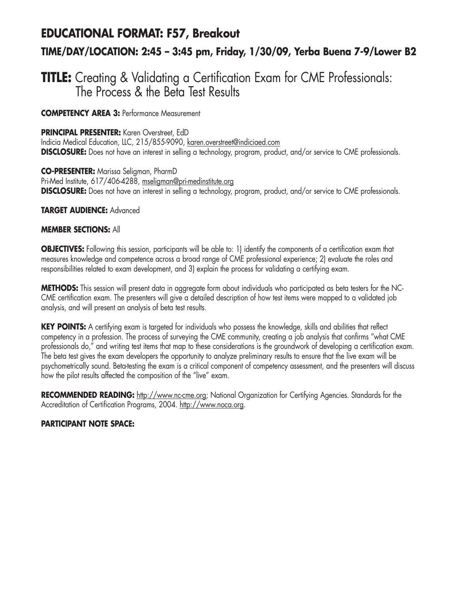# **EDUCATIONAL FORMAT: F57, Breakout TIME/DAY/LOCATION: 2:45 – 3:45 pm, Friday, 1/30/09, Yerba Buena 7-9/Lower B2**

### **TITLE:** Creating & Validating a Certification Exam for CME Professionals: The Process & the Beta Test Results

**COMPETENCY AREA 3:** Performance Measurement

**PRINCIPAL PRESENTER:** Karen Overstreet, EdD

Indicia Medical Education, LLC, 215/855-9090, karen.overstreet@indiciaed.com **DISCLOSURE:** Does not have an interest in selling a technology, program, product, and/or service to CME professionals.

**CO-PRESENTER:** Marissa Seligman, PharmD Pri-Med Institute, 617/406-4288, mseligman@pri-medinstitute.org **DISCLOSURE:** Does not have an interest in selling a technology, program, product, and/or service to CME professionals.

**TARGET AUDIENCE:** Advanced

#### **MEMBER SECTIONS:** All

**OBJECTIVES:** Following this session, participants will be able to: 1) identify the components of a certification exam that measures knowledge and competence across a broad range of CME professional experience; 2) evaluate the roles and responsibilities related to exam development, and 3) explain the process for validating a certifying exam.

**METHODS:** This session will present data in aggregate form about individuals who participated as beta testers for the NC-CME certification exam. The presenters will give a detailed description of how test items were mapped to a validated job analysis, and will present an analysis of beta test results.

**KEY POINTS:** A certifying exam is targeted for individuals who possess the knowledge, skills and abilities that reflect competency in a profession. The process of surveying the CME community, creating a job analysis that confirms "what CME professionals do," and writing test items that map to these considerations is the groundwork of developing a certification exam. The beta test gives the exam developers the opportunity to analyze preliminary results to ensure that the live exam will be psychometrically sound. Beta-testing the exam is a critical component of competency assessment, and the presenters will discuss how the pilot results affected the composition of the "live" exam.

**RECOMMENDED READING:** http://www.nc-cme.org; National Organization for Certifying Agencies. Standards for the Accreditation of Certification Programs, 2004. http://www.noca.org.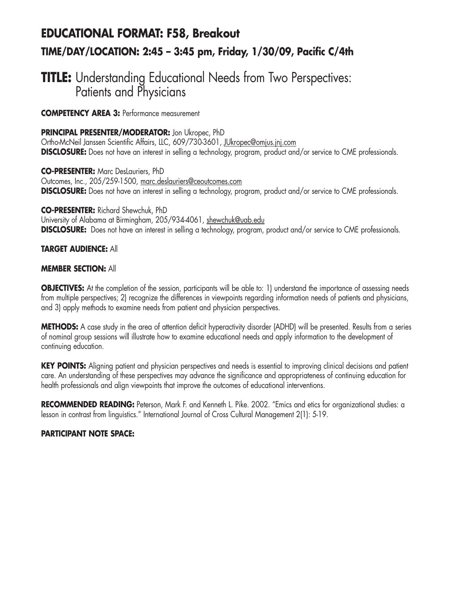## **EDUCATIONAL FORMAT: F58, Breakout TIME/DAY/LOCATION: 2:45 – 3:45 pm, Friday, 1/30/09, Pacific C/4th**

## **TITLE:** Understanding Educational Needs from Two Perspectives: Patients and Physicians

**COMPETENCY AREA 3:** Performance measurement

**PRINCIPAL PRESENTER/MODERATOR:** Jon Ukropec, PhD

Ortho-McNeil Janssen Scientific Affairs, LLC, 609/730-3601, JUkropec@omjus.jnj.com **DISCLOSURE:** Does not have an interest in selling a technology, program, product and/or service to CME professionals.

**CO-PRESENTER:** Marc DesLauriers, PhD Outcomes, Inc., 205/259-1500, marc.deslauriers@ceoutcomes.com **DISCLOSURE:** Does not have an interest in selling a technology, program, product and/or service to CME professionals.

**CO-PRESENTER:** Richard Shewchuk, PhD University of Alabama at Birmingham, 205/934-4061, shewchuk@uab.edu **DISCLOSURE:** Does not have an interest in selling a technology, program, product and/or service to CME professionals.

#### **TARGET AUDIENCE:** All

#### **MEMBER SECTION:** All

**OBJECTIVES:** At the completion of the session, participants will be able to: 1) understand the importance of assessing needs from multiple perspectives; 2) recognize the differences in viewpoints regarding information needs of patients and physicians, and 3) apply methods to examine needs from patient and physician perspectives.

**METHODS:** A case study in the area of attention deficit hyperactivity disorder (ADHD) will be presented. Results from a series of nominal group sessions will illustrate how to examine educational needs and apply information to the development of continuing education.

**KEY POINTS:** Aligning patient and physician perspectives and needs is essential to improving clinical decisions and patient care. An understanding of these perspectives may advance the significance and appropriateness of continuing education for health professionals and align viewpoints that improve the outcomes of educational interventions.

**RECOMMENDED READING:** Peterson, Mark F. and Kenneth L. Pike. 2002. "Emics and etics for organizational studies: a lesson in contrast from linguistics." International Journal of Cross Cultural Management 2(1): 5-19.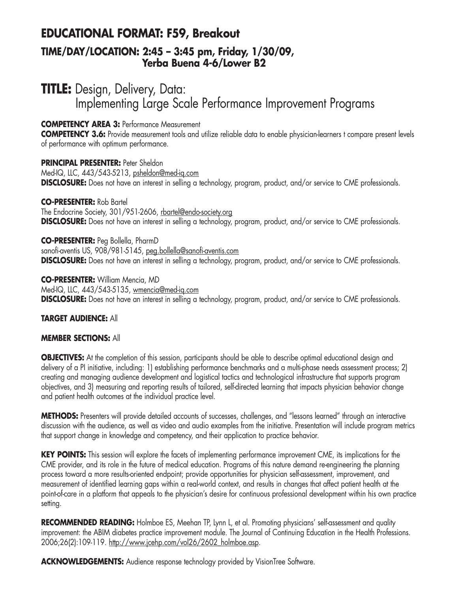### **EDUCATIONAL FORMAT: F59, Breakout**

### **TIME/DAY/LOCATION: 2:45 – 3:45 pm, Friday, 1/30/09, Yerba Buena 4-6/Lower B2**

## **TITLE:** Design, Delivery, Data: Implementing Large Scale Performance Improvement Programs

#### **COMPETENCY AREA 3:** Performance Measurement

**COMPETENCY 3.6:** Provide measurement tools and utilize reliable data to enable physician-learners t compare present levels of performance with optimum performance.

#### **PRINCIPAL PRESENTER:** Peter Sheldon Med-IQ, LLC, 443/543-5213, psheldon@med-iq.com **DISCLOSURE:** Does not have an interest in selling a technology, program, product, and/or service to CME professionals.

**CO-PRESENTER:** Rob Bartel The Endocrine Society, 301/951-2606, rbartel@endo-society.org **DISCLOSURE:** Does not have an interest in selling a technology, program, product, and/or service to CME professionals.

**CO-PRESENTER:** Peg Bollella, PharmD sanofi-aventis US, 908/981-5145, peg.bollella@sanofi-aventis.com **DISCLOSURE:** Does not have an interest in selling a technology, program, product, and/or service to CME professionals.

**CO-PRESENTER:** William Mencia, MD Med-IQ, LLC, 443/543-5135, wmencia@med-iq.com **DISCLOSURE:** Does not have an interest in selling a technology, program, product, and/or service to CME professionals.

#### **TARGET AUDIENCE:** All

#### **MEMBER SECTIONS:** All

**OBJECTIVES:** At the completion of this session, participants should be able to describe optimal educational design and delivery of a PI initiative, including: 1) establishing performance benchmarks and a multi-phase needs assessment process; 2) creating and managing audience development and logistical tactics and technological infrastructure that supports program objectives, and 3) measuring and reporting results of tailored, self-directed learning that impacts physician behavior change and patient health outcomes at the individual practice level.

**METHODS:** Presenters will provide detailed accounts of successes, challenges, and "lessons learned" through an interactive discussion with the audience, as well as video and audio examples from the initiative. Presentation will include program metrics that support change in knowledge and competency, and their application to practice behavior.

**KEY POINTS:** This session will explore the facets of implementing performance improvement CME, its implications for the CME provider, and its role in the future of medical education. Programs of this nature demand re-engineering the planning process toward a more results-oriented endpoint; provide opportunities for physician self-assessment, improvement, and measurement of identified learning gaps within a real-world context, and results in changes that affect patient health at the point-of-care in a platform that appeals to the physician's desire for continuous professional development within his own practice setting.

**RECOMMENDED READING:** Holmboe ES, Meehan TP, Lynn L, et al. Promoting physicians' self-assessment and quality improvement: the ABIM diabetes practice improvement module. The Journal of Continuing Education in the Health Professions. 2006;26(2):109-119. http://www.jcehp.com/vol26/2602\_holmboe.asp.

ACKNOWLEDGEMENTS: Audience response technology provided by VisionTree Software.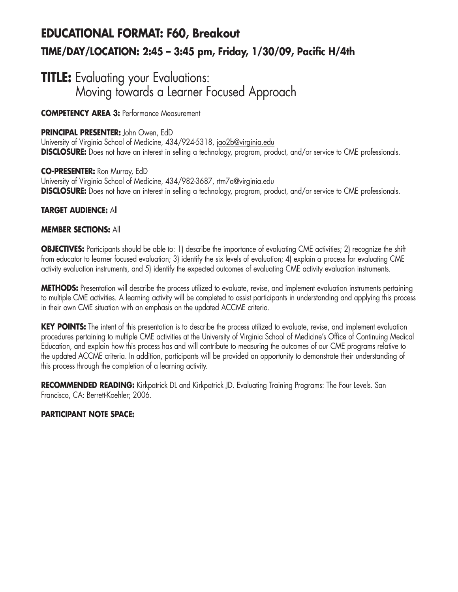# **EDUCATIONAL FORMAT: F60, Breakout TIME/DAY/LOCATION: 2:45 – 3:45 pm, Friday, 1/30/09, Pacific H/4th**

### **TITLE:** Evaluating your Evaluations: Moving towards a Learner Focused Approach

**COMPETENCY AREA 3:** Performance Measurement

#### **PRINCIPAL PRESENTER:** John Owen, EdD

University of Virginia School of Medicine, 434/924-5318, jao2b@virginia.edu **DISCLOSURE:** Does not have an interest in selling a technology, program, product, and/or service to CME professionals.

**CO-PRESENTER:** Ron Murray, EdD University of Virginia School of Medicine, 434/982-3687, rtm7a@virginia.edu **DISCLOSURE:** Does not have an interest in selling a technology, program, product, and/or service to CME professionals.

#### **TARGET AUDIENCE:** All

#### **MEMBER SECTIONS:** All

**OBJECTIVES:** Participants should be able to: 1) describe the importance of evaluating CME activities; 2) recognize the shift from educator to learner focused evaluation; 3) identify the six levels of evaluation; 4) explain a process for evaluating CME activity evaluation instruments, and 5) identify the expected outcomes of evaluating CME activity evaluation instruments.

**METHODS:** Presentation will describe the process utilized to evaluate, revise, and implement evaluation instruments pertaining to multiple CME activities. A learning activity will be completed to assist participants in understanding and applying this process in their own CME situation with an emphasis on the updated ACCME criteria.

**KEY POINTS:** The intent of this presentation is to describe the process utilized to evaluate, revise, and implement evaluation procedures pertaining to multiple CME activities at the University of Virginia School of Medicine's Office of Continuing Medical Education, and explain how this process has and will contribute to measuring the outcomes of our CME programs relative to the updated ACCME criteria. In addition, participants will be provided an opportunity to demonstrate their understanding of this process through the completion of a learning activity.

RECOMMENDED READING: Kirkpatrick DL and Kirkpatrick JD. Evaluating Training Programs: The Four Levels. San Francisco, CA: Berrett-Koehler; 2006.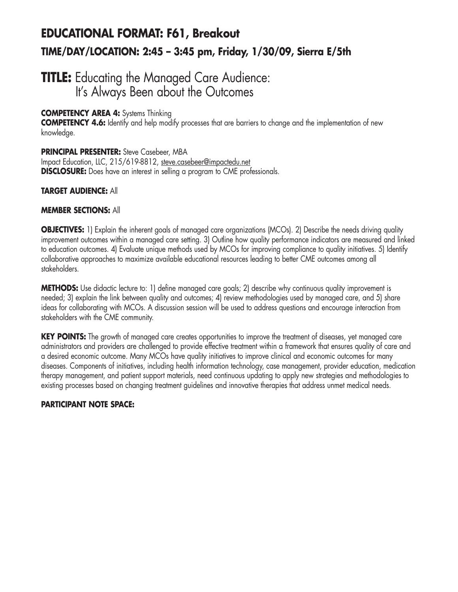## **EDUCATIONAL FORMAT: F61, Breakout TIME/DAY/LOCATION: 2:45 – 3:45 pm, Friday, 1/30/09, Sierra E/5th**

### **TITLE:** Educating the Managed Care Audience: It's Always Been about the Outcomes

#### **COMPETENCY AREA 4:** Systems Thinking

**COMPETENCY 4.6:** Identify and help modify processes that are barriers to change and the implementation of new knowledge.

#### **PRINCIPAL PRESENTER:** Steve Casebeer, MBA

Impact Education, LLC, 215/619-8812, steve.casebeer@impactedu.net **DISCLOSURE:** Does have an interest in selling a program to CME professionals.

#### **TARGET AUDIENCE:** All

#### **MEMBER SECTIONS:** All

**OBJECTIVES:** 1) Explain the inherent goals of managed care organizations (MCOs). 2) Describe the needs driving quality improvement outcomes within a managed care setting. 3) Outline how quality performance indicators are measured and linked to education outcomes. 4) Evaluate unique methods used by MCOs for improving compliance to quality initiatives. 5) Identify collaborative approaches to maximize available educational resources leading to better CME outcomes among all stakeholders.

**METHODS:** Use didactic lecture to: 1) define managed care goals; 2) describe why continuous quality improvement is needed; 3) explain the link between quality and outcomes; 4) review methodologies used by managed care, and 5) share ideas for collaborating with MCOs. A discussion session will be used to address questions and encourage interaction from stakeholders with the CME community.

KEY POINTS: The growth of managed care creates opportunities to improve the treatment of diseases, yet managed care administrators and providers are challenged to provide effective treatment within a framework that ensures quality of care and a desired economic outcome. Many MCOs have quality initiatives to improve clinical and economic outcomes for many diseases. Components of initiatives, including health information technology, case management, provider education, medication therapy management, and patient support materials, need continuous updating to apply new strategies and methodologies to existing processes based on changing treatment guidelines and innovative therapies that address unmet medical needs.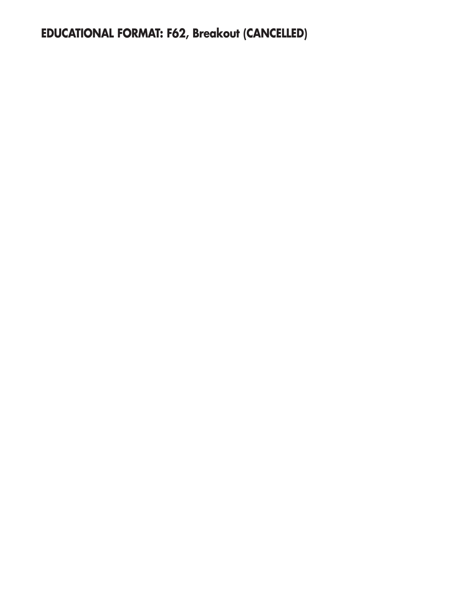**EDUCATIONAL FORMAT: F62, Breakout (CANCELLED)**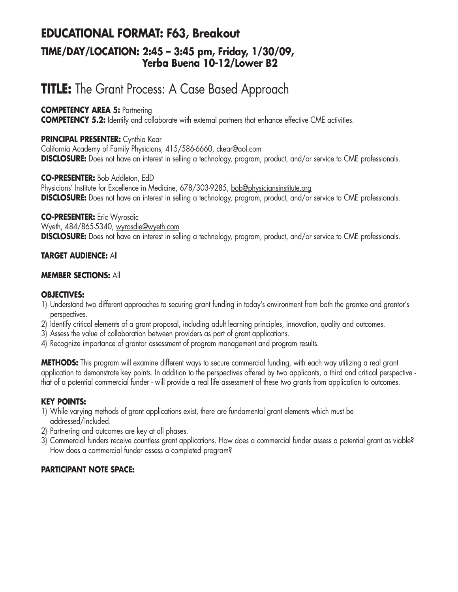### **EDUCATIONAL FORMAT: F63, Breakout TIME/DAY/LOCATION: 2:45 – 3:45 pm, Friday, 1/30/09, Yerba Buena 10-12/Lower B2**

# **TITLE:** The Grant Process: A Case Based Approach

#### **COMPETENCY AREA 5: Partnering**

**COMPETENCY 5.2:** Identify and collaborate with external partners that enhance effective CME activities.

#### **PRINCIPAL PRESENTER:** Cynthia Kear

California Academy of Family Physicians, 415/586-6660, ckear@aol.com **DISCLOSURE:** Does not have an interest in selling a technology, program, product, and/or service to CME professionals.

#### **CO-PRESENTER:** Bob Addleton, EdD

Physicians' Institute for Excellence in Medicine, 678/303-9285, bob@physiciansinstitute.org **DISCLOSURE:** Does not have an interest in selling a technology, program, product, and/or service to CME professionals.

#### **CO-PRESENTER:** Eric Wyrosdic

Wyeth, 484/865-5340, wyrosdie@wyeth.com **DISCLOSURE:** Does not have an interest in selling a technology, program, product, and/or service to CME professionals.

#### **TARGET AUDIENCE:** All

#### **MEMBER SECTIONS:** All

#### **OBJECTIVES:**

- 1) Understand two different approaches to securing grant funding in today's environment from both the grantee and grantor's perspectives.
- 2) Identify critical elements of a grant proposal, including adult learning principles, innovation, quality and outcomes.
- 3) Assess the value of collaboration between providers as part of grant applications.
- 4) Recognize importance of grantor assessment of program management and program results.

**METHODS:** This program will examine different ways to secure commercial funding, with each way utilizing a real grant application to demonstrate key points. In addition to the perspectives offered by two applicants, a third and critical perspective that of a potential commercial funder - will provide a real life assessment of these two grants from application to outcomes.

#### **KEY POINTS:**

- 1) While varying methods of grant applications exist, there are fundamental grant elements which must be addressed/included.
- 2) Partnering and outcomes are key at all phases.
- 3) Commercial funders receive countless grant applications. How does a commercial funder assess a potential grant as viable? How does a commercial funder assess a completed program?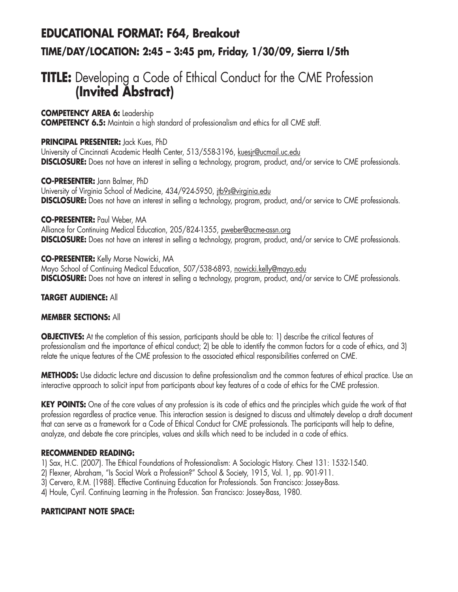## **EDUCATIONAL FORMAT: F64, Breakout TIME/DAY/LOCATION: 2:45 – 3:45 pm, Friday, 1/30/09, Sierra I/5th**

## **TITLE:** Developing a Code of Ethical Conduct for the CME Profession **(Invited Abstract)**

**COMPETENCY AREA 6:** Leadership

**COMPETENCY 6.5:** Maintain a high standard of professionalism and ethics for all CME staff.

#### **PRINCIPAL PRESENTER:** Jack Kues, PhD

University of Cincinnati Academic Health Center, 513/558-3196, kuesir@ucmail.uc.edu **DISCLOSURE:** Does not have an interest in selling a technology, program, product, and/or service to CME professionals.

**CO-PRESENTER:** Jann Balmer, PhD University of Virginia School of Medicine, 434/924-5950, jtb9s@virginia.edu **DISCLOSURE:** Does not have an interest in selling a technology, program, product, and/or service to CME professionals.

**CO-PRESENTER:** Paul Weber, MA Alliance for Continuing Medical Education, 205/824-1355, pweber@acme-assn.org **DISCLOSURE:** Does not have an interest in selling a technology, program, product, and/or service to CME professionals.

**CO-PRESENTER:** Kelly Morse Nowicki, MA Mayo School of Continuing Medical Education, 507/538-6893, nowicki.kelly@mayo.edu **DISCLOSURE:** Does not have an interest in selling a technology, program, product, and/or service to CME professionals.

#### **TARGET AUDIENCE:** All

#### **MEMBER SECTIONS:** All

**OBJECTIVES:** At the completion of this session, participants should be able to: 1) describe the critical features of professionalism and the importance of ethical conduct; 2) be able to identify the common factors for a code of ethics, and 3) relate the unique features of the CME profession to the associated ethical responsibilities conferred on CME.

**METHODS:** Use didactic lecture and discussion to define professionalism and the common features of ethical practice. Use an interactive approach to solicit input from participants about key features of a code of ethics for the CME profession.

**KEY POINTS:** One of the core values of any profession is its code of ethics and the principles which guide the work of that profession regardless of practice venue. This interaction session is designed to discuss and ultimately develop a draft document that can serve as a framework for a Code of Ethical Conduct for CME professionals. The participants will help to define, analyze, and debate the core principles, values and skills which need to be included in a code of ethics.

#### **RECOMMENDED READING:**

1) Sax, H.C. (2007). The Ethical Foundations of Professionalism: A Sociologic History. Chest 131: 1532-1540.

2) Flexner, Abraham, "Is Social Work a Profession?" School & Society, 1915, Vol. 1, pp. 901-911.

3) Cervero, R.M. (1988). Effective Continuing Education for Professionals. San Francisco: Jossey-Bass.

4) Houle, Cyril. Continuing Learning in the Profession. San Francisco: Jossey-Bass, 1980.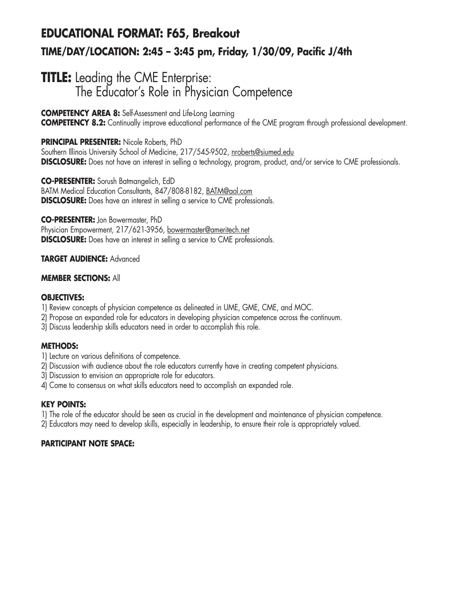## **EDUCATIONAL FORMAT: F65, Breakout TIME/DAY/LOCATION: 2:45 – 3:45 pm, Friday, 1/30/09, Pacific J/4th**

### **TITLE:** Leading the CME Enterprise: The Educator's Role in Physician Competence

**COMPETENCY AREA 8:** Self-Assessment and Life-Long Learning **COMPETENCY 8.2:** Continually improve educational performance of the CME program through professional development.

#### **PRINCIPAL PRESENTER:** Nicole Roberts, PhD

Southern Illinois University School of Medicine, 217/545-9502, nroberts@siumed.edu **DISCLOSURE:** Does not have an interest in selling a technology, program, product, and/or service to CME professionals.

**CO-PRESENTER:** Sorush Batmangelich, EdD BATM Medical Education Consultants, 847/808-8182, BATM@aol.com **DISCLOSURE:** Does have an interest in selling a service to CME professionals.

**CO-PRESENTER:** Jon Bowermaster, PhD Physician Empowerment, 217/621-3956, bowermaster@ameritech.net **DISCLOSURE:** Does have an interest in selling a service to CME professionals.

#### **TARGET AUDIENCE:** Advanced

#### **MEMBER SECTIONS:** All

#### **OBJECTIVES:**

- 1) Review concepts of physician competence as delineated in UME, GME, CME, and MOC.
- 2) Propose an expanded role for educators in developing physician competence across the continuum.
- 3) Discuss leadership skills educators need in order to accomplish this role.

#### **METHODS:**

- 1) Lecture on various definitions of competence.
- 2) Discussion with audience about the role educators currently have in creating competent physicians.
- 3) Discussion to envision an appropriate role for educators.
- 4) Come to consensus on what skills educators need to accomplish an expanded role.

#### **KEY POINTS:**

1) The role of the educator should be seen as crucial in the development and maintenance of physician competence.

2) Educators may need to develop skills, especially in leadership, to ensure their role is appropriately valued.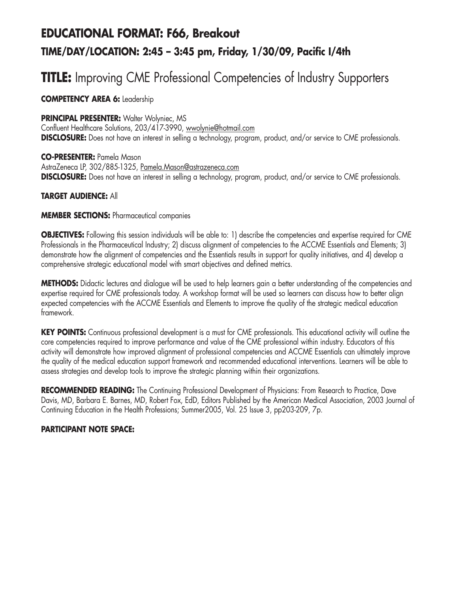# **EDUCATIONAL FORMAT: F66, Breakout TIME/DAY/LOCATION: 2:45 – 3:45 pm, Friday, 1/30/09, Pacific I/4th**

## **TITLE:** Improving CME Professional Competencies of Industry Supporters

#### **COMPETENCY AREA 6:** Leadership

#### **PRINCIPAL PRESENTER: Walter Wolyniec, MS**

Confluent Healthcare Solutions, 203/417-3990, wwolynie@hotmail.com **DISCLOSURE:** Does not have an interest in selling a technology, program, product, and/or service to CME professionals.

#### **CO-PRESENTER:** Pamela Mason

AstraZeneca LP, 302/885-1325, Pamela.Mason@astrazeneca.com **DISCLOSURE:** Does not have an interest in selling a technology, program, product, and/or service to CME professionals.

#### **TARGET AUDIENCE:** All

#### **MEMBER SECTIONS:** Pharmaceutical companies

**OBJECTIVES:** Following this session individuals will be able to: 1) describe the competencies and expertise required for CME Professionals in the Pharmaceutical Industry; 2) discuss alignment of competencies to the ACCME Essentials and Elements; 3) demonstrate how the alignment of competencies and the Essentials results in support for quality initiatives, and 4) develop a comprehensive strategic educational model with smart objectives and defined metrics.

**METHODS:** Didactic lectures and dialogue will be used to help learners gain a better understanding of the competencies and expertise required for CME professionals today. A workshop format will be used so learners can discuss how to better align expected competencies with the ACCME Essentials and Elements to improve the quality of the strategic medical education framework.

**KEY POINTS:** Continuous professional development is a must for CME professionals. This educational activity will outline the core competencies required to improve performance and value of the CME professional within industry. Educators of this activity will demonstrate how improved alignment of professional competencies and ACCME Essentials can ultimately improve the quality of the medical education support framework and recommended educational interventions. Learners will be able to assess strategies and develop tools to improve the strategic planning within their organizations.

**RECOMMENDED READING:** The Continuing Professional Development of Physicians: From Research to Practice, Dave Davis, MD, Barbara E. Barnes, MD, Robert Fox, EdD, Editors Published by the American Medical Association, 2003 Journal of Continuing Education in the Health Professions; Summer2005, Vol. 25 Issue 3, pp203-209, 7p.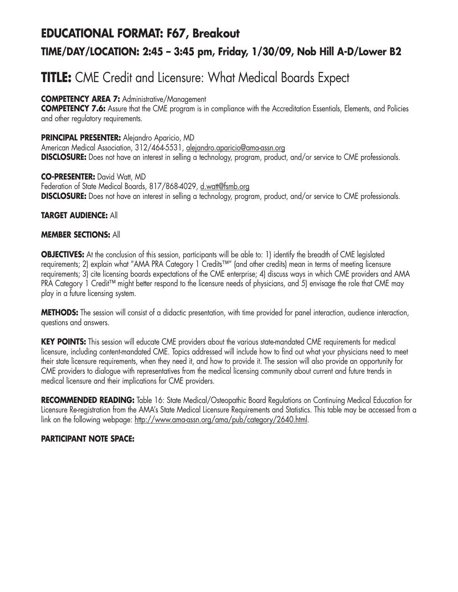## **EDUCATIONAL FORMAT: F67, Breakout TIME/DAY/LOCATION: 2:45 – 3:45 pm, Friday, 1/30/09, Nob Hill A-D/Lower B2**

## **TITLE:** CME Credit and Licensure: What Medical Boards Expect

#### **COMPETENCY AREA 7:** Administrative/Management

**COMPETENCY 7.6:** Assure that the CME program is in compliance with the Accreditation Essentials, Elements, and Policies and other regulatory requirements.

#### **PRINCIPAL PRESENTER:** Alejandro Aparicio, MD

American Medical Association, 312/464-5531, alejandro.aparicio@ama-assn.org **DISCLOSURE:** Does not have an interest in selling a technology, program, product, and/or service to CME professionals.

**CO-PRESENTER:** David Watt, MD Federation of State Medical Boards, 817/868-4029, d.watt@fsmb.org **DISCLOSURE:** Does not have an interest in selling a technology, program, product, and/or service to CME professionals.

#### **TARGET AUDIENCE:** All

#### **MEMBER SECTIONS:** All

**OBJECTIVES:** At the conclusion of this session, participants will be able to: 1) identify the breadth of CME legislated requirements; 2) explain what "AMA PRA Category 1 Credits™" (and other credits) mean in terms of meeting licensure requirements; 3) cite licensing boards expectations of the CME enterprise; 4) discuss ways in which CME providers and AMA PRA Category 1 Credit™ might better respond to the licensure needs of physicians, and 5) envisage the role that CME may play in a future licensing system.

**METHODS:** The session will consist of a didactic presentation, with time provided for panel interaction, audience interaction, questions and answers.

**KEY POINTS:** This session will educate CME providers about the various state-mandated CME requirements for medical licensure, including content-mandated CME. Topics addressed will include how to find out what your physicians need to meet their state licensure requirements, when they need it, and how to provide it. The session will also provide an opportunity for CME providers to dialogue with representatives from the medical licensing community about current and future trends in medical licensure and their implications for CME providers.

**RECOMMENDED READING:** Table 16: State Medical/Osteopathic Board Regulations on Continuing Medical Education for Licensure Re-registration from the AMA's State Medical Licensure Requirements and Statistics. This table may be accessed from a link on the following webpage: http://www.ama-assn.org/ama/pub/category/2640.html.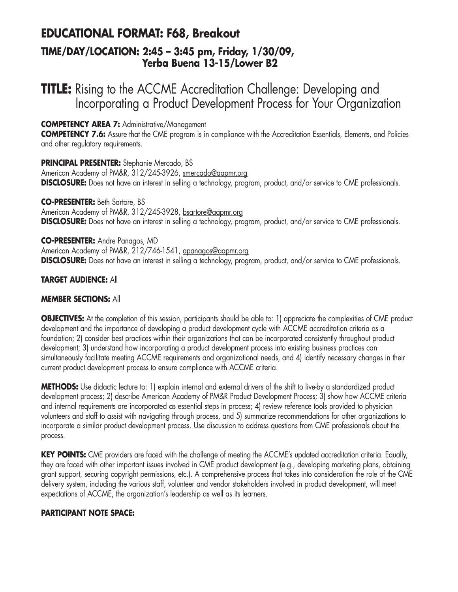### **EDUCATIONAL FORMAT: F68, Breakout TIME/DAY/LOCATION: 2:45 – 3:45 pm, Friday, 1/30/09, Yerba Buena 13-15/Lower B2**

### **TITLE:** Rising to the ACCME Accreditation Challenge: Developing and Incorporating a Product Development Process for Your Organization

#### **COMPETENCY AREA 7:** Administrative/Management

**COMPETENCY 7.6:** Assure that the CME program is in compliance with the Accreditation Essentials, Elements, and Policies and other regulatory requirements.

**PRINCIPAL PRESENTER:** Stephanie Mercado, BS American Academy of PM&R, 312/245-3926, smercado@aapmr.org **DISCLOSURE:** Does not have an interest in selling a technology, program, product, and/or service to CME professionals.

**CO-PRESENTER:** Beth Sartore, BS American Academy of PM&R, 312/245-3928, bsartore@aapmr.org **DISCLOSURE:** Does not have an interest in selling a technology, program, product, and/or service to CME professionals.

**CO-PRESENTER:** Andre Panagos, MD American Academy of PM&R, 212/746-1541, apanagos@aapmr.org **DISCLOSURE:** Does not have an interest in selling a technology, program, product, and/or service to CME professionals.

#### **TARGET AUDIENCE:** All

#### **MEMBER SECTIONS:** All

**OBJECTIVES:** At the completion of this session, participants should be able to: 1) appreciate the complexities of CME product development and the importance of developing a product development cycle with ACCME accreditation criteria as a foundation; 2) consider best practices within their organizations that can be incorporated consistently throughout product development; 3) understand how incorporating a product development process into existing business practices can simultaneously facilitate meeting ACCME requirements and organizational needs, and 4) identify necessary changes in their current product development process to ensure compliance with ACCME criteria.

**METHODS:** Use didactic lecture to: 1) explain internal and external drivers of the shift to live-by a standardized product development process; 2) describe American Academy of PM&R Product Development Process; 3) show how ACCME criteria and internal requirements are incorporated as essential steps in process; 4) review reference tools provided to physician volunteers and staff to assist with navigating through process, and 5) summarize recommendations for other organizations to incorporate a similar product development process. Use discussion to address questions from CME professionals about the process.

**KEY POINTS:** CME providers are faced with the challenge of meeting the ACCME's updated accreditation criteria. Equally, they are faced with other important issues involved in CME product development (e.g., developing marketing plans, obtaining grant support, securing copyright permissions, etc.). A comprehensive process that takes into consideration the role of the CME delivery system, including the various staff, volunteer and vendor stakeholders involved in product development, will meet expectations of ACCME, the organization's leadership as well as its learners.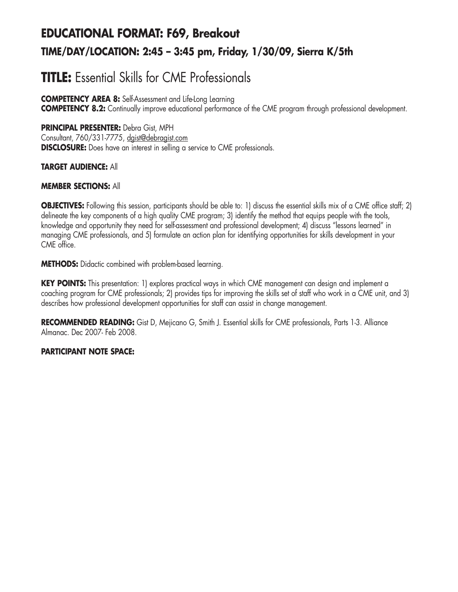# **EDUCATIONAL FORMAT: F69, Breakout TIME/DAY/LOCATION: 2:45 – 3:45 pm, Friday, 1/30/09, Sierra K/5th**

# **TITLE:** Essential Skills for CME Professionals

**COMPETENCY AREA 8:** Self-Assessment and Life-Long Learning **COMPETENCY 8.2:** Continually improve educational performance of the CME program through professional development.

## **PRINCIPAL PRESENTER:** Debra Gist, MPH

Consultant, 760/331-7775, dgist@debragist.com **DISCLOSURE:** Does have an interest in selling a service to CME professionals.

## **TARGET AUDIENCE:** All

## **MEMBER SECTIONS:** All

**OBJECTIVES:** Following this session, participants should be able to: 1) discuss the essential skills mix of a CME office staff; 2) delineate the key components of a high quality CME program; 3) identify the method that equips people with the tools, knowledge and opportunity they need for self-assessment and professional development; 4) discuss "lessons learned" in managing CME professionals, and 5) formulate an action plan for identifying opportunities for skills development in your CME office.

**METHODS:** Didactic combined with problem-based learning.

**KEY POINTS:** This presentation: 1) explores practical ways in which CME management can design and implement a coaching program for CME professionals; 2) provides tips for improving the skills set of staff who work in a CME unit, and 3) describes how professional development opportunities for staff can assist in change management.

**RECOMMENDED READING:** Gist D, Mejicano G, Smith J. Essential skills for CME professionals, Parts 1-3. Alliance Almanac. Dec 2007- Feb 2008.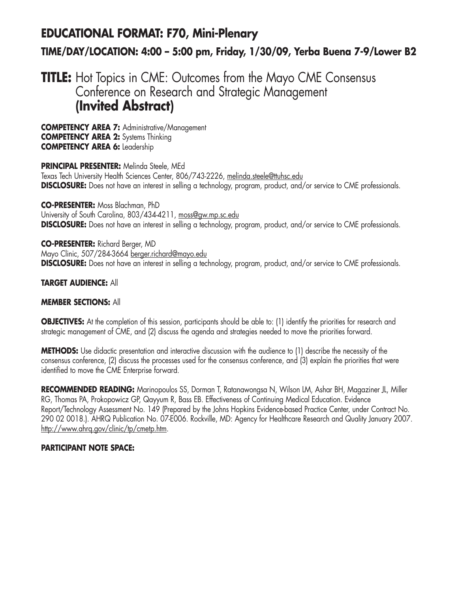# **EDUCATIONAL FORMAT: F70, Mini-Plenary TIME/DAY/LOCATION: 4:00 – 5:00 pm, Friday, 1/30/09, Yerba Buena 7-9/Lower B2**

# **TITLE:** Hot Topics in CME: Outcomes from the Mayo CME Consensus Conference on Research and Strategic Management **(Invited Abstract)**

**COMPETENCY AREA 7:** Administrative/Management **COMPETENCY AREA 2:** Systems Thinking **COMPETENCY AREA 6:** Leadership

**PRINCIPAL PRESENTER:** Melinda Steele, MEd Texas Tech University Health Sciences Center, 806/743-2226, melinda.steele@ttuhsc.edu **DISCLOSURE:** Does not have an interest in selling a technology, program, product, and/or service to CME professionals.

**CO-PRESENTER:** Moss Blachman, PhD University of South Carolina, 803/434-4211, moss@gw.mp.sc.edu **DISCLOSURE:** Does not have an interest in selling a technology, program, product, and/or service to CME professionals.

**CO-PRESENTER:** Richard Berger, MD Mayo Clinic, 507/284-3664 berger.richard@mayo.edu **DISCLOSURE:** Does not have an interest in selling a technology, program, product, and/or service to CME professionals.

## **TARGET AUDIENCE:** All

## **MEMBER SECTIONS:** All

**OBJECTIVES:** At the completion of this session, participants should be able to: (1) identify the priorities for research and strategic management of CME, and (2) discuss the agenda and strategies needed to move the priorities forward.

**METHODS:** Use didactic presentation and interactive discussion with the audience to (1) describe the necessity of the consensus conference, (2) discuss the processes used for the consensus conference, and (3) explain the priorities that were identified to move the CME Enterprise forward.

**RECOMMENDED READING:** Marinopoulos SS, Dorman T, Ratanawongsa N, Wilson LM, Ashar BH, Magaziner JL, Miller RG, Thomas PA, Prokopowicz GP, Qayyum R, Bass EB. Effectiveness of Continuing Medical Education. Evidence Report/Technology Assessment No. 149 (Prepared by the Johns Hopkins Evidence-based Practice Center, under Contract No. 290 02 0018.). AHRQ Publication No. 07-E006. Rockville, MD: Agency for Healthcare Research and Quality January 2007. http://www.ahrq.gov/clinic/tp/cmetp.htm.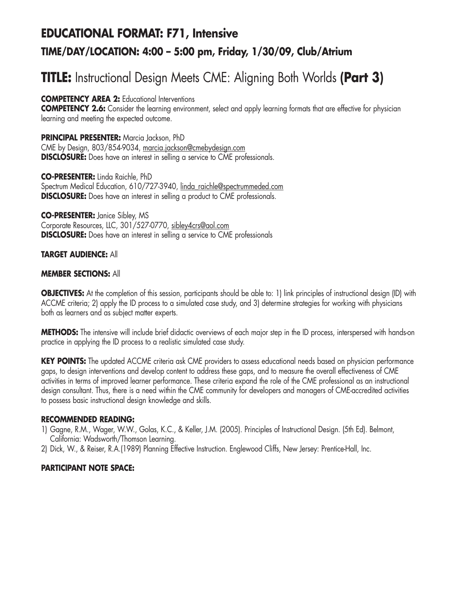# **EDUCATIONAL FORMAT: F71, Intensive TIME/DAY/LOCATION: 4:00 – 5:00 pm, Friday, 1/30/09, Club/Atrium**

# **TITLE:** Instructional Design Meets CME: Aligning Both Worlds **(Part 3)**

**COMPETENCY AREA 2:** Educational Interventions

**COMPETENCY 2.6:** Consider the learning environment, select and apply learning formats that are effective for physician learning and meeting the expected outcome.

**PRINCIPAL PRESENTER:** Marcia Jackson, PhD CME by Design, 803/854-9034, marcia.jackson@cmebydesign.com **DISCLOSURE:** Does have an interest in selling a service to CME professionals.

**CO-PRESENTER:** Linda Raichle, PhD Spectrum Medical Education, 610/727-3940, linda\_raichle@spectrummeded.com **DISCLOSURE:** Does have an interest in selling a product to CME professionals.

**CO-PRESENTER:** Janice Sibley, MS Corporate Resources, LLC, 301/527-0770, sibley4crs@aol.com **DISCLOSURE:** Does have an interest in selling a service to CME professionals

#### **TARGET AUDIENCE:** All

#### **MEMBER SECTIONS:** All

**OBJECTIVES:** At the completion of this session, participants should be able to: 1) link principles of instructional design (ID) with ACCME criteria; 2) apply the ID process to a simulated case study, and 3) determine strategies for working with physicians both as learners and as subject matter experts.

**METHODS:** The intensive will include brief didactic overviews of each major step in the ID process, interspersed with hands-on practice in applying the ID process to a realistic simulated case study.

**KEY POINTS:** The updated ACCME criteria ask CME providers to assess educational needs based on physician performance gaps, to design interventions and develop content to address these gaps, and to measure the overall effectiveness of CME activities in terms of improved learner performance. These criteria expand the role of the CME professional as an instructional design consultant. Thus, there is a need within the CME community for developers and managers of CME-accredited activities to possess basic instructional design knowledge and skills.

#### **RECOMMENDED READING:**

- 1) Gagne, R.M., Wager, W.W., Golas, K.C., & Keller, J.M. (2005). Principles of Instructional Design. (5th Ed). Belmont, California: Wadsworth/Thomson Learning.
- 2) Dick, W., & Reiser, R.A.(1989) Planning Effective Instruction. Englewood Cliffs, New Jersey: Prentice-Hall, Inc.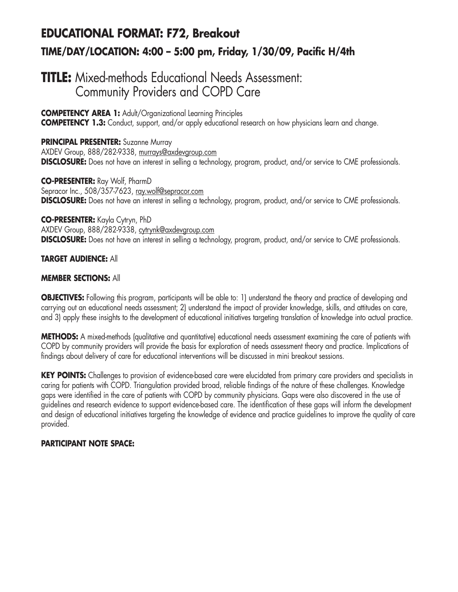# **EDUCATIONAL FORMAT: F72, Breakout TIME/DAY/LOCATION: 4:00 – 5:00 pm, Friday, 1/30/09, Pacific H/4th**

## **TITLE:** Mixed-methods Educational Needs Assessment: Community Providers and COPD Care

**COMPETENCY AREA 1:** Adult/Organizational Learning Principles **COMPETENCY 1.3:** Conduct, support, and/or apply educational research on how physicians learn and change.

**PRINCIPAL PRESENTER:** Suzanne Murray AXDEV Group, 888/282-9338, murrays@axdevgroup.com **DISCLOSURE:** Does not have an interest in selling a technology, program, product, and/or service to CME professionals.

**CO-PRESENTER:** Ray Wolf, PharmD Sepracor Inc., 508/357-7623, ray.wolf@sepracor.com **DISCLOSURE:** Does not have an interest in selling a technology, program, product, and/or service to CME professionals.

**CO-PRESENTER:** Kayla Cytryn, PhD AXDEV Group, 888/282-9338, cytrynk@axdevgroup.com **DISCLOSURE:** Does not have an interest in selling a technology, program, product, and/or service to CME professionals.

#### **TARGET AUDIENCE:** All

#### **MEMBER SECTIONS:** All

**OBJECTIVES:** Following this program, participants will be able to: 1) understand the theory and practice of developing and carrying out an educational needs assessment; 2) understand the impact of provider knowledge, skills, and attitudes on care, and 3) apply these insights to the development of educational initiatives targeting translation of knowledge into actual practice.

**METHODS:** A mixed-methods (qualitative and quantitative) educational needs assessment examining the care of patients with COPD by community providers will provide the basis for exploration of needs assessment theory and practice. Implications of findings about delivery of care for educational interventions will be discussed in mini breakout sessions.

**KEY POINTS:** Challenges to provision of evidence-based care were elucidated from primary care providers and specialists in caring for patients with COPD. Triangulation provided broad, reliable findings of the nature of these challenges. Knowledge gaps were identified in the care of patients with COPD by community physicians. Gaps were also discovered in the use of guidelines and research evidence to support evidence-based care. The identification of these gaps will inform the development and design of educational initiatives targeting the knowledge of evidence and practice guidelines to improve the quality of care provided.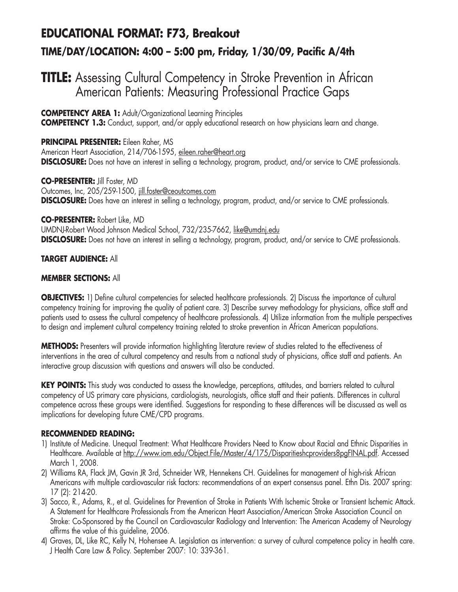# **EDUCATIONAL FORMAT: F73, Breakout TIME/DAY/LOCATION: 4:00 – 5:00 pm, Friday, 1/30/09, Pacific A/4th**

## **TITLE:** Assessing Cultural Competency in Stroke Prevention in African American Patients: Measuring Professional Practice Gaps

**COMPETENCY AREA 1:** Adult/Organizational Learning Principles

**COMPETENCY 1.3:** Conduct, support, and/or apply educational research on how physicians learn and change.

**PRINCIPAL PRESENTER:** Eileen Raher, MS American Heart Association, 214/706-1595, eileen.raher@heart.org **DISCLOSURE:** Does not have an interest in selling a technology, program, product, and/or service to CME professionals.

**CO-PRESENTER:** Jill Foster, MD Outcomes, Inc, 205/259-1500, jill.foster@ceoutcomes.com **DISCLOSURE:** Does have an interest in selling a technology, program, product, and/or service to CME professionals.

**CO-PRESENTER:** Robert Like, MD UMDNJ-Robert Wood Johnson Medical School, 732/235-7662, like@umdnj.edu **DISCLOSURE:** Does not have an interest in selling a technology, program, product, and/or service to CME professionals.

## **TARGET AUDIENCE:** All

#### **MEMBER SECTIONS:** All

**OBJECTIVES:** 1) Define cultural competencies for selected healthcare professionals. 2) Discuss the importance of cultural competency training for improving the quality of patient care. 3) Describe survey methodology for physicians, office staff and patients used to assess the cultural competency of healthcare professionals. 4) Utilize information from the multiple perspectives to design and implement cultural competency training related to stroke prevention in African American populations.

**METHODS:** Presenters will provide information highlighting literature review of studies related to the effectiveness of interventions in the area of cultural competency and results from a national study of physicians, office staff and patients. An interactive group discussion with questions and answers will also be conducted.

KEY POINTS: This study was conducted to assess the knowledge, perceptions, attitudes, and barriers related to cultural competency of US primary care physicians, cardiologists, neurologists, office staff and their patients. Differences in cultural competence across these groups were identified. Suggestions for responding to these differences will be discussed as well as implications for developing future CME/CPD programs.

#### **RECOMMENDED READING:**

- 1) Institute of Medicine. Unequal Treatment: What Healthcare Providers Need to Know about Racial and Ethnic Disparities in Healthcare. Available at http://www.iom.edu/Object.File/Master/4/175/Disparitieshcproviders8pgFINAL.pdf. Accessed March 1, 2008.
- 2) Williams RA, Flack JM, Gavin JR 3rd, Schneider WR, Hennekens CH. Guidelines for management of high-risk African Americans with multiple cardiovascular risk factors: recommendations of an expert consensus panel. Ethn Dis. 2007 spring: 17 (2): 214-20.
- 3) Sacco, R., Adams, R., et al. Guidelines for Prevention of Stroke in Patients With Ischemic Stroke or Transient Ischemic Attack. A Statement for Healthcare Professionals From the American Heart Association/American Stroke Association Council on Stroke: Co-Sponsored by the Council on Cardiovascular Radiology and Intervention: The American Academy of Neurology affirms the value of this guideline, 2006.
- 4) Graves, DL, Like RC, Kelly N, Hohensee A. Legislation as intervention: a survey of cultural competence policy in health care. J Health Care Law & Policy. September 2007: 10: 339-361.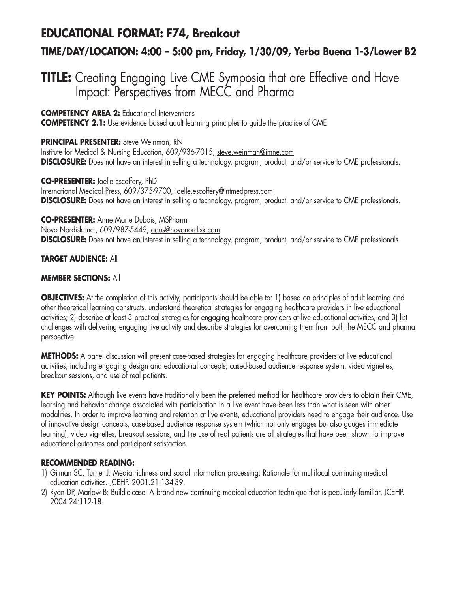## **EDUCATIONAL FORMAT: F74, Breakout**

## **TIME/DAY/LOCATION: 4:00 – 5:00 pm, Friday, 1/30/09, Yerba Buena 1-3/Lower B2**

## **TITLE:** Creating Engaging Live CME Symposia that are Effective and Have Impact: Perspectives from MECC and Pharma

**COMPETENCY AREA 2:** Educational Interventions

**COMPETENCY 2.1:** Use evidence based adult learning principles to guide the practice of CME

### **PRINCIPAL PRESENTER:** Steve Weinman, RN

Institute for Medical & Nursing Education, 609/936-7015, steve.weinman@imne.com **DISCLOSURE:** Does not have an interest in selling a technology, program, product, and/or service to CME professionals.

**CO-PRESENTER:** Joelle Escoffery, PhD International Medical Press, 609/375-9700, joelle.escoffery@intmedpress.com **DISCLOSURE:** Does not have an interest in selling a technology, program, product, and/or service to CME professionals.

**CO-PRESENTER:** Anne Marie Dubois, MSPharm Novo Nordisk Inc., 609/987-5449, adus@novonordisk.com **DISCLOSURE:** Does not have an interest in selling a technology, program, product, and/or service to CME professionals.

#### **TARGET AUDIENCE:** All

#### **MEMBER SECTIONS:** All

**OBJECTIVES:** At the completion of this activity, participants should be able to: 1) based on principles of adult learning and other theoretical learning constructs, understand theoretical strategies for engaging healthcare providers in live educational activities; 2) describe at least 3 practical strategies for engaging healthcare providers at live educational activities, and 3) list challenges with delivering engaging live activity and describe strategies for overcoming them from both the MECC and pharma perspective.

**METHODS:** A panel discussion will present case-based strategies for engaging healthcare providers at live educational activities, including engaging design and educational concepts, cased-based audience response system, video vignettes, breakout sessions, and use of real patients.

**KEY POINTS:** Although live events have traditionally been the preferred method for healthcare providers to obtain their CME, learning and behavior change associated with participation in a live event have been less than what is seen with other modalities. In order to improve learning and retention at live events, educational providers need to engage their audience. Use of innovative design concepts, case-based audience response system (which not only engages but also gauges immediate learning), video vignettes, breakout sessions, and the use of real patients are all strategies that have been shown to improve educational outcomes and participant satisfaction.

## **RECOMMENDED READING:**

- 1) Gilman SC, Turner J: Media richness and social information processing: Rationale for multifocal continuing medical education activities. JCEHP. 2001.21:134-39.
- 2) Ryan DP, Marlow B: Build-a-case: A brand new continuing medical education technique that is peculiarly familiar. JCEHP. 2004.24:112-18.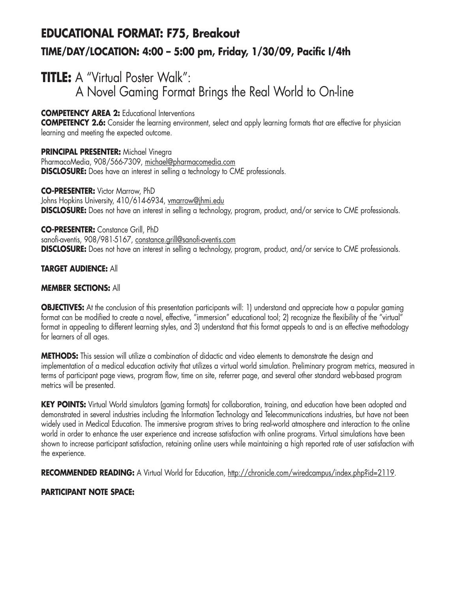# **EDUCATIONAL FORMAT: F75, Breakout TIME/DAY/LOCATION: 4:00 – 5:00 pm, Friday, 1/30/09, Pacific I/4th**

# **TITLE:** A "Virtual Poster Walk": A Novel Gaming Format Brings the Real World to On-line

**COMPETENCY AREA 2:** Educational Interventions

**COMPETENCY 2.6:** Consider the learning environment, select and apply learning formats that are effective for physician learning and meeting the expected outcome.

**PRINCIPAL PRESENTER:** Michael Vinegra PharmacoMedia, 908/566-7309, michael@pharmacomedia.com **DISCLOSURE:** Does have an interest in selling a technology to CME professionals.

**CO-PRESENTER:** Victor Marrow, PhD Johns Hopkins University, 410/614-6934, vmarrow@jhmi.edu **DISCLOSURE:** Does not have an interest in selling a technology, program, product, and/or service to CME professionals.

**CO-PRESENTER:** Constance Grill, PhD sanofi-aventis, 908/981-5167, constance.grill@sanofi-aventis.com **DISCLOSURE:** Does not have an interest in selling a technology, program, product, and/or service to CME professionals.

## **TARGET AUDIENCE:** All

## **MEMBER SECTIONS:** All

**OBJECTIVES:** At the conclusion of this presentation participants will: 1) understand and appreciate how a popular gaming format can be modified to create a novel, effective, "immersion" educational tool; 2) recognize the flexibility of the "virtual" format in appealing to different learning styles, and 3) understand that this format appeals to and is an effective methodology for learners of all ages.

**METHODS:** This session will utilize a combination of didactic and video elements to demonstrate the design and implementation of a medical education activity that utilizes a virtual world simulation. Preliminary program metrics, measured in terms of participant page views, program flow, time on site, referrer page, and several other standard web-based program metrics will be presented.

**KEY POINTS:** Virtual World simulators (gaming formats) for collaboration, training, and education have been adopted and demonstrated in several industries including the Information Technology and Telecommunications industries, but have not been widely used in Medical Education. The immersive program strives to bring real-world atmosphere and interaction to the online world in order to enhance the user experience and increase satisfaction with online programs. Virtual simulations have been shown to increase participant satisfaction, retaining online users while maintaining a high reported rate of user satisfaction with the experience.

RECOMMENDED READING: A Virtual World for Education, http://chronicle.com/wiredcampus/index.php?id=2119.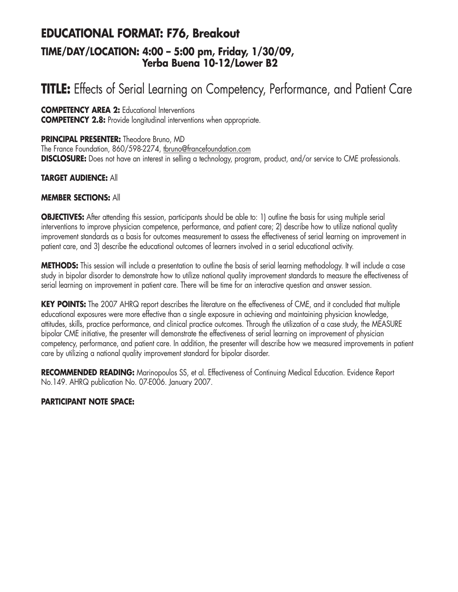## **EDUCATIONAL FORMAT: F76, Breakout TIME/DAY/LOCATION: 4:00 – 5:00 pm, Friday, 1/30/09, Yerba Buena 10-12/Lower B2**

# **TITLE:** Effects of Serial Learning on Competency, Performance, and Patient Care

**COMPETENCY AREA 2:** Educational Interventions **COMPETENCY 2.8:** Provide longitudinal interventions when appropriate.

**PRINCIPAL PRESENTER:** Theodore Bruno, MD

The France Foundation, 860/598-2274, tbruno@francefoundation.com **DISCLOSURE:** Does not have an interest in selling a technology, program, product, and/or service to CME professionals.

#### **TARGET AUDIENCE:** All

#### **MEMBER SECTIONS:** All

**OBJECTIVES:** After attending this session, participants should be able to: 1) outline the basis for using multiple serial interventions to improve physician competence, performance, and patient care; 2) describe how to utilize national quality improvement standards as a basis for outcomes measurement to assess the effectiveness of serial learning on improvement in patient care, and 3) describe the educational outcomes of learners involved in a serial educational activity.

**METHODS:** This session will include a presentation to outline the basis of serial learning methodology. It will include a case study in bipolar disorder to demonstrate how to utilize national quality improvement standards to measure the effectiveness of serial learning on improvement in patient care. There will be time for an interactive question and answer session.

**KEY POINTS:** The 2007 AHRQ report describes the literature on the effectiveness of CME, and it concluded that multiple educational exposures were more effective than a single exposure in achieving and maintaining physician knowledge, attitudes, skills, practice performance, and clinical practice outcomes. Through the utilization of a case study, the MEASURE bipolar CME initiative, the presenter will demonstrate the effectiveness of serial learning on improvement of physician competency, performance, and patient care. In addition, the presenter will describe how we measured improvements in patient care by utilizing a national quality improvement standard for bipolar disorder.

**RECOMMENDED READING:** Marinopoulos SS, et al. Effectiveness of Continuing Medical Education. Evidence Report No.149. AHRQ publication No. 07-E006. January 2007.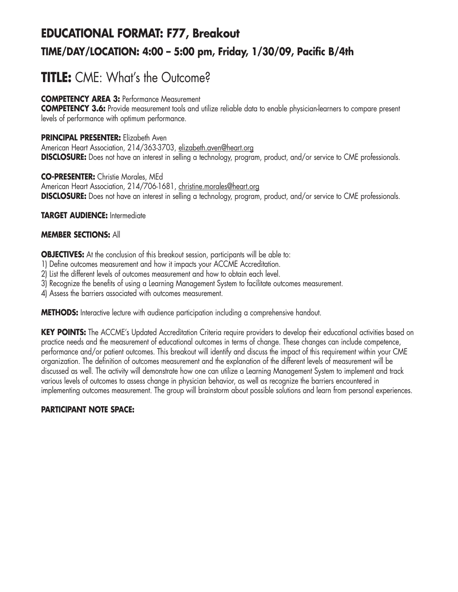# **EDUCATIONAL FORMAT: F77, Breakout TIME/DAY/LOCATION: 4:00 – 5:00 pm, Friday, 1/30/09, Pacific B/4th**

# **TITLE:** CME: What's the Outcome?

## **COMPETENCY AREA 3:** Performance Measurement

**COMPETENCY 3.6:** Provide measurement tools and utilize reliable data to enable physician-learners to compare present levels of performance with optimum performance.

### **PRINCIPAL PRESENTER:** Elizabeth Aven

American Heart Association, 214/363-3703, elizabeth.aven@heart.org **DISCLOSURE:** Does not have an interest in selling a technology, program, product, and/or service to CME professionals.

**CO-PRESENTER:** Christie Morales, MEd American Heart Association, 214/706-1681, christine.morales@heart.org **DISCLOSURE:** Does not have an interest in selling a technology, program, product, and/or service to CME professionals.

## **TARGET AUDIENCE:** Intermediate

## **MEMBER SECTIONS:** All

**OBJECTIVES:** At the conclusion of this breakout session, participants will be able to:

- 1) Define outcomes measurement and how it impacts your ACCME Accreditation.
- 2) List the different levels of outcomes measurement and how to obtain each level.
- 3) Recognize the benefits of using a Learning Management System to facilitate outcomes measurement.

4) Assess the barriers associated with outcomes measurement.

**METHODS:** Interactive lecture with audience participation including a comprehensive handout.

**KEY POINTS:** The ACCME's Updated Accreditation Criteria require providers to develop their educational activities based on practice needs and the measurement of educational outcomes in terms of change. These changes can include competence, performance and/or patient outcomes. This breakout will identify and discuss the impact of this requirement within your CME organization. The definition of outcomes measurement and the explanation of the different levels of measurement will be discussed as well. The activity will demonstrate how one can utilize a Learning Management System to implement and track various levels of outcomes to assess change in physician behavior, as well as recognize the barriers encountered in implementing outcomes measurement. The group will brainstorm about possible solutions and learn from personal experiences.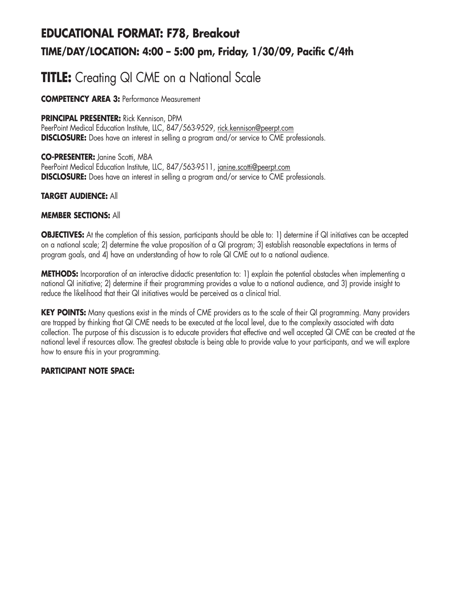# **EDUCATIONAL FORMAT: F78, Breakout TIME/DAY/LOCATION: 4:00 – 5:00 pm, Friday, 1/30/09, Pacific C/4th**

# **TITLE:** Creating QI CME on a National Scale

**COMPETENCY AREA 3:** Performance Measurement

#### **PRINCIPAL PRESENTER:** Rick Kennison, DPM

PeerPoint Medical Education Institute, LLC, 847/563-9529, rick.kennison@peerpt.com **DISCLOSURE:** Does have an interest in selling a program and/or service to CME professionals.

**CO-PRESENTER:** Janine Scotti, MBA PeerPoint Medical Education Institute, LLC, 847/563-9511, janine.scotti@peerpt.com **DISCLOSURE:** Does have an interest in selling a program and/or service to CME professionals.

#### **TARGET AUDIENCE:** All

#### **MEMBER SECTIONS:** All

**OBJECTIVES:** At the completion of this session, participants should be able to: 1) determine if QI initiatives can be accepted on a national scale; 2) determine the value proposition of a QI program; 3) establish reasonable expectations in terms of program goals, and 4) have an understanding of how to role QI CME out to a national audience.

**METHODS:** Incorporation of an interactive didactic presentation to: 1) explain the potential obstacles when implementing a national QI initiative; 2) determine if their programming provides a value to a national audience, and 3) provide insight to reduce the likelihood that their QI initiatives would be perceived as a clinical trial.

**KEY POINTS:** Many questions exist in the minds of CME providers as to the scale of their QI programming. Many providers are trapped by thinking that QI CME needs to be executed at the local level, due to the complexity associated with data collection. The purpose of this discussion is to educate providers that effective and well accepted QI CME can be created at the national level if resources allow. The greatest obstacle is being able to provide value to your participants, and we will explore how to ensure this in your programming.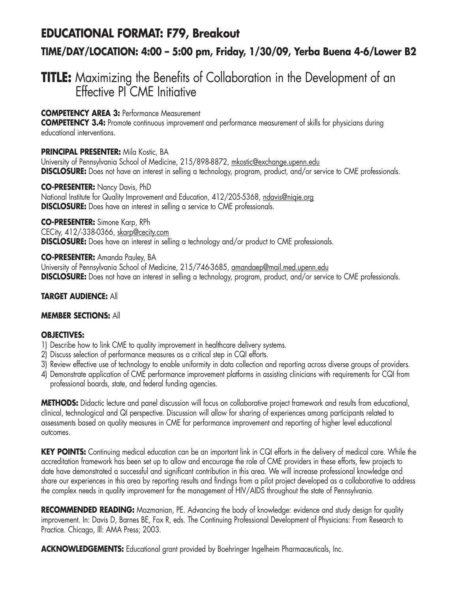## **EDUCATIONAL FORMAT: F79, Breakout**

## **TIME/DAY/LOCATION: 4:00 – 5:00 pm, Friday, 1/30/09, Yerba Buena 4-6/Lower B2**

## **TITLE:** Maximizing the Benefits of Collaboration in the Development of an Effective PI CME Initiative

### **COMPETENCY AREA 3:** Performance Measurement

**COMPETENCY 3.4:** Promote continuous improvement and performance measurement of skills for physicians during educational interventions.

#### **PRINCIPAL PRESENTER:** Mila Kostic, BA

University of Pennsylvania School of Medicine, 215/898-8872, mkostic@exchange.upenn.edu **DISCLOSURE:** Does not have an interest in selling a technology, program, product, and/or service to CME professionals.

**CO-PRESENTER:** Nancy Davis, PhD National Institute for Quality Improvement and Education, 412/205-5368, ndavis@nigie.org **DISCLOSURE:** Does have an interest in selling a service to CME professionals.

**CO-PRESENTER:** Simone Karp, RPh CECity, 412/-338-0366, skarp@cecity.com **DISCLOSURE:** Does have an interest in selling a technology and/or product to CME professionals.

**CO-PRESENTER:** Amanda Pauley, BA University of Pennsylvania School of Medicine, 215/746-3685, amandaep@mail.med.upenn.edu **DISCLOSURE:** Does not have an interest in selling a technology, program, product, and/or service to CME professionals.

### **TARGET AUDIENCE:** All

#### **MEMBER SECTIONS:** All

## **OBJECTIVES:**

- 1) Describe how to link CME to quality improvement in healthcare delivery systems.
- 2) Discuss selection of performance measures as a critical step in CQI efforts.
- 3) Review effective use of technology to enable uniformity in data collection and reporting across diverse groups of providers.
- 4) Demonstrate application of CME performance improvement platforms in assisting clinicians with requirements for CQI from professional boards, state, and federal funding agencies.

**METHODS:** Didactic lecture and panel discussion will focus on collaborative project framework and results from educational, clinical, technological and QI perspective. Discussion will allow for sharing of experiences among participants related to assessments based on quality measures in CME for performance improvement and reporting of higher level educational outcomes.

**KEY POINTS:** Continuing medical education can be an important link in CQI efforts in the delivery of medical care. While the accreditation framework has been set up to allow and encourage the role of CME providers in these efforts, few projects to date have demonstrated a successful and significant contribution in this area. We will increase professional knowledge and share our experiences in this area by reporting results and findings from a pilot project developed as a collaborative to address the complex needs in quality improvement for the management of HIV/AIDS throughout the state of Pennsylvania.

**RECOMMENDED READING:** Mazmanian, PE. Advancing the body of knowledge: evidence and study design for quality improvement. In: Davis D, Barnes BE, Fox R, eds. The Continuing Professional Development of Physicians: From Research to Practice. Chicago, Ill: AMA Press; 2003.

**ACKNOWLEDGEMENTS:** Educational grant provided by Boehringer Ingelheim Pharmaceuticals, Inc.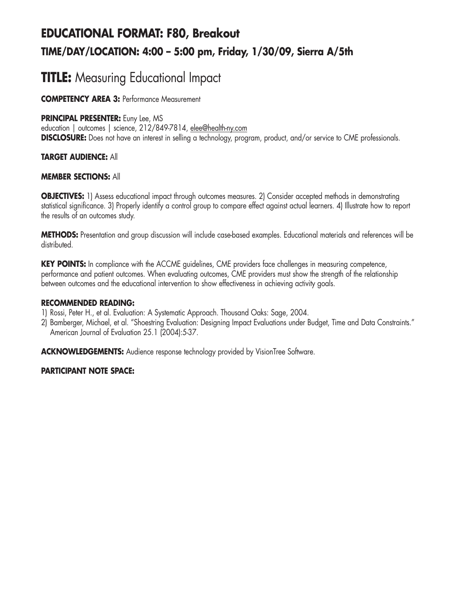# **EDUCATIONAL FORMAT: F80, Breakout TIME/DAY/LOCATION: 4:00 – 5:00 pm, Friday, 1/30/09, Sierra A/5th**

# **TITLE:** Measuring Educational Impact

**COMPETENCY AREA 3:** Performance Measurement

## **PRINCIPAL PRESENTER:** Euny Lee, MS

education | outcomes | science, 212/849-7814, elee@health-ny.com **DISCLOSURE:** Does not have an interest in selling a technology, program, product, and/or service to CME professionals.

## **TARGET AUDIENCE:** All

#### **MEMBER SECTIONS:** All

**OBJECTIVES:** 1) Assess educational impact through outcomes measures. 2) Consider accepted methods in demonstrating statistical significance. 3) Properly identify a control group to compare effect against actual learners. 4) Illustrate how to report the results of an outcomes study.

**METHODS:** Presentation and group discussion will include case-based examples. Educational materials and references will be distributed.

**KEY POINTS:** In compliance with the ACCME quidelines, CME providers face challenges in measuring competence, performance and patient outcomes. When evaluating outcomes, CME providers must show the strength of the relationship between outcomes and the educational intervention to show effectiveness in achieving activity goals.

#### **RECOMMENDED READING:**

- 1) Rossi, Peter H., et al. Evaluation: A Systematic Approach. Thousand Oaks: Sage, 2004.
- 2) Bamberger, Michael, et al. "Shoestring Evaluation: Designing Impact Evaluations under Budget, Time and Data Constraints." American Journal of Evaluation 25.1 (2004):5-37.

**ACKNOWLEDGEMENTS:** Audience response technology provided by VisionTree Software.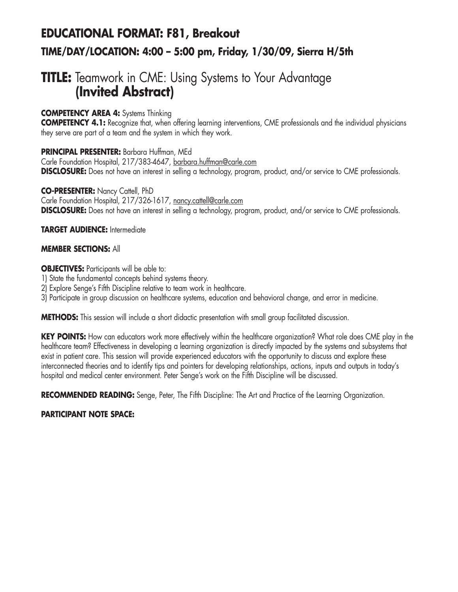# **EDUCATIONAL FORMAT: F81, Breakout TIME/DAY/LOCATION: 4:00 – 5:00 pm, Friday, 1/30/09, Sierra H/5th**

## **TITLE:** Teamwork in CME: Using Systems to Your Advantage **(Invited Abstract)**

## **COMPETENCY AREA 4:** Systems Thinking

**COMPETENCY 4.1:** Recognize that, when offering learning interventions, CME professionals and the individual physicians they serve are part of a team and the system in which they work.

## **PRINCIPAL PRESENTER:** Barbara Huffman, MEd

Carle Foundation Hospital, 217/383-4647, barbara.huffman@carle.com **DISCLOSURE:** Does not have an interest in selling a technology, program, product, and/or service to CME professionals.

## **CO-PRESENTER:** Nancy Cattell, PhD

Carle Foundation Hospital, 217/326-1617, nancy.cattell@carle.com **DISCLOSURE:** Does not have an interest in selling a technology, program, product, and/or service to CME professionals.

## **TARGET AUDIENCE:** Intermediate

## **MEMBER SECTIONS:** All

## **OBJECTIVES:** Participants will be able to:

- 1) State the fundamental concepts behind systems theory.
- 2) Explore Senge's Fifth Discipline relative to team work in healthcare.
- 3) Participate in group discussion on healthcare systems, education and behavioral change, and error in medicine.

**METHODS:** This session will include a short didactic presentation with small group facilitated discussion.

**KEY POINTS:** How can educators work more effectively within the healthcare organization? What role does CME play in the healthcare team? Effectiveness in developing a learning organization is directly impacted by the systems and subsystems that exist in patient care. This session will provide experienced educators with the opportunity to discuss and explore these interconnected theories and to identify tips and pointers for developing relationships, actions, inputs and outputs in today's hospital and medical center environment. Peter Senge's work on the Fifth Discipline will be discussed.

**RECOMMENDED READING:** Senge, Peter, The Fifth Discipline: The Art and Practice of the Learning Organization.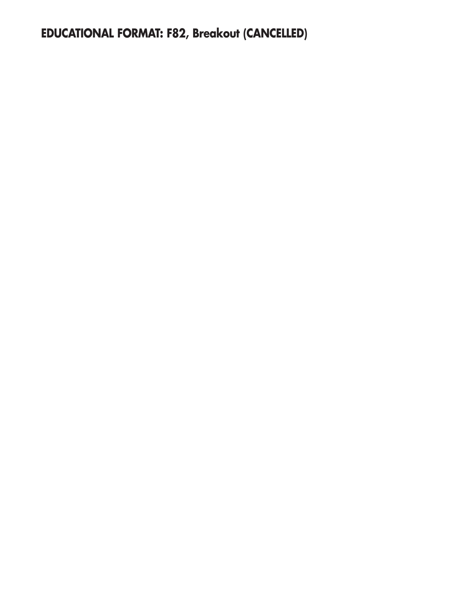**EDUCATIONAL FORMAT: F82, Breakout (CANCELLED)**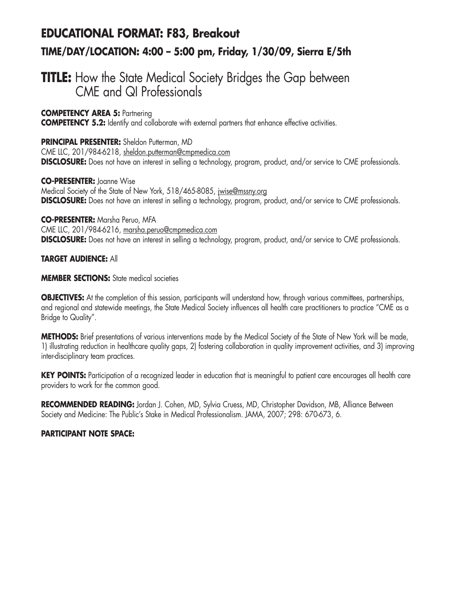# **EDUCATIONAL FORMAT: F83, Breakout TIME/DAY/LOCATION: 4:00 – 5:00 pm, Friday, 1/30/09, Sierra E/5th**

## **TITLE:** How the State Medical Society Bridges the Gap between CME and QI Professionals

**COMPETENCY AREA 5:** Partnering

**COMPETENCY 5.2:** Identify and collaborate with external partners that enhance effective activities.

#### **PRINCIPAL PRESENTER:** Sheldon Putterman, MD CME LLC, 201/984-6218, sheldon.putterman@cmpmedica.com

**DISCLOSURE:** Does not have an interest in selling a technology, program, product, and/or service to CME professionals.

**CO-PRESENTER:** Joanne Wise

Medical Society of the State of New York, 518/465-8085, jwise@mssny.org **DISCLOSURE:** Does not have an interest in selling a technology, program, product, and/or service to CME professionals.

**CO-PRESENTER:** Marsha Peruo, MFA CME LLC, 201/984-6216, marsha.peruo@cmpmedica.com **DISCLOSURE:** Does not have an interest in selling a technology, program, product, and/or service to CME professionals.

## **TARGET AUDIENCE:** All

#### **MEMBER SECTIONS:** State medical societies

**OBJECTIVES:** At the completion of this session, participants will understand how, through various committees, partnerships, and regional and statewide meetings, the State Medical Society influences all health care practitioners to practice "CME as a Bridge to Quality".

**METHODS:** Brief presentations of various interventions made by the Medical Society of the State of New York will be made, 1) illustrating reduction in healthcare quality gaps, 2) fostering collaboration in quality improvement activities, and 3) improving inter-disciplinary team practices.

KEY POINTS: Participation of a recognized leader in education that is meaningful to patient care encourages all health care providers to work for the common good.

**RECOMMENDED READING:** Jordan J. Cohen, MD, Sylvia Cruess, MD, Christopher Davidson, MB, Alliance Between Society and Medicine: The Public's Stake in Medical Professionalism. JAMA, 2007; 298: 670-673, 6.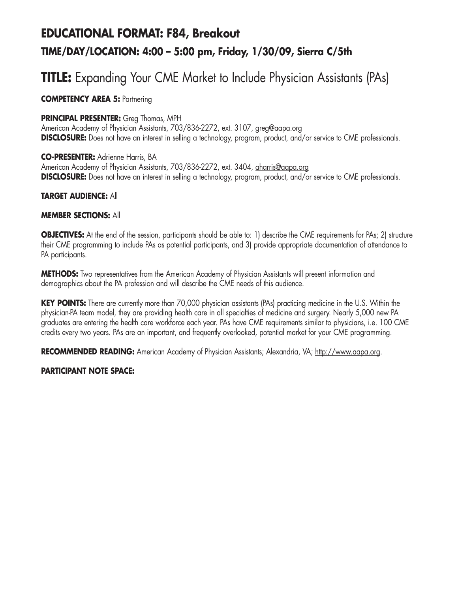# **EDUCATIONAL FORMAT: F84, Breakout TIME/DAY/LOCATION: 4:00 – 5:00 pm, Friday, 1/30/09, Sierra C/5th**

# **TITLE:** Expanding Your CME Market to Include Physician Assistants (PAs)

## **COMPETENCY AREA 5: Partnering**

#### **PRINCIPAL PRESENTER:** Greg Thomas, MPH

American Academy of Physician Assistants, 703/836-2272, ext. 3107, greg@aapa.org **DISCLOSURE:** Does not have an interest in selling a technology, program, product, and/or service to CME professionals.

**CO-PRESENTER:** Adrienne Harris, BA American Academy of Physician Assistants, 703/836-2272, ext. 3404, aharris@aapa.org **DISCLOSURE:** Does not have an interest in selling a technology, program, product, and/or service to CME professionals.

#### **TARGET AUDIENCE:** All

#### **MEMBER SECTIONS:** All

**OBJECTIVES:** At the end of the session, participants should be able to: 1) describe the CME requirements for PAs; 2) structure their CME programming to include PAs as potential participants, and 3) provide appropriate documentation of attendance to PA participants.

**METHODS:** Two representatives from the American Academy of Physician Assistants will present information and demographics about the PA profession and will describe the CME needs of this audience.

**KEY POINTS:** There are currently more than 70,000 physician assistants (PAs) practicing medicine in the U.S. Within the physician-PA team model, they are providing health care in all specialties of medicine and surgery. Nearly 5,000 new PA graduates are entering the health care workforce each year. PAs have CME requirements similar to physicians, i.e. 100 CME credits every two years. PAs are an important, and frequently overlooked, potential market for your CME programming.

**RECOMMENDED READING:** American Academy of Physician Assistants; Alexandria, VA; http://www.aapa.org.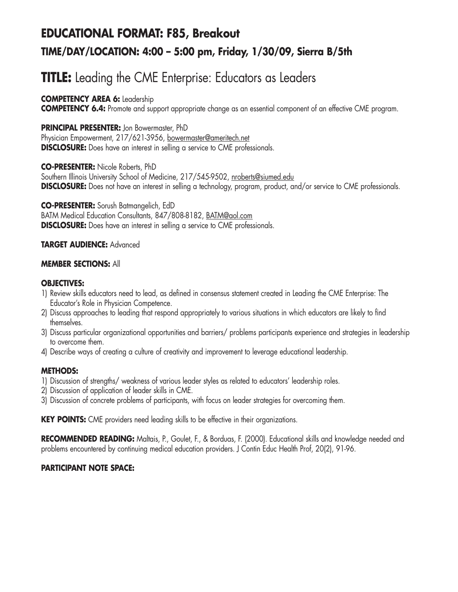# **EDUCATIONAL FORMAT: F85, Breakout TIME/DAY/LOCATION: 4:00 – 5:00 pm, Friday, 1/30/09, Sierra B/5th**

# **TITLE:** Leading the CME Enterprise: Educators as Leaders

## **COMPETENCY AREA 6:** Leadership

**COMPETENCY 6.4:** Promote and support appropriate change as an essential component of an effective CME program.

## **PRINCIPAL PRESENTER:** Jon Bowermaster, PhD

Physician Empowerment, 217/621-3956, bowermaster@ameritech.net **DISCLOSURE:** Does have an interest in selling a service to CME professionals.

## **CO-PRESENTER:** Nicole Roberts, PhD

Southern Illinois University School of Medicine, 217/545-9502, nroberts@siumed.edu **DISCLOSURE:** Does not have an interest in selling a technology, program, product, and/or service to CME professionals.

**CO-PRESENTER:** Sorush Batmangelich, EdD BATM Medical Education Consultants, 847/808-8182, BATM@aol.com **DISCLOSURE:** Does have an interest in selling a service to CME professionals.

## **TARGET AUDIENCE:** Advanced

#### **MEMBER SECTIONS:** All

#### **OBJECTIVES:**

- 1) Review skills educators need to lead, as defined in consensus statement created in Leading the CME Enterprise: The Educator's Role in Physician Competence.
- 2) Discuss approaches to leading that respond appropriately to various situations in which educators are likely to find themselves.
- 3) Discuss particular organizational opportunities and barriers/ problems participants experience and strategies in leadership to overcome them.
- 4) Describe ways of creating a culture of creativity and improvement to leverage educational leadership.

## **METHODS:**

- 1) Discussion of strengths/ weakness of various leader styles as related to educators' leadership roles.
- 2) Discussion of application of leader skills in CME.
- 3) Discussion of concrete problems of participants, with focus on leader strategies for overcoming them.

**KEY POINTS:** CME providers need leading skills to be effective in their organizations.

**RECOMMENDED READING:** Maltais, P., Goulet, F., & Borduas, F. (2000). Educational skills and knowledge needed and problems encountered by continuing medical education providers. J Contin Educ Health Prof, 20(2), 91-96.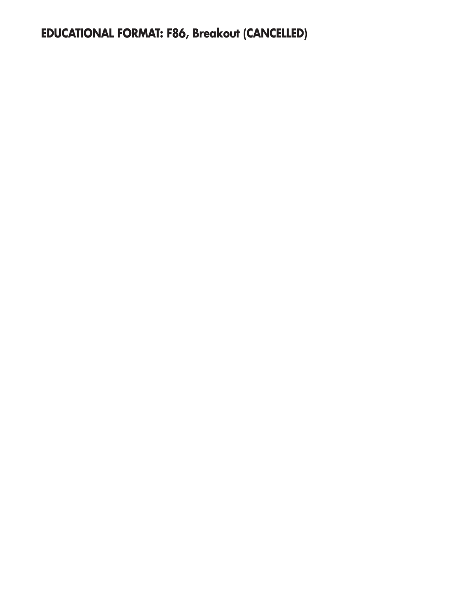**EDUCATIONAL FORMAT: F86, Breakout (CANCELLED)**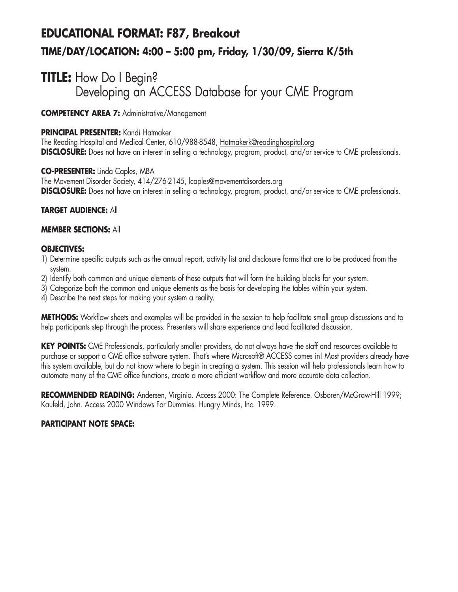# **EDUCATIONAL FORMAT: F87, Breakout TIME/DAY/LOCATION: 4:00 – 5:00 pm, Friday, 1/30/09, Sierra K/5th**

## **TITLE:** How Do I Begin? Developing an ACCESS Database for your CME Program

**COMPETENCY AREA 7:** Administrative/Management

### **PRINCIPAL PRESENTER:** Kandi Hatmaker

The Reading Hospital and Medical Center, 610/988-8548, Hatmakerk@readinghospital.org **DISCLOSURE:** Does not have an interest in selling a technology, program, product, and/or service to CME professionals.

**CO-PRESENTER:** Linda Caples, MBA The Movement Disorder Society, 414/276-2145, lcaples@movementdisorders.org **DISCLOSURE:** Does not have an interest in selling a technology, program, product, and/or service to CME professionals.

#### **TARGET AUDIENCE:** All

#### **MEMBER SECTIONS:** All

#### **OBJECTIVES:**

- 1) Determine specific outputs such as the annual report, activity list and disclosure forms that are to be produced from the system.
- 2) Identify both common and unique elements of these outputs that will form the building blocks for your system.
- 3) Categorize both the common and unique elements as the basis for developing the tables within your system.
- 4) Describe the next steps for making your system a reality.

**METHODS:** Workflow sheets and examples will be provided in the session to help facilitate small group discussions and to help participants step through the process. Presenters will share experience and lead facilitated discussion.

**KEY POINTS:** CME Professionals, particularly smaller providers, do not always have the staff and resources available to purchase or support a CME office software system. That's where Microsoft® ACCESS comes in! Most providers already have this system available, but do not know where to begin in creating a system. This session will help professionals learn how to automate many of the CME office functions, create a more efficient workflow and more accurate data collection.

RECOMMENDED READING: Andersen, Virginia. Access 2000: The Complete Reference. Osboren/McGraw-Hill 1999; Kaufeld, John. Access 2000 Windows For Dummies. Hungry Minds, Inc. 1999.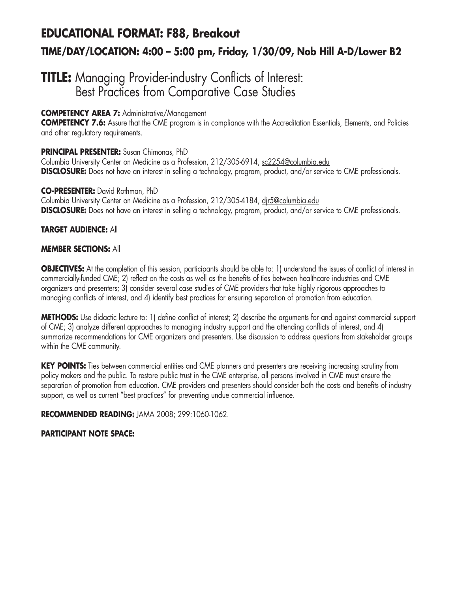# **EDUCATIONAL FORMAT: F88, Breakout TIME/DAY/LOCATION: 4:00 – 5:00 pm, Friday, 1/30/09, Nob Hill A-D/Lower B2**

## **TITLE:** Managing Provider-industry Conflicts of Interest: Best Practices from Comparative Case Studies

## **COMPETENCY AREA 7:** Administrative/Management

**COMPETENCY 7.6:** Assure that the CME program is in compliance with the Accreditation Essentials, Elements, and Policies and other regulatory requirements.

## **PRINCIPAL PRESENTER:** Susan Chimonas, PhD

Columbia University Center on Medicine as a Profession, 212/305-6914, sc2254@columbia.edu **DISCLOSURE:** Does not have an interest in selling a technology, program, product, and/or service to CME professionals.

#### **CO-PRESENTER:** David Rothman, PhD

Columbia University Center on Medicine as a Profession, 212/305-4184, djr5@columbia.edu **DISCLOSURE:** Does not have an interest in selling a technology, program, product, and/or service to CME professionals.

## **TARGET AUDIENCE:** All

## **MEMBER SECTIONS:** All

**OBJECTIVES:** At the completion of this session, participants should be able to: 1) understand the issues of conflict of interest in commercially-funded CME; 2) reflect on the costs as well as the benefits of ties between healthcare industries and CME organizers and presenters; 3) consider several case studies of CME providers that take highly rigorous approaches to managing conflicts of interest, and 4) identify best practices for ensuring separation of promotion from education.

**METHODS:** Use didactic lecture to: 1) define conflict of interest; 2) describe the arguments for and against commercial support of CME; 3) analyze different approaches to managing industry support and the attending conflicts of interest, and 4) summarize recommendations for CME organizers and presenters. Use discussion to address questions from stakeholder groups within the CME community.

KEY POINTS: Ties between commercial entities and CME planners and presenters are receiving increasing scrutiny from policy makers and the public. To restore public trust in the CME enterprise, all persons involved in CME must ensure the separation of promotion from education. CME providers and presenters should consider both the costs and benefits of industry support, as well as current "best practices" for preventing undue commercial influence.

**RECOMMENDED READING:** JAMA 2008; 299:1060-1062.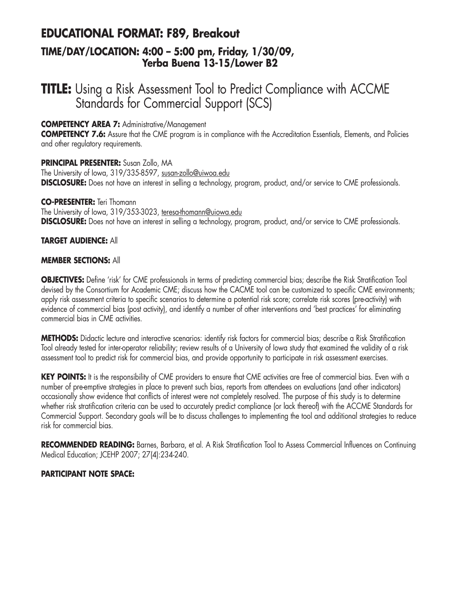## **EDUCATIONAL FORMAT: F89, Breakout TIME/DAY/LOCATION: 4:00 – 5:00 pm, Friday, 1/30/09, Yerba Buena 13-15/Lower B2**

## **TITLE:** Using a Risk Assessment Tool to Predict Compliance with ACCME Standards for Commercial Support (SCS)

### **COMPETENCY AREA 7:** Administrative/Management

**COMPETENCY 7.6:** Assure that the CME program is in compliance with the Accreditation Essentials, Elements, and Policies and other regulatory requirements.

**PRINCIPAL PRESENTER:** Susan Zollo, MA The University of Iowa, 319/335-8597, susan-zollo@uiwoa.edu **DISCLOSURE:** Does not have an interest in selling a technology, program, product, and/or service to CME professionals.

#### **CO-PRESENTER:** Teri Thomann

The University of Iowa, 319/353-3023, teresa-thomann@uiowa.edu **DISCLOSURE:** Does not have an interest in selling a technology, program, product, and/or service to CME professionals.

#### **TARGET AUDIENCE:** All

#### **MEMBER SECTIONS:** All

**OBJECTIVES:** Define 'risk' for CME professionals in terms of predicting commercial bias; describe the Risk Stratification Tool devised by the Consortium for Academic CME; discuss how the CACME tool can be customized to specific CME environments; apply risk assessment criteria to specific scenarios to determine a potential risk score; correlate risk scores (pre-activity) with evidence of commercial bias (post activity), and identify a number of other interventions and 'best practices' for eliminating commercial bias in CME activities.

**METHODS:** Didactic lecture and interactive scenarios: identify risk factors for commercial bias; describe a Risk Stratification Tool already tested for inter-operator reliability; review results of a University of Iowa study that examined the validity of a risk assessment tool to predict risk for commercial bias, and provide opportunity to participate in risk assessment exercises.

**KEY POINTS:** It is the responsibility of CME providers to ensure that CME activities are free of commercial bias. Even with a number of pre-emptive strategies in place to prevent such bias, reports from attendees on evaluations (and other indicators) occasionally show evidence that conflicts of interest were not completely resolved. The purpose of this study is to determine whether risk stratification criteria can be used to accurately predict compliance (or lack thereof) with the ACCME Standards for Commercial Support. Secondary goals will be to discuss challenges to implementing the tool and additional strategies to reduce risk for commercial bias.

**RECOMMENDED READING:** Barnes, Barbara, et al. A Risk Stratification Tool to Assess Commercial Influences on Continuing Medical Education; JCEHP 2007; 27(4):234-240.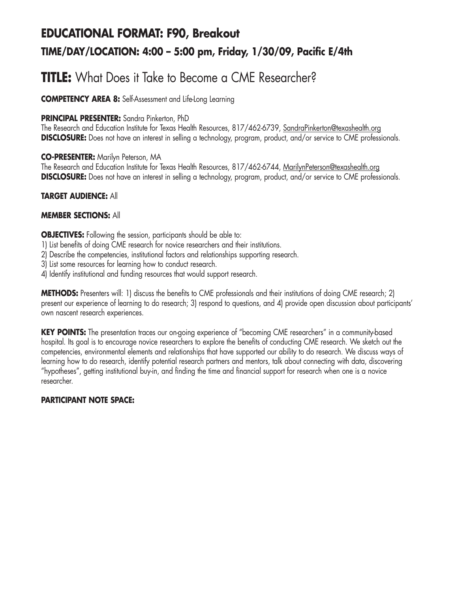# **EDUCATIONAL FORMAT: F90, Breakout TIME/DAY/LOCATION: 4:00 – 5:00 pm, Friday, 1/30/09, Pacific E/4th**

# **TITLE:** What Does it Take to Become a CME Researcher?

**COMPETENCY AREA 8:** Self-Assessment and Life-Long Learning

### **PRINCIPAL PRESENTER:** Sandra Pinkerton, PhD

The Research and Education Institute for Texas Health Resources, 817/462-6739, SandraPinkerton@texashealth.org **DISCLOSURE:** Does not have an interest in selling a technology, program, product, and/or service to CME professionals.

#### **CO-PRESENTER:** Marilyn Peterson, MA

The Research and Education Institute for Texas Health Resources, 817/462-6744, MarilynPeterson@texashealth.org **DISCLOSURE:** Does not have an interest in selling a technology, program, product, and/or service to CME professionals.

## **TARGET AUDIENCE:** All

#### **MEMBER SECTIONS:** All

**OBJECTIVES:** Following the session, participants should be able to:

- 1) List benefits of doing CME research for novice researchers and their institutions.
- 2) Describe the competencies, institutional factors and relationships supporting research.
- 3) List some resources for learning how to conduct research.
- 4) Identify institutional and funding resources that would support research.

**METHODS:** Presenters will: 1) discuss the benefits to CME professionals and their institutions of doing CME research; 2) present our experience of learning to do research; 3) respond to questions, and 4) provide open discussion about participants' own nascent research experiences.

**KEY POINTS:** The presentation traces our on-going experience of "becoming CME researchers" in a community-based hospital. Its goal is to encourage novice researchers to explore the benefits of conducting CME research. We sketch out the competencies, environmental elements and relationships that have supported our ability to do research. We discuss ways of learning how to do research, identify potential research partners and mentors, talk about connecting with data, discovering "hypotheses", getting institutional buy-in, and finding the time and financial support for research when one is a novice researcher.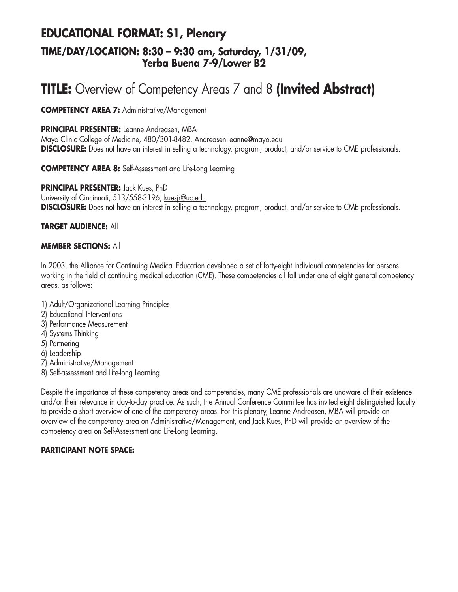## **EDUCATIONAL FORMAT: S1, Plenary TIME/DAY/LOCATION: 8:30 – 9:30 am, Saturday, 1/31/09, Yerba Buena 7-9/Lower B2**

# **TITLE:** Overview of Competency Areas 7 and 8 **(Invited Abstract)**

**COMPETENCY AREA 7:** Administrative/Management

**PRINCIPAL PRESENTER:** Leanne Andreasen, MBA

Mayo Clinic College of Medicine, 480/301-8482, Andreasen.leanne@mayo.edu **DISCLOSURE:** Does not have an interest in selling a technology, program, product, and/or service to CME professionals.

**COMPETENCY AREA 8:** Self-Assessment and Life-Long Learning

**PRINCIPAL PRESENTER:** Jack Kues, PhD University of Cincinnati, 513/558-3196, kuesjr@uc.edu **DISCLOSURE:** Does not have an interest in selling a technology, program, product, and/or service to CME professionals.

#### **TARGET AUDIENCE:** All

#### **MEMBER SECTIONS:** All

In 2003, the Alliance for Continuing Medical Education developed a set of forty-eight individual competencies for persons working in the field of continuing medical education (CME). These competencies all fall under one of eight general competency areas, as follows:

- 1) Adult/Organizational Learning Principles
- 2) Educational Interventions
- 3) Performance Measurement
- 4) Systems Thinking
- 5) Partnering
- 6) Leadership
- 7) Administrative/Management
- 8) Self-assessment and Life-long Learning

Despite the importance of these competency areas and competencies, many CME professionals are unaware of their existence and/or their relevance in day-to-day practice. As such, the Annual Conference Committee has invited eight distinguished faculty to provide a short overview of one of the competency areas. For this plenary, Leanne Andreasen, MBA will provide an overview of the competency area on Administrative/Management, and Jack Kues, PhD will provide an overview of the competency area on Self-Assessment and Life-Long Learning.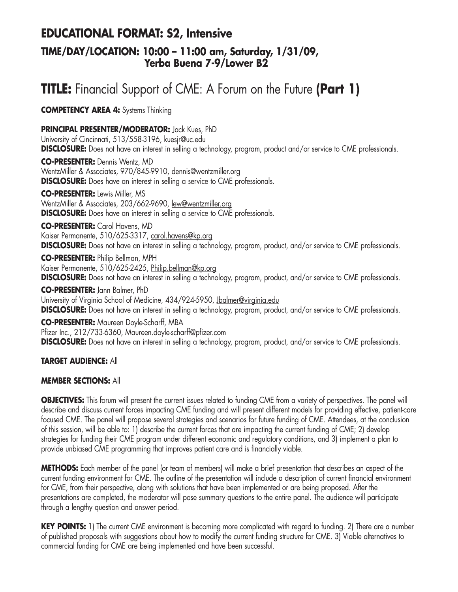## **EDUCATIONAL FORMAT: S2, Intensive**

## **TIME/DAY/LOCATION: 10:00 – 11:00 am, Saturday, 1/31/09, Yerba Buena 7-9/Lower B2**

# **TITLE:** Financial Support of CME: A Forum on the Future **(Part 1)**

**COMPETENCY AREA 4:** Systems Thinking

**PRINCIPAL PRESENTER/MODERATOR:** Jack Kues, PhD

University of Cincinnati, 513/558-3196, kuesjr@uc.edu **DISCLOSURE:** Does not have an interest in selling a technology, program, product and/or service to CME professionals.

**CO-PRESENTER:** Dennis Wentz, MD WentzMiller & Associates, 970/845-9910, dennis@wentzmiller.org **DISCLOSURE:** Does have an interest in selling a service to CME professionals.

**CO-PRESENTER:** Lewis Miller, MS WentzMiller & Associates, 203/662-9690, lew@wentzmiller.org **DISCLOSURE:** Does have an interest in selling a service to CME professionals.

**CO-PRESENTER:** Carol Havens, MD

Kaiser Permanente, 510/625-3317, carol.havens@kp.org **DISCLOSURE:** Does not have an interest in selling a technology, program, product, and/or service to CME professionals.

**CO-PRESENTER:** Philip Bellman, MPH Kaiser Permanente, 510/625-2425, Philip.bellman@kp.org **DISCLOSURE:** Does not have an interest in selling a technology, program, product, and/or service to CME professionals.

**CO-PRESENTER:** Jann Balmer, PhD University of Virginia School of Medicine, 434/924-5950, Jbalmer@virginia.edu **DISCLOSURE:** Does not have an interest in selling a technology, program, product, and/or service to CME professionals.

**CO-PRESENTER:** Maureen Doyle-Scharff, MBA Pfizer Inc., 212/733-6360, Maureen.doyle-scharff@pfizer.com **DISCLOSURE:** Does not have an interest in selling a technology, program, product, and/or service to CME professionals.

## **TARGET AUDIENCE:** All

#### **MEMBER SECTIONS:** All

**OBJECTIVES:** This forum will present the current issues related to funding CME from a variety of perspectives. The panel will describe and discuss current forces impacting CME funding and will present different models for providing effective, patient-care focused CME. The panel will propose several strategies and scenarios for future funding of CME. Attendees, at the conclusion of this session, will be able to: 1) describe the current forces that are impacting the current funding of CME; 2) develop strategies for funding their CME program under different economic and regulatory conditions, and 3) implement a plan to provide unbiased CME programming that improves patient care and is financially viable.

**METHODS:** Each member of the panel (or team of members) will make a brief presentation that describes an aspect of the current funding environment for CME. The outline of the presentation will include a description of current financial environment for CME, from their perspective, along with solutions that have been implemented or are being proposed. After the presentations are completed, the moderator will pose summary questions to the entire panel. The audience will participate through a lengthy question and answer period.

**KEY POINTS:** 1) The current CME environment is becoming more complicated with regard to funding. 2) There are a number of published proposals with suggestions about how to modify the current funding structure for CME. 3) Viable alternatives to commercial funding for CME are being implemented and have been successful.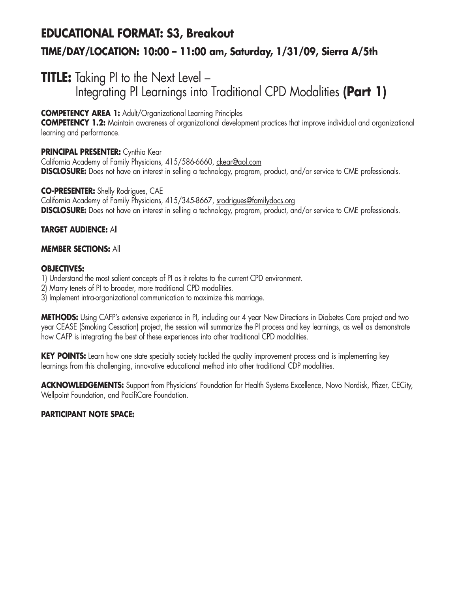# **EDUCATIONAL FORMAT: S3, Breakout TIME/DAY/LOCATION: 10:00 – 11:00 am, Saturday, 1/31/09, Sierra A/5th**

## **TITLE:** Taking PI to the Next Level -Integrating PI Learnings into Traditional CPD Modalities **(Part 1)**

## **COMPETENCY AREA 1:** Adult/Organizational Learning Principles

**COMPETENCY 1.2:** Maintain awareness of organizational development practices that improve individual and organizational learning and performance.

## **PRINCIPAL PRESENTER:** Cynthia Kear

California Academy of Family Physicians, 415/586-6660, ckear@aol.com **DISCLOSURE:** Does not have an interest in selling a technology, program, product, and/or service to CME professionals.

#### **CO-PRESENTER:** Shelly Rodrigues, CAE

California Academy of Family Physicians, 415/345-8667, srodrigues@familydocs.org **DISCLOSURE:** Does not have an interest in selling a technology, program, product, and/or service to CME professionals.

#### **TARGET AUDIENCE:** All

#### **MEMBER SECTIONS:** All

#### **OBJECTIVES:**

1) Understand the most salient concepts of PI as it relates to the current CPD environment.

2) Marry tenets of PI to broader, more traditional CPD modalities.

3) Implement intra-organizational communication to maximize this marriage.

**METHODS:** Using CAFP's extensive experience in PI, including our 4 year New Directions in Diabetes Care project and two year CEASE (Smoking Cessation) project, the session will summarize the PI process and key learnings, as well as demonstrate how CAFP is integrating the best of these experiences into other traditional CPD modalities.

**KEY POINTS:** Learn how one state specialty society tackled the quality improvement process and is implementing key learnings from this challenging, innovative educational method into other traditional CDP modalities.

**ACKNOWLEDGEMENTS:** Support from Physicians' Foundation for Health Systems Excellence, Novo Nordisk, Pfizer, CECity, Wellpoint Foundation, and PacifiCare Foundation.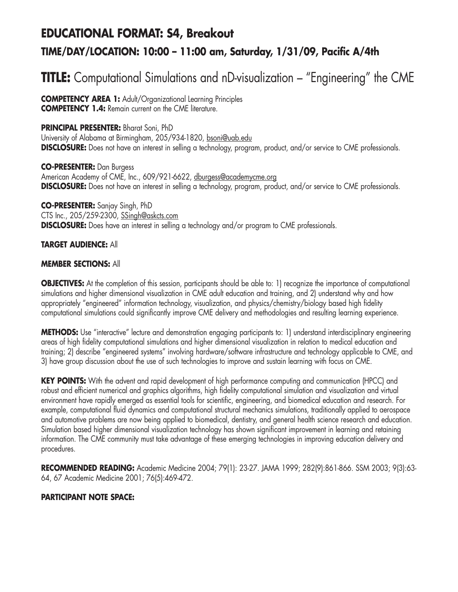## **EDUCATIONAL FORMAT: S4, Breakout**

## **TIME/DAY/LOCATION: 10:00 – 11:00 am, Saturday, 1/31/09, Pacific A/4th**

# **TITLE:** Computational Simulations and nD-visualization – "Engineering" the CME

**COMPETENCY AREA 1:** Adult/Organizational Learning Principles **COMPETENCY 1.4:** Remain current on the CME literature.

## **PRINCIPAL PRESENTER:** Bharat Soni, PhD

University of Alabama at Birmingham, 205/934-1820, bsoni@uab.edu **DISCLOSURE:** Does not have an interest in selling a technology, program, product, and/or service to CME professionals.

**CO-PRESENTER:** Dan Burgess American Academy of CME, Inc., 609/921-6622, dburgess@academycme.org **DISCLOSURE:** Does not have an interest in selling a technology, program, product, and/or service to CME professionals.

**CO-PRESENTER:** Sanjay Singh, PhD CTS Inc., 205/259-2300, SSingh@askcts.com **DISCLOSURE:** Does have an interest in selling a technology and/or program to CME professionals.

## **TARGET AUDIENCE:** All

## **MEMBER SECTIONS:** All

**OBJECTIVES:** At the completion of this session, participants should be able to: 1) recognize the importance of computational simulations and higher dimensional visualization in CME adult education and training, and 2) understand why and how appropriately "engineered" information technology, visualization, and physics/chemistry/biology based high fidelity computational simulations could significantly improve CME delivery and methodologies and resulting learning experience.

**METHODS:** Use "interactive" lecture and demonstration engaging participants to: 1) understand interdisciplinary engineering areas of high fidelity computational simulations and higher dimensional visualization in relation to medical education and training; 2) describe "engineered systems" involving hardware/software infrastructure and technology applicable to CME, and 3) have group discussion about the use of such technologies to improve and sustain learning with focus on CME.

**KEY POINTS:** With the advent and rapid development of high performance computing and communication (HPCC) and robust and efficient numerical and graphics algorithms, high fidelity computational simulation and visualization and virtual environment have rapidly emerged as essential tools for scientific, engineering, and biomedical education and research. For example, computational fluid dynamics and computational structural mechanics simulations, traditionally applied to aerospace and automotive problems are now being applied to biomedical, dentistry, and general health science research and education. Simulation based higher dimensional visualization technology has shown significant improvement in learning and retaining information. The CME community must take advantage of these emerging technologies in improving education delivery and procedures.

**RECOMMENDED READING:** Academic Medicine 2004; 79(1): 23-27. JAMA 1999; 282(9):861-866. SSM 2003; 9(3):63- 64, 67 Academic Medicine 2001; 76(5):469-472.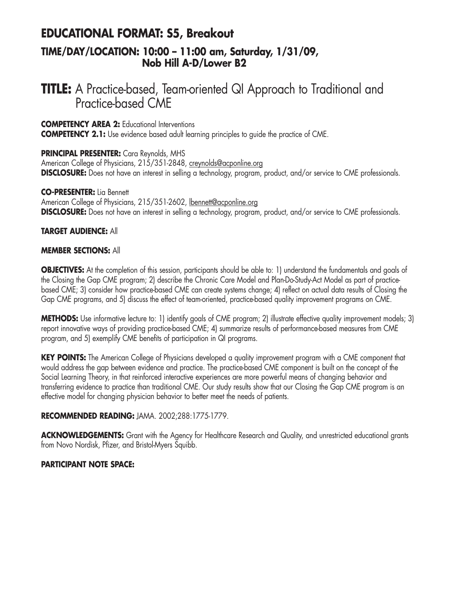## **EDUCATIONAL FORMAT: S5, Breakout**

## **TIME/DAY/LOCATION: 10:00 – 11:00 am, Saturday, 1/31/09, Nob Hill A-D/Lower B2**

## **TITLE:** A Practice-based, Team-oriented QI Approach to Traditional and Practice-based CME

**COMPETENCY AREA 2:** Educational Interventions

**COMPETENCY 2.1:** Use evidence based adult learning principles to quide the practice of CME.

#### **PRINCIPAL PRESENTER:** Cara Reynolds, MHS

American College of Physicians, 215/351-2848, creynolds@acponline.org **DISCLOSURE:** Does not have an interest in selling a technology, program, product, and/or service to CME professionals.

#### **CO-PRESENTER:** Lia Bennett

American College of Physicians, 215/351-2602, lbennett@acponline.org **DISCLOSURE:** Does not have an interest in selling a technology, program, product, and/or service to CME professionals.

#### **TARGET AUDIENCE:** All

#### **MEMBER SECTIONS:** All

**OBJECTIVES:** At the completion of this session, participants should be able to: 1) understand the fundamentals and goals of the Closing the Gap CME program; 2) describe the Chronic Care Model and Plan-Do-Study-Act Model as part of practicebased CME; 3) consider how practice-based CME can create systems change; 4) reflect on actual data results of Closing the Gap CME programs, and 5) discuss the effect of team-oriented, practice-based quality improvement programs on CME.

**METHODS:** Use informative lecture to: 1) identify goals of CME program; 2) illustrate effective quality improvement models; 3) report innovative ways of providing practice-based CME; 4) summarize results of performance-based measures from CME program, and 5) exemplify CME benefits of participation in QI programs.

**KEY POINTS:** The American College of Physicians developed a quality improvement program with a CME component that would address the gap between evidence and practice. The practice-based CME component is built on the concept of the Social Learning Theory, in that reinforced interactive experiences are more powerful means of changing behavior and transferring evidence to practice than traditional CME. Our study results show that our Closing the Gap CME program is an effective model for changing physician behavior to better meet the needs of patients.

#### **RECOMMENDED READING:** JAMA. 2002;288:1775-1779.

ACKNOWLEDGEMENTS: Grant with the Agency for Healthcare Research and Quality, and unrestricted educational grants from Novo Nordisk, Pfizer, and Bristol-Myers Squibb.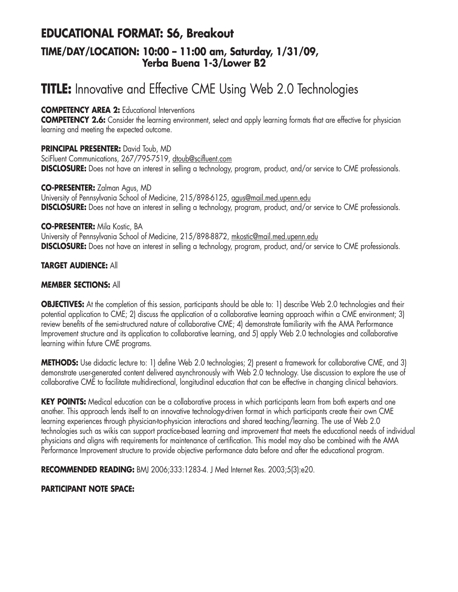## **EDUCATIONAL FORMAT: S6, Breakout TIME/DAY/LOCATION: 10:00 – 11:00 am, Saturday, 1/31/09, Yerba Buena 1-3/Lower B2**

# **TITLE:** Innovative and Effective CME Using Web 2.0 Technologies

## **COMPETENCY AREA 2:** Educational Interventions

**COMPETENCY 2.6:** Consider the learning environment, select and apply learning formats that are effective for physician learning and meeting the expected outcome.

## **PRINCIPAL PRESENTER:** David Toub, MD

SciFluent Communications, 267/795-7519, dtoub@scifluent.com **DISCLOSURE:** Does not have an interest in selling a technology, program, product, and/or service to CME professionals.

#### **CO-PRESENTER:** Zalman Agus, MD

University of Pennsylvania School of Medicine, 215/898-6125, agus@mail.med.upenn.edu **DISCLOSURE:** Does not have an interest in selling a technology, program, product, and/or service to CME professionals.

#### **CO-PRESENTER:** Mila Kostic, BA

University of Pennsylvania School of Medicine, 215/898-8872, mkostic@mail.med.upenn.edu **DISCLOSURE:** Does not have an interest in selling a technology, program, product, and/or service to CME professionals.

## **TARGET AUDIENCE:** All

## **MEMBER SECTIONS:** All

**OBJECTIVES:** At the completion of this session, participants should be able to: 1) describe Web 2.0 technologies and their potential application to CME; 2) discuss the application of a collaborative learning approach within a CME environment; 3) review benefits of the semi-structured nature of collaborative CME; 4) demonstrate familiarity with the AMA Performance Improvement structure and its application to collaborative learning, and 5) apply Web 2.0 technologies and collaborative learning within future CME programs.

**METHODS:** Use didactic lecture to: 1) define Web 2.0 technologies; 2) present a framework for collaborative CME, and 3) demonstrate user-generated content delivered asynchronously with Web 2.0 technology. Use discussion to explore the use of collaborative CME to facilitate multidirectional, longitudinal education that can be effective in changing clinical behaviors.

**KEY POINTS:** Medical education can be a collaborative process in which participants learn from both experts and one another. This approach lends itself to an innovative technology-driven format in which participants create their own CME learning experiences through physician-to-physician interactions and shared teaching/learning. The use of Web 2.0 technologies such as wikis can support practice-based learning and improvement that meets the educational needs of individual physicians and aligns with requirements for maintenance of certification. This model may also be combined with the AMA Performance Improvement structure to provide objective performance data before and after the educational program.

**RECOMMENDED READING:** BMJ 2006;333:1283-4. J Med Internet Res. 2003;5(3):e20.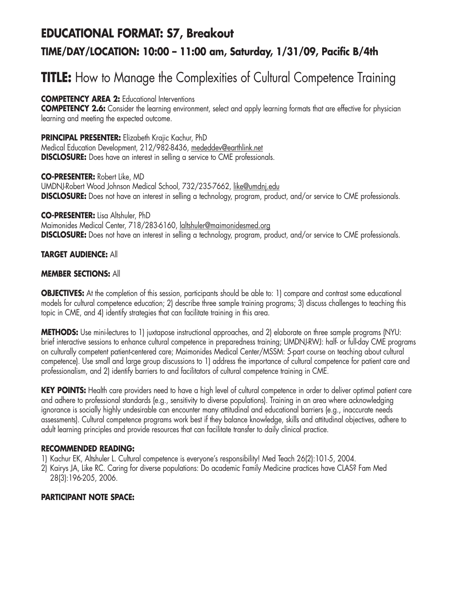# **EDUCATIONAL FORMAT: S7, Breakout TIME/DAY/LOCATION: 10:00 – 11:00 am, Saturday, 1/31/09, Pacific B/4th**

# **TITLE:** How to Manage the Complexities of Cultural Competence Training

**COMPETENCY AREA 2:** Educational Interventions

**COMPETENCY 2.6:** Consider the learning environment, select and apply learning formats that are effective for physician learning and meeting the expected outcome.

**PRINCIPAL PRESENTER:** Elizabeth Krajic Kachur, PhD Medical Education Development, 212/982-8436, mededdev@earthlink.net **DISCLOSURE:** Does have an interest in selling a service to CME professionals.

**CO-PRESENTER:** Robert Like, MD UMDNJ-Robert Wood Johnson Medical School, 732/235-7662, like@umdnj.edu **DISCLOSURE:** Does not have an interest in selling a technology, program, product, and/or service to CME professionals.

#### **CO-PRESENTER:** Lisa Altshuler, PhD

Maimonides Medical Center, 718/283-6160, laltshuler@maimonidesmed.org **DISCLOSURE:** Does not have an interest in selling a technology, program, product, and/or service to CME professionals.

#### **TARGET AUDIENCE:** All

#### **MEMBER SECTIONS:** All

**OBJECTIVES:** At the completion of this session, participants should be able to: 1) compare and contrast some educational models for cultural competence education; 2) describe three sample training programs; 3) discuss challenges to teaching this topic in CME, and 4) identify strategies that can facilitate training in this area.

**METHODS:** Use mini-lectures to 1) juxtapose instructional approaches, and 2) elaborate on three sample programs (NYU: brief interactive sessions to enhance cultural competence in preparedness training; UMDNJ-RWJ: half- or full-day CME programs on culturally competent patient-centered care; Maimonides Medical Center/MSSM: 5-part course on teaching about cultural competence). Use small and large group discussions to 1) address the importance of cultural competence for patient care and professionalism, and 2) identify barriers to and facilitators of cultural competence training in CME.

KEY POINTS: Health care providers need to have a high level of cultural competence in order to deliver optimal patient care and adhere to professional standards (e.g., sensitivity to diverse populations). Training in an area where acknowledging ignorance is socially highly undesirable can encounter many attitudinal and educational barriers (e.g., inaccurate needs assessments). Cultural competence programs work best if they balance knowledge, skills and attitudinal objectives, adhere to adult learning principles and provide resources that can facilitate transfer to daily clinical practice.

## **RECOMMENDED READING:**

- 1) Kachur EK, Altshuler L. Cultural competence is everyone's responsibility! Med Teach 26(2):101-5, 2004.
- 2) Kairys JA, Like RC. Caring for diverse populations: Do academic Family Medicine practices have CLAS? Fam Med 28(3):196-205, 2006.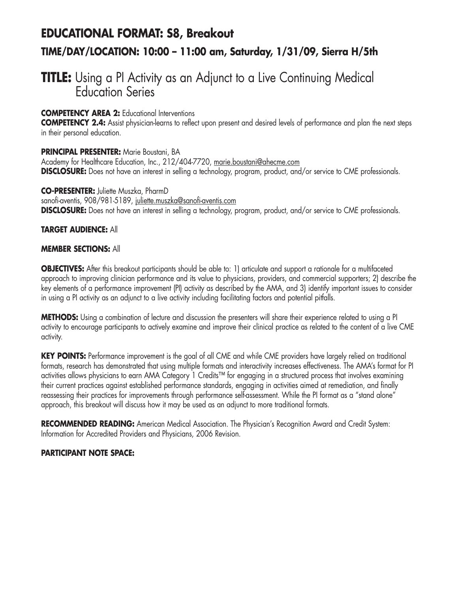# **EDUCATIONAL FORMAT: S8, Breakout TIME/DAY/LOCATION: 10:00 – 11:00 am, Saturday, 1/31/09, Sierra H/5th**

## **TITLE:** Using a PI Activity as an Adjunct to a Live Continuing Medical Education Series

## **COMPETENCY AREA 2:** Educational Interventions

**COMPETENCY 2.4:** Assist physician-learns to reflect upon present and desired levels of performance and plan the next steps in their personal education.

#### **PRINCIPAL PRESENTER:** Marie Boustani, BA

Academy for Healthcare Education, Inc., 212/404-7720, marie.boustani@ahecme.com **DISCLOSURE:** Does not have an interest in selling a technology, program, product, and/or service to CME professionals.

**CO-PRESENTER:** Juliette Muszka, PharmD sanofi-aventis, 908/981-5189, juliette.muszka@sanofi-aventis.com **DISCLOSURE:** Does not have an interest in selling a technology, program, product, and/or service to CME professionals.

#### **TARGET AUDIENCE:** All

#### **MEMBER SECTIONS:** All

**OBJECTIVES:** After this breakout participants should be able to: 1) articulate and support a rationale for a multifaceted approach to improving clinician performance and its value to physicians, providers, and commercial supporters; 2) describe the key elements of a performance improvement (PI) activity as described by the AMA, and 3) identify important issues to consider in using a PI activity as an adjunct to a live activity including facilitating factors and potential pitfalls.

**METHODS:** Using a combination of lecture and discussion the presenters will share their experience related to using a PI activity to encourage participants to actively examine and improve their clinical practice as related to the content of a live CME activity.

**KEY POINTS:** Performance improvement is the goal of all CME and while CME providers have largely relied on traditional formats, research has demonstrated that using multiple formats and interactivity increases effectiveness. The AMA's format for PI activities allows physicians to earn AMA Category 1 Credits™ for engaging in a structured process that involves examining their current practices against established performance standards, engaging in activities aimed at remediation, and finally reassessing their practices for improvements through performance self-assessment. While the PI format as a "stand alone" approach, this breakout will discuss how it may be used as an adjunct to more traditional formats.

**RECOMMENDED READING:** American Medical Association. The Physician's Recognition Award and Credit System: Information for Accredited Providers and Physicians, 2006 Revision.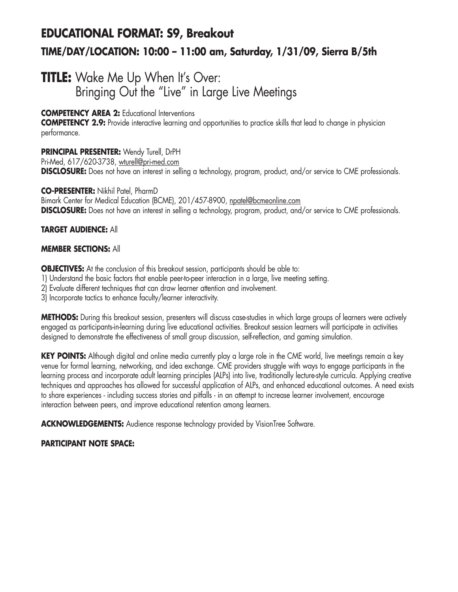# **EDUCATIONAL FORMAT: S9, Breakout TIME/DAY/LOCATION: 10:00 – 11:00 am, Saturday, 1/31/09, Sierra B/5th**

## **TITLE:** Wake Me Up When It's Over: Bringing Out the "Live" in Large Live Meetings

## **COMPETENCY AREA 2:** Educational Interventions

**COMPETENCY 2.9:** Provide interactive learning and opportunities to practice skills that lead to change in physician performance.

## **PRINCIPAL PRESENTER:** Wendy Turell, DrPH

Pri-Med, 617/620-3738, wturell@pri-med.com **DISCLOSURE:** Does not have an interest in selling a technology, program, product, and/or service to CME professionals.

#### **CO-PRESENTER:** Nikhil Patel, PharmD

Bimark Center for Medical Education (BCME), 201/457-8900, npatel@bcmeonline.com **DISCLOSURE:** Does not have an interest in selling a technology, program, product, and/or service to CME professionals.

## **TARGET AUDIENCE:** All

## **MEMBER SECTIONS:** All

**OBJECTIVES:** At the conclusion of this breakout session, participants should be able to:

- 1) Understand the basic factors that enable peer-to-peer interaction in a large, live meeting setting.
- 2) Evaluate different techniques that can draw learner attention and involvement.
- 3) Incorporate tactics to enhance faculty/learner interactivity.

**METHODS:** During this breakout session, presenters will discuss case-studies in which large groups of learners were actively engaged as participants-in-learning during live educational activities. Breakout session learners will participate in activities designed to demonstrate the effectiveness of small group discussion, self-reflection, and gaming simulation.

**KEY POINTS:** Although digital and online media currently play a large role in the CME world, live meetings remain a key venue for formal learning, networking, and idea exchange. CME providers struggle with ways to engage participants in the learning process and incorporate adult learning principles (ALPs) into live, traditionally lecture-style curricula. Applying creative techniques and approaches has allowed for successful application of ALPs, and enhanced educational outcomes. A need exists to share experiences - including success stories and pitfalls - in an attempt to increase learner involvement, encourage interaction between peers, and improve educational retention among learners.

**ACKNOWLEDGEMENTS:** Audience response technology provided by VisionTree Software.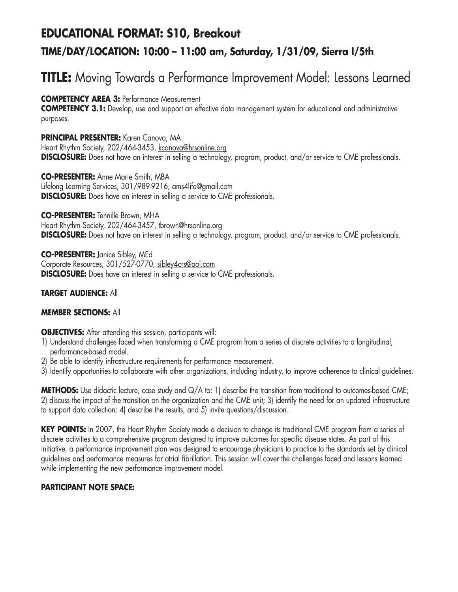# **EDUCATIONAL FORMAT: S10, Breakout TIME/DAY/LOCATION: 10:00 – 11:00 am, Saturday, 1/31/09, Sierra I/5th**

# **TITLE:** Moving Towards a Performance Improvement Model: Lessons Learned

**COMPETENCY AREA 3:** Performance Measurement

**COMPETENCY 3.1:** Develop, use and support an effective data management system for educational and administrative purposes.

**PRINCIPAL PRESENTER:** Karen Canova, MA Heart Rhythm Society, 202/464-3453, kcanova@hrsonline.org **DISCLOSURE:** Does not have an interest in selling a technology, program, product, and/or service to CME professionals.

**CO-PRESENTER:** Anne Marie Smith, MBA Lifelong Learning Services, 301/989-9216, ams4life@gmail.com **DISCLOSURE:** Does have an interest in selling a service to CME professionals.

**CO-PRESENTER:** Tennille Brown, MHA

Heart Rhythm Society, 202/464-3457, tbrown@hrsonline.org **DISCLOSURE:** Does not have an interest in selling a technology, program, product, and/or service to CME professionals.

**CO-PRESENTER:** Janice Sibley, MEd Corporate Resources, 301/527-0770, sibley4crs@aol.com **DISCLOSURE:** Does have an interest in selling a service to CME professionals.

## **TARGET AUDIENCE:** All

## **MEMBER SECTIONS:** All

**OBJECTIVES:** After attending this session, participants will:

- 1) Understand challenges faced when transforming a CME program from a series of discrete activities to a longitudinal, performance-based model.
- 2) Be able to identify infrastructure requirements for performance measurement.
- 3) Identify opportunities to collaborate with other organizations, including industry, to improve adherence to clinical guidelines.

**METHODS:** Use didactic lecture, case study and Q/A to: 1) describe the transition from traditional to outcomes-based CME; 2) discuss the impact of the transition on the organization and the CME unit; 3) identify the need for an updated infrastructure to support data collection; 4) describe the results, and 5) invite questions/discussion.

**KEY POINTS:** In 2007, the Heart Rhythm Society made a decision to change its traditional CME program from a series of discrete activities to a comprehensive program designed to improve outcomes for specific disease states. As part of this initiative, a performance improvement plan was designed to encourage physicians to practice to the standards set by clinical guidelines and performance measures for atrial fibrillation. This session will cover the challenges faced and lessons learned while implementing the new performance improvement model.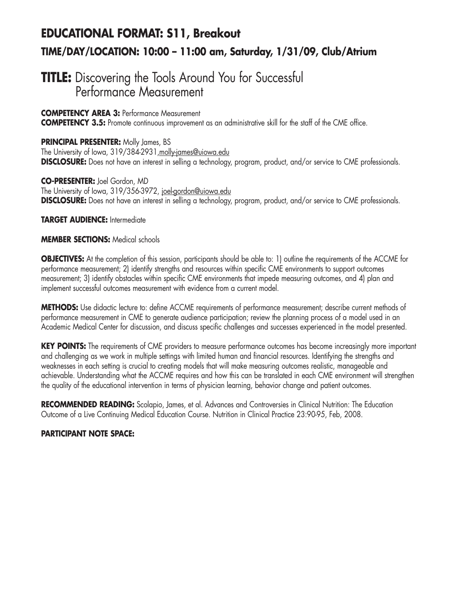# **EDUCATIONAL FORMAT: S11, Breakout TIME/DAY/LOCATION: 10:00 – 11:00 am, Saturday, 1/31/09, Club/Atrium**

## **TITLE:** Discovering the Tools Around You for Successful Performance Measurement

**COMPETENCY AREA 3:** Performance Measurement

**COMPETENCY 3.5:** Promote continuous improvement as an administrative skill for the staff of the CME office.

**PRINCIPAL PRESENTER:** Molly James, BS The University of Iowa, 319/384-2931, molly-james@uiowa.edu **DISCLOSURE:** Does not have an interest in selling a technology, program, product, and/or service to CME professionals.

**CO-PRESENTER:** Joel Gordon, MD The University of Iowa, 319/356-3972, joel-gordon@uiowa.edu **DISCLOSURE:** Does not have an interest in selling a technology, program, product, and/or service to CME professionals.

**TARGET AUDIENCE:** Intermediate

#### **MEMBER SECTIONS:** Medical schools

**OBJECTIVES:** At the completion of this session, participants should be able to: 1) outline the requirements of the ACCME for performance measurement; 2) identify strengths and resources within specific CME environments to support outcomes measurement; 3) identify obstacles within specific CME environments that impede measuring outcomes, and 4) plan and implement successful outcomes measurement with evidence from a current model.

**METHODS:** Use didactic lecture to: define ACCME requirements of performance measurement; describe current methods of performance measurement in CME to generate audience participation; review the planning process of a model used in an Academic Medical Center for discussion, and discuss specific challenges and successes experienced in the model presented.

**KEY POINTS:** The requirements of CME providers to measure performance outcomes has become increasingly more important and challenging as we work in multiple settings with limited human and financial resources. Identifying the strengths and weaknesses in each setting is crucial to creating models that will make measuring outcomes realistic, manageable and achievable. Understanding what the ACCME requires and how this can be translated in each CME environment will strengthen the quality of the educational intervention in terms of physician learning, behavior change and patient outcomes.

**RECOMMENDED READING:** Scolapio, James, et al. Advances and Controversies in Clinical Nutrition: The Education Outcome of a Live Continuing Medical Education Course. Nutrition in Clinical Practice 23:90-95, Feb, 2008.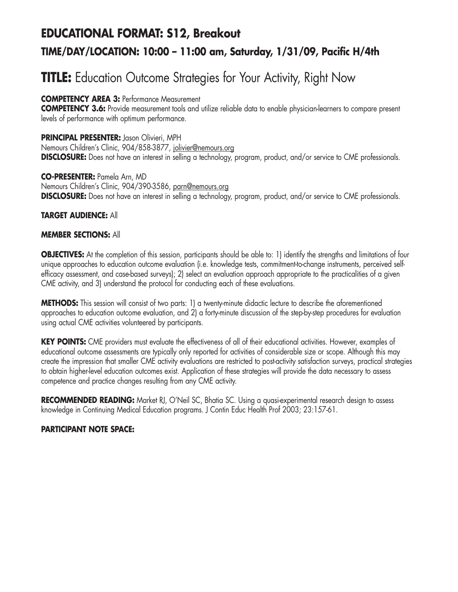# **EDUCATIONAL FORMAT: S12, Breakout TIME/DAY/LOCATION: 10:00 – 11:00 am, Saturday, 1/31/09, Pacific H/4th**

# **TITLE:** Education Outcome Strategies for Your Activity, Right Now

**COMPETENCY AREA 3:** Performance Measurement

**COMPETENCY 3.6:** Provide measurement tools and utilize reliable data to enable physician-learners to compare present levels of performance with optimum performance.

**PRINCIPAL PRESENTER:** Jason Olivieri, MPH Nemours Children's Clinic, 904/858-3877, jolivier@nemours.org **DISCLOSURE:** Does not have an interest in selling a technology, program, product, and/or service to CME professionals.

**CO-PRESENTER:** Pamela Arn, MD Nemours Children's Clinic, 904/390-3586, parn@nemours.org **DISCLOSURE:** Does not have an interest in selling a technology, program, product, and/or service to CME professionals.

## **TARGET AUDIENCE:** All

## **MEMBER SECTIONS:** All

**OBJECTIVES:** At the completion of this session, participants should be able to: 1) identify the strengths and limitations of four unique approaches to education outcome evaluation (i.e. knowledge tests, commitment-to-change instruments, perceived selfefficacy assessment, and case-based surveys); 2) select an evaluation approach appropriate to the practicalities of a given CME activity, and 3) understand the protocol for conducting each of these evaluations.

**METHODS:** This session will consist of two parts: 1) a twenty-minute didactic lecture to describe the aforementioned approaches to education outcome evaluation, and 2) a forty-minute discussion of the step-by-step procedures for evaluation using actual CME activities volunteered by participants.

**KEY POINTS:** CME providers must evaluate the effectiveness of all of their educational activities. However, examples of educational outcome assessments are typically only reported for activities of considerable size or scope. Although this may create the impression that smaller CME activity evaluations are restricted to post-activity satisfaction surveys, practical strategies to obtain higher-level education outcomes exist. Application of these strategies will provide the data necessary to assess competence and practice changes resulting from any CME activity.

**RECOMMENDED READING:** Market RJ, O'Neil SC, Bhatia SC. Using a quasi-experimental research design to assess knowledge in Continuing Medical Education programs. J Contin Educ Health Prof 2003; 23:157-61.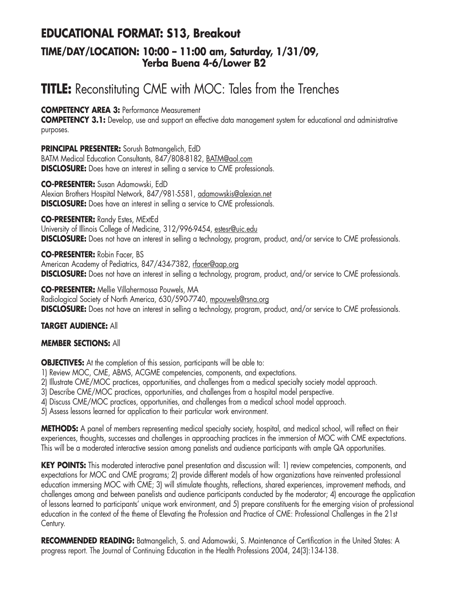## **EDUCATIONAL FORMAT: S13, Breakout TIME/DAY/LOCATION: 10:00 – 11:00 am, Saturday, 1/31/09, Yerba Buena 4-6/Lower B2**

# **TITLE:** Reconstituting CME with MOC: Tales from the Trenches

**COMPETENCY AREA 3:** Performance Measurement

**COMPETENCY 3.1:** Develop, use and support an effective data management system for educational and administrative purposes.

**PRINCIPAL PRESENTER:** Sorush Batmangelich, EdD BATM Medical Education Consultants, 847/808-8182, BATM@aol.com **DISCLOSURE:** Does have an interest in selling a service to CME professionals.

**CO-PRESENTER:** Susan Adamowski, EdD Alexian Brothers Hospital Network, 847/981-5581, adamowskis@alexian.net **DISCLOSURE:** Does have an interest in selling a service to CME professionals.

## **CO-PRESENTER:** Randy Estes, MExtEd

University of Illinois College of Medicine, 312/996-9454, estesr@uic.edu **DISCLOSURE:** Does not have an interest in selling a technology, program, product, and/or service to CME professionals.

## **CO-PRESENTER:** Robin Facer, BS

American Academy of Pediatrics, 847/434-7382, rfacer@aap.org **DISCLOSURE:** Does not have an interest in selling a technology, program, product, and/or service to CME professionals.

#### **CO-PRESENTER:** Mellie Villahermossa Pouwels, MA

Radiological Society of North America, 630/590-7740, mpouwels@rsna.org **DISCLOSURE:** Does not have an interest in selling a technology, program, product, and/or service to CME professionals.

## **TARGET AUDIENCE:** All

## **MEMBER SECTIONS:** All

**OBJECTIVES:** At the completion of this session, participants will be able to:

- 1) Review MOC, CME, ABMS, ACGME competencies, components, and expectations.
- 2) Illustrate CME/MOC practices, opportunities, and challenges from a medical specialty society model approach.
- 3) Describe CME/MOC practices, opportunities, and challenges from a hospital model perspective.
- 4) Discuss CME/MOC practices, opportunities, and challenges from a medical school model approach.
- 5) Assess lessons learned for application to their particular work environment.

**METHODS:** A panel of members representing medical specialty society, hospital, and medical school, will reflect on their experiences, thoughts, successes and challenges in approaching practices in the immersion of MOC with CME expectations. This will be a moderated interactive session among panelists and audience participants with ample QA opportunities.

**KEY POINTS:** This moderated interactive panel presentation and discussion will: 1) review competencies, components, and expectations for MOC and CME programs; 2) provide different models of how organizations have reinvented professional education immersing MOC with CME; 3) will stimulate thoughts, reflections, shared experiences, improvement methods, and challenges among and between panelists and audience participants conducted by the moderator; 4) encourage the application of lessons learned to participants' unique work environment, and 5) prepare constituents for the emerging vision of professional education in the context of the theme of Elevating the Profession and Practice of CME: Professional Challenges in the 21st Century.

**RECOMMENDED READING:** Batmangelich, S. and Adamowski, S. Maintenance of Certification in the United States: A progress report. The Journal of Continuing Education in the Health Professions 2004, 24(3):134-138.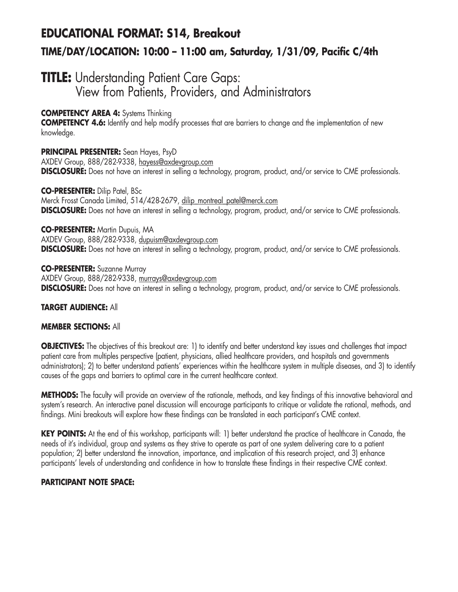# **EDUCATIONAL FORMAT: S14, Breakout TIME/DAY/LOCATION: 10:00 – 11:00 am, Saturday, 1/31/09, Pacific C/4th**

## **TITLE:** Understanding Patient Care Gaps: View from Patients, Providers, and Administrators

## **COMPETENCY AREA 4:** Systems Thinking

**COMPETENCY 4.6:** Identify and help modify processes that are barriers to change and the implementation of new knowledge.

## **PRINCIPAL PRESENTER:** Sean Hayes, PsyD

AXDEV Group, 888/282-9338, hayess@axdevgroup.com **DISCLOSURE:** Does not have an interest in selling a technology, program, product, and/or service to CME professionals.

#### **CO-PRESENTER:** Dilip Patel, BSc

Merck Frosst Canada Limited, 514/428-2679, dilip\_montreal\_patel@merck.com **DISCLOSURE:** Does not have an interest in selling a technology, program, product, and/or service to CME professionals.

#### **CO-PRESENTER:** Martin Dupuis, MA

AXDEV Group, 888/282-9338, dupuism@axdevgroup.com **DISCLOSURE:** Does not have an interest in selling a technology, program, product, and/or service to CME professionals.

**CO-PRESENTER:** Suzanne Murray AXDEV Group, 888/282-9338, murrays@axdevgroup.com **DISCLOSURE:** Does not have an interest in selling a technology, program, product, and/or service to CME professionals.

## **TARGET AUDIENCE:** All

## **MEMBER SECTIONS:** All

**OBJECTIVES:** The objectives of this breakout are: 1) to identify and better understand key issues and challenges that impact patient care from multiples perspective (patient, physicians, allied healthcare providers, and hospitals and governments administrators); 2) to better understand patients' experiences within the healthcare system in multiple diseases, and 3) to identify causes of the gaps and barriers to optimal care in the current healthcare context.

**METHODS:** The faculty will provide an overview of the rationale, methods, and key findings of this innovative behavioral and system's research. An interactive panel discussion will encourage participants to critique or validate the rational, methods, and findings. Mini breakouts will explore how these findings can be translated in each participant's CME context.

**KEY POINTS:** At the end of this workshop, participants will: 1) better understand the practice of healthcare in Canada, the needs of it's individual, group and systems as they strive to operate as part of one system delivering care to a patient population; 2) better understand the innovation, importance, and implication of this research project, and 3) enhance participants' levels of understanding and confidence in how to translate these findings in their respective CME context.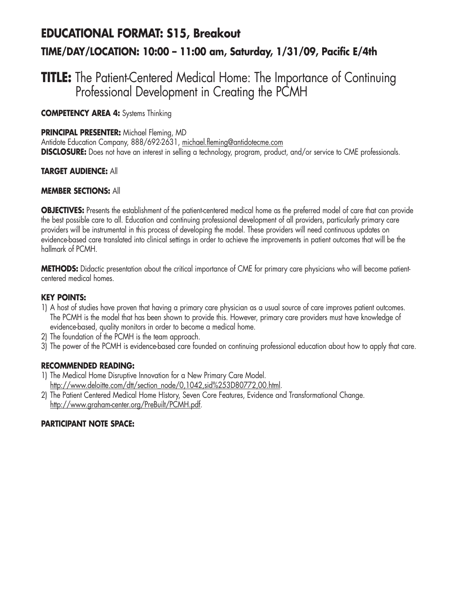# **EDUCATIONAL FORMAT: S15, Breakout TIME/DAY/LOCATION: 10:00 – 11:00 am, Saturday, 1/31/09, Pacific E/4th**

### **TITLE:** The Patient-Centered Medical Home: The Importance of Continuing Professional Development in Creating the PCMH

**COMPETENCY AREA 4:** Systems Thinking

#### **PRINCIPAL PRESENTER:** Michael Fleming, MD

Antidote Education Company, 888/692-2631, michael.fleming@antidotecme.com **DISCLOSURE:** Does not have an interest in selling a technology, program, product, and/or service to CME professionals.

#### **TARGET AUDIENCE:** All

#### **MEMBER SECTIONS:** All

**OBJECTIVES:** Presents the establishment of the patient-centered medical home as the preferred model of care that can provide the best possible care to all. Education and continuing professional development of all providers, particularly primary care providers will be instrumental in this process of developing the model. These providers will need continuous updates on evidence-based care translated into clinical settings in order to achieve the improvements in patient outcomes that will be the hallmark of PCMH.

**METHODS:** Didactic presentation about the critical importance of CME for primary care physicians who will become patientcentered medical homes.

#### **KEY POINTS:**

- 1) A host of studies have proven that having a primary care physician as a usual source of care improves patient outcomes. The PCMH is the model that has been shown to provide this. However, primary care providers must have knowledge of evidence-based, quality monitors in order to become a medical home.
- 2) The foundation of the PCMH is the team approach.
- 3) The power of the PCMH is evidence-based care founded on continuing professional education about how to apply that care.

#### **RECOMMENDED READING:**

- 1) The Medical Home Disruptive Innovation for a New Primary Care Model. http://www.deloitte.com/dtt/section\_node/0,1042,sid%253D80772,00.html.
- 2) The Patient Centered Medical Home History, Seven Core Features, Evidence and Transformational Change. http://www.graham-center.org/PreBuilt/PCMH.pdf.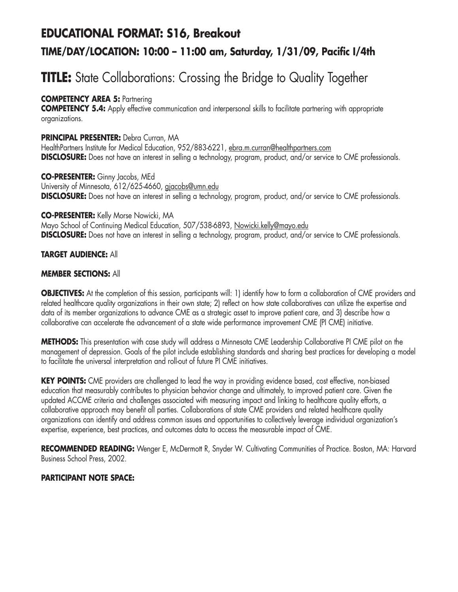## **EDUCATIONAL FORMAT: S16, Breakout TIME/DAY/LOCATION: 10:00 – 11:00 am, Saturday, 1/31/09, Pacific I/4th**

# **TITLE:** State Collaborations: Crossing the Bridge to Quality Together

#### **COMPETENCY AREA 5: Partnering**

**COMPETENCY 5.4:** Apply effective communication and interpersonal skills to facilitate partnering with appropriate organizations.

#### **PRINCIPAL PRESENTER:** Debra Curran, MA

HealthPartners Institute for Medical Education, 952/883-6221, ebra.m.curran@healthpartners.com **DISCLOSURE:** Does not have an interest in selling a technology, program, product, and/or service to CME professionals.

**CO-PRESENTER:** Ginny Jacobs, MEd University of Minnesota, 612/625-4660, gjacobs@umn.edu **DISCLOSURE:** Does not have an interest in selling a technology, program, product, and/or service to CME professionals.

#### **CO-PRESENTER:** Kelly Morse Nowicki, MA

Mayo School of Continuing Medical Education, 507/538-6893, Nowicki.kelly@mayo.edu **DISCLOSURE:** Does not have an interest in selling a technology, program, product, and/or service to CME professionals.

#### **TARGET AUDIENCE:** All

#### **MEMBER SECTIONS:** All

**OBJECTIVES:** At the completion of this session, participants will: 1) identify how to form a collaboration of CME providers and related healthcare quality organizations in their own state; 2) reflect on how state collaboratives can utilize the expertise and data of its member organizations to advance CME as a strategic asset to improve patient care, and 3) describe how a collaborative can accelerate the advancement of a state wide performance improvement CME (PI CME) initiative.

**METHODS:** This presentation with case study will address a Minnesota CME Leadership Collaborative PI CME pilot on the management of depression. Goals of the pilot include establishing standards and sharing best practices for developing a model to facilitate the universal interpretation and roll-out of future PI CME initiatives.

**KEY POINTS:** CME providers are challenged to lead the way in providing evidence based, cost effective, non-biased education that measurably contributes to physician behavior change and ultimately, to improved patient care. Given the updated ACCME criteria and challenges associated with measuring impact and linking to healthcare quality efforts, a collaborative approach may benefit all parties. Collaborations of state CME providers and related healthcare quality organizations can identify and address common issues and opportunities to collectively leverage individual organization's expertise, experience, best practices, and outcomes data to access the measurable impact of CME.

RECOMMENDED READING: Wenger E, McDermott R, Snyder W. Cultivating Communities of Practice. Boston, MA: Harvard Business School Press, 2002.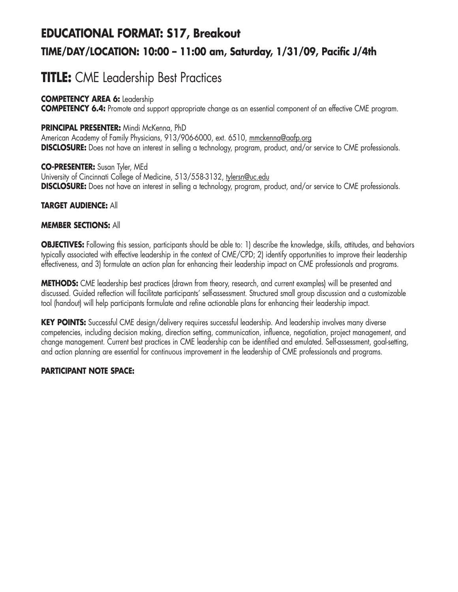# **EDUCATIONAL FORMAT: S17, Breakout TIME/DAY/LOCATION: 10:00 – 11:00 am, Saturday, 1/31/09, Pacific J/4th**

# **TITLE:** CME Leadership Best Practices

#### **COMPETENCY AREA 6:** Leadership

**COMPETENCY 6.4:** Promote and support appropriate change as an essential component of an effective CME program.

#### **PRINCIPAL PRESENTER:** Mindi McKenna, PhD

American Academy of Family Physicians, 913/906-6000, ext. 6510, mmckenna@aafp.org **DISCLOSURE:** Does not have an interest in selling a technology, program, product, and/or service to CME professionals.

**CO-PRESENTER:** Susan Tyler, MEd University of Cincinnati College of Medicine, 513/558-3132, tylersn@uc.edu **DISCLOSURE:** Does not have an interest in selling a technology, program, product, and/or service to CME professionals.

#### **TARGET AUDIENCE:** All

#### **MEMBER SECTIONS:** All

**OBJECTIVES:** Following this session, participants should be able to: 1) describe the knowledge, skills, attitudes, and behaviors typically associated with effective leadership in the context of CME/CPD; 2) identify opportunities to improve their leadership effectiveness, and 3) formulate an action plan for enhancing their leadership impact on CME professionals and programs.

**METHODS:** CME leadership best practices (drawn from theory, research, and current examples) will be presented and discussed. Guided reflection will facilitate participants' self-assessment. Structured small group discussion and a customizable tool (handout) will help participants formulate and refine actionable plans for enhancing their leadership impact.

**KEY POINTS:** Successful CME design/delivery requires successful leadership. And leadership involves many diverse competencies, including decision making, direction setting, communication, influence, negotiation, project management, and change management. Current best practices in CME leadership can be identified and emulated. Self-assessment, goal-setting, and action planning are essential for continuous improvement in the leadership of CME professionals and programs.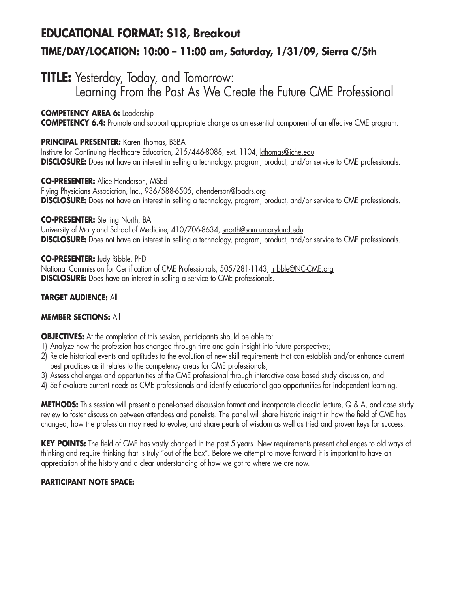### **EDUCATIONAL FORMAT: S18, Breakout TIME/DAY/LOCATION: 10:00 – 11:00 am, Saturday, 1/31/09, Sierra C/5th**

### **TITLE:** Yesterday, Today, and Tomorrow:

Learning From the Past As We Create the Future CME Professional

#### **COMPETENCY AREA 6:** Leadership

**COMPETENCY 6.4:** Promote and support appropriate change as an essential component of an effective CME program.

#### **PRINCIPAL PRESENTER:** Karen Thomas, BSBA

Institute for Continuing Healthcare Education, 215/446-8088, ext. 1104, kthomas@iche.edu **DISCLOSURE:** Does not have an interest in selling a technology, program, product, and/or service to CME professionals.

#### **CO-PRESENTER:** Alice Henderson, MSEd

Flying Physicians Association, Inc., 936/588-6505, ahenderson@fpadrs.org **DISCLOSURE:** Does not have an interest in selling a technology, program, product, and/or service to CME professionals.

#### **CO-PRESENTER:** Sterling North, BA

University of Maryland School of Medicine, 410/706-8634, snorth@som.umaryland.edu **DISCLOSURE:** Does not have an interest in selling a technology, program, product, and/or service to CME professionals.

**CO-PRESENTER:** Judy Ribble, PhD National Commission for Certification of CME Professionals, 505/281-1143, jribble@NC-CME.org **DISCLOSURE:** Does have an interest in selling a service to CME professionals.

#### **TARGET AUDIENCE:** All

#### **MEMBER SECTIONS:** All

**OBJECTIVES:** At the completion of this session, participants should be able to:

- 1) Analyze how the profession has changed through time and gain insight into future perspectives;
- 2) Relate historical events and aptitudes to the evolution of new skill requirements that can establish and/or enhance current best practices as it relates to the competency areas for CME professionals;
- 3) Assess challenges and opportunities of the CME professional through interactive case based study discussion, and
- 4) Self evaluate current needs as CME professionals and identify educational gap opportunities for independent learning.

**METHODS:** This session will present a panel-based discussion format and incorporate didactic lecture, Q & A, and case study review to foster discussion between attendees and panelists. The panel will share historic insight in how the field of CME has changed; how the profession may need to evolve; and share pearls of wisdom as well as tried and proven keys for success.

**KEY POINTS:** The field of CME has vastly changed in the past 5 years. New requirements present challenges to old ways of thinking and require thinking that is truly "out of the box". Before we attempt to move forward it is important to have an appreciation of the history and a clear understanding of how we got to where we are now.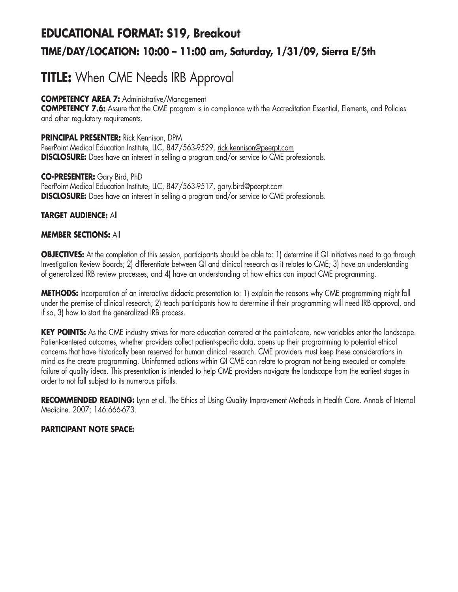# **EDUCATIONAL FORMAT: S19, Breakout TIME/DAY/LOCATION: 10:00 – 11:00 am, Saturday, 1/31/09, Sierra E/5th**

# **TITLE:** When CME Needs IRB Approval

**COMPETENCY AREA 7:** Administrative/Management

**COMPETENCY 7.6:** Assure that the CME program is in compliance with the Accreditation Essential, Elements, and Policies and other regulatory requirements.

**PRINCIPAL PRESENTER:** Rick Kennison, DPM PeerPoint Medical Education Institute, LLC, 847/563-9529, rick.kennison@peerpt.com **DISCLOSURE:** Does have an interest in selling a program and/or service to CME professionals.

**CO-PRESENTER:** Gary Bird, PhD PeerPoint Medical Education Institute, LLC, 847/563-9517, gary.bird@peerpt.com **DISCLOSURE:** Does have an interest in selling a program and/or service to CME professionals.

#### **TARGET AUDIENCE:** All

#### **MEMBER SECTIONS:** All

**OBJECTIVES:** At the completion of this session, participants should be able to: 1) determine if QI initiatives need to go through Investigation Review Boards; 2) differentiate between QI and clinical research as it relates to CME; 3) have an understanding of generalized IRB review processes, and 4) have an understanding of how ethics can impact CME programming.

**METHODS:** Incorporation of an interactive didactic presentation to: 1) explain the reasons why CME programming might fall under the premise of clinical research; 2) teach participants how to determine if their programming will need IRB approval, and if so, 3) how to start the generalized IRB process.

**KEY POINTS:** As the CME industry strives for more education centered at the point-of-care, new variables enter the landscape. Patient-centered outcomes, whether providers collect patient-specific data, opens up their programming to potential ethical concerns that have historically been reserved for human clinical research. CME providers must keep these considerations in mind as the create programming. Uninformed actions within QI CME can relate to program not being executed or complete failure of quality ideas. This presentation is intended to help CME providers navigate the landscape from the earliest stages in order to not fall subject to its numerous pitfalls.

**RECOMMENDED READING:** Lynn et al. The Ethics of Using Quality Improvement Methods in Health Care. Annals of Internal Medicine. 2007; 146:666-673.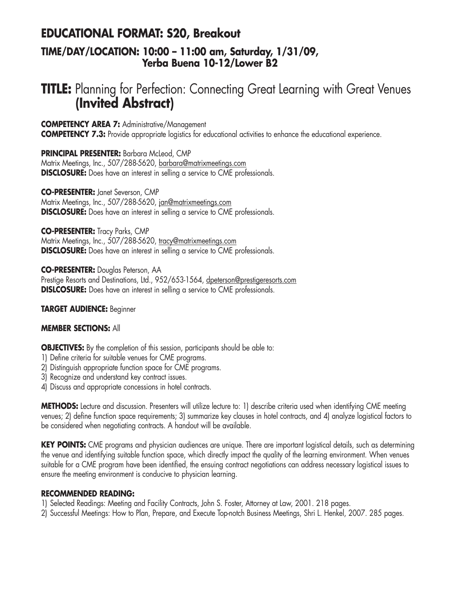### **EDUCATIONAL FORMAT: S20, Breakout TIME/DAY/LOCATION: 10:00 – 11:00 am, Saturday, 1/31/09, Yerba Buena 10-12/Lower B2**

### **TITLE:** Planning for Perfection: Connecting Great Learning with Great Venues **(Invited Abstract)**

**COMPETENCY AREA 7:** Administrative/Management

**COMPETENCY 7.3:** Provide appropriate logistics for educational activities to enhance the educational experience.

**PRINCIPAL PRESENTER:** Barbara McLeod, CMP

Matrix Meetings, Inc., 507/288-5620, barbara@matrixmeetings.com **DISCLOSURE:** Does have an interest in selling a service to CME professionals.

**CO-PRESENTER:** Janet Severson, CMP

Matrix Meetings, Inc., 507/288-5620, jan@matrixmeetings.com **DISCLOSURE:** Does have an interest in selling a service to CME professionals.

**CO-PRESENTER:** Tracy Parks, CMP

Matrix Meetings, Inc., 507/288-5620, tracy@matrixmeetings.com **DISCLOSURE:** Does have an interest in selling a service to CME professionals.

**CO-PRESENTER:** Douglas Peterson, AA

Prestige Resorts and Destinations, Ltd., 952/653-1564, dpeterson@prestigeresorts.com **DISLCOSURE:** Does have an interest in selling a service to CME professionals.

**TARGET AUDIENCE:** Beginner

#### **MEMBER SECTIONS:** All

**OBJECTIVES:** By the completion of this session, participants should be able to:

- 1) Define criteria for suitable venues for CME programs.
- 2) Distinguish appropriate function space for CME programs.
- 3) Recognize and understand key contract issues.
- 4) Discuss and appropriate concessions in hotel contracts.

**METHODS:** Lecture and discussion. Presenters will utilize lecture to: 1) describe criteria used when identifying CME meeting venues; 2) define function space requirements; 3) summarize key clauses in hotel contracts, and 4) analyze logistical factors to be considered when negotiating contracts. A handout will be available.

**KEY POINTS:** CME programs and physician audiences are unique. There are important logistical details, such as determining the venue and identifying suitable function space, which directly impact the quality of the learning environment. When venues suitable for a CME program have been identified, the ensuing contract negotiations can address necessary logistical issues to ensure the meeting environment is conducive to physician learning.

#### **RECOMMENDED READING:**

- 1) Selected Readings: Meeting and Facility Contracts, John S. Foster, Attorney at Law, 2001. 218 pages.
- 2) Successful Meetings: How to Plan, Prepare, and Execute Top-notch Business Meetings, Shri L. Henkel, 2007. 285 pages.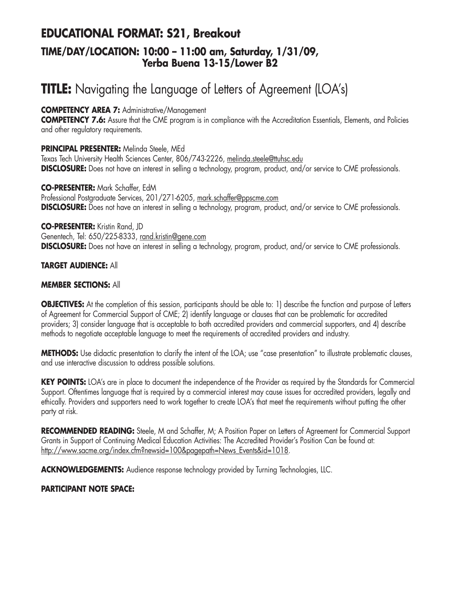### **EDUCATIONAL FORMAT: S21, Breakout TIME/DAY/LOCATION: 10:00 – 11:00 am, Saturday, 1/31/09, Yerba Buena 13-15/Lower B2**

# **TITLE:** Navigating the Language of Letters of Agreement (LOA's)

#### **COMPETENCY AREA 7:** Administrative/Management

**COMPETENCY 7.6:** Assure that the CME program is in compliance with the Accreditation Essentials, Elements, and Policies and other regulatory requirements.

#### **PRINCIPAL PRESENTER:** Melinda Steele, MEd

Texas Tech University Health Sciences Center, 806/743-2226, melinda.steele@ttuhsc.edu **DISCLOSURE:** Does not have an interest in selling a technology, program, product, and/or service to CME professionals.

**CO-PRESENTER:** Mark Schaffer, EdM Professional Postgraduate Services, 201/271-6205, mark.schaffer@ppscme.com **DISCLOSURE:** Does not have an interest in selling a technology, program, product, and/or service to CME professionals.

#### **CO-PRESENTER:** Kristin Rand, JD

Genentech, Tel: 650/225-8333, rand.kristin@gene.com **DISCLOSURE:** Does not have an interest in selling a technology, program, product, and/or service to CME professionals.

#### **TARGET AUDIENCE:** All

#### **MEMBER SECTIONS:** All

**OBJECTIVES:** At the completion of this session, participants should be able to: 1) describe the function and purpose of Letters of Agreement for Commercial Support of CME; 2) identify language or clauses that can be problematic for accredited providers; 3) consider language that is acceptable to both accredited providers and commercial supporters, and 4) describe methods to negotiate acceptable language to meet the requirements of accredited providers and industry.

**METHODS:** Use didactic presentation to clarify the intent of the LOA; use "case presentation" to illustrate problematic clauses, and use interactive discussion to address possible solutions.

**KEY POINTS:** LOA's are in place to document the independence of the Provider as required by the Standards for Commercial Support. Oftentimes language that is required by a commercial interest may cause issues for accredited providers, legally and ethically. Providers and supporters need to work together to create LOA's that meet the requirements without putting the other party at risk.

**RECOMMENDED READING:** Steele, M and Schaffer, M; A Position Paper on Letters of Agreement for Commercial Support Grants in Support of Continuing Medical Education Activities: The Accredited Provider's Position Can be found at: http://www.sacme.org/index.cfm?newsid=100&pagepath=News\_Events&id=1018.

**ACKNOWLEDGEMENTS:** Audience response technology provided by Turning Technologies, LLC.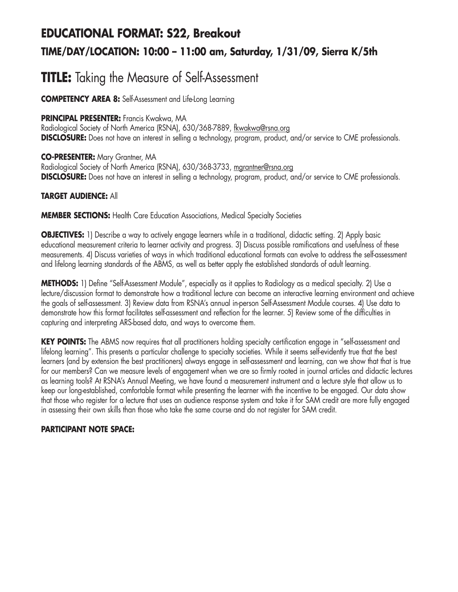# **EDUCATIONAL FORMAT: S22, Breakout TIME/DAY/LOCATION: 10:00 – 11:00 am, Saturday, 1/31/09, Sierra K/5th**

### **TITLE:** Taking the Measure of Self-Assessment

**COMPETENCY AREA 8:** Self-Assessment and Life-Long Learning

#### **PRINCIPAL PRESENTER:** Francis Kwakwa, MA

Radiological Society of North America (RSNA), 630/368-7889, fkwakwa@rsna.org **DISCLOSURE:** Does not have an interest in selling a technology, program, product, and/or service to CME professionals.

**CO-PRESENTER:** Mary Grantner, MA Radiological Society of North America (RSNA), 630/368-3733, mgrantner@rsna.org **DISCLOSURE:** Does not have an interest in selling a technology, program, product, and/or service to CME professionals.

#### **TARGET AUDIENCE:** All

**MEMBER SECTIONS:** Health Care Education Associations, Medical Specialty Societies

**OBJECTIVES:** 1) Describe a way to actively engage learners while in a traditional, didactic setting. 2) Apply basic educational measurement criteria to learner activity and progress. 3) Discuss possible ramifications and usefulness of these measurements. 4) Discuss varieties of ways in which traditional educational formats can evolve to address the self-assessment and lifelong learning standards of the ABMS, as well as better apply the established standards of adult learning.

**METHODS:** 1) Define "Self-Assessment Module", especially as it applies to Radiology as a medical specialty. 2) Use a lecture/discussion format to demonstrate how a traditional lecture can become an interactive learning environment and achieve the goals of self-assessment. 3) Review data from RSNA's annual in-person Self-Assessment Module courses. 4) Use data to demonstrate how this format facilitates self-assessment and reflection for the learner. 5) Review some of the difficulties in capturing and interpreting ARS-based data, and ways to overcome them.

**KEY POINTS:** The ABMS now requires that all practitioners holding specialty certification engage in "self-assessment and lifelong learning". This presents a particular challenge to specialty societies. While it seems self-evidently true that the best learners (and by extension the best practitioners) always engage in self-assessment and learning, can we show that that is true for our members? Can we measure levels of engagement when we are so firmly rooted in journal articles and didactic lectures as learning tools? At RSNA's Annual Meeting, we have found a measurement instrument and a lecture style that allow us to keep our long-established, comfortable format while presenting the learner with the incentive to be engaged. Our data show that those who register for a lecture that uses an audience response system and take it for SAM credit are more fully engaged in assessing their own skills than those who take the same course and do not register for SAM credit.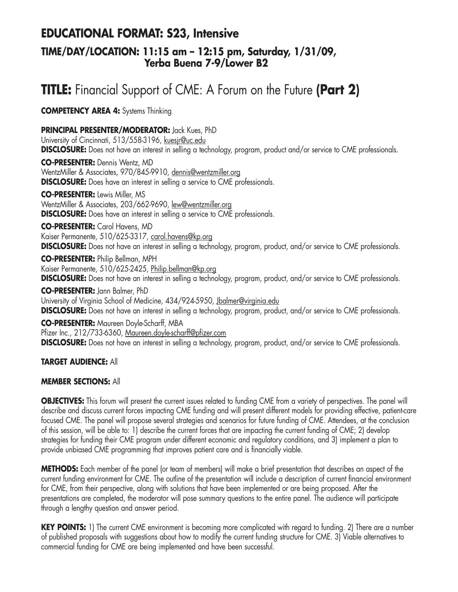### **EDUCATIONAL FORMAT: S23, Intensive**

### **TIME/DAY/LOCATION: 11:15 am – 12:15 pm, Saturday, 1/31/09, Yerba Buena 7-9/Lower B2**

# **TITLE:** Financial Support of CME: A Forum on the Future **(Part 2)**

**COMPETENCY AREA 4:** Systems Thinking

**PRINCIPAL PRESENTER/MODERATOR:** Jack Kues, PhD

University of Cincinnati, 513/558-3196, kuesjr@uc.edu **DISCLOSURE:** Does not have an interest in selling a technology, program, product and/or service to CME professionals.

**CO-PRESENTER:** Dennis Wentz, MD WentzMiller & Associates, 970/845-9910, dennis@wentzmiller.org **DISCLOSURE:** Does have an interest in selling a service to CME professionals.

**CO-PRESENTER:** Lewis Miller, MS WentzMiller & Associates, 203/662-9690, lew@wentzmiller.org **DISCLOSURE:** Does have an interest in selling a service to CME professionals.

#### **CO-PRESENTER:** Carol Havens, MD

Kaiser Permanente, 510/625-3317, carol.havens@kp.org **DISCLOSURE:** Does not have an interest in selling a technology, program, product, and/or service to CME professionals.

**CO-PRESENTER:** Philip Bellman, MPH Kaiser Permanente, 510/625-2425, Philip.bellman@kp.org **DISCLOSURE:** Does not have an interest in selling a technology, program, product, and/or service to CME professionals.

**CO-PRESENTER:** Jann Balmer, PhD University of Virginia School of Medicine, 434/924-5950, Jbalmer@virginia.edu **DISCLOSURE:** Does not have an interest in selling a technology, program, product, and/or service to CME professionals.

**CO-PRESENTER:** Maureen Doyle-Scharff, MBA Pfizer Inc., 212/733-6360, Maureen.doyle-scharff@pfizer.com **DISCLOSURE:** Does not have an interest in selling a technology, program, product, and/or service to CME professionals.

#### **TARGET AUDIENCE:** All

#### **MEMBER SECTIONS:** All

**OBJECTIVES:** This forum will present the current issues related to funding CME from a variety of perspectives. The panel will describe and discuss current forces impacting CME funding and will present different models for providing effective, patient-care focused CME. The panel will propose several strategies and scenarios for future funding of CME. Attendees, at the conclusion of this session, will be able to: 1) describe the current forces that are impacting the current funding of CME; 2) develop strategies for funding their CME program under different economic and regulatory conditions, and 3) implement a plan to provide unbiased CME programming that improves patient care and is financially viable.

**METHODS:** Each member of the panel (or team of members) will make a brief presentation that describes an aspect of the current funding environment for CME. The outline of the presentation will include a description of current financial environment for CME, from their perspective, along with solutions that have been implemented or are being proposed. After the presentations are completed, the moderator will pose summary questions to the entire panel. The audience will participate through a lengthy question and answer period.

**KEY POINTS:** 1) The current CME environment is becoming more complicated with regard to funding. 2) There are a number of published proposals with suggestions about how to modify the current funding structure for CME. 3) Viable alternatives to commercial funding for CME are being implemented and have been successful.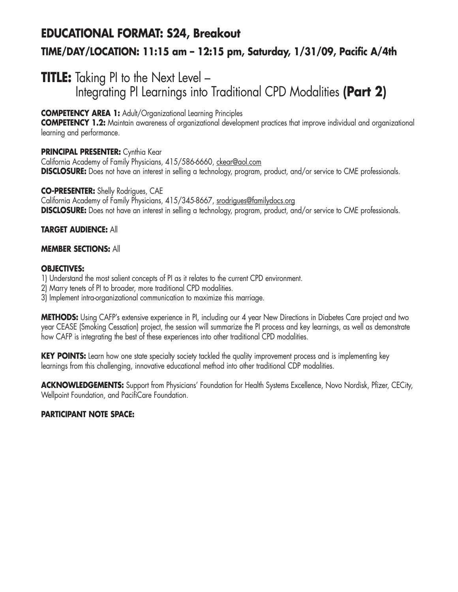# **EDUCATIONAL FORMAT: S24, Breakout TIME/DAY/LOCATION: 11:15 am – 12:15 pm, Saturday, 1/31/09, Pacific A/4th**

### **TITLE:** Taking PI to the Next Level -Integrating PI Learnings into Traditional CPD Modalities **(Part 2)**

#### **COMPETENCY AREA 1:** Adult/Organizational Learning Principles

**COMPETENCY 1.2:** Maintain awareness of organizational development practices that improve individual and organizational learning and performance.

#### **PRINCIPAL PRESENTER:** Cynthia Kear

California Academy of Family Physicians, 415/586-6660, ckear@aol.com **DISCLOSURE:** Does not have an interest in selling a technology, program, product, and/or service to CME professionals.

#### **CO-PRESENTER:** Shelly Rodrigues, CAE

California Academy of Family Physicians, 415/345-8667, srodrigues@familydocs.org **DISCLOSURE:** Does not have an interest in selling a technology, program, product, and/or service to CME professionals.

#### **TARGET AUDIENCE:** All

#### **MEMBER SECTIONS:** All

#### **OBJECTIVES:**

1) Understand the most salient concepts of PI as it relates to the current CPD environment.

2) Marry tenets of PI to broader, more traditional CPD modalities.

3) Implement intra-organizational communication to maximize this marriage.

**METHODS:** Using CAFP's extensive experience in PI, including our 4 year New Directions in Diabetes Care project and two year CEASE (Smoking Cessation) project, the session will summarize the PI process and key learnings, as well as demonstrate how CAFP is integrating the best of these experiences into other traditional CPD modalities.

**KEY POINTS:** Learn how one state specialty society tackled the quality improvement process and is implementing key learnings from this challenging, innovative educational method into other traditional CDP modalities.

**ACKNOWLEDGEMENTS:** Support from Physicians' Foundation for Health Systems Excellence, Novo Nordisk, Pfizer, CECity, Wellpoint Foundation, and PacifiCare Foundation.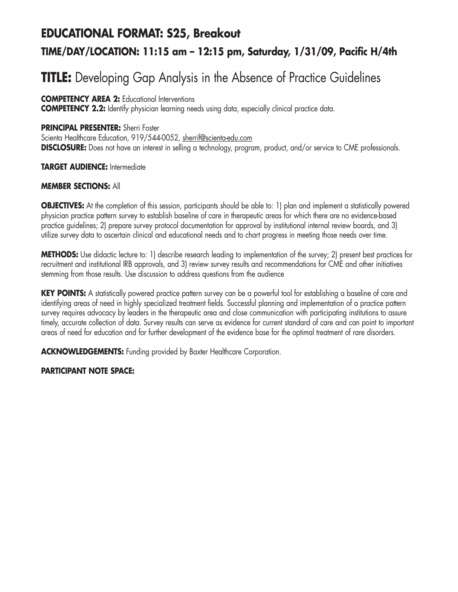### **EDUCATIONAL FORMAT: S25, Breakout**

### **TIME/DAY/LOCATION: 11:15 am – 12:15 pm, Saturday, 1/31/09, Pacific H/4th**

# **TITLE:** Developing Gap Analysis in the Absence of Practice Guidelines

**COMPETENCY AREA 2:** Educational Interventions

**COMPETENCY 2.2:** Identify physician learning needs using data, especially clinical practice data.

#### **PRINCIPAL PRESENTER:** Sherri Foster

Scienta Healthcare Education, 919/544-0052, sherrif@scienta-edu.com **DISCLOSURE:** Does not have an interest in selling a technology, program, product, and/or service to CME professionals.

**TARGET AUDIENCE:** Intermediate

#### **MEMBER SECTIONS:** All

**OBJECTIVES:** At the completion of this session, participants should be able to: 1) plan and implement a statistically powered physician practice pattern survey to establish baseline of care in therapeutic areas for which there are no evidence-based practice guidelines; 2) prepare survey protocol documentation for approval by institutional internal review boards, and 3) utilize survey data to ascertain clinical and educational needs and to chart progress in meeting those needs over time.

**METHODS:** Use didactic lecture to: 1) describe research leading to implementation of the survey; 2) present best practices for recruitment and institutional IRB approvals, and 3) review survey results and recommendations for CME and other initiatives stemming from those results. Use discussion to address questions from the audience

**KEY POINTS:** A statistically powered practice pattern survey can be a powerful tool for establishing a baseline of care and identifying areas of need in highly specialized treatment fields. Successful planning and implementation of a practice pattern survey requires advocacy by leaders in the therapeutic area and close communication with participating institutions to assure timely, accurate collection of data. Survey results can serve as evidence for current standard of care and can point to important areas of need for education and for further development of the evidence base for the optimal treatment of rare disorders.

**ACKNOWLEDGEMENTS:** Funding provided by Baxter Healthcare Corporation.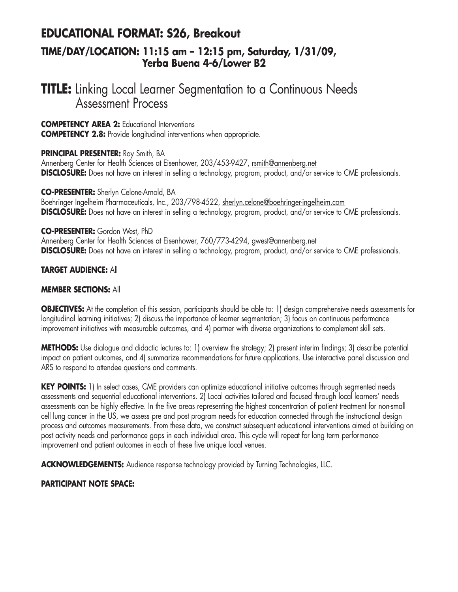# **EDUCATIONAL FORMAT: S26, Breakout**

#### **TIME/DAY/LOCATION: 11:15 am – 12:15 pm, Saturday, 1/31/09, Yerba Buena 4-6/Lower B2**

### **TITLE:** Linking Local Learner Segmentation to a Continuous Needs Assessment Process

**COMPETENCY AREA 2:** Educational Interventions **COMPETENCY 2.8:** Provide longitudinal interventions when appropriate.

#### **PRINCIPAL PRESENTER:** Roy Smith, BA

Annenberg Center for Health Sciences at Eisenhower, 203/453-9427, rsmith@annenberg.net **DISCLOSURE:** Does not have an interest in selling a technology, program, product, and/or service to CME professionals.

#### **CO-PRESENTER:** Sherlyn Celone-Arnold, BA

Boehringer Ingelheim Pharmaceuticals, Inc., 203/798-4522, sherlyn.celone@boehringer-ingelheim.com **DISCLOSURE:** Does not have an interest in selling a technology, program, product, and/or service to CME professionals.

#### **CO-PRESENTER:** Gordon West, PhD

Annenberg Center for Health Sciences at Eisenhower, 760/773-4294, gwest@annenberg.net **DISCLOSURE:** Does not have an interest in selling a technology, program, product, and/or service to CME professionals.

#### **TARGET AUDIENCE:** All

#### **MEMBER SECTIONS:** All

**OBJECTIVES:** At the completion of this session, participants should be able to: 1) design comprehensive needs assessments for longitudinal learning initiatives; 2) discuss the importance of learner segmentation; 3) focus on continuous performance improvement initiatives with measurable outcomes, and 4) partner with diverse organizations to complement skill sets.

**METHODS:** Use dialogue and didactic lectures to: 1) overview the strategy; 2) present interim findings; 3) describe potential impact on patient outcomes, and 4) summarize recommendations for future applications. Use interactive panel discussion and ARS to respond to attendee questions and comments.

**KEY POINTS:** 1) In select cases, CME providers can optimize educational initiative outcomes through segmented needs assessments and sequential educational interventions. 2) Local activities tailored and focused through local learners' needs assessments can be highly effective. In the five areas representing the highest concentration of patient treatment for non-small cell lung cancer in the US, we assess pre and post program needs for education connected through the instructional design process and outcomes measurements. From these data, we construct subsequent educational interventions aimed at building on post activity needs and performance gaps in each individual area. This cycle will repeat for long term performance improvement and patient outcomes in each of these five unique local venues.

**ACKNOWLEDGEMENTS:** Audience response technology provided by Turning Technologies, LLC.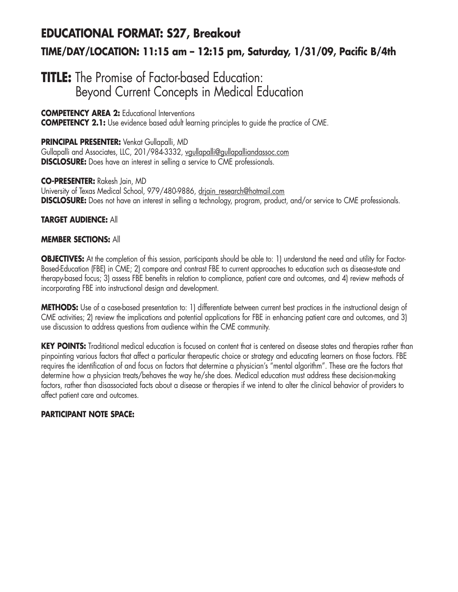### **EDUCATIONAL FORMAT: S27, Breakout TIME/DAY/LOCATION: 11:15 am – 12:15 pm, Saturday, 1/31/09, Pacific B/4th**

### **TITLE:** The Promise of Factor-based Education: Beyond Current Concepts in Medical Education

**COMPETENCY AREA 2:** Educational Interventions **COMPETENCY 2.1:** Use evidence based adult learning principles to guide the practice of CME.

#### **PRINCIPAL PRESENTER:** Venkat Gullapalli, MD Gullapalli and Associates, LLC, 201/984-3332, vgullapalli@gullapalliandassoc.com **DISCLOSURE:** Does have an interest in selling a service to CME professionals.

**CO-PRESENTER:** Rakesh Jain, MD University of Texas Medical School, 979/480-9886, driain\_research@hotmail.com **DISCLOSURE:** Does not have an interest in selling a technology, program, product, and/or service to CME professionals.

#### **TARGET AUDIENCE:** All

#### **MEMBER SECTIONS:** All

**OBJECTIVES:** At the completion of this session, participants should be able to: 1) understand the need and utility for Factor-Based-Education (FBE) in CME; 2) compare and contrast FBE to current approaches to education such as disease-state and therapy-based focus; 3) assess FBE benefits in relation to compliance, patient care and outcomes, and 4) review methods of incorporating FBE into instructional design and development.

**METHODS:** Use of a case-based presentation to: 1) differentiate between current best practices in the instructional design of CME activities; 2) review the implications and potential applications for FBE in enhancing patient care and outcomes, and 3) use discussion to address questions from audience within the CME community.

**KEY POINTS:** Traditional medical education is focused on content that is centered on disease states and therapies rather than pinpointing various factors that affect a particular therapeutic choice or strategy and educating learners on those factors. FBE requires the identification of and focus on factors that determine a physician's "mental algorithm". These are the factors that determine how a physician treats/behaves the way he/she does. Medical education must address these decision-making factors, rather than disassociated facts about a disease or therapies if we intend to alter the clinical behavior of providers to affect patient care and outcomes.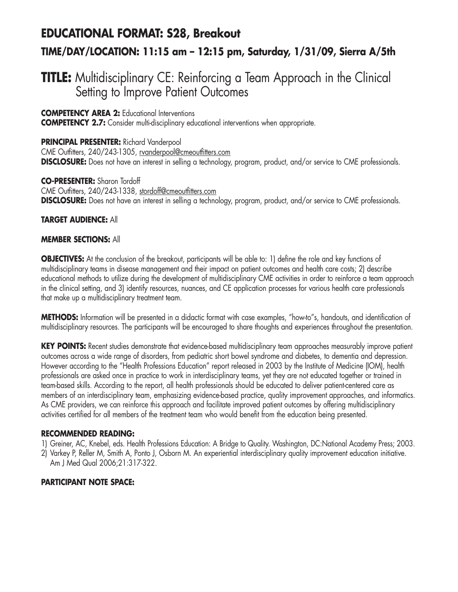# **EDUCATIONAL FORMAT: S28, Breakout**

### **TIME/DAY/LOCATION: 11:15 am – 12:15 pm, Saturday, 1/31/09, Sierra A/5th**

### **TITLE:** Multidisciplinary CE: Reinforcing a Team Approach in the Clinical Setting to Improve Patient Outcomes

**COMPETENCY AREA 2:** Educational Interventions

**COMPETENCY 2.7:** Consider multi-disciplinary educational interventions when appropriate.

#### **PRINCIPAL PRESENTER:** Richard Vanderpool CME Outfitters, 240/243-1305, rvanderpool@cmeoutfitters.com **DISCLOSURE:** Does not have an interest in selling a technology, program, product, and/or service to CME professionals.

**CO-PRESENTER:** Sharon Tordoff CME Outfitters, 240/243-1338, stordoff@cmeoutfitters.com **DISCLOSURE:** Does not have an interest in selling a technology, program, product, and/or service to CME professionals.

#### **TARGET AUDIENCE:** All

#### **MEMBER SECTIONS:** All

**OBJECTIVES:** At the conclusion of the breakout, participants will be able to: 1) define the role and key functions of multidisciplinary teams in disease management and their impact on patient outcomes and health care costs; 2) describe educational methods to utilize during the development of multidisciplinary CME activities in order to reinforce a team approach in the clinical setting, and 3) identify resources, nuances, and CE application processes for various health care professionals that make up a multidisciplinary treatment team.

**METHODS:** Information will be presented in a didactic format with case examples, "how-to"s, handouts, and identification of multidisciplinary resources. The participants will be encouraged to share thoughts and experiences throughout the presentation.

**KEY POINTS:** Recent studies demonstrate that evidence-based multidisciplinary team approaches measurably improve patient outcomes across a wide range of disorders, from pediatric short bowel syndrome and diabetes, to dementia and depression. However according to the "Health Professions Education" report released in 2003 by the Institute of Medicine (IOM), health professionals are asked once in practice to work in interdisciplinary teams, yet they are not educated together or trained in team-based skills. According to the report, all health professionals should be educated to deliver patient-centered care as members of an interdisciplinary team, emphasizing evidence-based practice, quality improvement approaches, and informatics. As CME providers, we can reinforce this approach and facilitate improved patient outcomes by offering multidisciplinary activities certified for all members of the treatment team who would benefit from the education being presented.

#### **RECOMMENDED READING:**

- 1) Greiner, AC, Knebel, eds. Health Professions Education: A Bridge to Quality. Washington, DC:National Academy Press; 2003.
- 2) Varkey P, Reller M, Smith A, Ponto J, Osborn M. An experiential interdisciplinary quality improvement education initiative. Am J Med Qual 2006;21:317-322.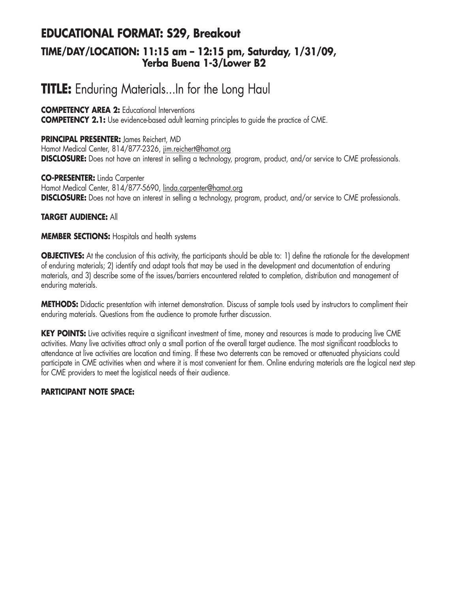### **EDUCATIONAL FORMAT: S29, Breakout TIME/DAY/LOCATION: 11:15 am – 12:15 pm, Saturday, 1/31/09, Yerba Buena 1-3/Lower B2**

# **TITLE:** Enduring Materials...In for the Long Haul

#### **COMPETENCY AREA 2:** Educational Interventions

**COMPETENCY 2.1:** Use evidence-based adult learning principles to guide the practice of CME.

**PRINCIPAL PRESENTER:** James Reichert, MD Hamot Medical Center, 814/877-2326, jim.reichert@hamot.org **DISCLOSURE:** Does not have an interest in selling a technology, program, product, and/or service to CME professionals.

**CO-PRESENTER:** Linda Carpenter Hamot Medical Center, 814/877-5690, linda.carpenter@hamot.org **DISCLOSURE:** Does not have an interest in selling a technology, program, product, and/or service to CME professionals.

#### **TARGET AUDIENCE:** All

#### **MEMBER SECTIONS:** Hospitals and health systems

**OBJECTIVES:** At the conclusion of this activity, the participants should be able to: 1) define the rationale for the development of enduring materials; 2) identify and adapt tools that may be used in the development and documentation of enduring materials, and 3) describe some of the issues/barriers encountered related to completion, distribution and management of enduring materials.

**METHODS:** Didactic presentation with internet demonstration. Discuss of sample tools used by instructors to compliment their enduring materials. Questions from the audience to promote further discussion.

**KEY POINTS:** Live activities require a significant investment of time, money and resources is made to producing live CME activities. Many live activities attract only a small portion of the overall target audience. The most significant roadblocks to attendance at live activities are location and timing. If these two deterrents can be removed or attenuated physicians could participate in CME activities when and where it is most convenient for them. Online enduring materials are the logical next step for CME providers to meet the logistical needs of their audience.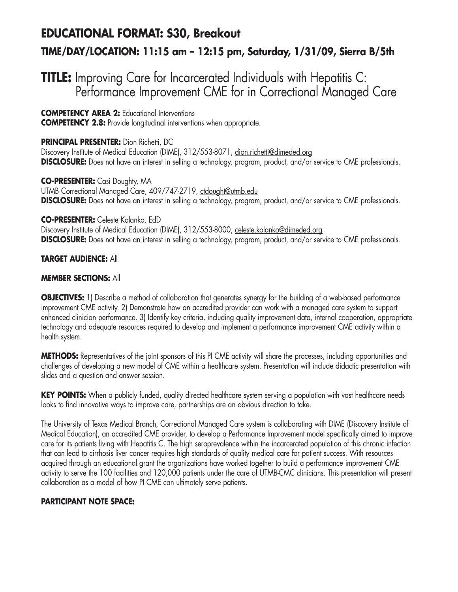### **EDUCATIONAL FORMAT: S30, Breakout**

### **TIME/DAY/LOCATION: 11:15 am – 12:15 pm, Saturday, 1/31/09, Sierra B/5th**

### **TITLE:** Improving Care for Incarcerated Individuals with Hepatitis C: Performance Improvement CME for in Correctional Managed Care

#### **COMPETENCY AREA 2:** Educational Interventions

**COMPETENCY 2.8:** Provide longitudinal interventions when appropriate.

#### **PRINCIPAL PRESENTER:** Dion Richetti, DC

Discovery Institute of Medical Education (DIME), 312/553-8071, dion.richetti@dimeded.org **DISCLOSURE:** Does not have an interest in selling a technology, program, product, and/or service to CME professionals.

**CO-PRESENTER:** Casi Doughty, MA UTMB Correctional Managed Care, 409/747-2719, ctdought@utmb.edu **DISCLOSURE:** Does not have an interest in selling a technology, program, product, and/or service to CME professionals.

#### **CO-PRESENTER:** Celeste Kolanko, EdD

Discovery Institute of Medical Education (DIME), 312/553-8000, celeste.kolanko@dimeded.org **DISCLOSURE:** Does not have an interest in selling a technology, program, product, and/or service to CME professionals.

#### **TARGET AUDIENCE:** All

#### **MEMBER SECTIONS:** All

**OBJECTIVES:** 1) Describe a method of collaboration that generates synergy for the building of a web-based performance improvement CME activity. 2) Demonstrate how an accredited provider can work with a managed care system to support enhanced clinician performance. 3) Identify key criteria, including quality improvement data, internal cooperation, appropriate technology and adequate resources required to develop and implement a performance improvement CME activity within a health system.

**METHODS:** Representatives of the joint sponsors of this PI CME activity will share the processes, including opportunities and challenges of developing a new model of CME within a healthcare system. Presentation will include didactic presentation with slides and a question and answer session.

**KEY POINTS:** When a publicly funded, quality directed healthcare system serving a population with vast healthcare needs looks to find innovative ways to improve care, partnerships are an obvious direction to take.

The University of Texas Medical Branch, Correctional Managed Care system is collaborating with DIME (Discovery Institute of Medical Education), an accredited CME provider, to develop a Performance Improvement model specifically aimed to improve care for its patients living with Hepatitis C. The high seroprevalence within the incarcerated population of this chronic infection that can lead to cirrhosis liver cancer requires high standards of quality medical care for patient success. With resources acquired through an educational grant the organizations have worked together to build a performance improvement CME activity to serve the 100 facilities and 120,000 patients under the care of UTMB-CMC clinicians. This presentation will present collaboration as a model of how PI CME can ultimately serve patients.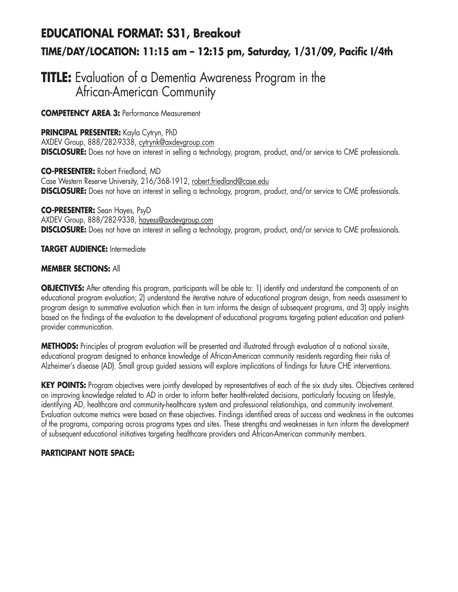# **EDUCATIONAL FORMAT: S31, Breakout TIME/DAY/LOCATION: 11:15 am – 12:15 pm, Saturday, 1/31/09, Pacific I/4th**

### **TITLE:** Evaluation of a Dementia Awareness Program in the African-American Community

**COMPETENCY AREA 3:** Performance Measurement

**PRINCIPAL PRESENTER:** Kayla Cytryn, PhD AXDEV Group, 888/282-9338, cytrynk@axdevgroup.com

**DISCLOSURE:** Does not have an interest in selling a technology, program, product, and/or service to CME professionals.

**CO-PRESENTER:** Robert Friedland, MD Case Western Reserve University, 216/368-1912, robert.friedland@case.edu **DISCLOSURE:** Does not have an interest in selling a technology, program, product, and/or service to CME professionals.

**CO-PRESENTER:** Sean Hayes, PsyD AXDEV Group, 888/282-9338, hayess@axdevgroup.com **DISCLOSURE:** Does not have an interest in selling a technology, program, product, and/or service to CME professionals.

**TARGET AUDIENCE:** Intermediate

#### **MEMBER SECTIONS:** All

**OBJECTIVES:** After attending this program, participants will be able to: 1) identify and understand the components of an educational program evaluation; 2) understand the iterative nature of educational program design, from needs assessment to program design to summative evaluation which then in turn informs the design of subsequent programs, and 3) apply insights based on the findings of the evaluation to the development of educational programs targeting patient education and patientprovider communication.

**METHODS:** Principles of program evaluation will be presented and illustrated through evaluation of a national six-site, educational program designed to enhance knowledge of African-American community residents regarding their risks of Alzheimer's disease (AD). Small group guided sessions will explore implications of findings for future CHE interventions.

KEY POINTS: Program objectives were jointly developed by representatives of each of the six study sites. Objectives centered on improving knowledge related to AD in order to inform better health-related decisions, particularly focusing on lifestyle, identifying AD, healthcare and community-healthcare system and professional relationships, and community involvement. Evaluation outcome metrics were based on these objectives. Findings identified areas of success and weakness in the outcomes of the programs, comparing across programs types and sites. These strengths and weaknesses in turn inform the development of subsequent educational initiatives targeting healthcare providers and African-American community members.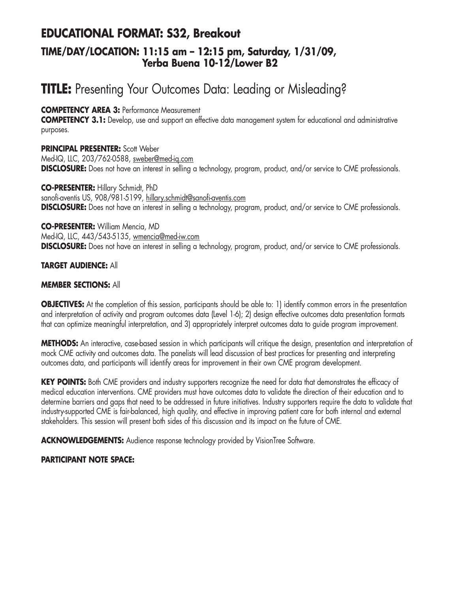### **EDUCATIONAL FORMAT: S32, Breakout TIME/DAY/LOCATION: 11:15 am – 12:15 pm, Saturday, 1/31/09, Yerba Buena 10-12/Lower B2**

# **TITLE:** Presenting Your Outcomes Data: Leading or Misleading?

#### **COMPETENCY AREA 3:** Performance Measurement

**COMPETENCY 3.1:** Develop, use and support an effective data management system for educational and administrative purposes.

#### **PRINCIPAL PRESENTER:** Scott Weber

Med-IQ, LLC, 203/762-0588, sweber@med-iq.com **DISCLOSURE:** Does not have an interest in selling a technology, program, product, and/or service to CME professionals.

**CO-PRESENTER:** Hillary Schmidt, PhD sanofi-aventis US, 908/981-5199, hillary.schmidt@sanofi-aventis.com **DISCLOSURE:** Does not have an interest in selling a technology, program, product, and/or service to CME professionals.

#### **CO-PRESENTER:** William Mencia, MD

Med-IQ, LLC, 443/543-5135, wmencia@med-iw.com **DISCLOSURE:** Does not have an interest in selling a technology, program, product, and/or service to CME professionals.

#### **TARGET AUDIENCE:** All

#### **MEMBER SECTIONS:** All

**OBJECTIVES:** At the completion of this session, participants should be able to: 1) identify common errors in the presentation and interpretation of activity and program outcomes data (Level 1-6); 2) design effective outcomes data presentation formats that can optimize meaningful interpretation, and 3) appropriately interpret outcomes data to guide program improvement.

**METHODS:** An interactive, case-based session in which participants will critique the design, presentation and interpretation of mock CME activity and outcomes data. The panelists will lead discussion of best practices for presenting and interpreting outcomes data, and participants will identify areas for improvement in their own CME program development.

KEY POINTS: Both CME providers and industry supporters recognize the need for data that demonstrates the efficacy of medical education interventions. CME providers must have outcomes data to validate the direction of their education and to determine barriers and gaps that need to be addressed in future initiatives. Industry supporters require the data to validate that industry-supported CME is fair-balanced, high quality, and effective in improving patient care for both internal and external stakeholders. This session will present both sides of this discussion and its impact on the future of CME.

**ACKNOWLEDGEMENTS:** Audience response technology provided by VisionTree Software.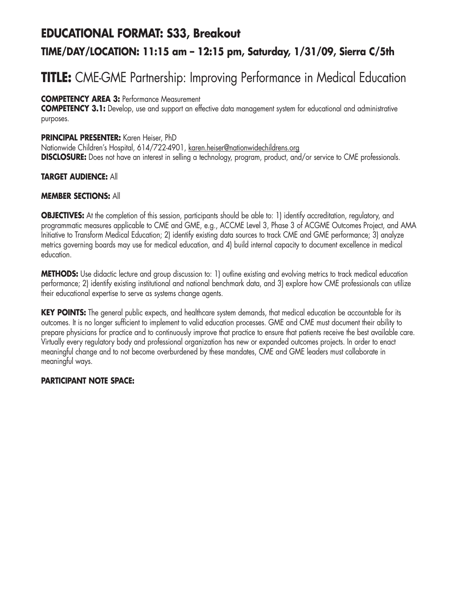### **EDUCATIONAL FORMAT: S33, Breakout**

### **TIME/DAY/LOCATION: 11:15 am – 12:15 pm, Saturday, 1/31/09, Sierra C/5th**

# **TITLE:** CME-GME Partnership: Improving Performance in Medical Education

#### **COMPETENCY AREA 3:** Performance Measurement

**COMPETENCY 3.1:** Develop, use and support an effective data management system for educational and administrative purposes.

#### **PRINCIPAL PRESENTER:** Karen Heiser, PhD

Nationwide Children's Hospital, 614/722-4901, karen.heiser@nationwidechildrens.org **DISCLOSURE:** Does not have an interest in selling a technology, program, product, and/or service to CME professionals.

#### **TARGET AUDIENCE:** All

#### **MEMBER SECTIONS:** All

**OBJECTIVES:** At the completion of this session, participants should be able to: 1) identify accreditation, regulatory, and programmatic measures applicable to CME and GME, e.g., ACCME Level 3, Phase 3 of ACGME Outcomes Project, and AMA Initiative to Transform Medical Education; 2) identify existing data sources to track CME and GME performance; 3) analyze metrics governing boards may use for medical education, and 4) build internal capacity to document excellence in medical education.

**METHODS:** Use didactic lecture and group discussion to: 1) outline existing and evolving metrics to track medical education performance; 2) identify existing institutional and national benchmark data, and 3) explore how CME professionals can utilize their educational expertise to serve as systems change agents.

**KEY POINTS:** The general public expects, and healthcare system demands, that medical education be accountable for its outcomes. It is no longer sufficient to implement to valid education processes. GME and CME must document their ability to prepare physicians for practice and to continuously improve that practice to ensure that patients receive the best available care. Virtually every regulatory body and professional organization has new or expanded outcomes projects. In order to enact meaningful change and to not become overburdened by these mandates, CME and GME leaders must collaborate in meaningful ways.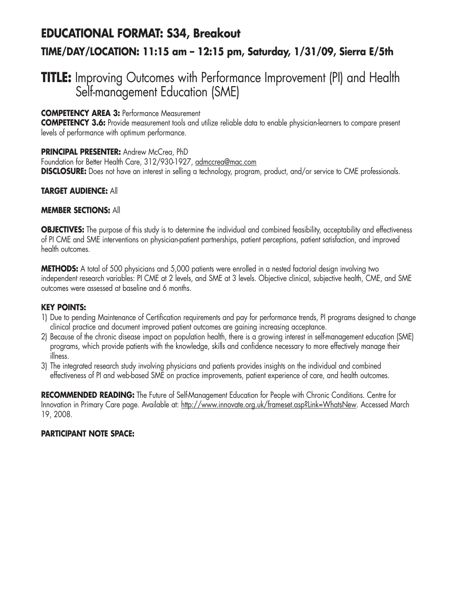# **EDUCATIONAL FORMAT: S34, Breakout TIME/DAY/LOCATION: 11:15 am – 12:15 pm, Saturday, 1/31/09, Sierra E/5th**

### **TITLE:** Improving Outcomes with Performance Improvement (PI) and Health Self-management Education (SME)

#### **COMPETENCY AREA 3:** Performance Measurement

**COMPETENCY 3.6:** Provide measurement tools and utilize reliable data to enable physician-learners to compare present levels of performance with optimum performance.

#### **PRINCIPAL PRESENTER:** Andrew McCrea, PhD

Foundation for Better Health Care, 312/930-1927, admccrea@mac.com **DISCLOSURE:** Does not have an interest in selling a technology, program, product, and/or service to CME professionals.

#### **TARGET AUDIENCE:** All

#### **MEMBER SECTIONS:** All

**OBJECTIVES:** The purpose of this study is to determine the individual and combined feasibility, acceptability and effectiveness of PI CME and SME interventions on physician-patient partnerships, patient perceptions, patient satisfaction, and improved health outcomes.

**METHODS:** A total of 500 physicians and 5,000 patients were enrolled in a nested factorial design involving two independent research variables: PI CME at 2 levels, and SME at 3 levels. Objective clinical, subjective health, CME, and SME outcomes were assessed at baseline and 6 months.

#### **KEY POINTS:**

- 1) Due to pending Maintenance of Certification requirements and pay for performance trends, PI programs designed to change clinical practice and document improved patient outcomes are gaining increasing acceptance.
- 2) Because of the chronic disease impact on population health, there is a growing interest in self-management education (SME) programs, which provide patients with the knowledge, skills and confidence necessary to more effectively manage their illness.
- 3) The integrated research study involving physicians and patients provides insights on the individual and combined effectiveness of PI and web-based SME on practice improvements, patient experience of care, and health outcomes.

**RECOMMENDED READING:** The Future of Self-Management Education for People with Chronic Conditions. Centre for Innovation in Primary Care page. Available at: http://www.innovate.org.uk/frameset.asp?Link=WhatsNew. Accessed March 19, 2008.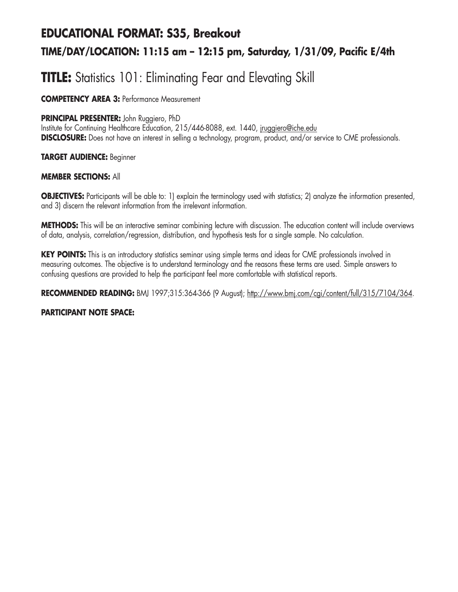# **EDUCATIONAL FORMAT: S35, Breakout TIME/DAY/LOCATION: 11:15 am – 12:15 pm, Saturday, 1/31/09, Pacific E/4th**

# **TITLE:** Statistics 101: Eliminating Fear and Elevating Skill

**COMPETENCY AREA 3:** Performance Measurement

#### **PRINCIPAL PRESENTER:** John Ruggiero, PhD

Institute for Continuing Healthcare Education, 215/446-8088, ext. 1440, jruggiero@iche.edu **DISCLOSURE:** Does not have an interest in selling a technology, program, product, and/or service to CME professionals.

#### **TARGET AUDIENCE:** Beginner

#### **MEMBER SECTIONS:** All

**OBJECTIVES:** Participants will be able to: 1) explain the terminology used with statistics; 2) analyze the information presented, and 3) discern the relevant information from the irrelevant information.

**METHODS:** This will be an interactive seminar combining lecture with discussion. The education content will include overviews of data, analysis, correlation/regression, distribution, and hypothesis tests for a single sample. No calculation.

**KEY POINTS:** This is an introductory statistics seminar using simple terms and ideas for CME professionals involved in measuring outcomes. The objective is to understand terminology and the reasons these terms are used. Simple answers to confusing questions are provided to help the participant feel more comfortable with statistical reports.

**RECOMMENDED READING:** BMJ 1997;315:364-366 (9 August); http://www.bmj.com/cgi/content/full/315/7104/364.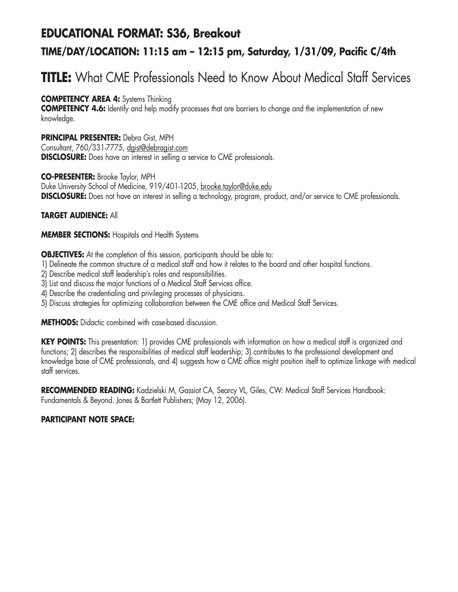# **EDUCATIONAL FORMAT: S36, Breakout TIME/DAY/LOCATION: 11:15 am – 12:15 pm, Saturday, 1/31/09, Pacific C/4th**

# **TITLE:** What CME Professionals Need to Know About Medical Staff Services

#### **COMPETENCY AREA 4:** Systems Thinking

**COMPETENCY 4.6:** Identify and help modify processes that are barriers to change and the implementation of new knowledge.

#### **PRINCIPAL PRESENTER:** Debra Gist, MPH

Consultant, 760/331-7775, dgist@debragist.com **DISCLOSURE:** Does have an interest in selling a service to CME professionals.

#### **CO-PRESENTER:** Brooke Taylor, MPH

Duke University School of Medicine, 919/401-1205, brooke.taylor@duke.edu **DISCLOSURE:** Does not have an interest in selling a technology, program, product, and/or service to CME professionals.

#### **TARGET AUDIENCE:** All

#### **MEMBER SECTIONS:** Hospitals and Health Systems

**OBJECTIVES:** At the completion of this session, participants should be able to:

- 1) Delineate the common structure of a medical staff and how it relates to the board and other hospital functions.
- 2) Describe medical staff leadership's roles and responsibilities.
- 3) List and discuss the major functions of a Medical Staff Services office.
- 4) Describe the credentialing and privileging processes of physicians.
- 5) Discuss strategies for optimizing collaboration between the CME office and Medical Staff Services.

**METHODS:** Didactic combined with case-based discussion.

**KEY POINTS:** This presentation: 1) provides CME professionals with information on how a medical staff is organized and functions; 2) describes the responsibilities of medical staff leadership; 3) contributes to the professional development and knowledge base of CME professionals, and 4) suggests how a CME office might position itself to optimize linkage with medical staff services.

**RECOMMENDED READING:** Kadzielski M, Gassiot CA, Searcy VL, Giles, CW: Medical Staff Services Handbook: Fundamentals & Beyond. Jones & Bartlett Publishers; (May 12, 2006).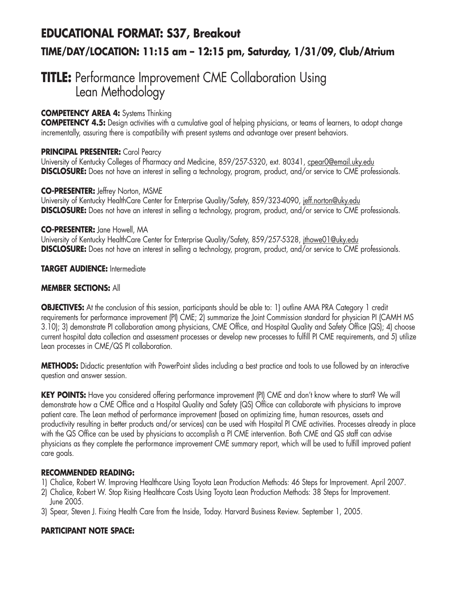# **EDUCATIONAL FORMAT: S37, Breakout TIME/DAY/LOCATION: 11:15 am – 12:15 pm, Saturday, 1/31/09, Club/Atrium**

### **TITLE:** Performance Improvement CME Collaboration Using Lean Methodology

#### **COMPETENCY AREA 4:** Systems Thinking

**COMPETENCY 4.5:** Design activities with a cumulative goal of helping physicians, or teams of learners, to adopt change incrementally, assuring there is compatibility with present systems and advantage over present behaviors.

#### **PRINCIPAL PRESENTER:** Carol Pearcy

University of Kentucky Colleges of Pharmacy and Medicine, 859/257-5320, ext. 80341, cpear0@email.uky.edu **DISCLOSURE:** Does not have an interest in selling a technology, program, product, and/or service to CME professionals.

#### **CO-PRESENTER:** Jeffrey Norton, MSME

University of Kentucky HealthCare Center for Enterprise Quality/Safety, 859/323-4090, jeff.norton@uky.edu **DISCLOSURE:** Does not have an interest in selling a technology, program, product, and/or service to CME professionals.

#### **CO-PRESENTER:** Jane Howell, MA

University of Kentucky HealthCare Center for Enterprise Quality/Safety, 859/257-5328, jthowe01@uky.edu **DISCLOSURE:** Does not have an interest in selling a technology, program, product, and/or service to CME professionals.

#### **TARGET AUDIENCE:** Intermediate

#### **MEMBER SECTIONS:** All

**OBJECTIVES:** At the conclusion of this session, participants should be able to: 1) outline AMA PRA Category 1 credit requirements for performance improvement (PI) CME; 2) summarize the Joint Commission standard for physician PI (CAMH MS 3.10); 3) demonstrate PI collaboration among physicians, CME Office, and Hospital Quality and Safety Office (QS); 4) choose current hospital data collection and assessment processes or develop new processes to fulfill PI CME requirements, and 5) utilize Lean processes in CME/QS PI collaboration.

**METHODS:** Didactic presentation with PowerPoint slides including a best practice and tools to use followed by an interactive question and answer session.

**KEY POINTS:** Have you considered offering performance improvement (PI) CME and don't know where to start? We will demonstrate how a CME Office and a Hospital Quality and Safety (QS) Office can collaborate with physicians to improve patient care. The Lean method of performance improvement (based on optimizing time, human resources, assets and productivity resulting in better products and/or services) can be used with Hospital PI CME activities. Processes already in place with the QS Office can be used by physicians to accomplish a PI CME intervention. Both CME and QS staff can advise physicians as they complete the performance improvement CME summary report, which will be used to fulfill improved patient care goals.

#### **RECOMMENDED READING:**

- 1) Chalice, Robert W. Improving Healthcare Using Toyota Lean Production Methods: 46 Steps for Improvement. April 2007.
- 2) Chalice, Robert W. Stop Rising Healthcare Costs Using Toyota Lean Production Methods: 38 Steps for Improvement. June 2005.
- 3) Spear, Steven J. Fixing Health Care from the Inside, Today. Harvard Business Review. September 1, 2005.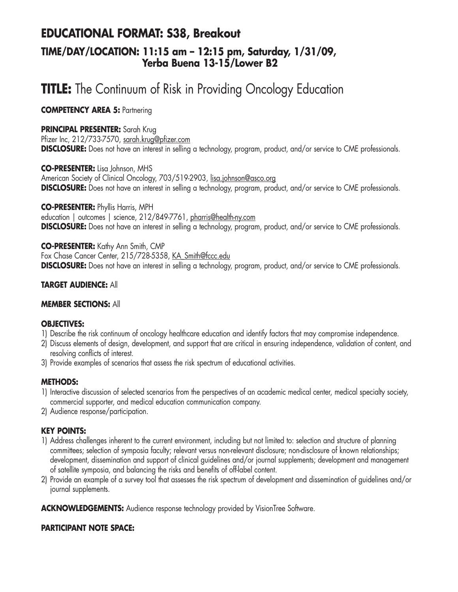### **EDUCATIONAL FORMAT: S38, Breakout TIME/DAY/LOCATION: 11:15 am – 12:15 pm, Saturday, 1/31/09, Yerba Buena 13-15/Lower B2**

# **TITLE:** The Continuum of Risk in Providing Oncology Education

**COMPETENCY AREA 5: Partnering** 

#### **PRINCIPAL PRESENTER:** Sarah Krug

Pfizer Inc, 212/733-7570, sarah.krug@pfizer.com **DISCLOSURE:** Does not have an interest in selling a technology, program, product, and/or service to CME professionals.

**CO-PRESENTER:** Lisa Johnson, MHS

American Society of Clinical Oncology, 703/519-2903, lisa.johnson@asco.org **DISCLOSURE:** Does not have an interest in selling a technology, program, product, and/or service to CME professionals.

**CO-PRESENTER:** Phyllis Harris, MPH education | outcomes | science, 212/849-7761, pharris@health-ny.com **DISCLOSURE:** Does not have an interest in selling a technology, program, product, and/or service to CME professionals.

**CO-PRESENTER:** Kathy Ann Smith, CMP Fox Chase Cancer Center, 215/728-5358, KA\_Smith@fccc.edu **DISCLOSURE:** Does not have an interest in selling a technology, program, product, and/or service to CME professionals.

#### **TARGET AUDIENCE:** All

#### **MEMBER SECTIONS:** All

#### **OBJECTIVES:**

- 1) Describe the risk continuum of oncology healthcare education and identify factors that may compromise independence.
- 2) Discuss elements of design, development, and support that are critical in ensuring independence, validation of content, and resolving conflicts of interest.
- 3) Provide examples of scenarios that assess the risk spectrum of educational activities.

#### **METHODS:**

- 1) Interactive discussion of selected scenarios from the perspectives of an academic medical center, medical specialty society, commercial supporter, and medical education communication company.
- 2) Audience response/participation.

#### **KEY POINTS:**

- 1) Address challenges inherent to the current environment, including but not limited to: selection and structure of planning committees; selection of symposia faculty; relevant versus non-relevant disclosure; non-disclosure of known relationships; development, dissemination and support of clinical guidelines and/or journal supplements; development and management of satellite symposia, and balancing the risks and benefits of off-label content.
- 2) Provide an example of a survey tool that assesses the risk spectrum of development and dissemination of guidelines and/or journal supplements.

**ACKNOWLEDGEMENTS:** Audience response technology provided by VisionTree Software.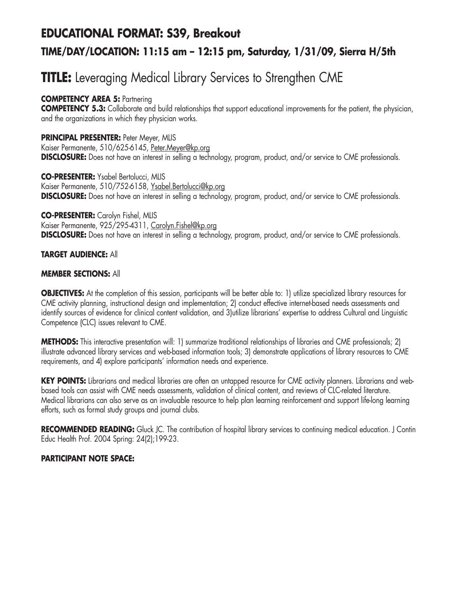# **EDUCATIONAL FORMAT: S39, Breakout TIME/DAY/LOCATION: 11:15 am – 12:15 pm, Saturday, 1/31/09, Sierra H/5th**

# **TITLE:** Leveraging Medical Library Services to Strengthen CME

#### **COMPETENCY AREA 5:** Partnering

**COMPETENCY 5.3:** Collaborate and build relationships that support educational improvements for the patient, the physician, and the organizations in which they physician works.

**PRINCIPAL PRESENTER:** Peter Meyer, MLIS Kaiser Permanente, 510/625-6145, Peter.Meyer@kp.org **DISCLOSURE:** Does not have an interest in selling a technology, program, product, and/or service to CME professionals.

**CO-PRESENTER:** Ysabel Bertolucci, MLIS Kaiser Permanente, 510/752-6158, Ysabel.Bertolucci@kp.org **DISCLOSURE:** Does not have an interest in selling a technology, program, product, and/or service to CME professionals.

#### **CO-PRESENTER:** Carolyn Fishel, MLIS Kaiser Permanente, 925/295-4311, Carolyn.Fishel@kp.org **DISCLOSURE:** Does not have an interest in selling a technology, program, product, and/or service to CME professionals.

#### **TARGET AUDIENCE:** All

#### **MEMBER SECTIONS:** All

**OBJECTIVES:** At the completion of this session, participants will be better able to: 1) utilize specialized library resources for CME activity planning, instructional design and implementation; 2) conduct effective internet-based needs assessments and identify sources of evidence for clinical content validation, and 3)utilize librarians' expertise to address Cultural and Linguistic Competence (CLC) issues relevant to CME.

**METHODS:** This interactive presentation will: 1) summarize traditional relationships of libraries and CME professionals; 2) illustrate advanced library services and web-based information tools; 3) demonstrate applications of library resources to CME requirements, and 4) explore participants' information needs and experience.

**KEY POINTS:** Librarians and medical libraries are often an untapped resource for CME activity planners. Librarians and webbased tools can assist with CME needs assessments, validation of clinical content, and reviews of CLC-related literature. Medical librarians can also serve as an invaluable resource to help plan learning reinforcement and support life-long learning efforts, such as formal study groups and journal clubs.

RECOMMENDED READING: Gluck JC. The contribution of hospital library services to continuing medical education. J Contin Educ Health Prof. 2004 Spring: 24(2);199-23.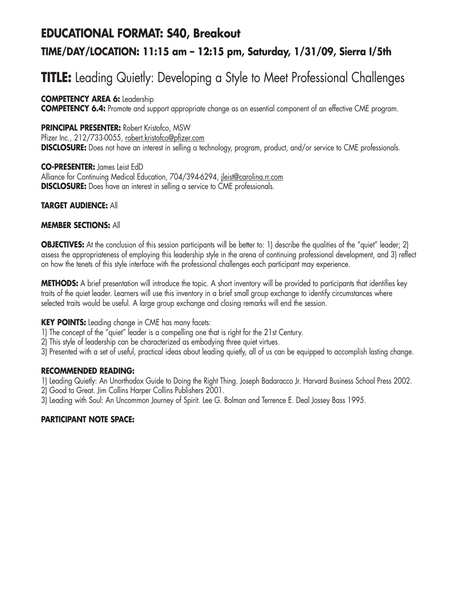### **EDUCATIONAL FORMAT: S40, Breakout**

### **TIME/DAY/LOCATION: 11:15 am – 12:15 pm, Saturday, 1/31/09, Sierra I/5th**

# **TITLE:** Leading Quietly: Developing a Style to Meet Professional Challenges

**COMPETENCY AREA 6:** Leadership **COMPETENCY 6.4:** Promote and support appropriate change as an essential component of an effective CME program.

#### **PRINCIPAL PRESENTER:** Robert Kristofco, MSW

Pfizer Inc., 212/733-0055, robert.kristofco@pfizer.com **DISCLOSURE:** Does not have an interest in selling a technology, program, product, and/or service to CME professionals.

**CO-PRESENTER:** James Leist EdD Alliance for Continuing Medical Education, 704/394-6294, jleist@carolina.rr.com **DISCLOSURE:** Does have an interest in selling a service to CME professionals.

#### **TARGET AUDIENCE:** All

#### **MEMBER SECTIONS:** All

**OBJECTIVES:** At the conclusion of this session participants will be better to: 1) describe the qualities of the "quiet" leader; 2) assess the appropriateness of employing this leadership style in the arena of continuing professional development, and 3) reflect on how the tenets of this style interface with the professional challenges each participant may experience.

**METHODS:** A brief presentation will introduce the topic. A short inventory will be provided to participants that identifies key traits of the quiet leader. Learners will use this inventory in a brief small group exchange to identify circumstances where selected traits would be useful. A large group exchange and closing remarks will end the session.

**KEY POINTS:** Leading change in CME has many facets:

1) The concept of the "quiet" leader is a compelling one that is right for the 21st Century.

2) This style of leadership can be characterized as embodying three quiet virtues.

3) Presented with a set of useful, practical ideas about leading quietly, all of us can be equipped to accomplish lasting change.

#### **RECOMMENDED READING:**

1) Leading Quietly: An Unorthodox Guide to Doing the Right Thing. Joseph Badaracco Jr. Harvard Business School Press 2002.

2) Good to Great. Jim Collins Harper Collins Publishers 2001.

3) Leading with Soul: An Uncommon Journey of Spirit. Lee G. Bolman and Terrence E. Deal Jossey Bass 1995.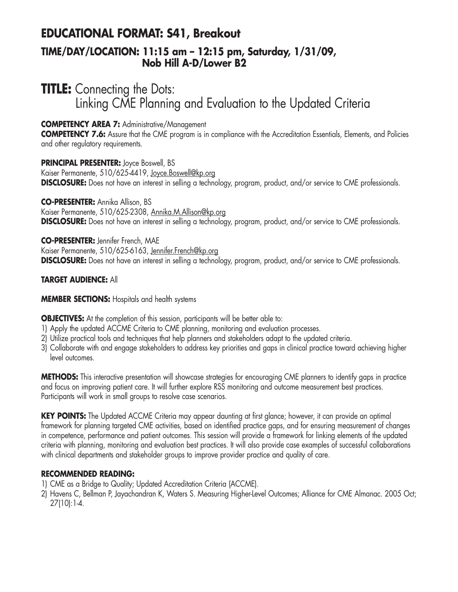### **EDUCATIONAL FORMAT: S41, Breakout**

### **TIME/DAY/LOCATION: 11:15 am – 12:15 pm, Saturday, 1/31/09, Nob Hill A-D/Lower B2**

### **TITLE:** Connecting the Dots: Linking CME Planning and Evaluation to the Updated Criteria

#### **COMPETENCY AREA 7:** Administrative/Management

**COMPETENCY 7.6:** Assure that the CME program is in compliance with the Accreditation Essentials, Elements, and Policies and other regulatory requirements.

**PRINCIPAL PRESENTER:** Joyce Boswell, BS Kaiser Permanente, 510/625-4419, Joyce.Boswell@kp.org **DISCLOSURE:** Does not have an interest in selling a technology, program, product, and/or service to CME professionals.

**CO-PRESENTER:** Annika Allison, BS Kaiser Permanente, 510/625-2308, Annika.M.Allison@kp.org **DISCLOSURE:** Does not have an interest in selling a technology, program, product, and/or service to CME professionals.

**CO-PRESENTER:** Jennifer French, MAE Kaiser Permanente, 510/625-6163, Jennifer.French@kp.org **DISCLOSURE:** Does not have an interest in selling a technology, program, product, and/or service to CME professionals.

#### **TARGET AUDIENCE:** All

#### **MEMBER SECTIONS:** Hospitals and health systems

**OBJECTIVES:** At the completion of this session, participants will be better able to:

- 1) Apply the updated ACCME Criteria to CME planning, monitoring and evaluation processes.
- 2) Utilize practical tools and techniques that help planners and stakeholders adapt to the updated criteria.
- 3) Collaborate with and engage stakeholders to address key priorities and gaps in clinical practice toward achieving higher level outcomes.

**METHODS:** This interactive presentation will showcase strategies for encouraging CME planners to identify gaps in practice and focus on improving patient care. It will further explore RSS monitoring and outcome measurement best practices. Participants will work in small groups to resolve case scenarios.

**KEY POINTS:** The Updated ACCME Criteria may appear daunting at first glance; however, it can provide an optimal framework for planning targeted CME activities, based on identified practice gaps, and for ensuring measurement of changes in competence, performance and patient outcomes. This session will provide a framework for linking elements of the updated criteria with planning, monitoring and evaluation best practices. It will also provide case examples of successful collaborations with clinical departments and stakeholder groups to improve provider practice and quality of care.

#### **RECOMMENDED READING:**

1) CME as a Bridge to Quality; Updated Accreditation Criteria (ACCME).

2) Havens C, Bellman P, Jayachandran K, Waters S. Measuring Higher-Level Outcomes; Alliance for CME Almanac. 2005 Oct; 27(10):1-4.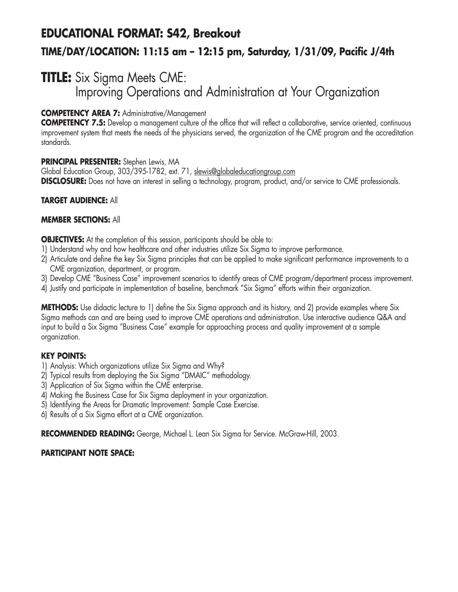# **EDUCATIONAL FORMAT: S42, Breakout TIME/DAY/LOCATION: 11:15 am – 12:15 pm, Saturday, 1/31/09, Pacific J/4th**

### **TITLE:** Six Sigma Meets CME: Improving Operations and Administration at Your Organization

#### **COMPETENCY AREA 7:** Administrative/Management

**COMPETENCY 7.5:** Develop a management culture of the office that will reflect a collaborative, service oriented, continuous improvement system that meets the needs of the physicians served, the organization of the CME program and the accreditation standards.

#### **PRINCIPAL PRESENTER:** Stephen Lewis, MA

Global Education Group, 303/395-1782, ext. 71, slewis@globaleducationgroup.com **DISCLOSURE:** Does not have an interest in selling a technology, program, product, and/or service to CME professionals.

#### **TARGET AUDIENCE:** All

#### **MEMBER SECTIONS:** All

**OBJECTIVES:** At the completion of this session, participants should be able to:

- 1) Understand why and how healthcare and other industries utilize Six Sigma to improve performance.
- 2) Articulate and define the key Six Sigma principles that can be applied to make significant performance improvements to a CME organization, department, or program.
- 3) Develop CME "Business Case" improvement scenarios to identify areas of CME program/department process improvement.
- 4) Justify and participate in implementation of baseline, benchmark "Six Sigma" efforts within their organization.

**METHODS:** Use didactic lecture to 1) define the Six Sigma approach and its history, and 2) provide examples where Six Sigma methods can and are being used to improve CME operations and administration. Use interactive audience Q&A and input to build a Six Sigma "Business Case" example for approaching process and quality improvement at a sample organization.

#### **KEY POINTS:**

- 1) Analysis: Which organizations utilize Six Sigma and Why?
- 2) Typical results from deploying the Six Sigma "DMAIC" methodology.
- 3) Application of Six Sigma within the CME enterprise.
- 4) Making the Business Case for Six Sigma deployment in your organization.
- 5) Identifying the Areas for Dramatic Improvement: Sample Case Exercise.
- 6) Results of a Six Sigma effort at a CME organization.

RECOMMENDED READING: George, Michael L. Lean Six Sigma for Service. McGraw-Hill, 2003.